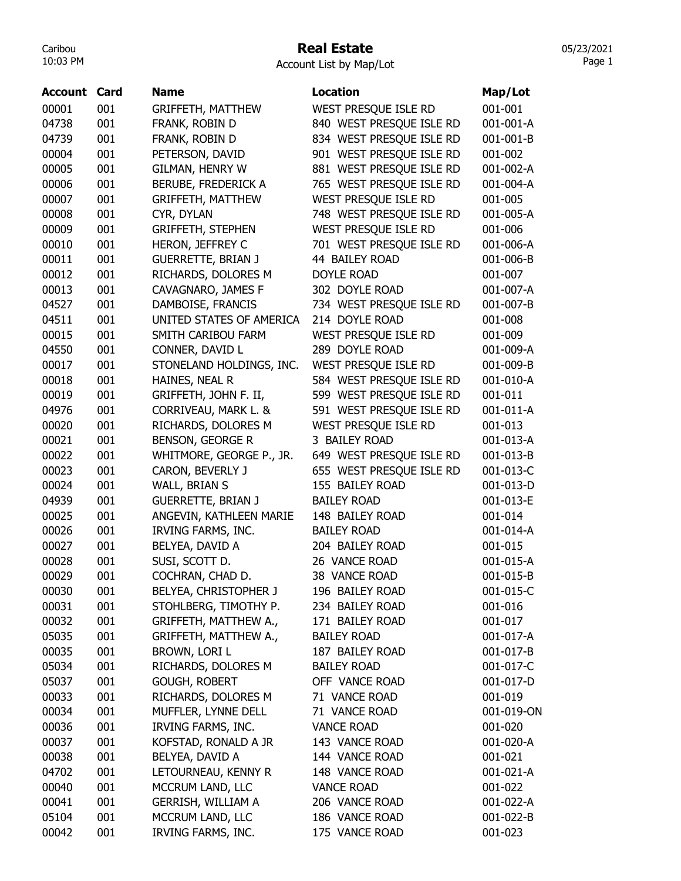### Real Estate

Account List by Map/Lot

| Account | Card | <b>Name</b>                | <b>Location</b>          | Map/Lot    |
|---------|------|----------------------------|--------------------------|------------|
| 00001   | 001  | <b>GRIFFETH, MATTHEW</b>   | WEST PRESQUE ISLE RD     | 001-001    |
| 04738   | 001  | FRANK, ROBIN D             | 840 WEST PRESQUE ISLE RD | 001-001-A  |
| 04739   | 001  | FRANK, ROBIN D             | 834 WEST PRESQUE ISLE RD | 001-001-B  |
| 00004   | 001  | PETERSON, DAVID            | 901 WEST PRESQUE ISLE RD | 001-002    |
| 00005   | 001  | GILMAN, HENRY W            | 881 WEST PRESQUE ISLE RD | 001-002-A  |
| 00006   | 001  | <b>BERUBE, FREDERICK A</b> | 765 WEST PRESQUE ISLE RD | 001-004-A  |
| 00007   | 001  | <b>GRIFFETH, MATTHEW</b>   | WEST PRESQUE ISLE RD     | 001-005    |
| 00008   | 001  | CYR, DYLAN                 | 748 WEST PRESQUE ISLE RD | 001-005-A  |
| 00009   | 001  | <b>GRIFFETH, STEPHEN</b>   | WEST PRESQUE ISLE RD     | 001-006    |
| 00010   | 001  | <b>HERON, JEFFREY C</b>    | 701 WEST PRESQUE ISLE RD | 001-006-A  |
| 00011   | 001  | <b>GUERRETTE, BRIAN J</b>  | 44 BAILEY ROAD           | 001-006-B  |
| 00012   | 001  | RICHARDS, DOLORES M        | <b>DOYLE ROAD</b>        | 001-007    |
| 00013   | 001  | CAVAGNARO, JAMES F         | 302 DOYLE ROAD           | 001-007-A  |
| 04527   | 001  | DAMBOISE, FRANCIS          | 734 WEST PRESQUE ISLE RD | 001-007-B  |
| 04511   | 001  | UNITED STATES OF AMERICA   | 214 DOYLE ROAD           | 001-008    |
| 00015   | 001  | SMITH CARIBOU FARM         | WEST PRESQUE ISLE RD     | 001-009    |
| 04550   | 001  | CONNER, DAVID L            | 289 DOYLE ROAD           | 001-009-A  |
| 00017   | 001  | STONELAND HOLDINGS, INC.   | WEST PRESQUE ISLE RD     | 001-009-B  |
| 00018   | 001  | HAINES, NEAL R             | 584 WEST PRESQUE ISLE RD | 001-010-A  |
| 00019   | 001  | GRIFFETH, JOHN F. II,      | 599 WEST PRESQUE ISLE RD | 001-011    |
| 04976   | 001  | CORRIVEAU, MARK L. &       | 591 WEST PRESQUE ISLE RD | 001-011-A  |
| 00020   | 001  | RICHARDS, DOLORES M        | WEST PRESQUE ISLE RD     | 001-013    |
| 00021   | 001  | <b>BENSON, GEORGE R</b>    | 3 BAILEY ROAD            | 001-013-A  |
| 00022   | 001  | WHITMORE, GEORGE P., JR.   | 649 WEST PRESQUE ISLE RD | 001-013-B  |
| 00023   | 001  | CARON, BEVERLY J           | 655 WEST PRESQUE ISLE RD | 001-013-C  |
| 00024   | 001  | WALL, BRIAN S              | 155 BAILEY ROAD          | 001-013-D  |
| 04939   | 001  | <b>GUERRETTE, BRIAN J</b>  | <b>BAILEY ROAD</b>       | 001-013-E  |
| 00025   | 001  | ANGEVIN, KATHLEEN MARIE    | 148 BAILEY ROAD          | 001-014    |
| 00026   | 001  | IRVING FARMS, INC.         | <b>BAILEY ROAD</b>       | 001-014-A  |
| 00027   | 001  | BELYEA, DAVID A            | 204 BAILEY ROAD          | 001-015    |
| 00028   | 001  | SUSI, SCOTT D.             | 26 VANCE ROAD            | 001-015-A  |
| 00029   | 001  | COCHRAN, CHAD D.           | 38 VANCE ROAD            | 001-015-B  |
| 00030   | 001  | BELYEA, CHRISTOPHER J      | 196 BAILEY ROAD          | 001-015-C  |
| 00031   | 001  | STOHLBERG, TIMOTHY P.      | 234 BAILEY ROAD          | 001-016    |
| 00032   | 001  | GRIFFETH, MATTHEW A.,      | 171 BAILEY ROAD          | 001-017    |
| 05035   | 001  | GRIFFETH, MATTHEW A.,      | <b>BAILEY ROAD</b>       | 001-017-A  |
| 00035   | 001  | BROWN, LORI L              | 187 BAILEY ROAD          | 001-017-B  |
| 05034   | 001  | RICHARDS, DOLORES M        | <b>BAILEY ROAD</b>       | 001-017-C  |
| 05037   | 001  | <b>GOUGH, ROBERT</b>       | OFF VANCE ROAD           | 001-017-D  |
| 00033   | 001  | RICHARDS, DOLORES M        | 71 VANCE ROAD            | 001-019    |
| 00034   | 001  | MUFFLER, LYNNE DELL        | 71 VANCE ROAD            | 001-019-ON |
| 00036   | 001  | <b>IRVING FARMS, INC.</b>  | <b>VANCE ROAD</b>        | 001-020    |
| 00037   | 001  | KOFSTAD, RONALD A JR       | 143 VANCE ROAD           | 001-020-A  |
| 00038   | 001  | BELYEA, DAVID A            | 144 VANCE ROAD           | 001-021    |
| 04702   | 001  | LETOURNEAU, KENNY R        | 148 VANCE ROAD           | 001-021-A  |
| 00040   | 001  | MCCRUM LAND, LLC           | <b>VANCE ROAD</b>        | 001-022    |
| 00041   | 001  | <b>GERRISH, WILLIAM A</b>  | 206 VANCE ROAD           | 001-022-A  |
| 05104   | 001  | MCCRUM LAND, LLC           | 186 VANCE ROAD           | 001-022-B  |
| 00042   | 001  | IRVING FARMS, INC.         | 175 VANCE ROAD           | 001-023    |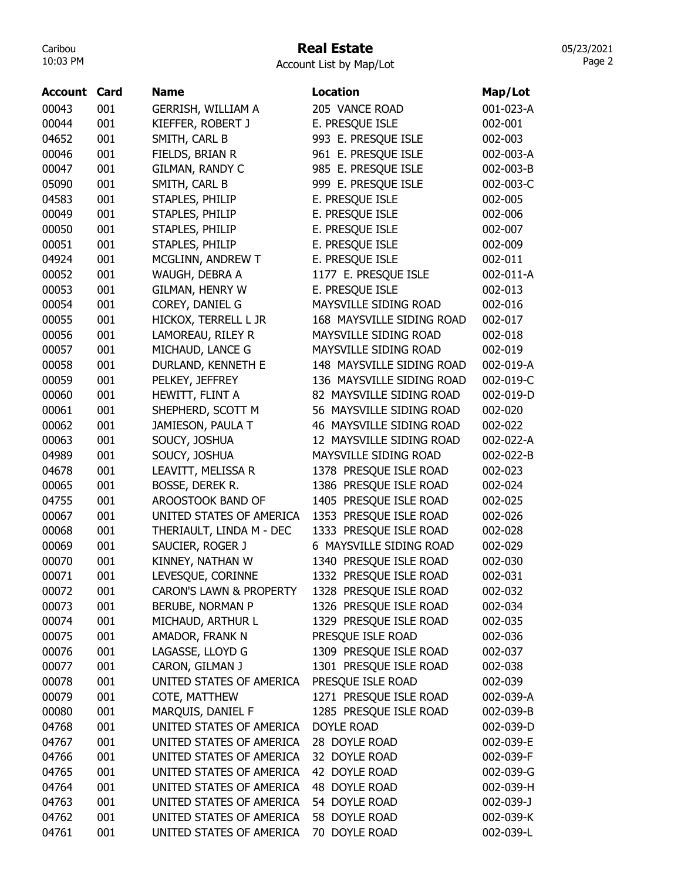## Real Estate

05/23/2021 Page 2

Account List by Map/Lot

| <b>Account</b> | Card | Name                               | <b>Location</b>           | Map/Lot   |
|----------------|------|------------------------------------|---------------------------|-----------|
| 00043          | 001  | GERRISH, WILLIAM A                 | 205 VANCE ROAD            | 001-023-A |
| 00044          | 001  | KIEFFER, ROBERT J                  | E. PRESQUE ISLE           | 002-001   |
| 04652          | 001  | SMITH, CARL B                      | 993 E. PRESQUE ISLE       | 002-003   |
| 00046          | 001  | FIELDS, BRIAN R                    | 961 E. PRESQUE ISLE       | 002-003-A |
| 00047          | 001  | GILMAN, RANDY C                    | 985 E. PRESQUE ISLE       | 002-003-B |
| 05090          | 001  | SMITH, CARL B                      | 999 E. PRESQUE ISLE       | 002-003-C |
| 04583          | 001  | STAPLES, PHILIP                    | E. PRESQUE ISLE           | 002-005   |
| 00049          | 001  | STAPLES, PHILIP                    | E. PRESQUE ISLE           | 002-006   |
| 00050          | 001  | STAPLES, PHILIP                    | E. PRESQUE ISLE           | 002-007   |
| 00051          | 001  | STAPLES, PHILIP                    | E. PRESQUE ISLE           | 002-009   |
| 04924          | 001  | MCGLINN, ANDREW T                  | E. PRESQUE ISLE           | 002-011   |
| 00052          | 001  | WAUGH, DEBRA A                     | 1177 E. PRESQUE ISLE      | 002-011-A |
| 00053          | 001  | <b>GILMAN, HENRY W</b>             | E. PRESQUE ISLE           | 002-013   |
| 00054          | 001  | COREY, DANIEL G                    | MAYSVILLE SIDING ROAD     | 002-016   |
| 00055          | 001  | HICKOX, TERRELL L JR               | 168 MAYSVILLE SIDING ROAD | 002-017   |
| 00056          | 001  | LAMOREAU, RILEY R                  | MAYSVILLE SIDING ROAD     | 002-018   |
| 00057          | 001  | MICHAUD, LANCE G                   | MAYSVILLE SIDING ROAD     | 002-019   |
| 00058          | 001  | DURLAND, KENNETH E                 | 148 MAYSVILLE SIDING ROAD | 002-019-A |
| 00059          | 001  | PELKEY, JEFFREY                    | 136 MAYSVILLE SIDING ROAD | 002-019-C |
| 00060          | 001  | HEWITT, FLINT A                    | 82 MAYSVILLE SIDING ROAD  | 002-019-D |
| 00061          | 001  | SHEPHERD, SCOTT M                  | 56 MAYSVILLE SIDING ROAD  | 002-020   |
| 00062          | 001  | JAMIESON, PAULA T                  | 46 MAYSVILLE SIDING ROAD  | 002-022   |
| 00063          | 001  | SOUCY, JOSHUA                      | 12 MAYSVILLE SIDING ROAD  | 002-022-A |
| 04989          | 001  | SOUCY, JOSHUA                      | MAYSVILLE SIDING ROAD     | 002-022-B |
| 04678          | 001  | LEAVITT, MELISSA R                 | 1378 PRESQUE ISLE ROAD    | 002-023   |
| 00065          | 001  | BOSSE, DEREK R.                    | 1386 PRESQUE ISLE ROAD    | 002-024   |
| 04755          | 001  | AROOSTOOK BAND OF                  | 1405 PRESQUE ISLE ROAD    | 002-025   |
| 00067          | 001  | UNITED STATES OF AMERICA           | 1353 PRESQUE ISLE ROAD    | 002-026   |
| 00068          | 001  | THERIAULT, LINDA M - DEC           | 1333 PRESQUE ISLE ROAD    | 002-028   |
| 00069          | 001  | SAUCIER, ROGER J                   | 6 MAYSVILLE SIDING ROAD   | 002-029   |
| 00070          | 001  | KINNEY, NATHAN W                   | 1340 PRESQUE ISLE ROAD    | 002-030   |
| 00071          | 001  | LEVESQUE, CORINNE                  | 1332 PRESQUE ISLE ROAD    | 002-031   |
| 00072          | 001  | <b>CARON'S LAWN &amp; PROPERTY</b> | 1328 PRESQUE ISLE ROAD    | 002-032   |
| 00073          | 001  | BERUBE, NORMAN P                   | 1326 PRESQUE ISLE ROAD    | 002-034   |
| 00074          | 001  | MICHAUD, ARTHUR L                  | 1329 PRESQUE ISLE ROAD    | 002-035   |
| 00075          | 001  | AMADOR, FRANK N                    | PRESQUE ISLE ROAD         | 002-036   |
| 00076          | 001  | LAGASSE, LLOYD G                   | 1309 PRESQUE ISLE ROAD    | 002-037   |
| 00077          | 001  | CARON, GILMAN J                    | 1301 PRESQUE ISLE ROAD    | 002-038   |
| 00078          | 001  | UNITED STATES OF AMERICA           | PRESQUE ISLE ROAD         | 002-039   |
| 00079          | 001  | COTE, MATTHEW                      | 1271 PRESQUE ISLE ROAD    | 002-039-A |
| 00080          | 001  | MARQUIS, DANIEL F                  | 1285 PRESQUE ISLE ROAD    | 002-039-B |
| 04768          | 001  | UNITED STATES OF AMERICA           | DOYLE ROAD                | 002-039-D |
| 04767          | 001  | UNITED STATES OF AMERICA           | 28 DOYLE ROAD             | 002-039-E |
| 04766          | 001  | UNITED STATES OF AMERICA           | 32 DOYLE ROAD             | 002-039-F |
| 04765          | 001  | UNITED STATES OF AMERICA           | 42 DOYLE ROAD             | 002-039-G |
| 04764          | 001  | UNITED STATES OF AMERICA           | 48 DOYLE ROAD             | 002-039-H |
| 04763          | 001  | UNITED STATES OF AMERICA           | 54 DOYLE ROAD             | 002-039-J |
| 04762          | 001  | UNITED STATES OF AMERICA           | 58 DOYLE ROAD             | 002-039-K |
| 04761          | 001  | UNITED STATES OF AMERICA           | 70 DOYLE ROAD             | 002-039-L |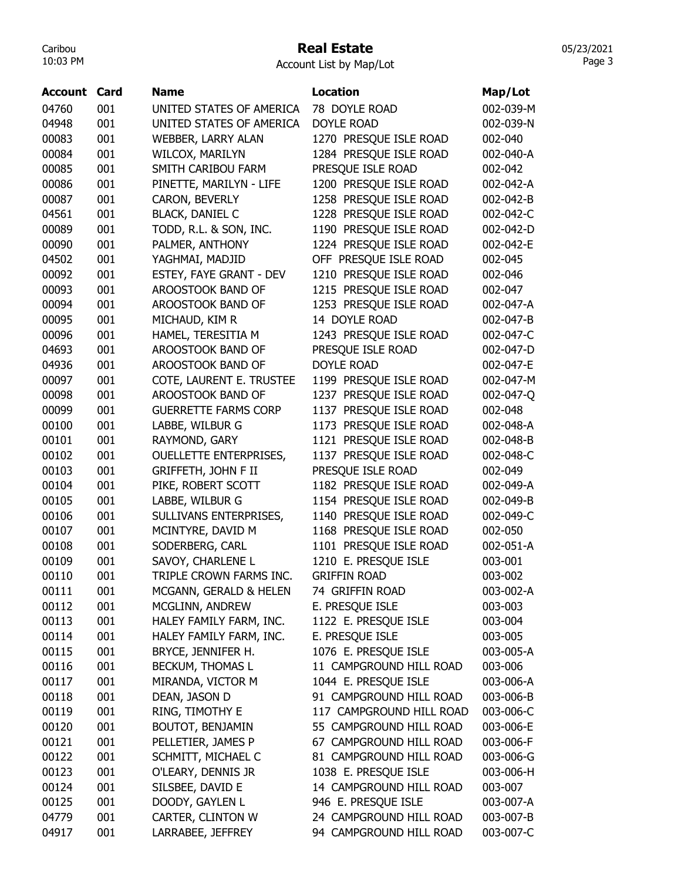## Real Estate

Account List by Map/Lot

| Account | Card | <b>Name</b>                   | <b>Location</b>           | Map/Lot   |
|---------|------|-------------------------------|---------------------------|-----------|
| 04760   | 001  | UNITED STATES OF AMERICA      | 78 DOYLE ROAD             | 002-039-M |
| 04948   | 001  | UNITED STATES OF AMERICA      | <b>DOYLE ROAD</b>         | 002-039-N |
| 00083   | 001  | WEBBER, LARRY ALAN            | 1270 PRESQUE ISLE ROAD    | 002-040   |
| 00084   | 001  | WILCOX, MARILYN               | 1284 PRESQUE ISLE ROAD    | 002-040-A |
| 00085   | 001  | SMITH CARIBOU FARM            | PRESQUE ISLE ROAD         | 002-042   |
| 00086   | 001  | PINETTE, MARILYN - LIFE       | 1200 PRESQUE ISLE ROAD    | 002-042-A |
| 00087   | 001  | CARON, BEVERLY                | 1258 PRESQUE ISLE ROAD    | 002-042-B |
| 04561   | 001  | <b>BLACK, DANIEL C</b>        | 1228 PRESQUE ISLE ROAD    | 002-042-C |
| 00089   | 001  | TODD, R.L. & SON, INC.        | 1190 PRESQUE ISLE ROAD    | 002-042-D |
| 00090   | 001  | PALMER, ANTHONY               | 1224 PRESQUE ISLE ROAD    | 002-042-E |
| 04502   | 001  | YAGHMAI, MADJID               | OFF PRESQUE ISLE ROAD     | 002-045   |
| 00092   | 001  | ESTEY, FAYE GRANT - DEV       | 1210 PRESQUE ISLE ROAD    | 002-046   |
| 00093   | 001  | AROOSTOOK BAND OF             | 1215 PRESQUE ISLE ROAD    | 002-047   |
| 00094   | 001  | AROOSTOOK BAND OF             | 1253 PRESQUE ISLE ROAD    | 002-047-A |
| 00095   | 001  | MICHAUD, KIM R                | 14 DOYLE ROAD             | 002-047-B |
| 00096   | 001  | HAMEL, TERESITIA M            | 1243 PRESQUE ISLE ROAD    | 002-047-C |
| 04693   | 001  | AROOSTOOK BAND OF             | PRESQUE ISLE ROAD         | 002-047-D |
| 04936   | 001  | AROOSTOOK BAND OF             | <b>DOYLE ROAD</b>         | 002-047-E |
| 00097   | 001  | COTE, LAURENT E. TRUSTEE      | 1199 PRESQUE ISLE ROAD    | 002-047-M |
| 00098   | 001  | AROOSTOOK BAND OF             | 1237 PRESQUE ISLE ROAD    | 002-047-Q |
| 00099   | 001  | <b>GUERRETTE FARMS CORP</b>   | 1137 PRESQUE ISLE ROAD    | 002-048   |
| 00100   | 001  | LABBE, WILBUR G               | 1173 PRESQUE ISLE ROAD    | 002-048-A |
| 00101   | 001  | RAYMOND, GARY                 | 1121 PRESQUE ISLE ROAD    | 002-048-B |
| 00102   | 001  | <b>OUELLETTE ENTERPRISES,</b> | 1137 PRESQUE ISLE ROAD    | 002-048-C |
| 00103   | 001  | GRIFFETH, JOHN F II           | PRESQUE ISLE ROAD         | 002-049   |
| 00104   | 001  | PIKE, ROBERT SCOTT            | 1182 PRESQUE ISLE ROAD    | 002-049-A |
| 00105   | 001  | LABBE, WILBUR G               | 1154 PRESQUE ISLE ROAD    | 002-049-B |
| 00106   | 001  | SULLIVANS ENTERPRISES,        | 1140 PRESQUE ISLE ROAD    | 002-049-C |
| 00107   | 001  | MCINTYRE, DAVID M             | 1168 PRESQUE ISLE ROAD    | 002-050   |
| 00108   | 001  | SODERBERG, CARL               | PRESQUE ISLE ROAD<br>1101 | 002-051-A |
| 00109   | 001  | SAVOY, CHARLENE L             | 1210 E. PRESQUE ISLE      | 003-001   |
| 00110   | 001  | TRIPLE CROWN FARMS INC.       | <b>GRIFFIN ROAD</b>       | 003-002   |
| 00111   | 001  | MCGANN, GERALD & HELEN        | 74 GRIFFIN ROAD           | 003-002-A |
| 00112   | 001  | MCGLINN, ANDREW               | E. PRESQUE ISLE           | 003-003   |
| 00113   | 001  | HALEY FAMILY FARM, INC.       | 1122 E. PRESQUE ISLE      | 003-004   |
| 00114   | 001  | HALEY FAMILY FARM, INC.       | E. PRESQUE ISLE           | 003-005   |
| 00115   | 001  | BRYCE, JENNIFER H.            | 1076 E. PRESQUE ISLE      | 003-005-A |
| 00116   | 001  | BECKUM, THOMAS L              | 11 CAMPGROUND HILL ROAD   | 003-006   |
| 00117   | 001  | MIRANDA, VICTOR M             | 1044 E. PRESQUE ISLE      | 003-006-A |
| 00118   | 001  | DEAN, JASON D                 | 91 CAMPGROUND HILL ROAD   | 003-006-B |
| 00119   | 001  | RING, TIMOTHY E               | 117 CAMPGROUND HILL ROAD  | 003-006-C |
| 00120   | 001  | BOUTOT, BENJAMIN              | 55 CAMPGROUND HILL ROAD   | 003-006-E |
| 00121   | 001  | PELLETIER, JAMES P            | 67 CAMPGROUND HILL ROAD   | 003-006-F |
| 00122   | 001  | SCHMITT, MICHAEL C            | 81 CAMPGROUND HILL ROAD   | 003-006-G |
| 00123   | 001  | O'LEARY, DENNIS JR            | 1038 E. PRESQUE ISLE      | 003-006-H |
| 00124   | 001  | SILSBEE, DAVID E              | 14 CAMPGROUND HILL ROAD   | 003-007   |
| 00125   | 001  | DOODY, GAYLEN L               | 946 E. PRESQUE ISLE       | 003-007-A |
| 04779   | 001  | CARTER, CLINTON W             | 24 CAMPGROUND HILL ROAD   | 003-007-B |
| 04917   | 001  | LARRABEE, JEFFREY             | 94 CAMPGROUND HILL ROAD   | 003-007-C |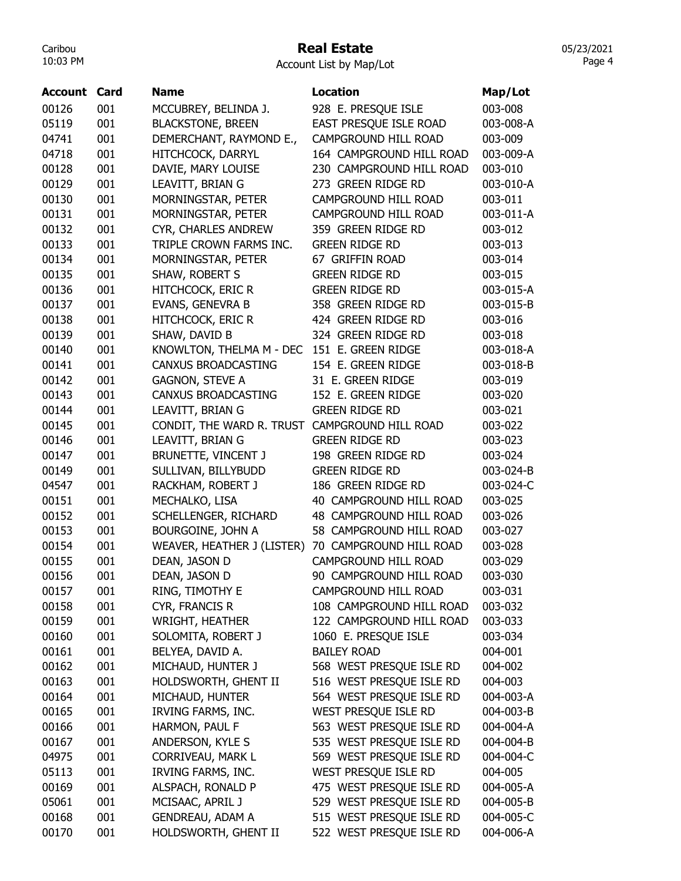## Real Estate

Account List by Map/Lot

| <b>Account Card</b> |     | <b>Name</b>                                    | <b>Location</b>             | Map/Lot   |
|---------------------|-----|------------------------------------------------|-----------------------------|-----------|
| 00126               | 001 | MCCUBREY, BELINDA J.                           | 928 E. PRESQUE ISLE         | 003-008   |
| 05119               | 001 | <b>BLACKSTONE, BREEN</b>                       | EAST PRESQUE ISLE ROAD      | 003-008-A |
| 04741               | 001 | DEMERCHANT, RAYMOND E.,                        | CAMPGROUND HILL ROAD        | 003-009   |
| 04718               | 001 | HITCHCOCK, DARRYL                              | 164 CAMPGROUND HILL ROAD    | 003-009-A |
| 00128               | 001 | DAVIE, MARY LOUISE                             | 230 CAMPGROUND HILL ROAD    | 003-010   |
| 00129               | 001 | LEAVITT, BRIAN G                               | 273 GREEN RIDGE RD          | 003-010-A |
| 00130               | 001 | MORNINGSTAR, PETER                             | CAMPGROUND HILL ROAD        | 003-011   |
| 00131               | 001 | MORNINGSTAR, PETER                             | CAMPGROUND HILL ROAD        | 003-011-A |
| 00132               | 001 | CYR, CHARLES ANDREW                            | 359 GREEN RIDGE RD          | 003-012   |
| 00133               | 001 | TRIPLE CROWN FARMS INC.                        | <b>GREEN RIDGE RD</b>       | 003-013   |
| 00134               | 001 | MORNINGSTAR, PETER                             | 67 GRIFFIN ROAD             | 003-014   |
| 00135               | 001 | SHAW, ROBERT S                                 | <b>GREEN RIDGE RD</b>       | 003-015   |
| 00136               | 001 | <b>HITCHCOCK, ERIC R</b>                       | <b>GREEN RIDGE RD</b>       | 003-015-A |
| 00137               | 001 | EVANS, GENEVRA B                               | 358 GREEN RIDGE RD          | 003-015-B |
| 00138               | 001 | HITCHCOCK, ERIC R                              | 424 GREEN RIDGE RD          | 003-016   |
| 00139               | 001 | SHAW, DAVID B                                  | 324 GREEN RIDGE RD          | 003-018   |
| 00140               | 001 | KNOWLTON, THELMA M - DEC                       | 151 E. GREEN RIDGE          | 003-018-A |
| 00141               | 001 | CANXUS BROADCASTING                            | 154 E. GREEN RIDGE          | 003-018-B |
| 00142               | 001 | <b>GAGNON, STEVE A</b>                         | 31 E. GREEN RIDGE           | 003-019   |
| 00143               | 001 | <b>CANXUS BROADCASTING</b>                     | 152 E. GREEN RIDGE          | 003-020   |
| 00144               | 001 | LEAVITT, BRIAN G                               | <b>GREEN RIDGE RD</b>       | 003-021   |
| 00145               | 001 | CONDIT, THE WARD R. TRUST CAMPGROUND HILL ROAD |                             | 003-022   |
| 00146               | 001 | LEAVITT, BRIAN G                               | <b>GREEN RIDGE RD</b>       | 003-023   |
| 00147               | 001 | BRUNETTE, VINCENT J                            | 198 GREEN RIDGE RD          | 003-024   |
| 00149               | 001 | SULLIVAN, BILLYBUDD                            | <b>GREEN RIDGE RD</b>       | 003-024-B |
| 04547               | 001 | RACKHAM, ROBERT J                              | 186 GREEN RIDGE RD          | 003-024-C |
| 00151               | 001 | MECHALKO, LISA                                 | 40 CAMPGROUND HILL ROAD     | 003-025   |
| 00152               | 001 | SCHELLENGER, RICHARD                           | 48 CAMPGROUND HILL ROAD     | 003-026   |
| 00153               | 001 | BOURGOINE, JOHN A                              | 58 CAMPGROUND HILL ROAD     | 003-027   |
| 00154               | 001 | WEAVER, HEATHER J (LISTER)                     | 70 CAMPGROUND HILL ROAD     | 003-028   |
| 00155               | 001 | DEAN, JASON D                                  | <b>CAMPGROUND HILL ROAD</b> | 003-029   |
| 00156               | 001 | DEAN, JASON D                                  | 90 CAMPGROUND HILL ROAD     | 003-030   |
| 00157               | 001 | RING, TIMOTHY E                                | CAMPGROUND HILL ROAD        | 003-031   |
| 00158               | 001 | CYR, FRANCIS R                                 | 108 CAMPGROUND HILL ROAD    | 003-032   |
| 00159               | 001 | <b>WRIGHT, HEATHER</b>                         | 122 CAMPGROUND HILL ROAD    | 003-033   |
| 00160               | 001 | SOLOMITA, ROBERT J                             | 1060 E. PRESQUE ISLE        | 003-034   |
| 00161               | 001 | BELYEA, DAVID A.                               | <b>BAILEY ROAD</b>          | 004-001   |
| 00162               | 001 | MICHAUD, HUNTER J                              | 568 WEST PRESQUE ISLE RD    | 004-002   |
| 00163               | 001 | HOLDSWORTH, GHENT II                           | 516 WEST PRESQUE ISLE RD    | 004-003   |
| 00164               | 001 | MICHAUD, HUNTER                                | 564 WEST PRESQUE ISLE RD    | 004-003-A |
| 00165               | 001 | IRVING FARMS, INC.                             | WEST PRESQUE ISLE RD        | 004-003-B |
| 00166               | 001 | HARMON, PAUL F                                 | 563 WEST PRESQUE ISLE RD    | 004-004-A |
| 00167               | 001 | ANDERSON, KYLE S                               | 535 WEST PRESQUE ISLE RD    | 004-004-B |
| 04975               | 001 | CORRIVEAU, MARK L                              | 569 WEST PRESQUE ISLE RD    | 004-004-C |
| 05113               | 001 | IRVING FARMS, INC.                             | WEST PRESQUE ISLE RD        | 004-005   |
| 00169               | 001 | ALSPACH, RONALD P                              | 475 WEST PRESQUE ISLE RD    | 004-005-A |
| 05061               | 001 | MCISAAC, APRIL J                               | 529 WEST PRESQUE ISLE RD    | 004-005-B |
| 00168               |     | <b>GENDREAU, ADAM A</b>                        | 515 WEST PRESQUE ISLE RD    | 004-005-C |
|                     | 001 |                                                |                             |           |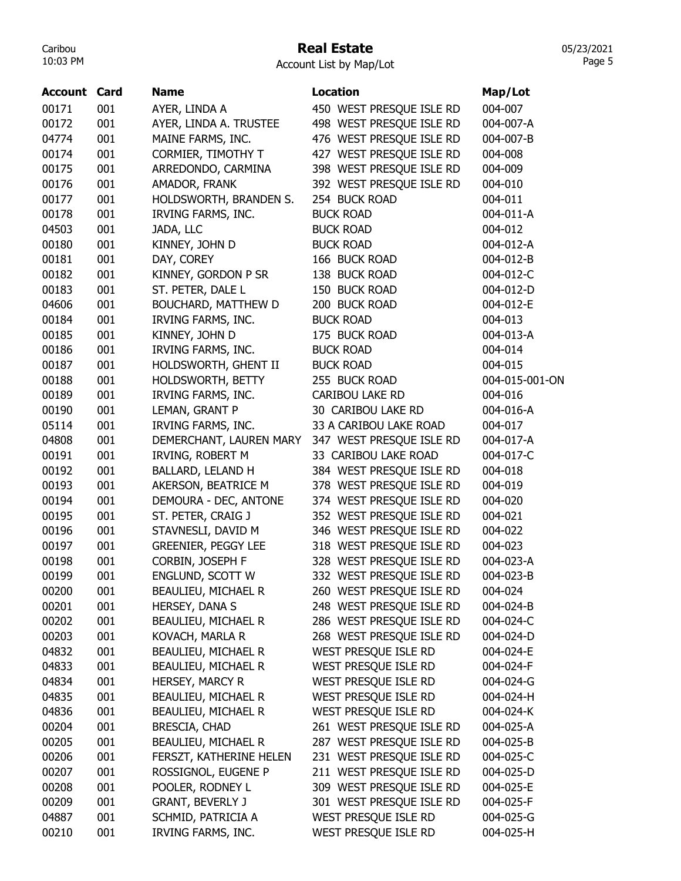### Real Estate

Account List by Map/Lot

| <b>Name</b><br><b>Location</b><br><b>Account Card</b>                  | Map/Lot        |
|------------------------------------------------------------------------|----------------|
| 00171<br>001<br>AYER, LINDA A<br>450 WEST PRESQUE ISLE RD              | 004-007        |
| 001<br>498 WEST PRESQUE ISLE RD<br>00172<br>AYER, LINDA A. TRUSTEE     | 004-007-A      |
| 001<br>476 WEST PRESQUE ISLE RD<br>04774<br>MAINE FARMS, INC.          | 004-007-B      |
| 001<br>427 WEST PRESQUE ISLE RD<br>00174<br>CORMIER, TIMOTHY T         | 004-008        |
| 00175<br>001<br>398 WEST PRESQUE ISLE RD<br>ARREDONDO, CARMINA         | 004-009        |
| 392 WEST PRESQUE ISLE RD<br>00176<br>001<br>AMADOR, FRANK              | 004-010        |
| 001<br>00177<br>HOLDSWORTH, BRANDEN S.<br>254 BUCK ROAD                | 004-011        |
| 00178<br>001<br>IRVING FARMS, INC.<br><b>BUCK ROAD</b>                 | 004-011-A      |
| 04503<br>001<br>JADA, LLC<br><b>BUCK ROAD</b>                          | 004-012        |
| 001<br>00180<br>KINNEY, JOHN D<br><b>BUCK ROAD</b>                     | 004-012-A      |
| 001<br>00181<br>DAY, COREY<br>166 BUCK ROAD                            | 004-012-B      |
| 001<br>00182<br>KINNEY, GORDON P SR<br>138 BUCK ROAD                   | 004-012-C      |
| 00183<br>001<br>ST. PETER, DALE L<br>150 BUCK ROAD                     | 004-012-D      |
| 04606<br>001<br>BOUCHARD, MATTHEW D<br>200 BUCK ROAD                   | 004-012-E      |
| 00184<br>001<br>IRVING FARMS, INC.<br><b>BUCK ROAD</b>                 | 004-013        |
| 00185<br>001<br>KINNEY, JOHN D<br>175 BUCK ROAD                        | 004-013-A      |
| 00186<br>001<br>IRVING FARMS, INC.<br><b>BUCK ROAD</b>                 | 004-014        |
| 00187<br>001<br>HOLDSWORTH, GHENT II<br><b>BUCK ROAD</b>               | 004-015        |
| 001<br>00188<br>HOLDSWORTH, BETTY<br>255 BUCK ROAD                     | 004-015-001-ON |
| 00189<br>001<br>IRVING FARMS, INC.<br>CARIBOU LAKE RD                  | 004-016        |
| 00190<br>001<br>LEMAN, GRANT P<br>30 CARIBOU LAKE RD                   | 004-016-A      |
| 001<br>05114<br>IRVING FARMS, INC.<br>33 A CARIBOU LAKE ROAD           | 004-017        |
| 04808<br>001<br>347 WEST PRESQUE ISLE RD<br>DEMERCHANT, LAUREN MARY    | 004-017-A      |
| 001<br>00191<br>IRVING, ROBERT M<br>33 CARIBOU LAKE ROAD               | 004-017-C      |
| 001<br>00192<br>BALLARD, LELAND H<br>384 WEST PRESQUE ISLE RD          | 004-018        |
| 001<br>AKERSON, BEATRICE M<br>378 WEST PRESQUE ISLE RD<br>00193        | 004-019        |
| 001<br>374 WEST PRESQUE ISLE RD<br>00194<br>DEMOURA - DEC, ANTONE      | 004-020        |
| 00195<br>001<br>352 WEST PRESQUE ISLE RD<br>ST. PETER, CRAIG J         | 004-021        |
| 346 WEST PRESQUE ISLE RD<br>00196<br>001<br>STAVNESLI, DAVID M         | 004-022        |
| 318 WEST PRESQUE ISLE RD<br><b>GREENIER, PEGGY LEE</b><br>00197<br>001 | 004-023        |
| 00198<br>001<br>328 WEST PRESQUE ISLE RD<br>CORBIN, JOSEPH F           | 004-023-A      |
| 00199<br>001<br>ENGLUND, SCOTT W<br>332 WEST PRESQUE ISLE RD           | 004-023-B      |
| BEAULIEU, MICHAEL R<br>260 WEST PRESQUE ISLE RD<br>00200<br>001        | 004-024        |
| 001<br>HERSEY, DANA S<br>248 WEST PRESQUE ISLE RD<br>00201             | 004-024-B      |
| 00202<br>001<br><b>BEAULIEU, MICHAEL R</b><br>286 WEST PRESQUE ISLE RD | 004-024-C      |
| 001<br>00203<br>KOVACH, MARLA R<br>268 WEST PRESQUE ISLE RD            | 004-024-D      |
| 04832<br>001<br>BEAULIEU, MICHAEL R<br>WEST PRESQUE ISLE RD            | 004-024-E      |
| WEST PRESQUE ISLE RD<br>001<br>BEAULIEU, MICHAEL R<br>04833            | 004-024-F      |
| 001<br>HERSEY, MARCY R<br>WEST PRESQUE ISLE RD<br>04834                | 004-024-G      |
| WEST PRESQUE ISLE RD<br>04835<br>001<br>BEAULIEU, MICHAEL R            | 004-024-H      |
| BEAULIEU, MICHAEL R<br>WEST PRESQUE ISLE RD<br>04836<br>001            | 004-024-K      |
| 001<br>261 WEST PRESQUE ISLE RD<br>00204<br><b>BRESCIA, CHAD</b>       | 004-025-A      |
| 001<br>00205<br>BEAULIEU, MICHAEL R<br>287 WEST PRESQUE ISLE RD        | 004-025-B      |
| 231 WEST PRESQUE ISLE RD<br>00206<br>001<br>FERSZT, KATHERINE HELEN    | 004-025-C      |
| ROSSIGNOL, EUGENE P<br>211 WEST PRESQUE ISLE RD<br>00207<br>001        | 004-025-D      |
| 001<br>POOLER, RODNEY L<br>309 WEST PRESQUE ISLE RD<br>00208           | 004-025-E      |
| 001<br>301 WEST PRESQUE ISLE RD<br>00209<br><b>GRANT, BEVERLY J</b>    | 004-025-F      |
| WEST PRESQUE ISLE RD<br>04887<br>001<br>SCHMID, PATRICIA A             | 004-025-G      |
| IRVING FARMS, INC.<br>WEST PRESQUE ISLE RD<br>00210<br>001             | 004-025-H      |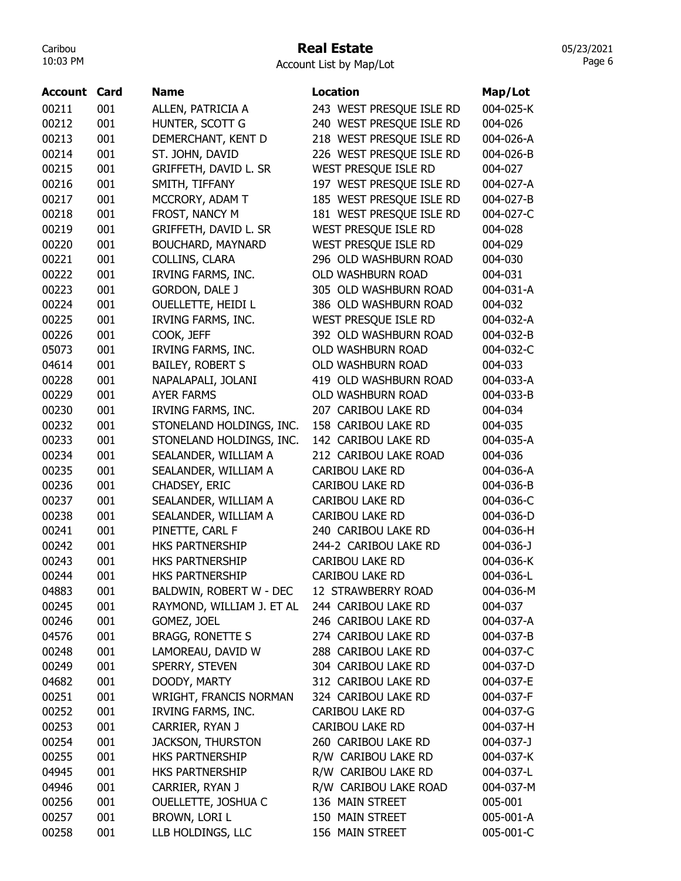#### Real Estate

Account List by Map/Lot

| Account | Card | <b>Name</b>               | <b>Location</b>          | Map/Lot   |
|---------|------|---------------------------|--------------------------|-----------|
| 00211   | 001  | ALLEN, PATRICIA A         | 243 WEST PRESQUE ISLE RD | 004-025-K |
| 00212   | 001  | HUNTER, SCOTT G           | 240 WEST PRESQUE ISLE RD | 004-026   |
| 00213   | 001  | DEMERCHANT, KENT D        | 218 WEST PRESQUE ISLE RD | 004-026-A |
| 00214   | 001  | ST. JOHN, DAVID           | 226 WEST PRESQUE ISLE RD | 004-026-B |
| 00215   | 001  | GRIFFETH, DAVID L. SR     | WEST PRESQUE ISLE RD     | 004-027   |
| 00216   | 001  | SMITH, TIFFANY            | 197 WEST PRESQUE ISLE RD | 004-027-A |
| 00217   | 001  | MCCRORY, ADAM T           | 185 WEST PRESQUE ISLE RD | 004-027-B |
| 00218   | 001  | FROST, NANCY M            | 181 WEST PRESQUE ISLE RD | 004-027-C |
| 00219   | 001  | GRIFFETH, DAVID L. SR     | WEST PRESQUE ISLE RD     | 004-028   |
| 00220   | 001  | BOUCHARD, MAYNARD         | WEST PRESQUE ISLE RD     | 004-029   |
| 00221   | 001  | COLLINS, CLARA            | 296 OLD WASHBURN ROAD    | 004-030   |
| 00222   | 001  | IRVING FARMS, INC.        | OLD WASHBURN ROAD        | 004-031   |
| 00223   | 001  | <b>GORDON, DALE J</b>     | 305 OLD WASHBURN ROAD    | 004-031-A |
| 00224   | 001  | <b>OUELLETTE, HEIDI L</b> | 386 OLD WASHBURN ROAD    | 004-032   |
| 00225   | 001  | IRVING FARMS, INC.        | WEST PRESQUE ISLE RD     | 004-032-A |
| 00226   | 001  | COOK, JEFF                | 392 OLD WASHBURN ROAD    | 004-032-B |
| 05073   | 001  | <b>IRVING FARMS, INC.</b> | OLD WASHBURN ROAD        | 004-032-C |
| 04614   | 001  | <b>BAILEY, ROBERT S</b>   | OLD WASHBURN ROAD        | 004-033   |
| 00228   | 001  | NAPALAPALI, JOLANI        | 419 OLD WASHBURN ROAD    | 004-033-A |
| 00229   | 001  | <b>AYER FARMS</b>         | OLD WASHBURN ROAD        | 004-033-B |
| 00230   | 001  | IRVING FARMS, INC.        | 207 CARIBOU LAKE RD      | 004-034   |
| 00232   | 001  | STONELAND HOLDINGS, INC.  | 158 CARIBOU LAKE RD      | 004-035   |
| 00233   | 001  | STONELAND HOLDINGS, INC.  | 142 CARIBOU LAKE RD      | 004-035-A |
| 00234   | 001  | SEALANDER, WILLIAM A      | 212 CARIBOU LAKE ROAD    | 004-036   |
| 00235   | 001  | SEALANDER, WILLIAM A      | <b>CARIBOU LAKE RD</b>   | 004-036-A |
| 00236   | 001  | CHADSEY, ERIC             | <b>CARIBOU LAKE RD</b>   | 004-036-B |
| 00237   | 001  | SEALANDER, WILLIAM A      | <b>CARIBOU LAKE RD</b>   | 004-036-C |
| 00238   | 001  | SEALANDER, WILLIAM A      | <b>CARIBOU LAKE RD</b>   | 004-036-D |
| 00241   | 001  | PINETTE, CARL F           | 240 CARIBOU LAKE RD      | 004-036-H |
| 00242   | 001  | <b>HKS PARTNERSHIP</b>    | 244-2 CARIBOU LAKE RD    | 004-036-J |
| 00243   | 001  | <b>HKS PARTNERSHIP</b>    | <b>CARIBOU LAKE RD</b>   | 004-036-K |
| 00244   | 001  | <b>HKS PARTNERSHIP</b>    | <b>CARIBOU LAKE RD</b>   | 004-036-L |
| 04883   | 001  | BALDWIN, ROBERT W - DEC   | 12 STRAWBERRY ROAD       | 004-036-M |
| 00245   | 001  | RAYMOND, WILLIAM J. ET AL | 244 CARIBOU LAKE RD      | 004-037   |
| 00246   | 001  | GOMEZ, JOEL               | 246 CARIBOU LAKE RD      | 004-037-A |
| 04576   | 001  | <b>BRAGG, RONETTE S</b>   | 274 CARIBOU LAKE RD      | 004-037-B |
| 00248   | 001  | LAMOREAU, DAVID W         | 288 CARIBOU LAKE RD      | 004-037-C |
| 00249   | 001  | SPERRY, STEVEN            | 304 CARIBOU LAKE RD      | 004-037-D |
| 04682   | 001  | DOODY, MARTY              | 312 CARIBOU LAKE RD      | 004-037-E |
| 00251   | 001  | WRIGHT, FRANCIS NORMAN    | 324 CARIBOU LAKE RD      | 004-037-F |
| 00252   | 001  | IRVING FARMS, INC.        | <b>CARIBOU LAKE RD</b>   | 004-037-G |
| 00253   | 001  | CARRIER, RYAN J           | CARIBOU LAKE RD          | 004-037-H |
| 00254   | 001  | <b>JACKSON, THURSTON</b>  | 260 CARIBOU LAKE RD      | 004-037-J |
| 00255   | 001  | HKS PARTNERSHIP           | R/W CARIBOU LAKE RD      | 004-037-K |
| 04945   | 001  | HKS PARTNERSHIP           | R/W CARIBOU LAKE RD      | 004-037-L |
| 04946   | 001  | CARRIER, RYAN J           | R/W CARIBOU LAKE ROAD    | 004-037-M |
| 00256   | 001  | OUELLETTE, JOSHUA C       | 136 MAIN STREET          | 005-001   |
| 00257   | 001  | BROWN, LORI L             | 150 MAIN STREET          | 005-001-A |
| 00258   | 001  | LLB HOLDINGS, LLC         | 156 MAIN STREET          | 005-001-C |
|         |      |                           |                          |           |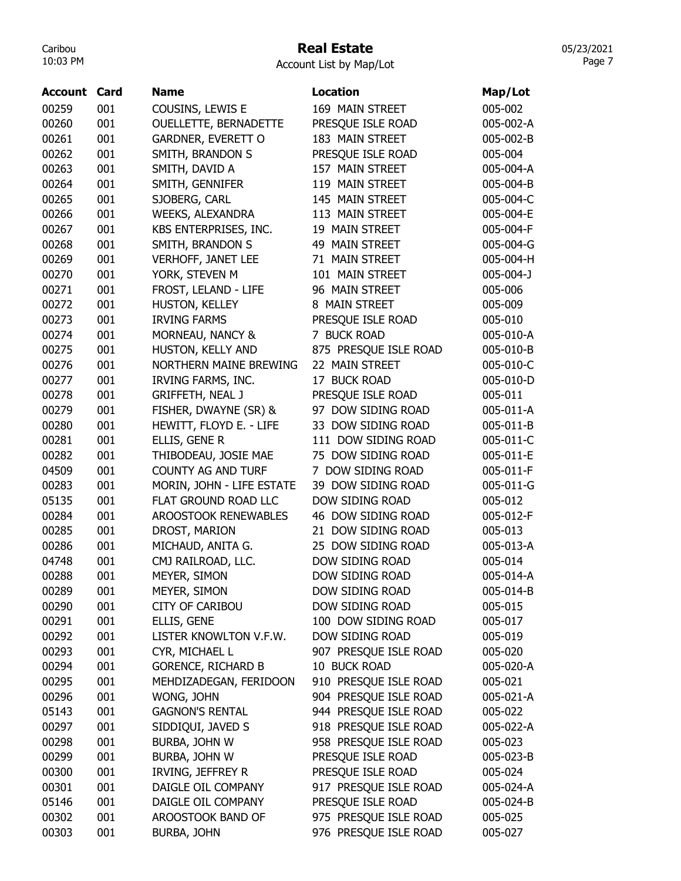## Real Estate

05/23/2021 Page 7

Account List by Map/Lot

| Account | Card | <b>Name</b>                   | <b>Location</b>                                | Map/Lot   |
|---------|------|-------------------------------|------------------------------------------------|-----------|
| 00259   | 001  | COUSINS, LEWIS E              | 169 MAIN STREET                                | 005-002   |
| 00260   | 001  | OUELLETTE, BERNADETTE         | PRESQUE ISLE ROAD                              | 005-002-A |
| 00261   | 001  | GARDNER, EVERETT O            | 183 MAIN STREET                                | 005-002-B |
| 00262   | 001  | SMITH, BRANDON S              | PRESQUE ISLE ROAD                              | 005-004   |
| 00263   | 001  | SMITH, DAVID A                | 157 MAIN STREET                                | 005-004-A |
| 00264   | 001  | SMITH, GENNIFER               | 119 MAIN STREET                                | 005-004-B |
| 00265   | 001  | SJOBERG, CARL                 | 145 MAIN STREET                                | 005-004-C |
| 00266   | 001  | <b>WEEKS, ALEXANDRA</b>       | 113 MAIN STREET                                | 005-004-E |
| 00267   | 001  | KBS ENTERPRISES, INC.         | 19 MAIN STREET                                 | 005-004-F |
| 00268   | 001  | SMITH, BRANDON S              | 49 MAIN STREET                                 | 005-004-G |
| 00269   | 001  | <b>VERHOFF, JANET LEE</b>     | 71 MAIN STREET                                 | 005-004-H |
| 00270   | 001  | YORK, STEVEN M                | 101 MAIN STREET                                | 005-004-J |
| 00271   | 001  | FROST, LELAND - LIFE          | 96 MAIN STREET                                 | 005-006   |
| 00272   | 001  | HUSTON, KELLEY                | 8 MAIN STREET                                  | 005-009   |
| 00273   | 001  | <b>IRVING FARMS</b>           | PRESQUE ISLE ROAD                              | 005-010   |
| 00274   | 001  | MORNEAU, NANCY &              | 7 BUCK ROAD                                    | 005-010-A |
| 00275   | 001  | HUSTON, KELLY AND             | 875 PRESQUE ISLE ROAD                          | 005-010-B |
| 00276   | 001  | <b>NORTHERN MAINE BREWING</b> | 22 MAIN STREET                                 | 005-010-C |
| 00277   | 001  | IRVING FARMS, INC.            | 17 BUCK ROAD                                   | 005-010-D |
| 00278   | 001  | <b>GRIFFETH, NEAL J</b>       | PRESQUE ISLE ROAD                              | 005-011   |
| 00279   | 001  | FISHER, DWAYNE (SR) &         | 97 DOW SIDING ROAD                             | 005-011-A |
| 00280   | 001  | HEWITT, FLOYD E. - LIFE       | 33 DOW SIDING ROAD                             | 005-011-B |
| 00281   | 001  | ELLIS, GENE R                 | 111 DOW SIDING ROAD                            | 005-011-C |
| 00282   | 001  | THIBODEAU, JOSIE MAE          | 75 DOW SIDING ROAD                             | 005-011-E |
| 04509   | 001  | <b>COUNTY AG AND TURF</b>     | 7 DOW SIDING ROAD                              | 005-011-F |
| 00283   | 001  | MORIN, JOHN - LIFE ESTATE     | 39 DOW SIDING ROAD                             | 005-011-G |
| 05135   | 001  | FLAT GROUND ROAD LLC          | DOW SIDING ROAD                                | 005-012   |
| 00284   | 001  | AROOSTOOK RENEWABLES          | 46 DOW SIDING ROAD                             | 005-012-F |
| 00285   | 001  | DROST, MARION                 | 21 DOW SIDING ROAD                             | 005-013   |
| 00286   | 001  | MICHAUD, ANITA G.             | 25 DOW SIDING ROAD                             | 005-013-A |
| 04748   | 001  | CMJ RAILROAD, LLC.            | DOW SIDING ROAD                                | 005-014   |
| 00288   | 001  | MEYER, SIMON                  | DOW SIDING ROAD                                | 005-014-A |
| 00289   | 001  | MEYER, SIMON                  | DOW SIDING ROAD                                | 005-014-B |
| 00290   | 001  | <b>CITY OF CARIBOU</b>        | DOW SIDING ROAD                                | 005-015   |
| 00291   | 001  | ELLIS, GENE                   | 100 DOW SIDING ROAD                            | 005-017   |
| 00292   | 001  | LISTER KNOWLTON V.F.W.        | DOW SIDING ROAD                                | 005-019   |
| 00293   | 001  | CYR, MICHAEL L                | 907 PRESQUE ISLE ROAD                          | 005-020   |
|         |      |                               |                                                |           |
| 00294   | 001  | <b>GORENCE, RICHARD B</b>     | 10 BUCK ROAD                                   | 005-020-A |
| 00295   | 001  | MEHDIZADEGAN, FERIDOON        | 910 PRESQUE ISLE ROAD                          | 005-021   |
| 00296   | 001  | WONG, JOHN                    | 904 PRESQUE ISLE ROAD<br>944 PRESQUE ISLE ROAD | 005-021-A |
| 05143   | 001  | <b>GAGNON'S RENTAL</b>        |                                                | 005-022   |
| 00297   | 001  | SIDDIQUI, JAVED S             | 918 PRESQUE ISLE ROAD                          | 005-022-A |
| 00298   | 001  | BURBA, JOHN W                 | 958 PRESQUE ISLE ROAD                          | 005-023   |
| 00299   | 001  | BURBA, JOHN W                 | PRESQUE ISLE ROAD                              | 005-023-B |
| 00300   | 001  | IRVING, JEFFREY R             | PRESQUE ISLE ROAD                              | 005-024   |
| 00301   | 001  | DAIGLE OIL COMPANY            | 917 PRESQUE ISLE ROAD                          | 005-024-A |
| 05146   | 001  | DAIGLE OIL COMPANY            | PRESQUE ISLE ROAD                              | 005-024-B |
| 00302   | 001  | AROOSTOOK BAND OF             | 975 PRESQUE ISLE ROAD                          | 005-025   |
| 00303   | 001  | <b>BURBA, JOHN</b>            | 976 PRESQUE ISLE ROAD                          | 005-027   |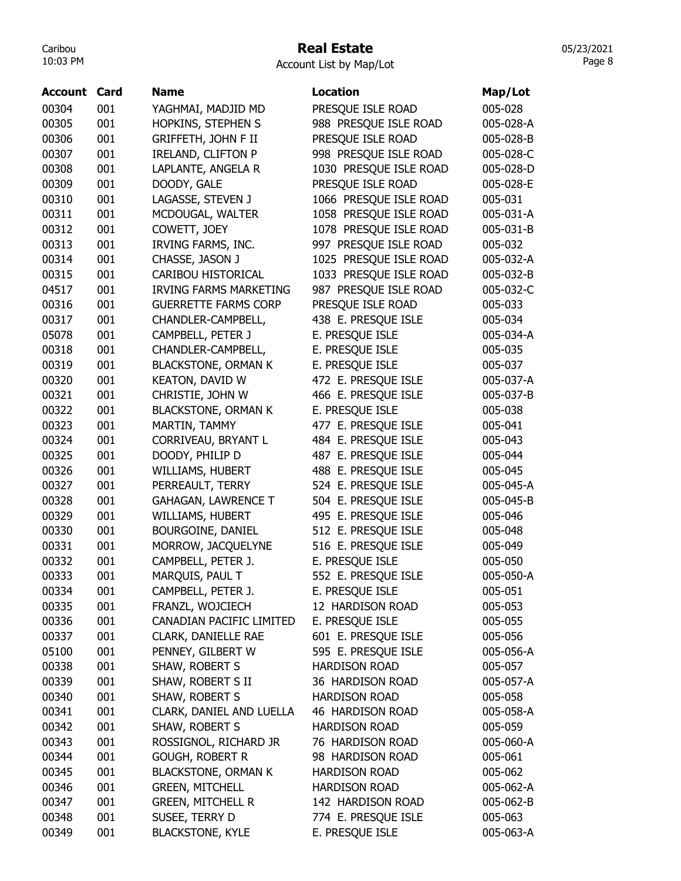# Real Estate

|  | Account List by Map/Lot |  |
|--|-------------------------|--|
|  |                         |  |

| Account | Card | <b>Name</b>                   | <b>Location</b>        | Map/Lot   |
|---------|------|-------------------------------|------------------------|-----------|
| 00304   | 001  | YAGHMAI, MADJID MD            | PRESQUE ISLE ROAD      | 005-028   |
| 00305   | 001  | HOPKINS, STEPHEN S            | 988 PRESQUE ISLE ROAD  | 005-028-A |
| 00306   | 001  | <b>GRIFFETH, JOHN F II</b>    | PRESQUE ISLE ROAD      | 005-028-B |
| 00307   | 001  | <b>IRELAND, CLIFTON P</b>     | 998 PRESQUE ISLE ROAD  | 005-028-C |
| 00308   | 001  | LAPLANTE, ANGELA R            | 1030 PRESQUE ISLE ROAD | 005-028-D |
| 00309   | 001  | DOODY, GALE                   | PRESQUE ISLE ROAD      | 005-028-E |
| 00310   | 001  | LAGASSE, STEVEN J             | 1066 PRESQUE ISLE ROAD | 005-031   |
| 00311   | 001  | MCDOUGAL, WALTER              | 1058 PRESQUE ISLE ROAD | 005-031-A |
| 00312   | 001  | COWETT, JOEY                  | 1078 PRESQUE ISLE ROAD | 005-031-B |
| 00313   | 001  | IRVING FARMS, INC.            | 997 PRESQUE ISLE ROAD  | 005-032   |
| 00314   | 001  | CHASSE, JASON J               | 1025 PRESQUE ISLE ROAD | 005-032-A |
| 00315   | 001  | CARIBOU HISTORICAL            | 1033 PRESQUE ISLE ROAD | 005-032-B |
| 04517   | 001  | <b>IRVING FARMS MARKETING</b> | 987 PRESQUE ISLE ROAD  | 005-032-C |
| 00316   | 001  | <b>GUERRETTE FARMS CORP</b>   | PRESQUE ISLE ROAD      | 005-033   |
| 00317   | 001  | CHANDLER-CAMPBELL,            | 438 E. PRESQUE ISLE    | 005-034   |
| 05078   | 001  | CAMPBELL, PETER J             | E. PRESQUE ISLE        | 005-034-A |
| 00318   | 001  | CHANDLER-CAMPBELL,            | E. PRESQUE ISLE        | 005-035   |
| 00319   | 001  | <b>BLACKSTONE, ORMAN K</b>    | E. PRESQUE ISLE        | 005-037   |
| 00320   | 001  | <b>KEATON, DAVID W</b>        | 472 E. PRESQUE ISLE    | 005-037-A |
| 00321   | 001  | CHRISTIE, JOHN W              | 466 E. PRESQUE ISLE    | 005-037-B |
| 00322   | 001  | <b>BLACKSTONE, ORMAN K</b>    | E. PRESQUE ISLE        | 005-038   |
| 00323   | 001  | MARTIN, TAMMY                 | 477 E. PRESQUE ISLE    | 005-041   |
| 00324   | 001  | CORRIVEAU, BRYANT L           | 484 E. PRESQUE ISLE    | 005-043   |
| 00325   | 001  | DOODY, PHILIP D               | 487 E. PRESQUE ISLE    | 005-044   |
| 00326   | 001  | WILLIAMS, HUBERT              | 488 E. PRESQUE ISLE    | 005-045   |
| 00327   | 001  | PERREAULT, TERRY              | 524 E. PRESQUE ISLE    | 005-045-A |
| 00328   | 001  | <b>GAHAGAN, LAWRENCE T</b>    | 504 E. PRESQUE ISLE    | 005-045-B |
| 00329   | 001  | WILLIAMS, HUBERT              | 495 E. PRESQUE ISLE    | 005-046   |
| 00330   | 001  | BOURGOINE, DANIEL             | 512 E. PRESQUE ISLE    | 005-048   |
| 00331   | 001  | MORROW, JACQUELYNE            | 516 E. PRESQUE ISLE    | 005-049   |
| 00332   | 001  | CAMPBELL, PETER J.            | E. PRESQUE ISLE        | 005-050   |
| 00333   | 001  | MARQUIS, PAUL T               | 552 E. PRESQUE ISLE    | 005-050-A |
| 00334   | 001  | CAMPBELL, PETER J.            | E. PRESQUE ISLE        | 005-051   |
| 00335   | 001  | FRANZL, WOJCIECH              | 12 HARDISON ROAD       | 005-053   |
| 00336   | 001  | CANADIAN PACIFIC LIMITED      | E. PRESQUE ISLE        | 005-055   |
| 00337   | 001  | CLARK, DANIELLE RAE           | 601 E. PRESQUE ISLE    | 005-056   |
| 05100   | 001  | PENNEY, GILBERT W             | 595 E. PRESQUE ISLE    | 005-056-A |
| 00338   | 001  | SHAW, ROBERT S                | <b>HARDISON ROAD</b>   | 005-057   |
| 00339   | 001  | SHAW, ROBERT S II             | 36 HARDISON ROAD       | 005-057-A |
| 00340   | 001  | SHAW, ROBERT S                | <b>HARDISON ROAD</b>   | 005-058   |
| 00341   | 001  | CLARK, DANIEL AND LUELLA      | 46 HARDISON ROAD       | 005-058-A |
| 00342   | 001  | SHAW, ROBERT S                | <b>HARDISON ROAD</b>   | 005-059   |
| 00343   | 001  | ROSSIGNOL, RICHARD JR         | 76 HARDISON ROAD       | 005-060-A |
| 00344   | 001  | <b>GOUGH, ROBERT R</b>        | 98 HARDISON ROAD       | 005-061   |
| 00345   | 001  | <b>BLACKSTONE, ORMAN K</b>    | <b>HARDISON ROAD</b>   | 005-062   |
| 00346   | 001  | <b>GREEN, MITCHELL</b>        | <b>HARDISON ROAD</b>   | 005-062-A |
| 00347   | 001  | <b>GREEN, MITCHELL R</b>      | 142 HARDISON ROAD      | 005-062-B |
| 00348   | 001  | SUSEE, TERRY D                | 774 E. PRESQUE ISLE    | 005-063   |
| 00349   | 001  | <b>BLACKSTONE, KYLE</b>       | E. PRESQUE ISLE        | 005-063-A |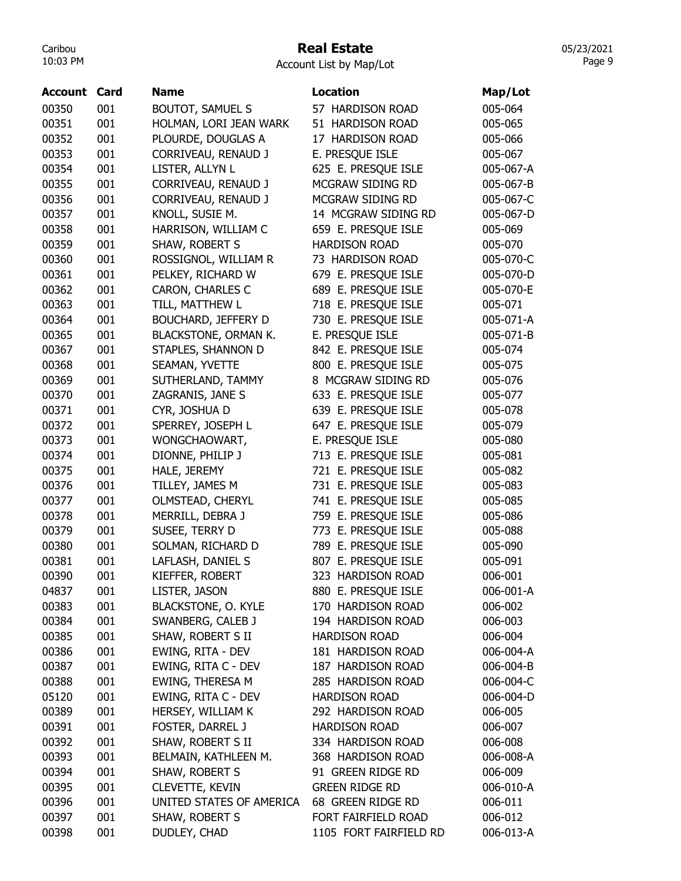#### Real Estate

Account List by Map/Lot

| <b>Account</b> | Card | <b>Name</b>                | <b>Location</b>        | Map/Lot   |
|----------------|------|----------------------------|------------------------|-----------|
| 00350          | 001  | <b>BOUTOT, SAMUEL S</b>    | 57 HARDISON ROAD       | 005-064   |
| 00351          | 001  | HOLMAN, LORI JEAN WARK     | 51 HARDISON ROAD       | 005-065   |
| 00352          | 001  | PLOURDE, DOUGLAS A         | 17 HARDISON ROAD       | 005-066   |
| 00353          | 001  | CORRIVEAU, RENAUD J        | E. PRESQUE ISLE        | 005-067   |
| 00354          | 001  | LISTER, ALLYN L            | 625 E. PRESQUE ISLE    | 005-067-A |
| 00355          | 001  | CORRIVEAU, RENAUD J        | MCGRAW SIDING RD       | 005-067-B |
| 00356          | 001  | CORRIVEAU, RENAUD J        | MCGRAW SIDING RD       | 005-067-C |
| 00357          | 001  | KNOLL, SUSIE M.            | 14 MCGRAW SIDING RD    | 005-067-D |
| 00358          | 001  | HARRISON, WILLIAM C        | 659 E. PRESQUE ISLE    | 005-069   |
| 00359          | 001  | SHAW, ROBERT S             | <b>HARDISON ROAD</b>   | 005-070   |
| 00360          | 001  | ROSSIGNOL, WILLIAM R       | 73 HARDISON ROAD       | 005-070-C |
| 00361          | 001  | PELKEY, RICHARD W          | 679 E. PRESQUE ISLE    | 005-070-D |
| 00362          | 001  | CARON, CHARLES C           | 689 E. PRESQUE ISLE    | 005-070-E |
| 00363          | 001  | TILL, MATTHEW L            | 718 E. PRESQUE ISLE    | 005-071   |
| 00364          | 001  | <b>BOUCHARD, JEFFERY D</b> | 730 E. PRESQUE ISLE    | 005-071-A |
| 00365          | 001  | BLACKSTONE, ORMAN K.       | E. PRESQUE ISLE        | 005-071-B |
| 00367          | 001  | STAPLES, SHANNON D         | 842 E. PRESQUE ISLE    | 005-074   |
| 00368          | 001  | SEAMAN, YVETTE             | 800 E. PRESQUE ISLE    | 005-075   |
| 00369          | 001  | SUTHERLAND, TAMMY          | 8 MCGRAW SIDING RD     | 005-076   |
| 00370          | 001  | ZAGRANIS, JANE S           | 633 E. PRESQUE ISLE    | 005-077   |
| 00371          | 001  | CYR, JOSHUA D              | 639 E. PRESQUE ISLE    | 005-078   |
| 00372          | 001  | SPERREY, JOSEPH L          | 647 E. PRESQUE ISLE    | 005-079   |
| 00373          | 001  | WONGCHAOWART,              | E. PRESQUE ISLE        | 005-080   |
| 00374          | 001  | DIONNE, PHILIP J           | 713 E. PRESQUE ISLE    | 005-081   |
| 00375          | 001  | HALE, JEREMY               | 721 E. PRESQUE ISLE    | 005-082   |
| 00376          | 001  | TILLEY, JAMES M            | 731 E. PRESQUE ISLE    | 005-083   |
| 00377          | 001  | OLMSTEAD, CHERYL           | 741 E. PRESQUE ISLE    | 005-085   |
| 00378          | 001  | MERRILL, DEBRA J           | 759 E. PRESQUE ISLE    | 005-086   |
| 00379          | 001  | SUSEE, TERRY D             | 773 E. PRESQUE ISLE    | 005-088   |
| 00380          | 001  | SOLMAN, RICHARD D          | 789 E. PRESQUE ISLE    | 005-090   |
| 00381          | 001  | LAFLASH, DANIEL S          | 807 E. PRESQUE ISLE    | 005-091   |
| 00390          | 001  | KIEFFER, ROBERT            | 323 HARDISON ROAD      | 006-001   |
| 04837          | 001  | LISTER, JASON              | 880 E. PRESQUE ISLE    | 006-001-A |
| 00383          | 001  | <b>BLACKSTONE, O. KYLE</b> | 170 HARDISON ROAD      | 006-002   |
| 00384          | 001  | SWANBERG, CALEB J          | 194 HARDISON ROAD      | 006-003   |
| 00385          | 001  | SHAW, ROBERT S II          | <b>HARDISON ROAD</b>   | 006-004   |
| 00386          | 001  | EWING, RITA - DEV          | 181 HARDISON ROAD      | 006-004-A |
| 00387          | 001  | EWING, RITA C - DEV        | 187 HARDISON ROAD      | 006-004-B |
| 00388          | 001  | EWING, THERESA M           | 285 HARDISON ROAD      | 006-004-C |
| 05120          | 001  | EWING, RITA C - DEV        | <b>HARDISON ROAD</b>   | 006-004-D |
| 00389          | 001  | HERSEY, WILLIAM K          | 292 HARDISON ROAD      | 006-005   |
| 00391          | 001  | <b>FOSTER, DARREL J</b>    | <b>HARDISON ROAD</b>   | 006-007   |
| 00392          | 001  | SHAW, ROBERT S II          | 334 HARDISON ROAD      | 006-008   |
| 00393          | 001  | BELMAIN, KATHLEEN M.       | 368 HARDISON ROAD      | 006-008-A |
| 00394          | 001  | SHAW, ROBERT S             | 91 GREEN RIDGE RD      | 006-009   |
| 00395          | 001  | CLEVETTE, KEVIN            | <b>GREEN RIDGE RD</b>  | 006-010-A |
| 00396          | 001  | UNITED STATES OF AMERICA   | 68 GREEN RIDGE RD      | 006-011   |
| 00397          | 001  | SHAW, ROBERT S             | FORT FAIRFIELD ROAD    | 006-012   |
| 00398          | 001  | DUDLEY, CHAD               | 1105 FORT FAIRFIELD RD | 006-013-A |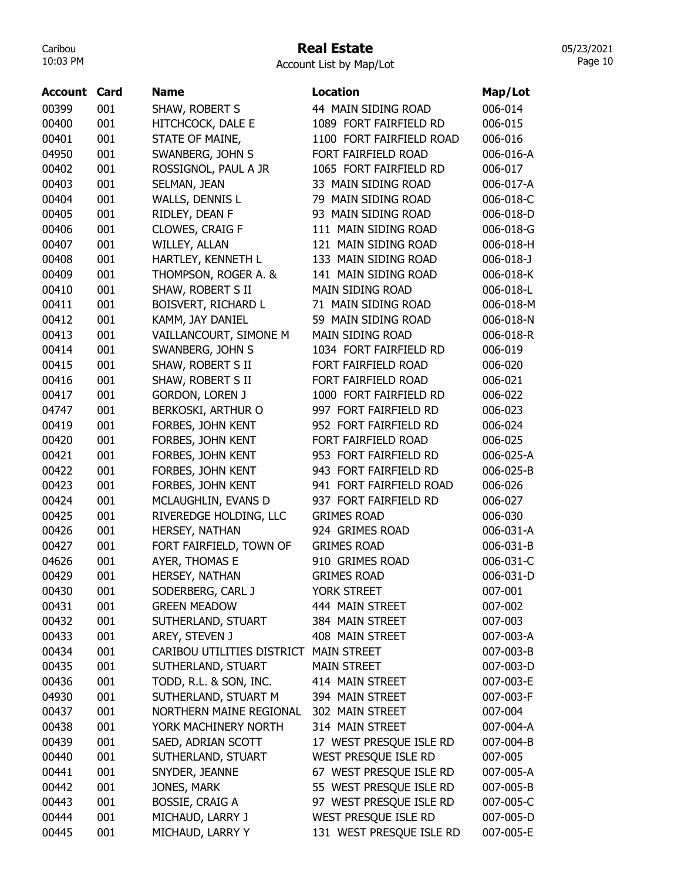## Real Estate

Account List by Map/Lot

| <b>Account Card</b> |     | <b>Name</b>                | <b>Location</b>          | Map/Lot         |
|---------------------|-----|----------------------------|--------------------------|-----------------|
| 00399               | 001 | SHAW, ROBERT S             | 44 MAIN SIDING ROAD      | 006-014         |
| 00400               | 001 | HITCHCOCK, DALE E          | 1089 FORT FAIRFIELD RD   | 006-015         |
| 00401               | 001 | STATE OF MAINE,            | 1100 FORT FAIRFIELD ROAD | 006-016         |
| 04950               | 001 | SWANBERG, JOHN S           | FORT FAIRFIELD ROAD      | 006-016-A       |
| 00402               | 001 | ROSSIGNOL, PAUL A JR       | 1065 FORT FAIRFIELD RD   | 006-017         |
| 00403               | 001 | SELMAN, JEAN               | 33 MAIN SIDING ROAD      | 006-017-A       |
| 00404               | 001 | WALLS, DENNIS L            | 79 MAIN SIDING ROAD      | 006-018-C       |
| 00405               | 001 | RIDLEY, DEAN F             | 93 MAIN SIDING ROAD      | 006-018-D       |
| 00406               | 001 | CLOWES, CRAIG F            | 111 MAIN SIDING ROAD     | 006-018-G       |
| 00407               | 001 | WILLEY, ALLAN              | 121 MAIN SIDING ROAD     | 006-018-H       |
| 00408               | 001 | HARTLEY, KENNETH L         | 133 MAIN SIDING ROAD     | $006 - 018 - J$ |
| 00409               | 001 | THOMPSON, ROGER A. &       | 141 MAIN SIDING ROAD     | 006-018-K       |
| 00410               | 001 | SHAW, ROBERT S II          | MAIN SIDING ROAD         | 006-018-L       |
| 00411               | 001 | BOISVERT, RICHARD L        | 71 MAIN SIDING ROAD      | 006-018-M       |
| 00412               | 001 | KAMM, JAY DANIEL           | 59 MAIN SIDING ROAD      | 006-018-N       |
| 00413               | 001 | VAILLANCOURT, SIMONE M     | MAIN SIDING ROAD         | 006-018-R       |
| 00414               | 001 | SWANBERG, JOHN S           | 1034 FORT FAIRFIELD RD   | 006-019         |
| 00415               | 001 | SHAW, ROBERT S II          | FORT FAIRFIELD ROAD      | 006-020         |
| 00416               | 001 | SHAW, ROBERT S II          | FORT FAIRFIELD ROAD      | 006-021         |
| 00417               | 001 | <b>GORDON, LOREN J</b>     | 1000 FORT FAIRFIELD RD   | 006-022         |
| 04747               | 001 | BERKOSKI, ARTHUR O         | 997 FORT FAIRFIELD RD    | 006-023         |
| 00419               | 001 | FORBES, JOHN KENT          | 952 FORT FAIRFIELD RD    | 006-024         |
| 00420               | 001 | FORBES, JOHN KENT          | FORT FAIRFIELD ROAD      | 006-025         |
| 00421               | 001 | FORBES, JOHN KENT          | 953 FORT FAIRFIELD RD    | 006-025-A       |
| 00422               | 001 | FORBES, JOHN KENT          | 943 FORT FAIRFIELD RD    | 006-025-B       |
| 00423               | 001 | FORBES, JOHN KENT          | 941 FORT FAIRFIELD ROAD  | 006-026         |
| 00424               | 001 | MCLAUGHLIN, EVANS D        | 937 FORT FAIRFIELD RD    | 006-027         |
| 00425               | 001 | RIVEREDGE HOLDING, LLC     | <b>GRIMES ROAD</b>       | 006-030         |
| 00426               | 001 | HERSEY, NATHAN             | 924 GRIMES ROAD          | 006-031-A       |
| 00427               | 001 | FORT FAIRFIELD, TOWN OF    | <b>GRIMES ROAD</b>       | 006-031-B       |
| 04626               | 001 | AYER, THOMAS E             | 910 GRIMES ROAD          | 006-031-C       |
| 00429               | 001 | HERSEY, NATHAN             | <b>GRIMES ROAD</b>       | 006-031-D       |
| 00430               | 001 | SODERBERG, CARL J          | <b>YORK STREET</b>       | 007-001         |
| 00431               | 001 | <b>GREEN MEADOW</b>        | 444 MAIN STREET          | 007-002         |
| 00432               | 001 | SUTHERLAND, STUART         | 384 MAIN STREET          | 007-003         |
| 00433               | 001 | AREY, STEVEN J             | 408 MAIN STREET          | 007-003-A       |
| 00434               | 001 | CARIBOU UTILITIES DISTRICT | <b>MAIN STREET</b>       | 007-003-B       |
| 00435               | 001 | SUTHERLAND, STUART         | <b>MAIN STREET</b>       | 007-003-D       |
| 00436               | 001 | TODD, R.L. & SON, INC.     | 414 MAIN STREET          | 007-003-E       |
| 04930               | 001 | SUTHERLAND, STUART M       | 394 MAIN STREET          | 007-003-F       |
| 00437               | 001 | NORTHERN MAINE REGIONAL    | 302 MAIN STREET          | 007-004         |
| 00438               | 001 | YORK MACHINERY NORTH       | 314 MAIN STREET          | 007-004-A       |
| 00439               | 001 | SAED, ADRIAN SCOTT         | 17 WEST PRESQUE ISLE RD  | 007-004-B       |
| 00440               | 001 | SUTHERLAND, STUART         | WEST PRESQUE ISLE RD     | 007-005         |
| 00441               | 001 | SNYDER, JEANNE             | 67 WEST PRESQUE ISLE RD  | 007-005-A       |
| 00442               | 001 | JONES, MARK                | 55 WEST PRESQUE ISLE RD  | 007-005-B       |
| 00443               | 001 | <b>BOSSIE, CRAIG A</b>     | 97 WEST PRESQUE ISLE RD  | 007-005-C       |
| 00444               | 001 | MICHAUD, LARRY J           | WEST PRESQUE ISLE RD     | 007-005-D       |
| 00445               | 001 | MICHAUD, LARRY Y           | 131 WEST PRESQUE ISLE RD | 007-005-E       |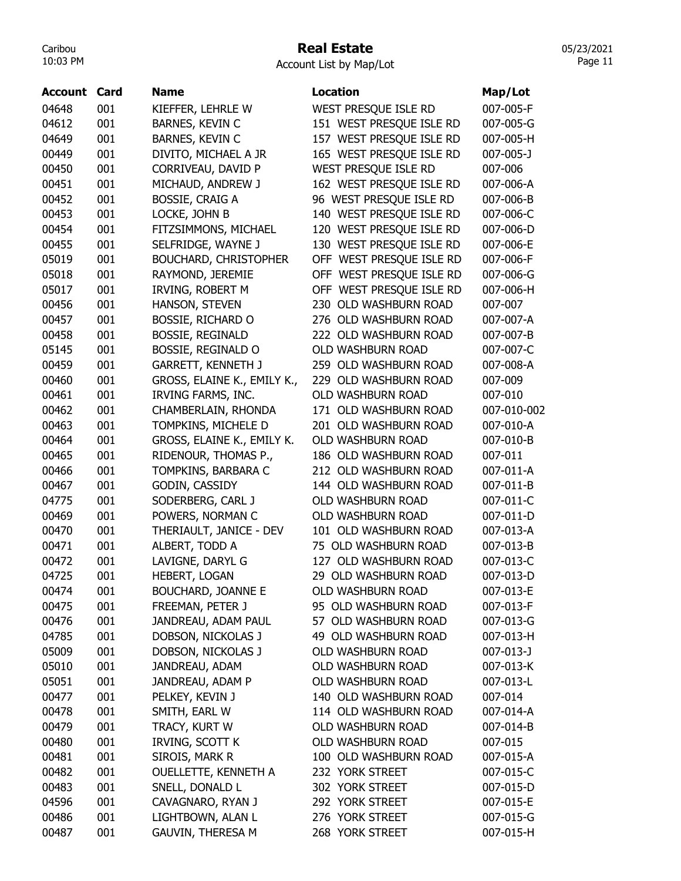#### Real Estate

Account List by Map/Lot

| Account | Card | <b>Name</b>                  | <b>Location</b>          | Map/Lot     |
|---------|------|------------------------------|--------------------------|-------------|
| 04648   | 001  | KIEFFER, LEHRLE W            | WEST PRESQUE ISLE RD     | 007-005-F   |
| 04612   | 001  | BARNES, KEVIN C              | 151 WEST PRESQUE ISLE RD | 007-005-G   |
| 04649   | 001  | <b>BARNES, KEVIN C</b>       | 157 WEST PRESQUE ISLE RD | 007-005-H   |
| 00449   | 001  | DIVITO, MICHAEL A JR         | 165 WEST PRESQUE ISLE RD | 007-005-J   |
| 00450   | 001  | CORRIVEAU, DAVID P           | WEST PRESQUE ISLE RD     | 007-006     |
| 00451   | 001  | MICHAUD, ANDREW J            | 162 WEST PRESQUE ISLE RD | 007-006-A   |
| 00452   | 001  | <b>BOSSIE, CRAIG A</b>       | 96 WEST PRESQUE ISLE RD  | 007-006-B   |
| 00453   | 001  | LOCKE, JOHN B                | 140 WEST PRESQUE ISLE RD | 007-006-C   |
| 00454   | 001  | FITZSIMMONS, MICHAEL         | 120 WEST PRESQUE ISLE RD | 007-006-D   |
| 00455   | 001  | SELFRIDGE, WAYNE J           | 130 WEST PRESQUE ISLE RD | 007-006-E   |
| 05019   | 001  | <b>BOUCHARD, CHRISTOPHER</b> | OFF WEST PRESQUE ISLE RD | 007-006-F   |
| 05018   | 001  | RAYMOND, JEREMIE             | OFF WEST PRESQUE ISLE RD | 007-006-G   |
| 05017   | 001  | IRVING, ROBERT M             | OFF WEST PRESQUE ISLE RD | 007-006-H   |
| 00456   | 001  | HANSON, STEVEN               | 230 OLD WASHBURN ROAD    | 007-007     |
| 00457   | 001  | <b>BOSSIE, RICHARD O</b>     | 276 OLD WASHBURN ROAD    | 007-007-A   |
| 00458   | 001  | <b>BOSSIE, REGINALD</b>      | 222 OLD WASHBURN ROAD    | 007-007-B   |
| 05145   | 001  | BOSSIE, REGINALD O           | <b>OLD WASHBURN ROAD</b> | 007-007-C   |
| 00459   | 001  | <b>GARRETT, KENNETH J</b>    | 259 OLD WASHBURN ROAD    | 007-008-A   |
| 00460   | 001  | GROSS, ELAINE K., EMILY K.,  | 229 OLD WASHBURN ROAD    | 007-009     |
| 00461   | 001  | IRVING FARMS, INC.           | <b>OLD WASHBURN ROAD</b> | 007-010     |
| 00462   | 001  | CHAMBERLAIN, RHONDA          | 171 OLD WASHBURN ROAD    | 007-010-002 |
| 00463   | 001  | TOMPKINS, MICHELE D          | 201 OLD WASHBURN ROAD    | 007-010-A   |
| 00464   | 001  | GROSS, ELAINE K., EMILY K.   | <b>OLD WASHBURN ROAD</b> | 007-010-B   |
| 00465   | 001  | RIDENOUR, THOMAS P.,         | 186 OLD WASHBURN ROAD    | 007-011     |
| 00466   | 001  | TOMPKINS, BARBARA C          | 212 OLD WASHBURN ROAD    | 007-011-A   |
| 00467   | 001  | GODIN, CASSIDY               | 144 OLD WASHBURN ROAD    | 007-011-B   |
| 04775   | 001  | SODERBERG, CARL J            | OLD WASHBURN ROAD        | 007-011-C   |
| 00469   | 001  | POWERS, NORMAN C             | <b>OLD WASHBURN ROAD</b> | 007-011-D   |
| 00470   | 001  | THERIAULT, JANICE - DEV      | 101 OLD WASHBURN ROAD    | 007-013-A   |
| 00471   | 001  | ALBERT, TODD A               | 75 OLD WASHBURN ROAD     | 007-013-B   |
| 00472   | 001  | LAVIGNE, DARYL G             | 127 OLD WASHBURN ROAD    | 007-013-C   |
| 04725   | 001  | HEBERT, LOGAN                | 29 OLD WASHBURN ROAD     | 007-013-D   |
| 00474   | 001  | <b>BOUCHARD, JOANNE E</b>    | OLD WASHBURN ROAD        | 007-013-E   |
| 00475   | 001  | FREEMAN, PETER J             | 95 OLD WASHBURN ROAD     | 007-013-F   |
| 00476   | 001  | JANDREAU, ADAM PAUL          | 57 OLD WASHBURN ROAD     | 007-013-G   |
| 04785   | 001  | DOBSON, NICKOLAS J           | 49 OLD WASHBURN ROAD     | 007-013-H   |
| 05009   | 001  | DOBSON, NICKOLAS J           | OLD WASHBURN ROAD        | 007-013-J   |
| 05010   | 001  | JANDREAU, ADAM               | <b>OLD WASHBURN ROAD</b> | 007-013-K   |
| 05051   | 001  | JANDREAU, ADAM P             | OLD WASHBURN ROAD        | 007-013-L   |
| 00477   | 001  | PELKEY, KEVIN J              | 140 OLD WASHBURN ROAD    | 007-014     |
| 00478   | 001  | SMITH, EARL W                | 114 OLD WASHBURN ROAD    | 007-014-A   |
| 00479   | 001  | TRACY, KURT W                | OLD WASHBURN ROAD        | 007-014-B   |
| 00480   | 001  | IRVING, SCOTT K              | OLD WASHBURN ROAD        | 007-015     |
| 00481   | 001  | SIROIS, MARK R               | 100 OLD WASHBURN ROAD    | 007-015-A   |
| 00482   | 001  | <b>OUELLETTE, KENNETH A</b>  | 232 YORK STREET          | 007-015-C   |
| 00483   | 001  | SNELL, DONALD L              | 302 YORK STREET          | 007-015-D   |
| 04596   | 001  | CAVAGNARO, RYAN J            | 292 YORK STREET          | 007-015-E   |
| 00486   | 001  | LIGHTBOWN, ALAN L            | 276 YORK STREET          | 007-015-G   |
| 00487   | 001  | <b>GAUVIN, THERESA M</b>     | 268 YORK STREET          | 007-015-H   |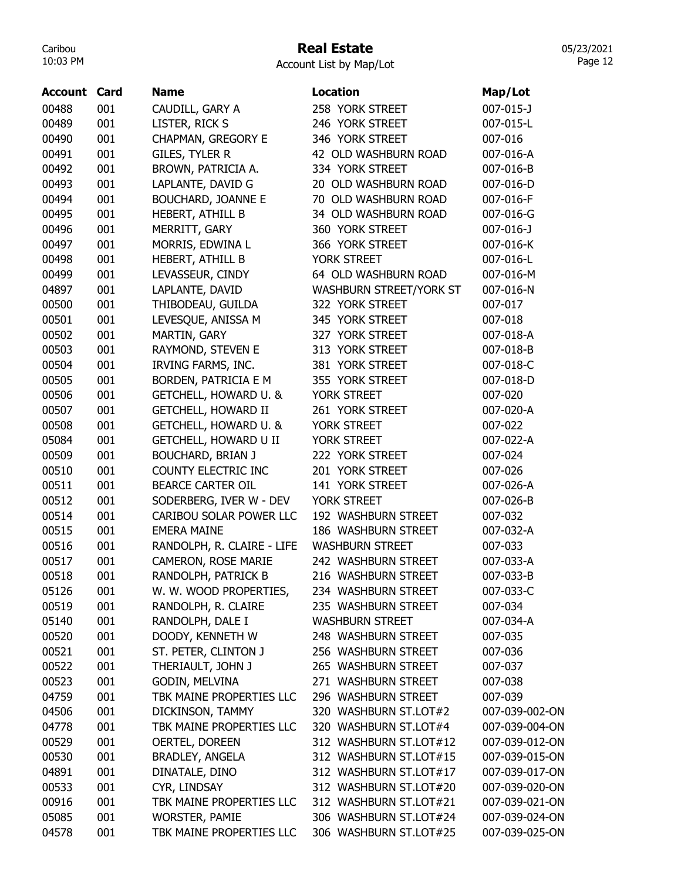### Real Estate

05/23/2021 Page 12

Account List by Map/Lot

| <b>Account</b> | Card | <b>Name</b>                      | <b>Location</b>         | Map/Lot         |
|----------------|------|----------------------------------|-------------------------|-----------------|
| 00488          | 001  | CAUDILL, GARY A                  | 258 YORK STREET         | 007-015-J       |
| 00489          | 001  | LISTER, RICK S                   | 246 YORK STREET         | 007-015-L       |
| 00490          | 001  | CHAPMAN, GREGORY E               | 346 YORK STREET         | 007-016         |
| 00491          | 001  | <b>GILES, TYLER R</b>            | 42 OLD WASHBURN ROAD    | 007-016-A       |
| 00492          | 001  | BROWN, PATRICIA A.               | 334 YORK STREET         | 007-016-B       |
| 00493          | 001  | LAPLANTE, DAVID G                | 20 OLD WASHBURN ROAD    | 007-016-D       |
| 00494          | 001  | BOUCHARD, JOANNE E               | 70 OLD WASHBURN ROAD    | 007-016-F       |
| 00495          | 001  | HEBERT, ATHILL B                 | 34 OLD WASHBURN ROAD    | 007-016-G       |
| 00496          | 001  | MERRITT, GARY                    | 360 YORK STREET         | $007 - 016 - J$ |
| 00497          | 001  | MORRIS, EDWINA L                 | 366 YORK STREET         | 007-016-K       |
| 00498          | 001  | HEBERT, ATHILL B                 | YORK STREET             | 007-016-L       |
| 00499          | 001  | LEVASSEUR, CINDY                 | 64 OLD WASHBURN ROAD    | 007-016-M       |
| 04897          | 001  | LAPLANTE, DAVID                  | WASHBURN STREET/YORK ST | 007-016-N       |
| 00500          | 001  | THIBODEAU, GUILDA                | 322 YORK STREET         | 007-017         |
| 00501          | 001  | LEVESQUE, ANISSA M               | 345 YORK STREET         | 007-018         |
| 00502          | 001  | MARTIN, GARY                     | 327 YORK STREET         | 007-018-A       |
| 00503          | 001  | RAYMOND, STEVEN E                | 313 YORK STREET         | 007-018-B       |
| 00504          | 001  | IRVING FARMS, INC.               | 381 YORK STREET         | 007-018-C       |
| 00505          | 001  | <b>BORDEN, PATRICIA E M</b>      | 355 YORK STREET         | 007-018-D       |
| 00506          | 001  | GETCHELL, HOWARD U. &            | YORK STREET             | 007-020         |
| 00507          | 001  | <b>GETCHELL, HOWARD II</b>       | 261 YORK STREET         | 007-020-A       |
| 00508          | 001  | <b>GETCHELL, HOWARD U. &amp;</b> | YORK STREET             | 007-022         |
| 05084          | 001  | <b>GETCHELL, HOWARD U II</b>     | YORK STREET             | 007-022-A       |
| 00509          | 001  | <b>BOUCHARD, BRIAN J</b>         | 222 YORK STREET         | 007-024         |
| 00510          | 001  | COUNTY ELECTRIC INC              | 201 YORK STREET         | 007-026         |
| 00511          | 001  | <b>BEARCE CARTER OIL</b>         | 141 YORK STREET         | 007-026-A       |
| 00512          | 001  | SODERBERG, IVER W - DEV          | YORK STREET             | 007-026-B       |
| 00514          | 001  | CARIBOU SOLAR POWER LLC          | 192 WASHBURN STREET     | 007-032         |
| 00515          | 001  | <b>EMERA MAINE</b>               | 186 WASHBURN STREET     | 007-032-A       |
| 00516          | 001  | RANDOLPH, R. CLAIRE - LIFE       | <b>WASHBURN STREET</b>  | 007-033         |
| 00517          | 001  | CAMERON, ROSE MARIE              | 242 WASHBURN STREET     | 007-033-A       |
| 00518          | 001  | RANDOLPH, PATRICK B              | 216 WASHBURN STREET     | 007-033-B       |
| 05126          | 001  | W. W. WOOD PROPERTIES,           | 234 WASHBURN STREET     | 007-033-C       |
| 00519          | 001  | RANDOLPH, R. CLAIRE              | 235 WASHBURN STREET     | 007-034         |
| 05140          | 001  | RANDOLPH, DALE I                 | <b>WASHBURN STREET</b>  | 007-034-A       |
| 00520          | 001  | DOODY, KENNETH W                 | 248 WASHBURN STREET     | 007-035         |
| 00521          | 001  | ST. PETER, CLINTON J             | 256 WASHBURN STREET     | 007-036         |
| 00522          | 001  | THERIAULT, JOHN J                | 265 WASHBURN STREET     | 007-037         |
| 00523          | 001  | GODIN, MELVINA                   | 271 WASHBURN STREET     | 007-038         |
| 04759          | 001  | TBK MAINE PROPERTIES LLC         | 296 WASHBURN STREET     | 007-039         |
| 04506          | 001  | DICKINSON, TAMMY                 | 320 WASHBURN ST.LOT#2   | 007-039-002-ON  |
| 04778          | 001  | TBK MAINE PROPERTIES LLC         | 320 WASHBURN ST.LOT#4   | 007-039-004-ON  |
| 00529          | 001  | OERTEL, DOREEN                   | 312 WASHBURN ST.LOT#12  | 007-039-012-ON  |
| 00530          | 001  | BRADLEY, ANGELA                  | 312 WASHBURN ST.LOT#15  | 007-039-015-ON  |
| 04891          | 001  | DINATALE, DINO                   | 312 WASHBURN ST.LOT#17  | 007-039-017-ON  |
| 00533          | 001  | CYR, LINDSAY                     | 312 WASHBURN ST.LOT#20  | 007-039-020-ON  |
| 00916          | 001  | TBK MAINE PROPERTIES LLC         | 312 WASHBURN ST.LOT#21  | 007-039-021-ON  |
| 05085          | 001  | WORSTER, PAMIE                   | 306 WASHBURN ST.LOT#24  | 007-039-024-ON  |
| 04578          | 001  | TBK MAINE PROPERTIES LLC         | 306 WASHBURN ST.LOT#25  | 007-039-025-ON  |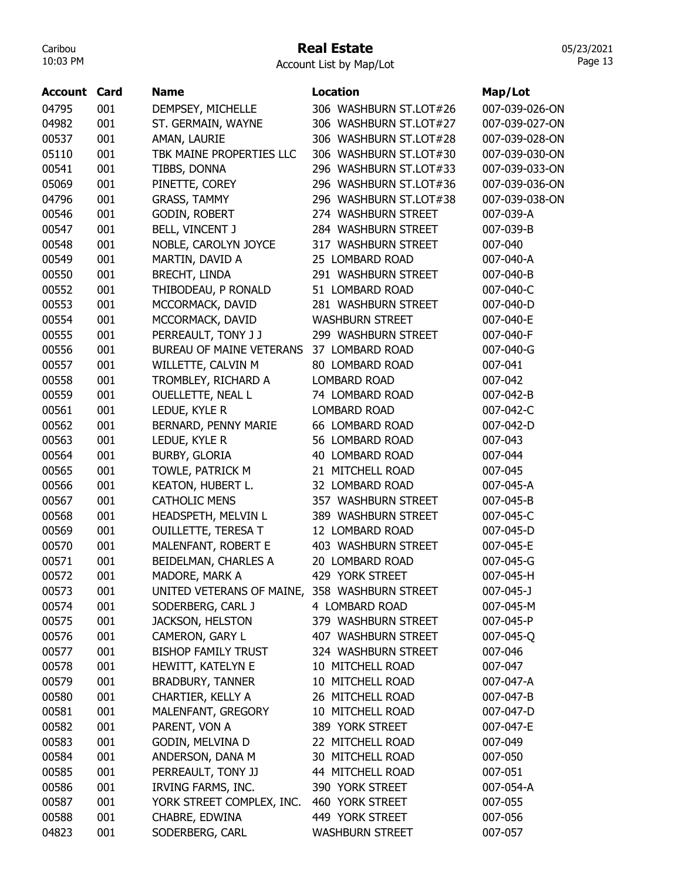## Real Estate

Account List by Map/Lot

| <b>Account Card</b> |     | <b>Name</b>                                   | <b>Location</b>        | Map/Lot        |
|---------------------|-----|-----------------------------------------------|------------------------|----------------|
| 04795               | 001 | DEMPSEY, MICHELLE                             | 306 WASHBURN ST.LOT#26 | 007-039-026-ON |
| 04982               | 001 | ST. GERMAIN, WAYNE                            | 306 WASHBURN ST.LOT#27 | 007-039-027-ON |
| 00537               | 001 | AMAN, LAURIE                                  | 306 WASHBURN ST.LOT#28 | 007-039-028-ON |
| 05110               | 001 | TBK MAINE PROPERTIES LLC                      | 306 WASHBURN ST.LOT#30 | 007-039-030-ON |
| 00541               | 001 | TIBBS, DONNA                                  | 296 WASHBURN ST.LOT#33 | 007-039-033-ON |
| 05069               | 001 | PINETTE, COREY                                | 296 WASHBURN ST.LOT#36 | 007-039-036-ON |
| 04796               | 001 | <b>GRASS, TAMMY</b>                           | 296 WASHBURN ST.LOT#38 | 007-039-038-ON |
| 00546               | 001 | GODIN, ROBERT                                 | 274 WASHBURN STREET    | 007-039-A      |
| 00547               | 001 | BELL, VINCENT J                               | 284 WASHBURN STREET    | 007-039-B      |
| 00548               | 001 | NOBLE, CAROLYN JOYCE                          | 317 WASHBURN STREET    | 007-040        |
| 00549               | 001 | MARTIN, DAVID A                               | 25 LOMBARD ROAD        | 007-040-A      |
| 00550               | 001 | <b>BRECHT, LINDA</b>                          | 291 WASHBURN STREET    | 007-040-B      |
| 00552               | 001 | THIBODEAU, P RONALD                           | 51 LOMBARD ROAD        | 007-040-C      |
| 00553               | 001 | MCCORMACK, DAVID                              | 281 WASHBURN STREET    | 007-040-D      |
| 00554               | 001 | MCCORMACK, DAVID                              | <b>WASHBURN STREET</b> | 007-040-E      |
| 00555               | 001 | PERREAULT, TONY J J                           | 299 WASHBURN STREET    | 007-040-F      |
| 00556               | 001 | <b>BUREAU OF MAINE VETERANS</b>               | 37 LOMBARD ROAD        | 007-040-G      |
| 00557               | 001 | WILLETTE, CALVIN M                            | 80 LOMBARD ROAD        | 007-041        |
| 00558               | 001 | TROMBLEY, RICHARD A                           | <b>LOMBARD ROAD</b>    | 007-042        |
|                     |     |                                               |                        |                |
| 00559               | 001 | OUELLETTE, NEAL L                             | 74 LOMBARD ROAD        | 007-042-B      |
| 00561               | 001 | LEDUE, KYLE R                                 | <b>LOMBARD ROAD</b>    | 007-042-C      |
| 00562               | 001 | BERNARD, PENNY MARIE                          | 66 LOMBARD ROAD        | 007-042-D      |
| 00563               | 001 | LEDUE, KYLE R                                 | 56 LOMBARD ROAD        | 007-043        |
| 00564               | 001 | <b>BURBY, GLORIA</b>                          | 40 LOMBARD ROAD        | 007-044        |
| 00565               | 001 | TOWLE, PATRICK M                              | 21 MITCHELL ROAD       | 007-045        |
| 00566               | 001 | KEATON, HUBERT L.                             | 32 LOMBARD ROAD        | 007-045-A      |
| 00567               | 001 | <b>CATHOLIC MENS</b>                          | 357 WASHBURN STREET    | 007-045-B      |
| 00568               | 001 | HEADSPETH, MELVIN L                           | 389 WASHBURN STREET    | 007-045-C      |
| 00569               | 001 | <b>OUILLETTE, TERESA T</b>                    | 12 LOMBARD ROAD        | 007-045-D      |
| 00570               | 001 | MALENFANT, ROBERT E                           | 403 WASHBURN STREET    | 007-045-E      |
| 00571               | 001 | BEIDELMAN, CHARLES A                          | 20 LOMBARD ROAD        | 007-045-G      |
| 00572               | 001 | MADORE, MARK A                                | 429 YORK STREET        | 007-045-H      |
| 00573               | 001 | UNITED VETERANS OF MAINE, 358 WASHBURN STREET |                        | 007-045-J      |
| 00574               | 001 | SODERBERG, CARL J                             | 4 LOMBARD ROAD         | 007-045-M      |
| 00575               | 001 | <b>JACKSON, HELSTON</b>                       | 379 WASHBURN STREET    | 007-045-P      |
| 00576               | 001 | CAMERON, GARY L                               | 407 WASHBURN STREET    | 007-045-Q      |
| 00577               | 001 | <b>BISHOP FAMILY TRUST</b>                    | 324 WASHBURN STREET    | 007-046        |
| 00578               | 001 | HEWITT, KATELYN E                             | 10 MITCHELL ROAD       | 007-047        |
| 00579               | 001 | <b>BRADBURY, TANNER</b>                       | 10 MITCHELL ROAD       | 007-047-A      |
| 00580               | 001 | CHARTIER, KELLY A                             | 26 MITCHELL ROAD       | 007-047-B      |
| 00581               | 001 | MALENFANT, GREGORY                            | 10 MITCHELL ROAD       | 007-047-D      |
| 00582               | 001 | PARENT, VON A                                 | 389 YORK STREET        | 007-047-E      |
| 00583               | 001 | GODIN, MELVINA D                              | 22 MITCHELL ROAD       | 007-049        |
| 00584               | 001 | ANDERSON, DANA M                              | 30 MITCHELL ROAD       | 007-050        |
| 00585               | 001 | PERREAULT, TONY JJ                            | 44 MITCHELL ROAD       | 007-051        |
| 00586               | 001 | IRVING FARMS, INC.                            | 390 YORK STREET        | 007-054-A      |
| 00587               | 001 | YORK STREET COMPLEX, INC.                     | 460 YORK STREET        | 007-055        |
| 00588               | 001 | CHABRE, EDWINA                                | 449 YORK STREET        | 007-056        |
| 04823               | 001 | SODERBERG, CARL                               | <b>WASHBURN STREET</b> | 007-057        |
|                     |     |                                               |                        |                |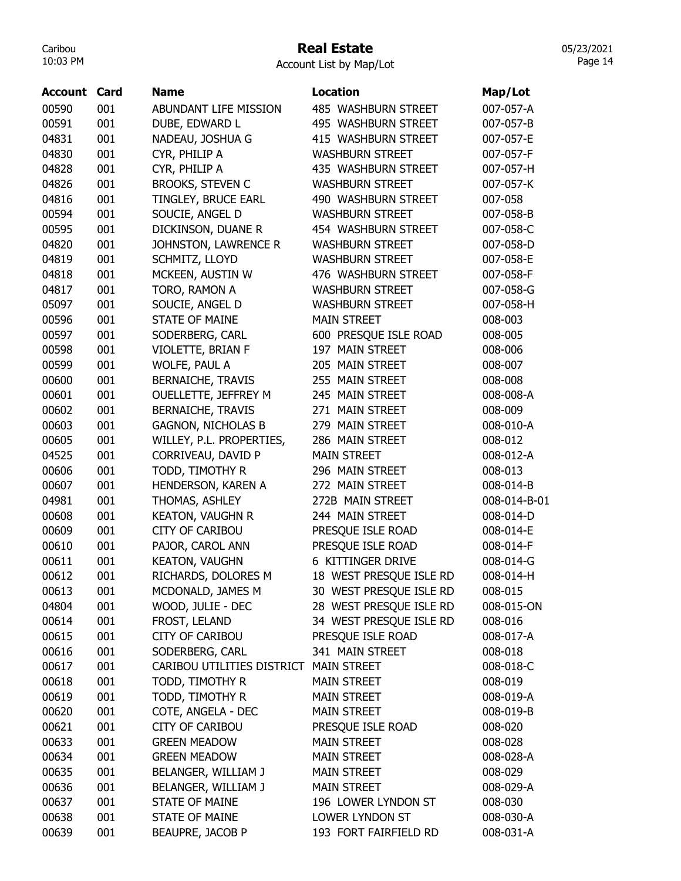#### Real Estate

Account List by Map/Lot

| <b>Account Card</b> |     | <b>Name</b>                | <b>Location</b>         | Map/Lot      |
|---------------------|-----|----------------------------|-------------------------|--------------|
| 00590               | 001 | ABUNDANT LIFE MISSION      | 485 WASHBURN STREET     | 007-057-A    |
| 00591               | 001 | DUBE, EDWARD L             | 495 WASHBURN STREET     | 007-057-B    |
| 04831               | 001 | NADEAU, JOSHUA G           | 415 WASHBURN STREET     | 007-057-E    |
| 04830               | 001 | CYR, PHILIP A              | <b>WASHBURN STREET</b>  | 007-057-F    |
| 04828               | 001 | CYR, PHILIP A              | 435 WASHBURN STREET     | 007-057-H    |
| 04826               | 001 | <b>BROOKS, STEVEN C</b>    | <b>WASHBURN STREET</b>  | 007-057-K    |
| 04816               | 001 | TINGLEY, BRUCE EARL        | 490 WASHBURN STREET     | 007-058      |
| 00594               | 001 | SOUCIE, ANGEL D            | <b>WASHBURN STREET</b>  | 007-058-B    |
| 00595               | 001 | DICKINSON, DUANE R         | 454 WASHBURN STREET     | 007-058-C    |
| 04820               | 001 | JOHNSTON, LAWRENCE R       | <b>WASHBURN STREET</b>  | 007-058-D    |
| 04819               | 001 | SCHMITZ, LLOYD             | <b>WASHBURN STREET</b>  | 007-058-E    |
| 04818               | 001 | MCKEEN, AUSTIN W           | 476 WASHBURN STREET     | 007-058-F    |
| 04817               | 001 | TORO, RAMON A              | <b>WASHBURN STREET</b>  | 007-058-G    |
| 05097               | 001 | SOUCIE, ANGEL D            | <b>WASHBURN STREET</b>  | 007-058-H    |
| 00596               | 001 | <b>STATE OF MAINE</b>      | <b>MAIN STREET</b>      | 008-003      |
| 00597               | 001 | SODERBERG, CARL            | 600 PRESQUE ISLE ROAD   | 008-005      |
| 00598               | 001 | VIOLETTE, BRIAN F          | 197 MAIN STREET         | 008-006      |
| 00599               | 001 | WOLFE, PAUL A              | 205 MAIN STREET         | 008-007      |
| 00600               | 001 | <b>BERNAICHE, TRAVIS</b>   | 255 MAIN STREET         | 008-008      |
| 00601               | 001 | OUELLETTE, JEFFREY M       | 245 MAIN STREET         | 008-008-A    |
| 00602               | 001 | <b>BERNAICHE, TRAVIS</b>   | 271 MAIN STREET         | 008-009      |
| 00603               | 001 | <b>GAGNON, NICHOLAS B</b>  | 279 MAIN STREET         | 008-010-A    |
| 00605               | 001 | WILLEY, P.L. PROPERTIES,   | 286 MAIN STREET         | 008-012      |
| 04525               | 001 | CORRIVEAU, DAVID P         | <b>MAIN STREET</b>      | 008-012-A    |
| 00606               | 001 | TODD, TIMOTHY R            | 296 MAIN STREET         | 008-013      |
| 00607               | 001 | HENDERSON, KAREN A         | 272 MAIN STREET         | 008-014-B    |
| 04981               | 001 | THOMAS, ASHLEY             | 272B MAIN STREET        | 008-014-B-01 |
| 00608               | 001 | <b>KEATON, VAUGHN R</b>    | 244 MAIN STREET         | 008-014-D    |
| 00609               | 001 | <b>CITY OF CARIBOU</b>     | PRESQUE ISLE ROAD       | 008-014-E    |
| 00610               | 001 | PAJOR, CAROL ANN           | PRESQUE ISLE ROAD       | 008-014-F    |
| 00611               | 001 | <b>KEATON, VAUGHN</b>      | 6 KITTINGER DRIVE       | 008-014-G    |
| 00612               | 001 | RICHARDS, DOLORES M        | 18 WEST PRESQUE ISLE RD | 008-014-H    |
| 00613               | 001 | MCDONALD, JAMES M          | 30 WEST PRESQUE ISLE RD | 008-015      |
| 04804               | 001 | WOOD, JULIE - DEC          | 28 WEST PRESQUE ISLE RD | 008-015-ON   |
| 00614               | 001 | FROST, LELAND              | 34 WEST PRESQUE ISLE RD | 008-016      |
| 00615               | 001 | <b>CITY OF CARIBOU</b>     | PRESQUE ISLE ROAD       | 008-017-A    |
| 00616               | 001 | SODERBERG, CARL            | 341 MAIN STREET         | 008-018      |
| 00617               | 001 | CARIBOU UTILITIES DISTRICT | <b>MAIN STREET</b>      | 008-018-C    |
| 00618               | 001 | TODD, TIMOTHY R            | <b>MAIN STREET</b>      | 008-019      |
| 00619               | 001 | TODD, TIMOTHY R            | <b>MAIN STREET</b>      | 008-019-A    |
| 00620               | 001 | COTE, ANGELA - DEC         | <b>MAIN STREET</b>      | 008-019-B    |
| 00621               | 001 | <b>CITY OF CARIBOU</b>     | PRESQUE ISLE ROAD       | 008-020      |
| 00633               | 001 | <b>GREEN MEADOW</b>        | <b>MAIN STREET</b>      | 008-028      |
| 00634               | 001 | <b>GREEN MEADOW</b>        | <b>MAIN STREET</b>      | 008-028-A    |
| 00635               | 001 | BELANGER, WILLIAM J        | <b>MAIN STREET</b>      | 008-029      |
| 00636               | 001 | BELANGER, WILLIAM J        | <b>MAIN STREET</b>      | 008-029-A    |
| 00637               | 001 | <b>STATE OF MAINE</b>      | 196 LOWER LYNDON ST     | 008-030      |
| 00638               | 001 | <b>STATE OF MAINE</b>      | LOWER LYNDON ST         | 008-030-A    |
| 00639               | 001 | BEAUPRE, JACOB P           | 193 FORT FAIRFIELD RD   | 008-031-A    |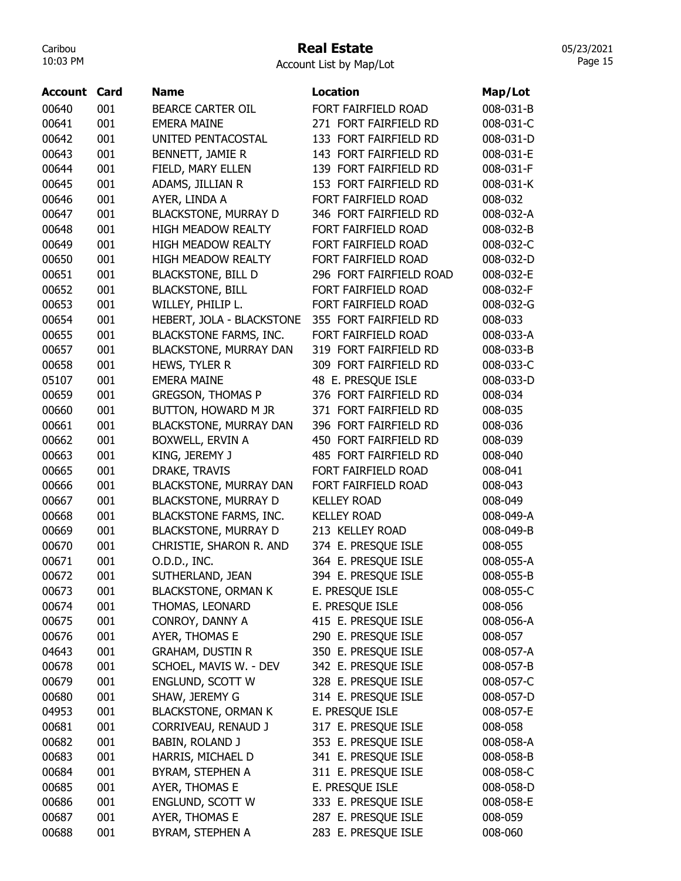#### Real Estate

Account List by Map/Lot

| <b>Account Card</b> |     | Name                          | <b>Location</b>         | Map/Lot   |
|---------------------|-----|-------------------------------|-------------------------|-----------|
| 00640               | 001 | <b>BEARCE CARTER OIL</b>      | FORT FAIRFIELD ROAD     | 008-031-B |
| 00641               | 001 | <b>EMERA MAINE</b>            | 271 FORT FAIRFIELD RD   | 008-031-C |
| 00642               | 001 | UNITED PENTACOSTAL            | 133 FORT FAIRFIELD RD   | 008-031-D |
| 00643               | 001 | BENNETT, JAMIE R              | 143 FORT FAIRFIELD RD   | 008-031-E |
| 00644               | 001 | FIELD, MARY ELLEN             | 139 FORT FAIRFIELD RD   | 008-031-F |
| 00645               | 001 | ADAMS, JILLIAN R              | 153 FORT FAIRFIELD RD   | 008-031-K |
| 00646               | 001 | AYER, LINDA A                 | FORT FAIRFIELD ROAD     | 008-032   |
| 00647               | 001 | <b>BLACKSTONE, MURRAY D</b>   | 346 FORT FAIRFIELD RD   | 008-032-A |
| 00648               | 001 | <b>HIGH MEADOW REALTY</b>     | FORT FAIRFIELD ROAD     | 008-032-B |
| 00649               | 001 | <b>HIGH MEADOW REALTY</b>     | FORT FAIRFIELD ROAD     | 008-032-C |
| 00650               | 001 | <b>HIGH MEADOW REALTY</b>     | FORT FAIRFIELD ROAD     | 008-032-D |
| 00651               | 001 | <b>BLACKSTONE, BILL D</b>     | 296 FORT FAIRFIELD ROAD | 008-032-E |
| 00652               | 001 | <b>BLACKSTONE, BILL</b>       | FORT FAIRFIELD ROAD     | 008-032-F |
| 00653               | 001 | WILLEY, PHILIP L.             | FORT FAIRFIELD ROAD     | 008-032-G |
| 00654               | 001 | HEBERT, JOLA - BLACKSTONE     | 355 FORT FAIRFIELD RD   | 008-033   |
| 00655               | 001 | <b>BLACKSTONE FARMS, INC.</b> | FORT FAIRFIELD ROAD     | 008-033-A |
| 00657               | 001 | <b>BLACKSTONE, MURRAY DAN</b> | 319 FORT FAIRFIELD RD   | 008-033-B |
| 00658               | 001 | HEWS, TYLER R                 | 309 FORT FAIRFIELD RD   | 008-033-C |
| 05107               | 001 | <b>EMERA MAINE</b>            | 48 E. PRESQUE ISLE      | 008-033-D |
| 00659               | 001 | <b>GREGSON, THOMAS P</b>      | 376 FORT FAIRFIELD RD   | 008-034   |
| 00660               | 001 | BUTTON, HOWARD M JR           | 371 FORT FAIRFIELD RD   | 008-035   |
| 00661               | 001 | <b>BLACKSTONE, MURRAY DAN</b> | 396 FORT FAIRFIELD RD   | 008-036   |
| 00662               | 001 | BOXWELL, ERVIN A              | 450 FORT FAIRFIELD RD   | 008-039   |
| 00663               | 001 | KING, JEREMY J                | 485 FORT FAIRFIELD RD   | 008-040   |
| 00665               | 001 | DRAKE, TRAVIS                 | FORT FAIRFIELD ROAD     | 008-041   |
| 00666               | 001 | <b>BLACKSTONE, MURRAY DAN</b> | FORT FAIRFIELD ROAD     | 008-043   |
| 00667               | 001 | <b>BLACKSTONE, MURRAY D</b>   | <b>KELLEY ROAD</b>      | 008-049   |
| 00668               | 001 | <b>BLACKSTONE FARMS, INC.</b> | <b>KELLEY ROAD</b>      | 008-049-A |
| 00669               | 001 | <b>BLACKSTONE, MURRAY D</b>   | 213 KELLEY ROAD         | 008-049-B |
| 00670               | 001 | CHRISTIE, SHARON R. AND       | 374 E. PRESQUE ISLE     | 008-055   |
| 00671               | 001 | O.D.D., INC.                  | 364 E. PRESQUE ISLE     | 008-055-A |
| 00672               | 001 | SUTHERLAND, JEAN              | 394 E. PRESQUE ISLE     | 008-055-B |
| 00673               | 001 | <b>BLACKSTONE, ORMAN K</b>    | E. PRESQUE ISLE         | 008-055-C |
| 00674               | 001 | THOMAS, LEONARD               | E. PRESQUE ISLE         | 008-056   |
| 00675               | 001 | CONROY, DANNY A               | 415 E. PRESQUE ISLE     | 008-056-A |
| 00676               | 001 | AYER, THOMAS E                | 290 E. PRESQUE ISLE     | 008-057   |
| 04643               | 001 | <b>GRAHAM, DUSTIN R</b>       | 350 E. PRESQUE ISLE     | 008-057-A |
| 00678               | 001 | SCHOEL, MAVIS W. - DEV        | 342 E. PRESQUE ISLE     | 008-057-B |
| 00679               | 001 | ENGLUND, SCOTT W              | 328 E. PRESQUE ISLE     | 008-057-C |
| 00680               | 001 | SHAW, JEREMY G                | 314 E. PRESQUE ISLE     | 008-057-D |
| 04953               | 001 | <b>BLACKSTONE, ORMAN K</b>    | E. PRESQUE ISLE         | 008-057-E |
| 00681               | 001 | CORRIVEAU, RENAUD J           | 317 E. PRESQUE ISLE     | 008-058   |
| 00682               | 001 | BABIN, ROLAND J               | 353 E. PRESQUE ISLE     | 008-058-A |
| 00683               | 001 | HARRIS, MICHAEL D             | 341 E. PRESQUE ISLE     |           |
|                     |     |                               |                         | 008-058-B |
| 00684               | 001 | BYRAM, STEPHEN A              | 311 E. PRESQUE ISLE     | 008-058-C |
| 00685               | 001 | AYER, THOMAS E                | E. PRESQUE ISLE         | 008-058-D |
| 00686               | 001 | ENGLUND, SCOTT W              | 333 E. PRESQUE ISLE     | 008-058-E |
| 00687               | 001 | AYER, THOMAS E                | 287 E. PRESQUE ISLE     | 008-059   |
| 00688               | 001 | BYRAM, STEPHEN A              | 283 E. PRESQUE ISLE     | 008-060   |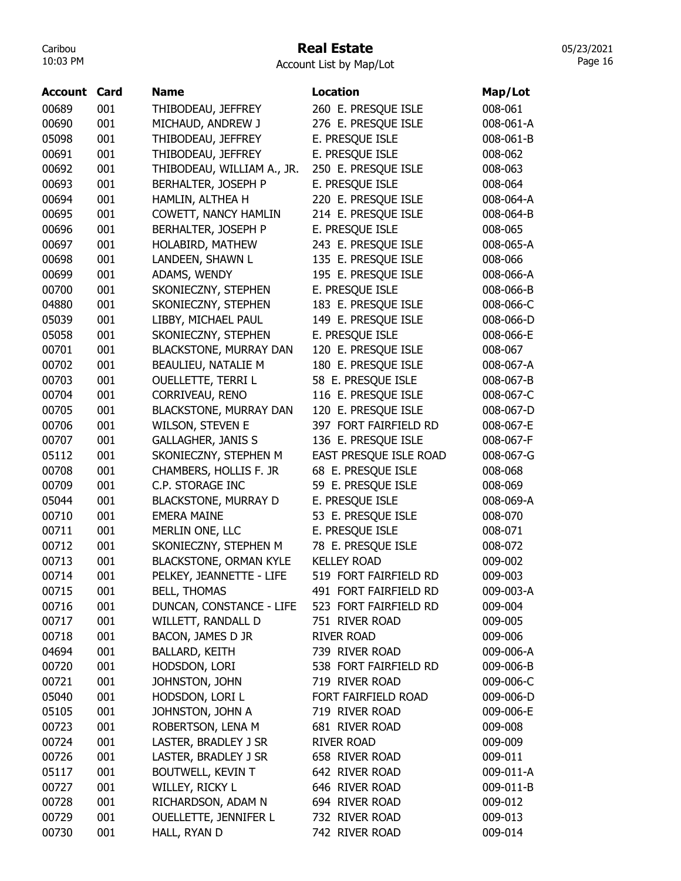### Real Estate

Account List by Map/Lot

| Account | Card | Name                          | <b>Location</b>        | Map/Lot   |
|---------|------|-------------------------------|------------------------|-----------|
| 00689   | 001  | THIBODEAU, JEFFREY            | 260 E. PRESQUE ISLE    | 008-061   |
| 00690   | 001  | MICHAUD, ANDREW J             | 276 E. PRESQUE ISLE    | 008-061-A |
| 05098   | 001  | THIBODEAU, JEFFREY            | E. PRESQUE ISLE        | 008-061-B |
| 00691   | 001  | THIBODEAU, JEFFREY            | E. PRESQUE ISLE        | 008-062   |
| 00692   | 001  | THIBODEAU, WILLIAM A., JR.    | 250 E. PRESQUE ISLE    | 008-063   |
| 00693   | 001  | BERHALTER, JOSEPH P           | E. PRESQUE ISLE        | 008-064   |
| 00694   | 001  | HAMLIN, ALTHEA H              | 220 E. PRESQUE ISLE    | 008-064-A |
| 00695   | 001  | COWETT, NANCY HAMLIN          | 214 E. PRESQUE ISLE    | 008-064-B |
| 00696   | 001  | BERHALTER, JOSEPH P           | E. PRESQUE ISLE        | 008-065   |
| 00697   | 001  | HOLABIRD, MATHEW              | 243 E. PRESQUE ISLE    | 008-065-A |
| 00698   | 001  | LANDEEN, SHAWN L              | 135 E. PRESQUE ISLE    | 008-066   |
| 00699   | 001  | ADAMS, WENDY                  | 195 E. PRESQUE ISLE    | 008-066-A |
| 00700   | 001  | SKONIECZNY, STEPHEN           | E. PRESQUE ISLE        | 008-066-B |
| 04880   | 001  | SKONIECZNY, STEPHEN           | 183 E. PRESQUE ISLE    | 008-066-C |
| 05039   | 001  | LIBBY, MICHAEL PAUL           | 149 E. PRESQUE ISLE    | 008-066-D |
| 05058   | 001  | SKONIECZNY, STEPHEN           | E. PRESQUE ISLE        | 008-066-E |
| 00701   | 001  | <b>BLACKSTONE, MURRAY DAN</b> | 120 E. PRESQUE ISLE    | 008-067   |
| 00702   | 001  | BEAULIEU, NATALIE M           | 180 E. PRESQUE ISLE    | 008-067-A |
| 00703   | 001  | <b>OUELLETTE, TERRI L</b>     | 58 E. PRESQUE ISLE     | 008-067-B |
| 00704   | 001  | CORRIVEAU, RENO               | 116 E. PRESQUE ISLE    | 008-067-C |
| 00705   | 001  | <b>BLACKSTONE, MURRAY DAN</b> | 120 E. PRESQUE ISLE    | 008-067-D |
| 00706   | 001  | <b>WILSON, STEVEN E</b>       | 397 FORT FAIRFIELD RD  | 008-067-E |
| 00707   | 001  | <b>GALLAGHER, JANIS S</b>     | 136 E. PRESQUE ISLE    | 008-067-F |
| 05112   | 001  | SKONIECZNY, STEPHEN M         | EAST PRESQUE ISLE ROAD | 008-067-G |
| 00708   | 001  | CHAMBERS, HOLLIS F. JR        | 68 E. PRESQUE ISLE     | 008-068   |
| 00709   | 001  | C.P. STORAGE INC              | 59 E. PRESQUE ISLE     | 008-069   |
| 05044   | 001  | <b>BLACKSTONE, MURRAY D</b>   | E. PRESQUE ISLE        | 008-069-A |
| 00710   | 001  | <b>EMERA MAINE</b>            | 53 E. PRESQUE ISLE     | 008-070   |
| 00711   | 001  | MERLIN ONE, LLC               | E. PRESQUE ISLE        | 008-071   |
| 00712   | 001  | SKONIECZNY, STEPHEN M         | 78 E. PRESQUE ISLE     | 008-072   |
| 00713   | 001  | <b>BLACKSTONE, ORMAN KYLE</b> | <b>KELLEY ROAD</b>     | 009-002   |
| 00714   | 001  | PELKEY, JEANNETTE - LIFE      | 519 FORT FAIRFIELD RD  | 009-003   |
| 00715   | 001  | <b>BELL, THOMAS</b>           | 491 FORT FAIRFIELD RD  | 009-003-A |
| 00716   | 001  | DUNCAN, CONSTANCE - LIFE      | 523 FORT FAIRFIELD RD  | 009-004   |
| 00717   | 001  | WILLETT, RANDALL D            | 751 RIVER ROAD         | 009-005   |
| 00718   | 001  | BACON, JAMES D JR             | <b>RIVER ROAD</b>      | 009-006   |
| 04694   | 001  | <b>BALLARD, KEITH</b>         | 739 RIVER ROAD         | 009-006-A |
| 00720   | 001  | HODSDON, LORI                 | 538 FORT FAIRFIELD RD  | 009-006-B |
| 00721   | 001  | JOHNSTON, JOHN                | 719 RIVER ROAD         | 009-006-C |
| 05040   | 001  | HODSDON, LORI L               | FORT FAIRFIELD ROAD    | 009-006-D |
| 05105   | 001  | JOHNSTON, JOHN A              | 719 RIVER ROAD         | 009-006-E |
| 00723   | 001  | ROBERTSON, LENA M             | 681 RIVER ROAD         | 009-008   |
| 00724   | 001  | LASTER, BRADLEY J SR          | <b>RIVER ROAD</b>      | 009-009   |
| 00726   | 001  | LASTER, BRADLEY J SR          | 658 RIVER ROAD         | 009-011   |
| 05117   | 001  | BOUTWELL, KEVIN T             | 642 RIVER ROAD         | 009-011-A |
| 00727   | 001  | WILLEY, RICKY L               | 646 RIVER ROAD         | 009-011-B |
| 00728   | 001  | RICHARDSON, ADAM N            | 694 RIVER ROAD         | 009-012   |
| 00729   | 001  | OUELLETTE, JENNIFER L         | 732 RIVER ROAD         | 009-013   |
| 00730   | 001  | HALL, RYAN D                  | 742 RIVER ROAD         | 009-014   |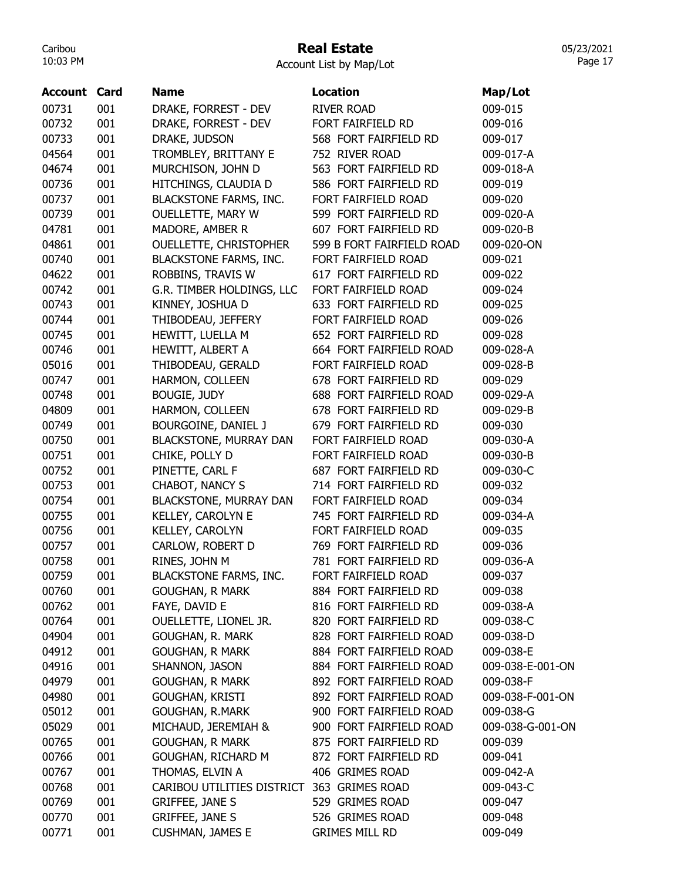## Real Estate

Account List by Map/Lot

| <b>Account Card</b> |     | <b>Name</b>                   | <b>Location</b>           | Map/Lot          |
|---------------------|-----|-------------------------------|---------------------------|------------------|
| 00731               | 001 | DRAKE, FORREST - DEV          | <b>RIVER ROAD</b>         | 009-015          |
| 00732               | 001 | DRAKE, FORREST - DEV          | FORT FAIRFIELD RD         | 009-016          |
| 00733               | 001 | DRAKE, JUDSON                 | 568 FORT FAIRFIELD RD     | 009-017          |
| 04564               | 001 | TROMBLEY, BRITTANY E          | 752 RIVER ROAD            | 009-017-A        |
| 04674               | 001 | MURCHISON, JOHN D             | 563 FORT FAIRFIELD RD     | 009-018-A        |
| 00736               | 001 | HITCHINGS, CLAUDIA D          | 586 FORT FAIRFIELD RD     | 009-019          |
| 00737               | 001 | <b>BLACKSTONE FARMS, INC.</b> | FORT FAIRFIELD ROAD       | 009-020          |
| 00739               | 001 | OUELLETTE, MARY W             | 599 FORT FAIRFIELD RD     | 009-020-A        |
| 04781               | 001 | MADORE, AMBER R               | 607 FORT FAIRFIELD RD     | 009-020-B        |
| 04861               | 001 | OUELLETTE, CHRISTOPHER        | 599 B FORT FAIRFIELD ROAD | 009-020-ON       |
| 00740               | 001 | <b>BLACKSTONE FARMS, INC.</b> | FORT FAIRFIELD ROAD       | 009-021          |
| 04622               | 001 | ROBBINS, TRAVIS W             | 617 FORT FAIRFIELD RD     | 009-022          |
| 00742               | 001 | G.R. TIMBER HOLDINGS, LLC     | FORT FAIRFIELD ROAD       | 009-024          |
| 00743               | 001 | KINNEY, JOSHUA D              | 633 FORT FAIRFIELD RD     | 009-025          |
| 00744               | 001 | THIBODEAU, JEFFERY            | FORT FAIRFIELD ROAD       | 009-026          |
| 00745               | 001 | HEWITT, LUELLA M              | 652 FORT FAIRFIELD RD     | 009-028          |
| 00746               | 001 | HEWITT, ALBERT A              | 664 FORT FAIRFIELD ROAD   | 009-028-A        |
| 05016               | 001 | THIBODEAU, GERALD             | FORT FAIRFIELD ROAD       | 009-028-B        |
| 00747               | 001 | HARMON, COLLEEN               | 678 FORT FAIRFIELD RD     | 009-029          |
| 00748               | 001 | <b>BOUGIE, JUDY</b>           | 688 FORT FAIRFIELD ROAD   | 009-029-A        |
| 04809               | 001 | HARMON, COLLEEN               | 678 FORT FAIRFIELD RD     | 009-029-B        |
| 00749               | 001 | BOURGOINE, DANIEL J           | 679 FORT FAIRFIELD RD     | 009-030          |
| 00750               | 001 | BLACKSTONE, MURRAY DAN        | FORT FAIRFIELD ROAD       | 009-030-A        |
| 00751               | 001 | CHIKE, POLLY D                | FORT FAIRFIELD ROAD       | 009-030-B        |
| 00752               | 001 | PINETTE, CARL F               | 687 FORT FAIRFIELD RD     | 009-030-C        |
| 00753               | 001 | CHABOT, NANCY S               | 714 FORT FAIRFIELD RD     | 009-032          |
| 00754               | 001 | BLACKSTONE, MURRAY DAN        | FORT FAIRFIELD ROAD       | 009-034          |
| 00755               | 001 | KELLEY, CAROLYN E             | 745 FORT FAIRFIELD RD     | 009-034-A        |
| 00756               | 001 | KELLEY, CAROLYN               | FORT FAIRFIELD ROAD       | 009-035          |
| 00757               | 001 | CARLOW, ROBERT D              | 769 FORT FAIRFIELD RD     | 009-036          |
| 00758               | 001 | RINES, JOHN M                 | 781 FORT FAIRFIELD RD     | 009-036-A        |
| 00759               | 001 | <b>BLACKSTONE FARMS, INC.</b> | FORT FAIRFIELD ROAD       | 009-037          |
| 00760               | 001 | <b>GOUGHAN, R MARK</b>        | 884 FORT FAIRFIELD RD     | 009-038          |
| 00762               | 001 | FAYE, DAVID E                 | 816 FORT FAIRFIELD RD     | 009-038-A        |
| 00764               | 001 | OUELLETTE, LIONEL JR.         | 820 FORT FAIRFIELD RD     | 009-038-C        |
| 04904               | 001 | GOUGHAN, R. MARK              | 828 FORT FAIRFIELD ROAD   | 009-038-D        |
| 04912               | 001 | <b>GOUGHAN, R MARK</b>        | 884 FORT FAIRFIELD ROAD   | 009-038-E        |
| 04916               | 001 | SHANNON, JASON                | 884 FORT FAIRFIELD ROAD   | 009-038-E-001-ON |
| 04979               | 001 | <b>GOUGHAN, R MARK</b>        | 892 FORT FAIRFIELD ROAD   | 009-038-F        |
| 04980               | 001 | <b>GOUGHAN, KRISTI</b>        | 892 FORT FAIRFIELD ROAD   | 009-038-F-001-ON |
| 05012               | 001 | <b>GOUGHAN, R.MARK</b>        | 900 FORT FAIRFIELD ROAD   | 009-038-G        |
| 05029               | 001 | MICHAUD, JEREMIAH &           | 900 FORT FAIRFIELD ROAD   | 009-038-G-001-ON |
| 00765               | 001 | <b>GOUGHAN, R MARK</b>        | 875 FORT FAIRFIELD RD     | 009-039          |
| 00766               | 001 | GOUGHAN, RICHARD M            | 872 FORT FAIRFIELD RD     | 009-041          |
| 00767               | 001 | THOMAS, ELVIN A               | 406 GRIMES ROAD           | 009-042-A        |
| 00768               | 001 | CARIBOU UTILITIES DISTRICT    | 363 GRIMES ROAD           | 009-043-C        |
| 00769               | 001 | <b>GRIFFEE, JANE S</b>        | 529 GRIMES ROAD           | 009-047          |
| 00770               | 001 | <b>GRIFFEE, JANE S</b>        | 526 GRIMES ROAD           | 009-048          |
| 00771               | 001 | <b>CUSHMAN, JAMES E</b>       | <b>GRIMES MILL RD</b>     | 009-049          |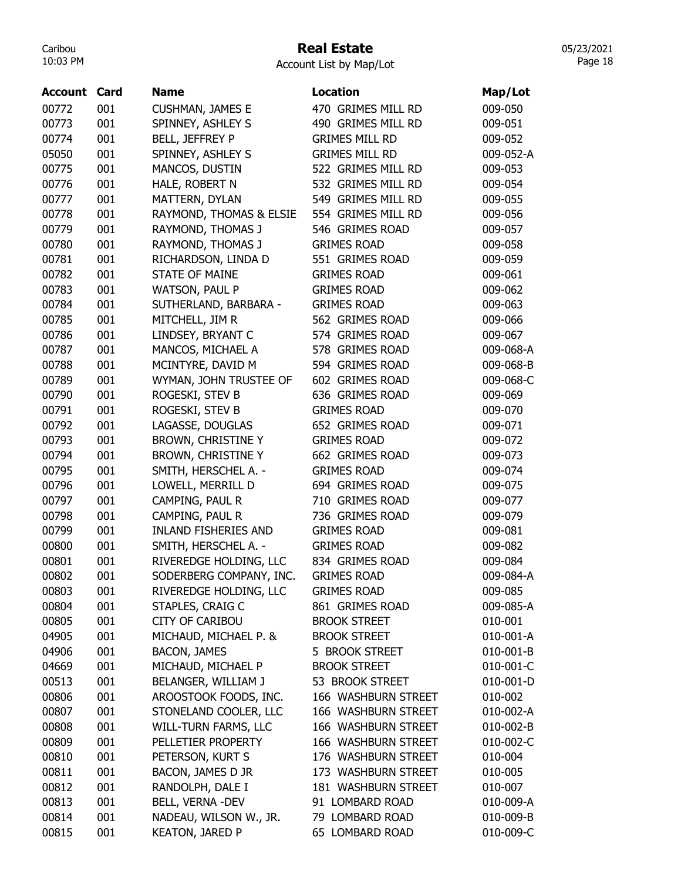## Real Estate

Account List by Map/Lot

| Account | Card | <b>Name</b>                 | <b>Location</b>       | Map/Lot   |
|---------|------|-----------------------------|-----------------------|-----------|
| 00772   | 001  | <b>CUSHMAN, JAMES E</b>     | 470 GRIMES MILL RD    | 009-050   |
| 00773   | 001  | SPINNEY, ASHLEY S           | 490 GRIMES MILL RD    | 009-051   |
| 00774   | 001  | BELL, JEFFREY P             | <b>GRIMES MILL RD</b> | 009-052   |
| 05050   | 001  | SPINNEY, ASHLEY S           | <b>GRIMES MILL RD</b> | 009-052-A |
| 00775   | 001  | MANCOS, DUSTIN              | 522 GRIMES MILL RD    | 009-053   |
| 00776   | 001  | HALE, ROBERT N              | 532 GRIMES MILL RD    | 009-054   |
| 00777   | 001  | MATTERN, DYLAN              | 549 GRIMES MILL RD    | 009-055   |
| 00778   | 001  | RAYMOND, THOMAS & ELSIE     | 554 GRIMES MILL RD    | 009-056   |
| 00779   | 001  | RAYMOND, THOMAS J           | 546 GRIMES ROAD       | 009-057   |
| 00780   | 001  | RAYMOND, THOMAS J           | <b>GRIMES ROAD</b>    | 009-058   |
| 00781   | 001  | RICHARDSON, LINDA D         | 551 GRIMES ROAD       | 009-059   |
| 00782   | 001  | <b>STATE OF MAINE</b>       | <b>GRIMES ROAD</b>    | 009-061   |
| 00783   | 001  | <b>WATSON, PAUL P</b>       | <b>GRIMES ROAD</b>    | 009-062   |
| 00784   | 001  | SUTHERLAND, BARBARA -       | <b>GRIMES ROAD</b>    | 009-063   |
| 00785   | 001  | MITCHELL, JIM R             | 562 GRIMES ROAD       | 009-066   |
| 00786   | 001  | LINDSEY, BRYANT C           | 574 GRIMES ROAD       | 009-067   |
| 00787   | 001  | MANCOS, MICHAEL A           | 578 GRIMES ROAD       | 009-068-A |
| 00788   | 001  | MCINTYRE, DAVID M           | 594 GRIMES ROAD       | 009-068-B |
| 00789   | 001  | WYMAN, JOHN TRUSTEE OF      | 602 GRIMES ROAD       | 009-068-C |
| 00790   | 001  | ROGESKI, STEV B             | 636 GRIMES ROAD       | 009-069   |
| 00791   | 001  | ROGESKI, STEV B             | <b>GRIMES ROAD</b>    | 009-070   |
| 00792   | 001  | LAGASSE, DOUGLAS            | 652 GRIMES ROAD       | 009-071   |
| 00793   | 001  | <b>BROWN, CHRISTINE Y</b>   | <b>GRIMES ROAD</b>    | 009-072   |
| 00794   | 001  | <b>BROWN, CHRISTINE Y</b>   | 662 GRIMES ROAD       | 009-073   |
| 00795   | 001  | SMITH, HERSCHEL A. -        | <b>GRIMES ROAD</b>    | 009-074   |
| 00796   | 001  | LOWELL, MERRILL D           | 694 GRIMES ROAD       | 009-075   |
| 00797   | 001  | CAMPING, PAUL R             | 710 GRIMES ROAD       | 009-077   |
| 00798   | 001  | CAMPING, PAUL R             | 736 GRIMES ROAD       | 009-079   |
| 00799   | 001  | <b>INLAND FISHERIES AND</b> | <b>GRIMES ROAD</b>    | 009-081   |
| 00800   | 001  | SMITH, HERSCHEL A. -        | <b>GRIMES ROAD</b>    | 009-082   |
| 00801   | 001  | RIVEREDGE HOLDING, LLC      | 834 GRIMES ROAD       | 009-084   |
| 00802   | 001  | SODERBERG COMPANY, INC.     | <b>GRIMES ROAD</b>    | 009-084-A |
| 00803   | 001  | RIVEREDGE HOLDING, LLC      | <b>GRIMES ROAD</b>    | 009-085   |
| 00804   | 001  | STAPLES, CRAIG C            | 861 GRIMES ROAD       | 009-085-A |
| 00805   | 001  | <b>CITY OF CARIBOU</b>      | <b>BROOK STREET</b>   | 010-001   |
| 04905   | 001  | MICHAUD, MICHAEL P. &       | <b>BROOK STREET</b>   | 010-001-A |
| 04906   | 001  | <b>BACON, JAMES</b>         | 5 BROOK STREET        | 010-001-B |
| 04669   | 001  | MICHAUD, MICHAEL P          | <b>BROOK STREET</b>   | 010-001-C |
| 00513   | 001  | BELANGER, WILLIAM J         | 53 BROOK STREET       | 010-001-D |
| 00806   | 001  | AROOSTOOK FOODS, INC.       | 166 WASHBURN STREET   | 010-002   |
| 00807   | 001  | STONELAND COOLER, LLC       | 166 WASHBURN STREET   | 010-002-A |
| 00808   | 001  | WILL-TURN FARMS, LLC        | 166 WASHBURN STREET   | 010-002-B |
| 00809   | 001  | PELLETIER PROPERTY          | 166 WASHBURN STREET   | 010-002-C |
| 00810   | 001  | PETERSON, KURT S            | 176 WASHBURN STREET   | 010-004   |
| 00811   | 001  | BACON, JAMES D JR           | 173 WASHBURN STREET   | 010-005   |
| 00812   | 001  | RANDOLPH, DALE I            | 181 WASHBURN STREET   | 010-007   |
| 00813   | 001  | BELL, VERNA -DEV            | 91 LOMBARD ROAD       | 010-009-A |
| 00814   | 001  | NADEAU, WILSON W., JR.      | 79 LOMBARD ROAD       | 010-009-B |
| 00815   | 001  | <b>KEATON, JARED P</b>      | 65 LOMBARD ROAD       | 010-009-C |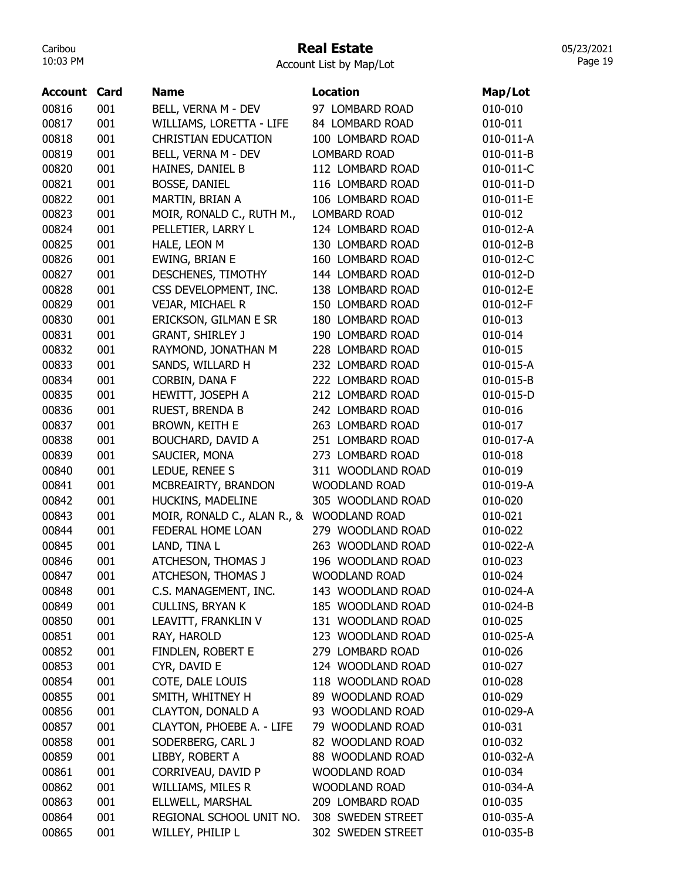### Real Estate

Account List by Map/Lot

| <b>Account Card</b> |     | <b>Name</b>                 | <b>Location</b>      | Map/Lot   |
|---------------------|-----|-----------------------------|----------------------|-----------|
| 00816               | 001 | BELL, VERNA M - DEV         | 97 LOMBARD ROAD      | 010-010   |
| 00817               | 001 | WILLIAMS, LORETTA - LIFE    | 84 LOMBARD ROAD      | 010-011   |
| 00818               | 001 | <b>CHRISTIAN EDUCATION</b>  | 100 LOMBARD ROAD     | 010-011-A |
| 00819               | 001 | BELL, VERNA M - DEV         | <b>LOMBARD ROAD</b>  | 010-011-B |
| 00820               | 001 | HAINES, DANIEL B            | 112 LOMBARD ROAD     | 010-011-C |
| 00821               | 001 | <b>BOSSE, DANIEL</b>        | 116 LOMBARD ROAD     | 010-011-D |
| 00822               | 001 | MARTIN, BRIAN A             | 106 LOMBARD ROAD     | 010-011-E |
| 00823               | 001 | MOIR, RONALD C., RUTH M.,   | <b>LOMBARD ROAD</b>  | 010-012   |
| 00824               | 001 | PELLETIER, LARRY L          | 124 LOMBARD ROAD     | 010-012-A |
| 00825               | 001 | HALE, LEON M                | 130 LOMBARD ROAD     | 010-012-B |
| 00826               | 001 | EWING, BRIAN E              | 160 LOMBARD ROAD     | 010-012-C |
| 00827               | 001 | DESCHENES, TIMOTHY          | 144 LOMBARD ROAD     | 010-012-D |
| 00828               | 001 | CSS DEVELOPMENT, INC.       | 138 LOMBARD ROAD     | 010-012-E |
| 00829               | 001 | VEJAR, MICHAEL R            | 150 LOMBARD ROAD     | 010-012-F |
| 00830               | 001 | ERICKSON, GILMAN E SR       | 180 LOMBARD ROAD     | 010-013   |
| 00831               | 001 | <b>GRANT, SHIRLEY J</b>     | 190 LOMBARD ROAD     | 010-014   |
| 00832               | 001 | RAYMOND, JONATHAN M         | 228 LOMBARD ROAD     | 010-015   |
| 00833               | 001 | SANDS, WILLARD H            | 232 LOMBARD ROAD     | 010-015-A |
| 00834               | 001 | CORBIN, DANA F              | 222 LOMBARD ROAD     | 010-015-B |
| 00835               | 001 | HEWITT, JOSEPH A            | 212 LOMBARD ROAD     | 010-015-D |
| 00836               | 001 | RUEST, BRENDA B             | 242 LOMBARD ROAD     | 010-016   |
| 00837               | 001 | <b>BROWN, KEITH E</b>       | 263 LOMBARD ROAD     | 010-017   |
| 00838               | 001 | <b>BOUCHARD, DAVID A</b>    | 251 LOMBARD ROAD     | 010-017-A |
| 00839               | 001 | SAUCIER, MONA               | 273 LOMBARD ROAD     | 010-018   |
| 00840               | 001 | LEDUE, RENEE S              | 311 WOODLAND ROAD    | 010-019   |
| 00841               | 001 | MCBREAIRTY, BRANDON         | <b>WOODLAND ROAD</b> | 010-019-A |
| 00842               | 001 | HUCKINS, MADELINE           | 305 WOODLAND ROAD    | 010-020   |
| 00843               | 001 | MOIR, RONALD C., ALAN R., & | <b>WOODLAND ROAD</b> | 010-021   |
| 00844               | 001 | FEDERAL HOME LOAN           | 279 WOODLAND ROAD    | 010-022   |
| 00845               | 001 | LAND, TINA L                | 263 WOODLAND ROAD    | 010-022-A |
| 00846               | 001 | ATCHESON, THOMAS J          | 196 WOODLAND ROAD    | 010-023   |
| 00847               | 001 | ATCHESON, THOMAS J          | <b>WOODLAND ROAD</b> | 010-024   |
| 00848               | 001 | C.S. MANAGEMENT, INC.       | 143 WOODLAND ROAD    | 010-024-A |
| 00849               | 001 | <b>CULLINS, BRYAN K</b>     | 185 WOODLAND ROAD    | 010-024-B |
| 00850               | 001 | LEAVITT, FRANKLIN V         | 131 WOODLAND ROAD    | 010-025   |
| 00851               | 001 | RAY, HAROLD                 | 123 WOODLAND ROAD    | 010-025-A |
| 00852               | 001 | FINDLEN, ROBERT E           | 279 LOMBARD ROAD     | 010-026   |
| 00853               | 001 | CYR, DAVID E                | 124 WOODLAND ROAD    | 010-027   |
| 00854               | 001 | COTE, DALE LOUIS            | 118 WOODLAND ROAD    | 010-028   |
| 00855               | 001 | SMITH, WHITNEY H            | 89 WOODLAND ROAD     | 010-029   |
| 00856               | 001 | CLAYTON, DONALD A           | 93 WOODLAND ROAD     | 010-029-A |
| 00857               | 001 | CLAYTON, PHOEBE A. - LIFE   | 79 WOODLAND ROAD     | 010-031   |
| 00858               | 001 | SODERBERG, CARL J           | 82 WOODLAND ROAD     | 010-032   |
| 00859               | 001 | LIBBY, ROBERT A             | 88 WOODLAND ROAD     | 010-032-A |
| 00861               | 001 | CORRIVEAU, DAVID P          | <b>WOODLAND ROAD</b> | 010-034   |
| 00862               | 001 | <b>WILLIAMS, MILES R</b>    | <b>WOODLAND ROAD</b> | 010-034-A |
| 00863               | 001 | ELLWELL, MARSHAL            | 209 LOMBARD ROAD     | 010-035   |
| 00864               | 001 | REGIONAL SCHOOL UNIT NO.    | 308 SWEDEN STREET    | 010-035-A |
| 00865               | 001 | WILLEY, PHILIP L            | 302 SWEDEN STREET    | 010-035-B |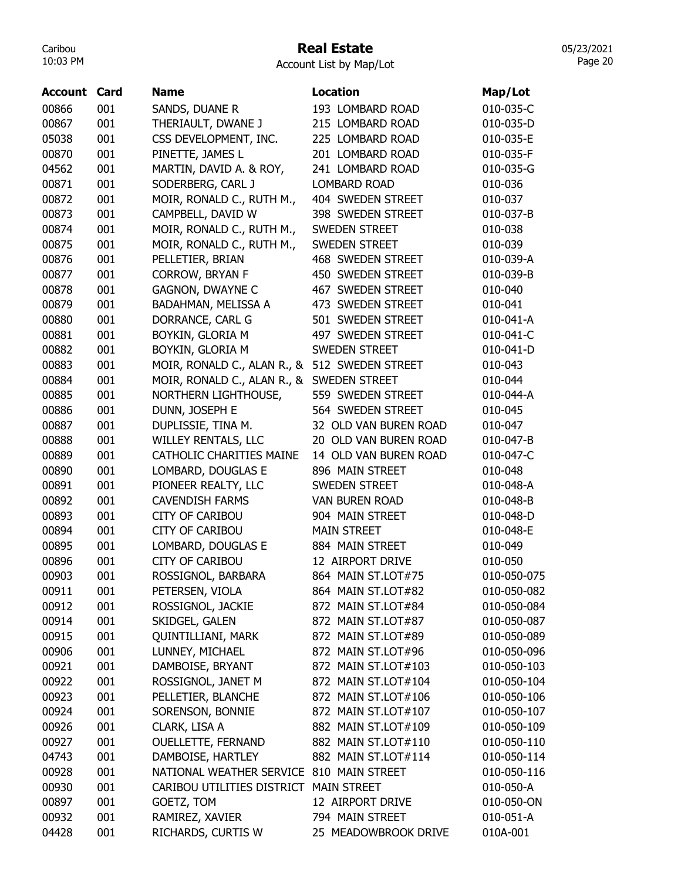### Real Estate

Account List by Map/Lot

| <b>Account Card</b> |     | <b>Name</b>                              | <b>Location</b>       | Map/Lot     |
|---------------------|-----|------------------------------------------|-----------------------|-------------|
| 00866               | 001 | SANDS, DUANE R                           | 193 LOMBARD ROAD      | 010-035-C   |
| 00867               | 001 | THERIAULT, DWANE J                       | 215 LOMBARD ROAD      | 010-035-D   |
| 05038               | 001 | CSS DEVELOPMENT, INC.                    | 225 LOMBARD ROAD      | 010-035-E   |
| 00870               | 001 | PINETTE, JAMES L                         | 201 LOMBARD ROAD      | 010-035-F   |
| 04562               | 001 | MARTIN, DAVID A. & ROY,                  | 241 LOMBARD ROAD      | 010-035-G   |
| 00871               | 001 | SODERBERG, CARL J                        | <b>LOMBARD ROAD</b>   | 010-036     |
| 00872               | 001 | MOIR, RONALD C., RUTH M.,                | 404 SWEDEN STREET     | 010-037     |
| 00873               | 001 | CAMPBELL, DAVID W                        | 398 SWEDEN STREET     | 010-037-B   |
| 00874               | 001 | MOIR, RONALD C., RUTH M.,                | SWEDEN STREET         | 010-038     |
| 00875               | 001 | MOIR, RONALD C., RUTH M.,                | SWEDEN STREET         | 010-039     |
| 00876               | 001 | PELLETIER, BRIAN                         | 468 SWEDEN STREET     | 010-039-A   |
| 00877               | 001 | <b>CORROW, BRYAN F</b>                   | 450 SWEDEN STREET     | 010-039-B   |
| 00878               | 001 | <b>GAGNON, DWAYNE C</b>                  | 467 SWEDEN STREET     | 010-040     |
| 00879               | 001 | BADAHMAN, MELISSA A                      | 473 SWEDEN STREET     | 010-041     |
| 00880               | 001 | DORRANCE, CARL G                         | 501 SWEDEN STREET     | 010-041-A   |
| 00881               | 001 | BOYKIN, GLORIA M                         | 497 SWEDEN STREET     | 010-041-C   |
| 00882               | 001 | BOYKIN, GLORIA M                         | <b>SWEDEN STREET</b>  | 010-041-D   |
| 00883               | 001 | MOIR, RONALD C., ALAN R., &              | 512 SWEDEN STREET     | 010-043     |
| 00884               | 001 | MOIR, RONALD C., ALAN R., &              | <b>SWEDEN STREET</b>  | 010-044     |
| 00885               | 001 | NORTHERN LIGHTHOUSE,                     | 559 SWEDEN STREET     | 010-044-A   |
| 00886               | 001 | DUNN, JOSEPH E                           | 564 SWEDEN STREET     | 010-045     |
| 00887               | 001 | DUPLISSIE, TINA M.                       | 32 OLD VAN BUREN ROAD | 010-047     |
| 00888               | 001 | <b>WILLEY RENTALS, LLC</b>               | 20 OLD VAN BUREN ROAD | 010-047-B   |
| 00889               | 001 | CATHOLIC CHARITIES MAINE                 | 14 OLD VAN BUREN ROAD | 010-047-C   |
| 00890               | 001 | LOMBARD, DOUGLAS E                       | 896 MAIN STREET       | 010-048     |
| 00891               | 001 | PIONEER REALTY, LLC                      | SWEDEN STREET         | 010-048-A   |
| 00892               | 001 | <b>CAVENDISH FARMS</b>                   | <b>VAN BUREN ROAD</b> | 010-048-B   |
| 00893               | 001 | <b>CITY OF CARIBOU</b>                   | 904 MAIN STREET       | 010-048-D   |
| 00894               | 001 | <b>CITY OF CARIBOU</b>                   | <b>MAIN STREET</b>    | 010-048-E   |
| 00895               | 001 | LOMBARD, DOUGLAS E                       | 884 MAIN STREET       | 010-049     |
| 00896               | 001 | <b>CITY OF CARIBOU</b>                   | 12 AIRPORT DRIVE      | 010-050     |
| 00903               | 001 | ROSSIGNOL, BARBARA                       | 864 MAIN ST.LOT#75    | 010-050-075 |
| 00911               | 001 | PETERSEN, VIOLA                          | 864 MAIN ST.LOT#82    | 010-050-082 |
| 00912               | 001 | ROSSIGNOL, JACKIE                        | 872 MAIN ST.LOT#84    | 010-050-084 |
| 00914               | 001 | SKIDGEL, GALEN                           | 872 MAIN ST.LOT#87    | 010-050-087 |
| 00915               | 001 | QUINTILLIANI, MARK                       | 872 MAIN ST.LOT#89    | 010-050-089 |
| 00906               | 001 | LUNNEY, MICHAEL                          | 872 MAIN ST.LOT#96    | 010-050-096 |
| 00921               | 001 | DAMBOISE, BRYANT                         | 872 MAIN ST.LOT#103   | 010-050-103 |
| 00922               | 001 | ROSSIGNOL, JANET M                       | 872 MAIN ST.LOT#104   | 010-050-104 |
| 00923               | 001 | PELLETIER, BLANCHE                       | 872 MAIN ST.LOT#106   | 010-050-106 |
| 00924               | 001 | SORENSON, BONNIE                         | 872 MAIN ST.LOT#107   | 010-050-107 |
| 00926               | 001 | CLARK, LISA A                            | 882 MAIN ST.LOT#109   | 010-050-109 |
| 00927               | 001 | OUELLETTE, FERNAND                       | 882 MAIN ST.LOT#110   | 010-050-110 |
| 04743               | 001 | DAMBOISE, HARTLEY                        | 882 MAIN ST.LOT#114   | 010-050-114 |
| 00928               | 001 | NATIONAL WEATHER SERVICE 810 MAIN STREET |                       | 010-050-116 |
| 00930               | 001 | CARIBOU UTILITIES DISTRICT MAIN STREET   |                       | 010-050-A   |
| 00897               | 001 | GOETZ, TOM                               | 12 AIRPORT DRIVE      | 010-050-ON  |
| 00932               | 001 | RAMIREZ, XAVIER                          | 794 MAIN STREET       | 010-051-A   |
| 04428               | 001 | RICHARDS, CURTIS W                       | 25 MEADOWBROOK DRIVE  | 010A-001    |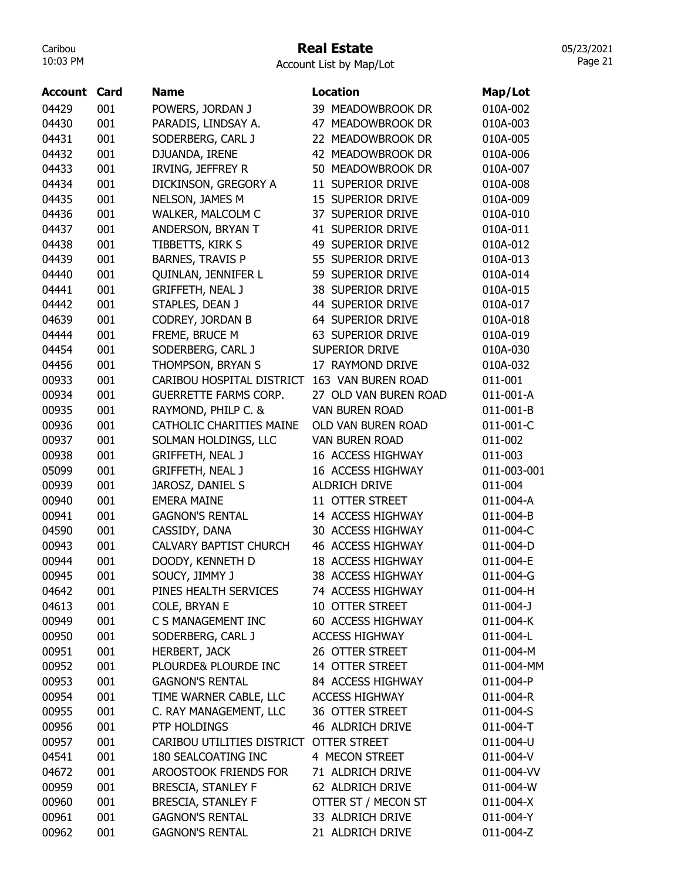#### Real Estate

Account List by Map/Lot

| <b>Account Card</b> |     | <b>Name</b>                             | <b>Location</b>       | Map/Lot         |
|---------------------|-----|-----------------------------------------|-----------------------|-----------------|
| 04429               | 001 | POWERS, JORDAN J                        | 39 MEADOWBROOK DR     | 010A-002        |
| 04430               | 001 | PARADIS, LINDSAY A.                     | 47 MEADOWBROOK DR     | 010A-003        |
| 04431               | 001 | SODERBERG, CARL J                       | 22 MEADOWBROOK DR     | 010A-005        |
| 04432               | 001 | DJUANDA, IRENE                          | 42 MEADOWBROOK DR     | 010A-006        |
| 04433               | 001 | IRVING, JEFFREY R                       | 50 MEADOWBROOK DR     | 010A-007        |
| 04434               | 001 | DICKINSON, GREGORY A                    | 11 SUPERIOR DRIVE     | 010A-008        |
| 04435               | 001 | NELSON, JAMES M                         | 15 SUPERIOR DRIVE     | 010A-009        |
| 04436               | 001 | WALKER, MALCOLM C                       | 37 SUPERIOR DRIVE     | 010A-010        |
| 04437               | 001 | ANDERSON, BRYAN T                       | 41 SUPERIOR DRIVE     | 010A-011        |
| 04438               | 001 | TIBBETTS, KIRK S                        | 49 SUPERIOR DRIVE     | 010A-012        |
| 04439               | 001 | <b>BARNES, TRAVIS P</b>                 | 55 SUPERIOR DRIVE     | 010A-013        |
| 04440               | 001 | QUINLAN, JENNIFER L                     | 59 SUPERIOR DRIVE     | 010A-014        |
| 04441               | 001 | <b>GRIFFETH, NEAL J</b>                 | 38 SUPERIOR DRIVE     | 010A-015        |
| 04442               | 001 | STAPLES, DEAN J                         | 44 SUPERIOR DRIVE     | 010A-017        |
| 04639               | 001 | CODREY, JORDAN B                        | 64 SUPERIOR DRIVE     | 010A-018        |
| 04444               | 001 | FREME, BRUCE M                          | 63 SUPERIOR DRIVE     | 010A-019        |
| 04454               | 001 | SODERBERG, CARL J                       | <b>SUPERIOR DRIVE</b> | 010A-030        |
| 04456               | 001 | THOMPSON, BRYAN S                       | 17 RAYMOND DRIVE      | 010A-032        |
| 00933               | 001 | CARIBOU HOSPITAL DISTRICT               | 163 VAN BUREN ROAD    | 011-001         |
| 00934               | 001 | <b>GUERRETTE FARMS CORP.</b>            | 27 OLD VAN BUREN ROAD | 011-001-A       |
| 00935               | 001 |                                         | <b>VAN BUREN ROAD</b> | 011-001-B       |
|                     |     | RAYMOND, PHILP C. &                     | OLD VAN BUREN ROAD    |                 |
| 00936               | 001 | <b>CATHOLIC CHARITIES MAINE</b>         |                       | 011-001-C       |
| 00937               | 001 | SOLMAN HOLDINGS, LLC                    | <b>VAN BUREN ROAD</b> | 011-002         |
| 00938               | 001 | <b>GRIFFETH, NEAL J</b>                 | 16 ACCESS HIGHWAY     | 011-003         |
| 05099               | 001 | <b>GRIFFETH, NEAL J</b>                 | 16 ACCESS HIGHWAY     | 011-003-001     |
| 00939               | 001 | JAROSZ, DANIEL S                        | <b>ALDRICH DRIVE</b>  | 011-004         |
| 00940               | 001 | <b>EMERA MAINE</b>                      | 11 OTTER STREET       | 011-004-A       |
| 00941               | 001 | <b>GAGNON'S RENTAL</b>                  | 14 ACCESS HIGHWAY     | 011-004-B       |
| 04590               | 001 | CASSIDY, DANA                           | 30 ACCESS HIGHWAY     | 011-004-C       |
| 00943               | 001 | <b>CALVARY BAPTIST CHURCH</b>           | 46 ACCESS HIGHWAY     | 011-004-D       |
| 00944               | 001 | DOODY, KENNETH D                        | 18 ACCESS HIGHWAY     | 011-004-E       |
| 00945               | 001 | SOUCY, JIMMY J                          | 38 ACCESS HIGHWAY     | 011-004-G       |
| 04642               | 001 | PINES HEALTH SERVICES                   | 74 ACCESS HIGHWAY     | 011-004-H       |
| 04613               | 001 | COLE, BRYAN E                           | 10 OTTER STREET       | $011 - 004 - J$ |
| 00949               | 001 | C S MANAGEMENT INC                      | 60 ACCESS HIGHWAY     | 011-004-K       |
| 00950               | 001 | SODERBERG, CARL J                       | <b>ACCESS HIGHWAY</b> | 011-004-L       |
| 00951               | 001 | <b>HERBERT, JACK</b>                    | 26 OTTER STREET       | 011-004-M       |
| 00952               | 001 | PLOURDE& PLOURDE INC                    | 14 OTTER STREET       | 011-004-MM      |
| 00953               | 001 | <b>GAGNON'S RENTAL</b>                  | 84 ACCESS HIGHWAY     | 011-004-P       |
| 00954               | 001 | TIME WARNER CABLE, LLC                  | <b>ACCESS HIGHWAY</b> | 011-004-R       |
| 00955               | 001 | C. RAY MANAGEMENT, LLC                  | 36 OTTER STREET       | 011-004-S       |
| 00956               | 001 | PTP HOLDINGS                            | 46 ALDRICH DRIVE      | 011-004-T       |
| 00957               | 001 | CARIBOU UTILITIES DISTRICT OTTER STREET |                       | 011-004-U       |
| 04541               | 001 | 180 SEALCOATING INC                     | 4 MECON STREET        | 011-004-V       |
| 04672               | 001 | AROOSTOOK FRIENDS FOR                   | 71 ALDRICH DRIVE      | 011-004-VV      |
| 00959               | 001 | BRESCIA, STANLEY F                      | 62 ALDRICH DRIVE      | 011-004-W       |
| 00960               | 001 | <b>BRESCIA, STANLEY F</b>               | OTTER ST / MECON ST   | 011-004-X       |
| 00961               | 001 | <b>GAGNON'S RENTAL</b>                  | 33 ALDRICH DRIVE      | 011-004-Y       |
| 00962               | 001 | <b>GAGNON'S RENTAL</b>                  | 21 ALDRICH DRIVE      | 011-004-Z       |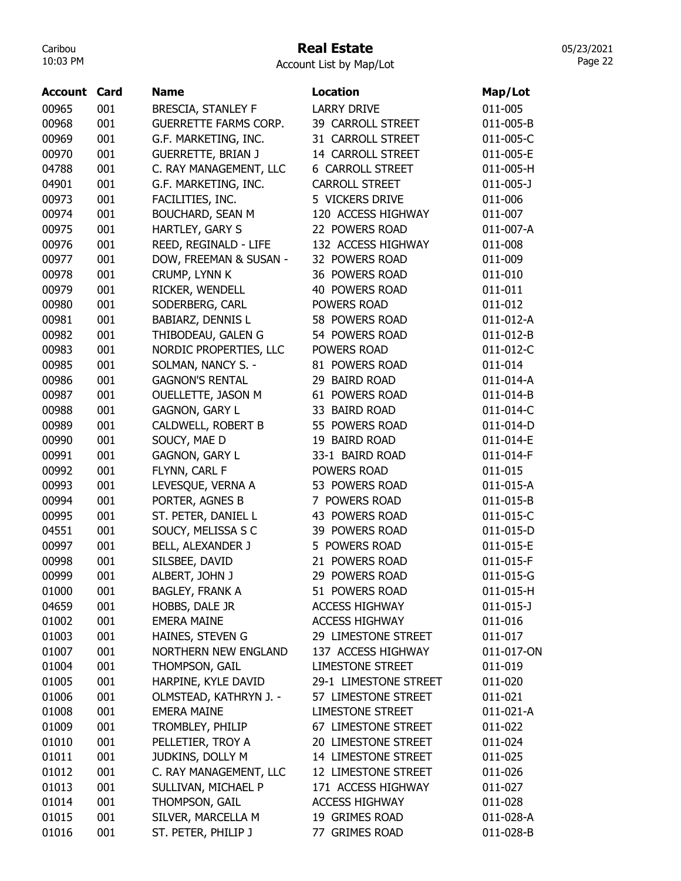## Real Estate

05/23/2021 Page 22

Account List by Map/Lot

| Account | Card | <b>Name</b>                  | <b>Location</b>         | Map/Lot         |
|---------|------|------------------------------|-------------------------|-----------------|
| 00965   | 001  | <b>BRESCIA, STANLEY F</b>    | <b>LARRY DRIVE</b>      | 011-005         |
| 00968   | 001  | <b>GUERRETTE FARMS CORP.</b> | 39 CARROLL STREET       | 011-005-B       |
| 00969   | 001  | G.F. MARKETING, INC.         | 31 CARROLL STREET       | 011-005-C       |
| 00970   | 001  | <b>GUERRETTE, BRIAN J</b>    | 14 CARROLL STREET       | 011-005-E       |
| 04788   | 001  | C. RAY MANAGEMENT, LLC       | <b>6 CARROLL STREET</b> | 011-005-H       |
| 04901   | 001  | G.F. MARKETING, INC.         | <b>CARROLL STREET</b>   | $011 - 005 - J$ |
| 00973   | 001  | FACILITIES, INC.             | 5 VICKERS DRIVE         | 011-006         |
| 00974   | 001  | <b>BOUCHARD, SEAN M</b>      | 120 ACCESS HIGHWAY      | 011-007         |
| 00975   | 001  | HARTLEY, GARY S              | 22 POWERS ROAD          | 011-007-A       |
| 00976   | 001  | REED, REGINALD - LIFE        | 132 ACCESS HIGHWAY      | 011-008         |
| 00977   | 001  | DOW, FREEMAN & SUSAN -       | 32 POWERS ROAD          | 011-009         |
| 00978   | 001  | CRUMP, LYNN K                | 36 POWERS ROAD          | 011-010         |
| 00979   | 001  | RICKER, WENDELL              | <b>40 POWERS ROAD</b>   | 011-011         |
| 00980   | 001  | SODERBERG, CARL              | POWERS ROAD             | 011-012         |
| 00981   | 001  | <b>BABIARZ, DENNIS L</b>     | 58 POWERS ROAD          | 011-012-A       |
| 00982   | 001  | THIBODEAU, GALEN G           | 54 POWERS ROAD          | 011-012-B       |
| 00983   | 001  | NORDIC PROPERTIES, LLC       | POWERS ROAD             | 011-012-C       |
| 00985   | 001  | SOLMAN, NANCY S. -           | 81 POWERS ROAD          | 011-014         |
| 00986   | 001  | <b>GAGNON'S RENTAL</b>       | 29 BAIRD ROAD           | 011-014-A       |
| 00987   | 001  | OUELLETTE, JASON M           | 61 POWERS ROAD          | 011-014-B       |
| 00988   | 001  | <b>GAGNON, GARY L</b>        | 33 BAIRD ROAD           | 011-014-C       |
| 00989   | 001  | CALDWELL, ROBERT B           | 55 POWERS ROAD          | 011-014-D       |
| 00990   | 001  | SOUCY, MAE D                 | 19 BAIRD ROAD           | 011-014-E       |
| 00991   | 001  | <b>GAGNON, GARY L</b>        | 33-1 BAIRD ROAD         | 011-014-F       |
| 00992   | 001  | FLYNN, CARL F                | POWERS ROAD             | 011-015         |
| 00993   | 001  | LEVESQUE, VERNA A            | 53 POWERS ROAD          | 011-015-A       |
| 00994   | 001  | PORTER, AGNES B              | 7 POWERS ROAD           | 011-015-B       |
| 00995   | 001  | ST. PETER, DANIEL L          | 43 POWERS ROAD          | 011-015-C       |
| 04551   | 001  | SOUCY, MELISSA S C           | 39 POWERS ROAD          | 011-015-D       |
| 00997   | 001  | BELL, ALEXANDER J            | 5 POWERS ROAD           | 011-015-E       |
| 00998   | 001  | SILSBEE, DAVID               | 21 POWERS ROAD          | 011-015-F       |
| 00999   | 001  | ALBERT, JOHN J               | 29 POWERS ROAD          | 011-015-G       |
|         |      |                              |                         |                 |
| 01000   | 001  | <b>BAGLEY, FRANK A</b>       | 51 POWERS ROAD          | 011-015-H       |
| 04659   | 001  | HOBBS, DALE JR               | <b>ACCESS HIGHWAY</b>   | $011 - 015 - J$ |
| 01002   | 001  | <b>EMERA MAINE</b>           | <b>ACCESS HIGHWAY</b>   | 011-016         |
| 01003   | 001  | HAINES, STEVEN G             | 29 LIMESTONE STREET     | 011-017         |
| 01007   | 001  | <b>NORTHERN NEW ENGLAND</b>  | 137 ACCESS HIGHWAY      | 011-017-ON      |
| 01004   | 001  | THOMPSON, GAIL               | <b>LIMESTONE STREET</b> | 011-019         |
| 01005   | 001  | HARPINE, KYLE DAVID          | 29-1 LIMESTONE STREET   | 011-020         |
| 01006   | 001  | OLMSTEAD, KATHRYN J. -       | 57 LIMESTONE STREET     | 011-021         |
| 01008   | 001  | <b>EMERA MAINE</b>           | <b>LIMESTONE STREET</b> | 011-021-A       |
| 01009   | 001  | TROMBLEY, PHILIP             | 67 LIMESTONE STREET     | 011-022         |
| 01010   | 001  | PELLETIER, TROY A            | 20 LIMESTONE STREET     | 011-024         |
| 01011   | 001  | JUDKINS, DOLLY M             | 14 LIMESTONE STREET     | 011-025         |
| 01012   | 001  | C. RAY MANAGEMENT, LLC       | 12 LIMESTONE STREET     | 011-026         |
| 01013   | 001  | SULLIVAN, MICHAEL P          | 171 ACCESS HIGHWAY      | 011-027         |
| 01014   | 001  | THOMPSON, GAIL               | <b>ACCESS HIGHWAY</b>   | 011-028         |
| 01015   | 001  | SILVER, MARCELLA M           | 19 GRIMES ROAD          | 011-028-A       |
| 01016   | 001  | ST. PETER, PHILIP J          | 77 GRIMES ROAD          | 011-028-B       |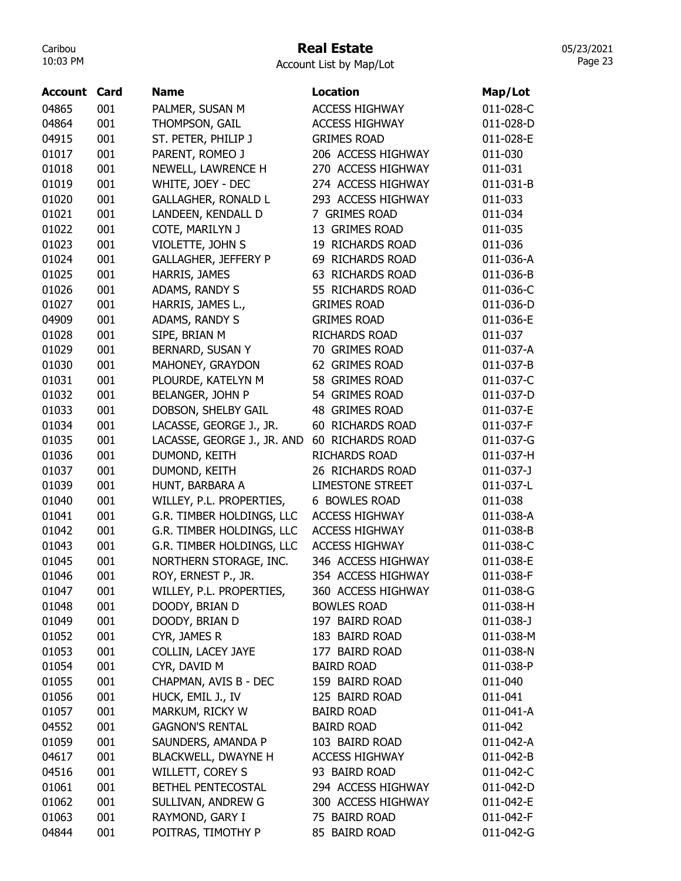## Real Estate

Account List by Map/Lot

| Account | Card | <b>Name</b>                 | <b>Location</b>         | Map/Lot         |
|---------|------|-----------------------------|-------------------------|-----------------|
| 04865   | 001  | PALMER, SUSAN M             | <b>ACCESS HIGHWAY</b>   | 011-028-C       |
| 04864   | 001  | THOMPSON, GAIL              | <b>ACCESS HIGHWAY</b>   | 011-028-D       |
| 04915   | 001  | ST. PETER, PHILIP J         | <b>GRIMES ROAD</b>      | 011-028-E       |
| 01017   | 001  | PARENT, ROMEO J             | 206 ACCESS HIGHWAY      | 011-030         |
| 01018   | 001  | NEWELL, LAWRENCE H          | 270 ACCESS HIGHWAY      | 011-031         |
| 01019   | 001  | WHITE, JOEY - DEC           | 274 ACCESS HIGHWAY      | 011-031-B       |
| 01020   | 001  | <b>GALLAGHER, RONALD L</b>  | 293 ACCESS HIGHWAY      | 011-033         |
| 01021   | 001  | LANDEEN, KENDALL D          | 7 GRIMES ROAD           | 011-034         |
| 01022   | 001  | COTE, MARILYN J             | 13 GRIMES ROAD          | 011-035         |
| 01023   | 001  | VIOLETTE, JOHN S            | 19 RICHARDS ROAD        | 011-036         |
| 01024   | 001  | <b>GALLAGHER, JEFFERY P</b> | 69 RICHARDS ROAD        | 011-036-A       |
| 01025   | 001  | HARRIS, JAMES               | 63 RICHARDS ROAD        | 011-036-B       |
| 01026   | 001  | ADAMS, RANDY S              | 55 RICHARDS ROAD        | 011-036-C       |
| 01027   | 001  | HARRIS, JAMES L.,           | <b>GRIMES ROAD</b>      | 011-036-D       |
| 04909   | 001  | ADAMS, RANDY S              | <b>GRIMES ROAD</b>      | 011-036-E       |
| 01028   | 001  | SIPE, BRIAN M               | <b>RICHARDS ROAD</b>    | 011-037         |
| 01029   | 001  | BERNARD, SUSAN Y            | 70 GRIMES ROAD          | 011-037-A       |
| 01030   | 001  | MAHONEY, GRAYDON            | 62 GRIMES ROAD          | 011-037-B       |
| 01031   | 001  | PLOURDE, KATELYN M          | 58 GRIMES ROAD          | 011-037-C       |
| 01032   | 001  | BELANGER, JOHN P            | 54 GRIMES ROAD          | 011-037-D       |
| 01033   | 001  | DOBSON, SHELBY GAIL         | 48 GRIMES ROAD          | 011-037-E       |
| 01034   | 001  | LACASSE, GEORGE J., JR.     | 60 RICHARDS ROAD        | 011-037-F       |
| 01035   | 001  | LACASSE, GEORGE J., JR. AND | 60 RICHARDS ROAD        | 011-037-G       |
| 01036   | 001  | DUMOND, KEITH               | <b>RICHARDS ROAD</b>    | 011-037-H       |
| 01037   | 001  | DUMOND, KEITH               | 26 RICHARDS ROAD        | $011-037-$      |
| 01039   | 001  | HUNT, BARBARA A             | <b>LIMESTONE STREET</b> | 011-037-L       |
| 01040   | 001  | WILLEY, P.L. PROPERTIES,    | 6 BOWLES ROAD           | 011-038         |
| 01041   | 001  | G.R. TIMBER HOLDINGS, LLC   | <b>ACCESS HIGHWAY</b>   | 011-038-A       |
| 01042   | 001  | G.R. TIMBER HOLDINGS, LLC   | <b>ACCESS HIGHWAY</b>   | 011-038-B       |
| 01043   | 001  | G.R. TIMBER HOLDINGS, LLC   | <b>ACCESS HIGHWAY</b>   | 011-038-C       |
| 01045   | 001  | NORTHERN STORAGE, INC.      | 346 ACCESS HIGHWAY      | 011-038-E       |
| 01046   | 001  | ROY, ERNEST P., JR.         | 354 ACCESS HIGHWAY      | 011-038-F       |
| 01047   | 001  | WILLEY, P.L. PROPERTIES,    | 360 ACCESS HIGHWAY      | 011-038-G       |
| 01048   | 001  | DOODY, BRIAN D              | <b>BOWLES ROAD</b>      | 011-038-H       |
| 01049   | 001  | DOODY, BRIAN D              | 197 BAIRD ROAD          | $011 - 038 - J$ |
| 01052   | 001  | CYR, JAMES R                | 183 BAIRD ROAD          | 011-038-M       |
| 01053   | 001  | COLLIN, LACEY JAYE          | 177 BAIRD ROAD          | 011-038-N       |
| 01054   | 001  | CYR, DAVID M                | <b>BAIRD ROAD</b>       | 011-038-P       |
| 01055   | 001  | CHAPMAN, AVIS B - DEC       | 159 BAIRD ROAD          | 011-040         |
| 01056   | 001  | HUCK, EMIL J., IV           | 125 BAIRD ROAD          | 011-041         |
| 01057   | 001  | MARKUM, RICKY W             | <b>BAIRD ROAD</b>       | 011-041-A       |
| 04552   | 001  | <b>GAGNON'S RENTAL</b>      | <b>BAIRD ROAD</b>       | 011-042         |
| 01059   | 001  | SAUNDERS, AMANDA P          | 103 BAIRD ROAD          | 011-042-A       |
| 04617   | 001  | <b>BLACKWELL, DWAYNE H</b>  | <b>ACCESS HIGHWAY</b>   | 011-042-B       |
| 04516   | 001  | WILLETT, COREY S            | 93 BAIRD ROAD           | 011-042-C       |
| 01061   | 001  | BETHEL PENTECOSTAL          | 294 ACCESS HIGHWAY      | 011-042-D       |
| 01062   | 001  | SULLIVAN, ANDREW G          | 300 ACCESS HIGHWAY      | 011-042-E       |
| 01063   | 001  | RAYMOND, GARY I             | 75 BAIRD ROAD           | 011-042-F       |
| 04844   | 001  | POITRAS, TIMOTHY P          | 85 BAIRD ROAD           | 011-042-G       |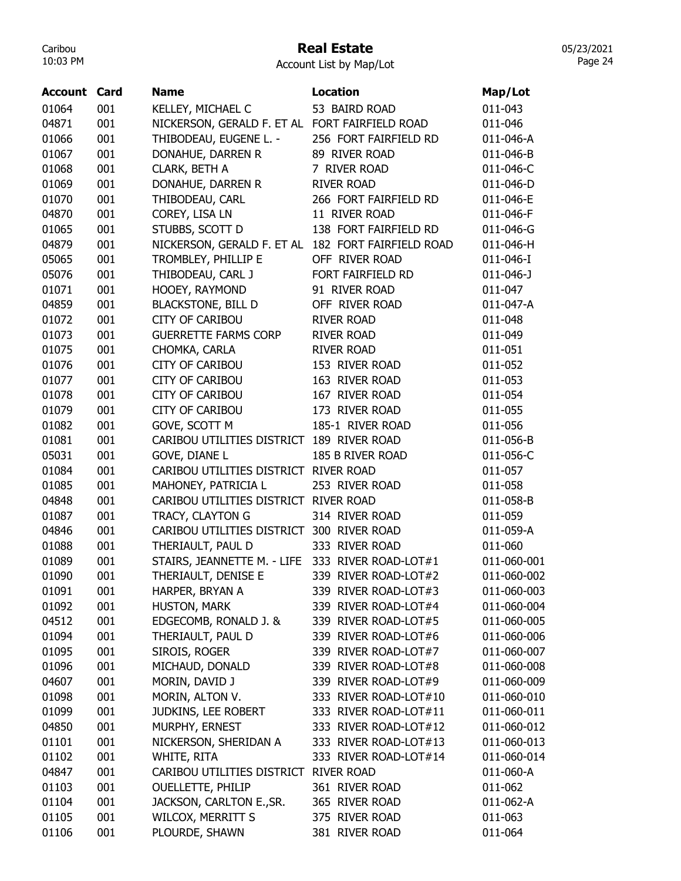## Real Estate

Account List by Map/Lot

| <b>Account Card</b> |            | <b>Name</b>                                          | <b>Location</b>       | Map/Lot                  |
|---------------------|------------|------------------------------------------------------|-----------------------|--------------------------|
| 01064               | 001        | KELLEY, MICHAEL C                                    | 53 BAIRD ROAD         | 011-043                  |
| 04871               | 001        | NICKERSON, GERALD F. ET AL FORT FAIRFIELD ROAD       |                       | 011-046                  |
| 01066               | 001        | THIBODEAU, EUGENE L. -                               | 256 FORT FAIRFIELD RD | 011-046-A                |
| 01067               | 001        | DONAHUE, DARREN R                                    | 89 RIVER ROAD         | 011-046-B                |
| 01068               | 001        | CLARK, BETH A                                        | 7 RIVER ROAD          | 011-046-C                |
| 01069               | 001        | DONAHUE, DARREN R                                    | <b>RIVER ROAD</b>     | 011-046-D                |
| 01070               | 001        | THIBODEAU, CARL                                      | 266 FORT FAIRFIELD RD | 011-046-E                |
| 04870               | 001        | COREY, LISA LN                                       | 11 RIVER ROAD         | 011-046-F                |
| 01065               | 001        | STUBBS, SCOTT D                                      | 138 FORT FAIRFIELD RD | 011-046-G                |
| 04879               | 001        | NICKERSON, GERALD F. ET AL 182 FORT FAIRFIELD ROAD   |                       | 011-046-H                |
| 05065               | 001        | TROMBLEY, PHILLIP E                                  | OFF RIVER ROAD        | 011-046-I                |
| 05076               | 001        | THIBODEAU, CARL J                                    | FORT FAIRFIELD RD     | 011-046-J                |
| 01071               | 001        | HOOEY, RAYMOND                                       | 91 RIVER ROAD         | 011-047                  |
| 04859               | 001        | <b>BLACKSTONE, BILL D</b>                            | OFF RIVER ROAD        | 011-047-A                |
| 01072               | 001        | <b>CITY OF CARIBOU</b>                               | <b>RIVER ROAD</b>     | 011-048                  |
| 01073               | 001        | <b>GUERRETTE FARMS CORP</b>                          | <b>RIVER ROAD</b>     | 011-049                  |
| 01075               | 001        | CHOMKA, CARLA                                        | <b>RIVER ROAD</b>     | 011-051                  |
| 01076               | 001        | <b>CITY OF CARIBOU</b>                               | 153 RIVER ROAD        | 011-052                  |
| 01077               | 001        | <b>CITY OF CARIBOU</b>                               | 163 RIVER ROAD        | 011-053                  |
| 01078               | 001        | <b>CITY OF CARIBOU</b>                               | 167 RIVER ROAD        | 011-054                  |
| 01079               | 001        | <b>CITY OF CARIBOU</b>                               | 173 RIVER ROAD        | 011-055                  |
| 01082               | 001        | GOVE, SCOTT M                                        | 185-1 RIVER ROAD      | 011-056                  |
| 01081               | 001        | CARIBOU UTILITIES DISTRICT 189 RIVER ROAD            |                       | 011-056-B                |
| 05031               | 001        | GOVE, DIANE L                                        | 185 B RIVER ROAD      | 011-056-C                |
| 01084               | 001        | CARIBOU UTILITIES DISTRICT RIVER ROAD                |                       | 011-057                  |
| 01085               | 001        | MAHONEY, PATRICIA L                                  | 253 RIVER ROAD        | 011-058                  |
| 04848               | 001        | CARIBOU UTILITIES DISTRICT RIVER ROAD                |                       | 011-058-B                |
| 01087               | 001        | TRACY, CLAYTON G                                     | 314 RIVER ROAD        | 011-059                  |
| 04846               | 001        | CARIBOU UTILITIES DISTRICT 300 RIVER ROAD            |                       | 011-059-A                |
| 01088               | 001        | THERIAULT, PAUL D                                    | 333 RIVER ROAD        | 011-060                  |
| 01089               | 001        | STAIRS, JEANNETTE M. - LIFE 333 RIVER ROAD-LOT#1     |                       | 011-060-001              |
| 01090               | 001        | THERIAULT, DENISE E                                  | 339 RIVER ROAD-LOT#2  | 011-060-002              |
| 01091               | 001        | HARPER, BRYAN A                                      | 339 RIVER ROAD-LOT#3  | 011-060-003              |
| 01092               | 001        | HUSTON, MARK                                         | 339 RIVER ROAD-LOT#4  | 011-060-004              |
| 04512               | 001        | EDGECOMB, RONALD J. &                                | 339 RIVER ROAD-LOT#5  | 011-060-005              |
| 01094               | 001        | THERIAULT, PAUL D                                    | 339 RIVER ROAD-LOT#6  | 011-060-006              |
| 01095               | 001        | SIROIS, ROGER                                        | 339 RIVER ROAD-LOT#7  | 011-060-007              |
| 01096               | 001        | MICHAUD, DONALD                                      | 339 RIVER ROAD-LOT#8  | 011-060-008              |
| 04607               | 001        | MORIN, DAVID J                                       | 339 RIVER ROAD-LOT#9  | 011-060-009              |
| 01098               | 001        | MORIN, ALTON V.                                      | 333 RIVER ROAD-LOT#10 | 011-060-010              |
| 01099               | 001        | JUDKINS, LEE ROBERT                                  | 333 RIVER ROAD-LOT#11 | 011-060-011              |
| 04850               | 001        | MURPHY, ERNEST                                       | 333 RIVER ROAD-LOT#12 | 011-060-012              |
| 01101               | 001        |                                                      | 333 RIVER ROAD-LOT#13 | 011-060-013              |
|                     |            | NICKERSON, SHERIDAN A                                |                       |                          |
| 01102<br>04847      | 001        | WHITE, RITA<br>CARIBOU UTILITIES DISTRICT RIVER ROAD | 333 RIVER ROAD-LOT#14 | 011-060-014<br>011-060-A |
|                     | 001<br>001 | <b>OUELLETTE, PHILIP</b>                             | 361 RIVER ROAD        |                          |
| 01103<br>01104      | 001        | JACKSON, CARLTON E., SR.                             | 365 RIVER ROAD        | 011-062                  |
|                     | 001        |                                                      |                       | 011-062-A                |
| 01105               |            | WILCOX, MERRITT S                                    | 375 RIVER ROAD        | 011-063                  |
| 01106               | 001        | PLOURDE, SHAWN                                       | 381 RIVER ROAD        | 011-064                  |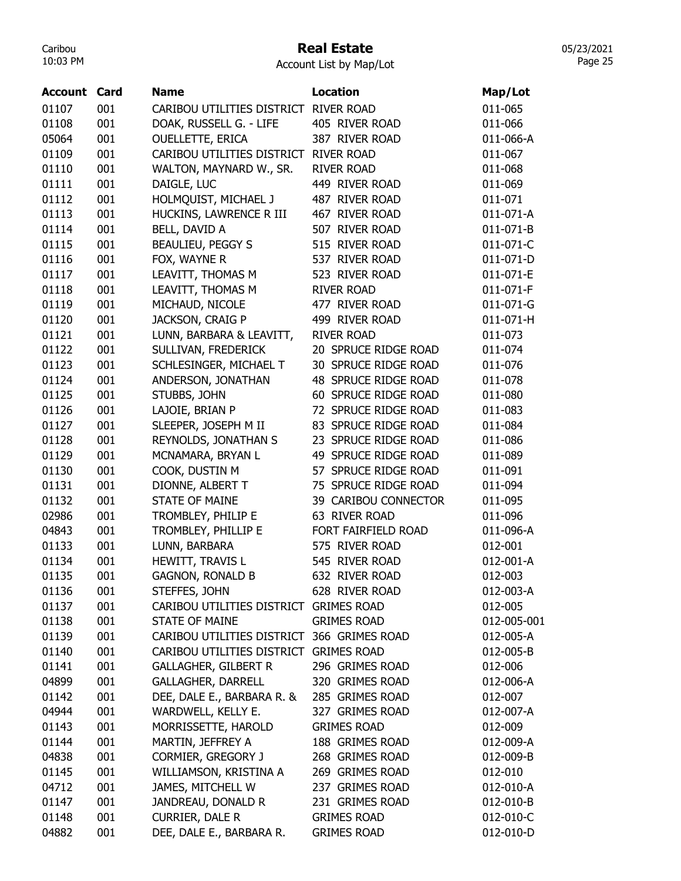# Real Estate

Account List by Map/Lot

| <b>Account Card</b> |     | <b>Name</b>                                | <b>Location</b>      | Map/Lot     |
|---------------------|-----|--------------------------------------------|----------------------|-------------|
| 01107               | 001 | CARIBOU UTILITIES DISTRICT                 | <b>RIVER ROAD</b>    | 011-065     |
| 01108               | 001 | DOAK, RUSSELL G. - LIFE                    | 405 RIVER ROAD       | 011-066     |
| 05064               | 001 | <b>OUELLETTE, ERICA</b>                    | 387 RIVER ROAD       | 011-066-A   |
| 01109               | 001 | CARIBOU UTILITIES DISTRICT                 | <b>RIVER ROAD</b>    | 011-067     |
| 01110               | 001 | WALTON, MAYNARD W., SR.                    | <b>RIVER ROAD</b>    | 011-068     |
| 01111               | 001 | DAIGLE, LUC                                | 449 RIVER ROAD       | 011-069     |
| 01112               | 001 | HOLMQUIST, MICHAEL J                       | 487 RIVER ROAD       | 011-071     |
| 01113               | 001 | HUCKINS, LAWRENCE R III                    | 467 RIVER ROAD       | 011-071-A   |
| 01114               | 001 | BELL, DAVID A                              | 507 RIVER ROAD       | 011-071-B   |
| 01115               | 001 | <b>BEAULIEU, PEGGY S</b>                   | 515 RIVER ROAD       | 011-071-C   |
| 01116               | 001 | FOX, WAYNE R                               | 537 RIVER ROAD       | 011-071-D   |
| 01117               | 001 | LEAVITT, THOMAS M                          | 523 RIVER ROAD       | 011-071-E   |
| 01118               | 001 | LEAVITT, THOMAS M                          | <b>RIVER ROAD</b>    | 011-071-F   |
| 01119               | 001 | MICHAUD, NICOLE                            | 477 RIVER ROAD       | 011-071-G   |
| 01120               | 001 | JACKSON, CRAIG P                           | 499 RIVER ROAD       | 011-071-H   |
| 01121               | 001 | LUNN, BARBARA & LEAVITT,                   | <b>RIVER ROAD</b>    | 011-073     |
| 01122               | 001 | SULLIVAN, FREDERICK                        | 20 SPRUCE RIDGE ROAD | 011-074     |
| 01123               | 001 | SCHLESINGER, MICHAEL T                     | 30 SPRUCE RIDGE ROAD | 011-076     |
| 01124               | 001 | ANDERSON, JONATHAN                         | 48 SPRUCE RIDGE ROAD | 011-078     |
| 01125               | 001 | STUBBS, JOHN                               | 60 SPRUCE RIDGE ROAD | 011-080     |
| 01126               | 001 | LAJOIE, BRIAN P                            | 72 SPRUCE RIDGE ROAD | 011-083     |
| 01127               | 001 | SLEEPER, JOSEPH M II                       | 83 SPRUCE RIDGE ROAD | 011-084     |
| 01128               | 001 | REYNOLDS, JONATHAN S                       | 23 SPRUCE RIDGE ROAD | 011-086     |
| 01129               | 001 | MCNAMARA, BRYAN L                          | 49 SPRUCE RIDGE ROAD | 011-089     |
| 01130               | 001 | COOK, DUSTIN M                             | 57 SPRUCE RIDGE ROAD | 011-091     |
| 01131               | 001 | DIONNE, ALBERT T                           | 75 SPRUCE RIDGE ROAD | 011-094     |
| 01132               | 001 | <b>STATE OF MAINE</b>                      | 39 CARIBOU CONNECTOR | 011-095     |
| 02986               | 001 | TROMBLEY, PHILIP E                         | 63 RIVER ROAD        | 011-096     |
| 04843               | 001 | TROMBLEY, PHILLIP E                        | FORT FAIRFIELD ROAD  | 011-096-A   |
| 01133               | 001 | LUNN, BARBARA                              | 575 RIVER ROAD       | 012-001     |
| 01134               | 001 | HEWITT, TRAVIS L                           | 545 RIVER ROAD       | 012-001-A   |
| 01135               | 001 | <b>GAGNON, RONALD B</b>                    | 632 RIVER ROAD       | 012-003     |
| 01136               | 001 | STEFFES, JOHN                              | 628 RIVER ROAD       | 012-003-A   |
| 01137               | 001 | CARIBOU UTILITIES DISTRICT GRIMES ROAD     |                      | 012-005     |
| 01138               | 001 | <b>STATE OF MAINE</b>                      | <b>GRIMES ROAD</b>   | 012-005-001 |
| 01139               | 001 | CARIBOU UTILITIES DISTRICT 366 GRIMES ROAD |                      | 012-005-A   |
| 01140               | 001 | CARIBOU UTILITIES DISTRICT GRIMES ROAD     |                      | 012-005-B   |
| 01141               | 001 | <b>GALLAGHER, GILBERT R</b>                | 296 GRIMES ROAD      | 012-006     |
| 04899               | 001 | <b>GALLAGHER, DARRELL</b>                  | 320 GRIMES ROAD      | 012-006-A   |
| 01142               | 001 | DEE, DALE E., BARBARA R. &                 | 285 GRIMES ROAD      | 012-007     |
| 04944               | 001 | WARDWELL, KELLY E.                         | 327 GRIMES ROAD      | 012-007-A   |
| 01143               | 001 | MORRISSETTE, HAROLD                        | <b>GRIMES ROAD</b>   | 012-009     |
| 01144               | 001 | MARTIN, JEFFREY A                          | 188 GRIMES ROAD      | 012-009-A   |
| 04838               | 001 | CORMIER, GREGORY J                         | 268 GRIMES ROAD      | 012-009-B   |
| 01145               | 001 | WILLIAMSON, KRISTINA A                     | 269 GRIMES ROAD      | 012-010     |
| 04712               | 001 | JAMES, MITCHELL W                          | 237 GRIMES ROAD      | 012-010-A   |
| 01147               | 001 | JANDREAU, DONALD R                         | 231 GRIMES ROAD      | 012-010-B   |
| 01148               | 001 | CURRIER, DALE R                            | <b>GRIMES ROAD</b>   | 012-010-C   |
| 04882               | 001 | DEE, DALE E., BARBARA R.                   | <b>GRIMES ROAD</b>   | 012-010-D   |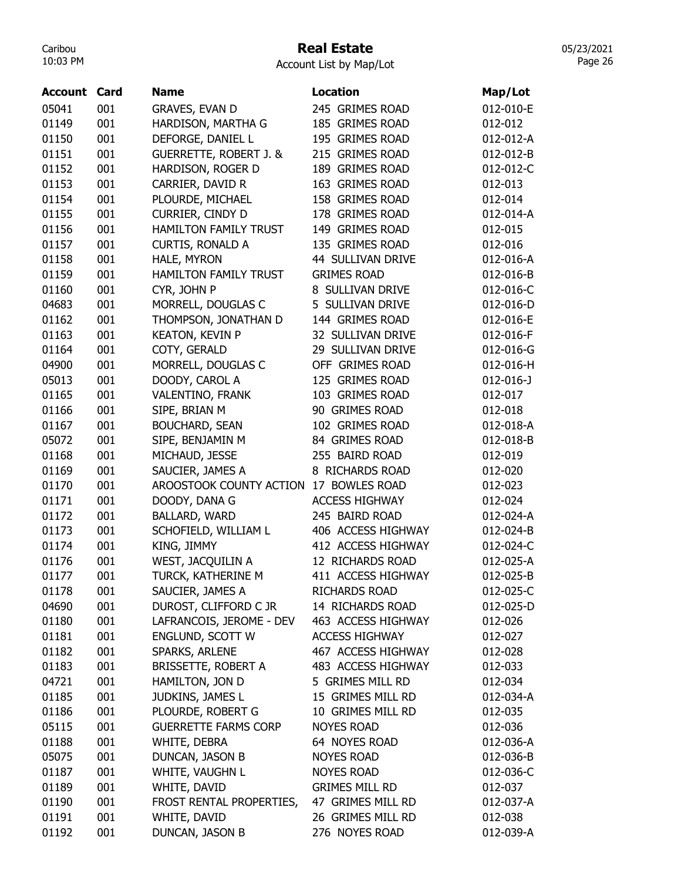### Real Estate

Account List by Map/Lot

| <b>Account Card</b> |     | <b>Name</b>                       | <b>Location</b>       | Map/Lot         |
|---------------------|-----|-----------------------------------|-----------------------|-----------------|
| 05041               | 001 | <b>GRAVES, EVAN D</b>             | 245 GRIMES ROAD       | 012-010-E       |
| 01149               | 001 | HARDISON, MARTHA G                | 185 GRIMES ROAD       | 012-012         |
| 01150               | 001 | DEFORGE, DANIEL L                 | 195 GRIMES ROAD       | 012-012-A       |
| 01151               | 001 | <b>GUERRETTE, ROBERT J. &amp;</b> | 215 GRIMES ROAD       | 012-012-B       |
| 01152               | 001 | HARDISON, ROGER D                 | 189 GRIMES ROAD       | 012-012-C       |
| 01153               | 001 | CARRIER, DAVID R                  | 163 GRIMES ROAD       | 012-013         |
| 01154               | 001 | PLOURDE, MICHAEL                  | 158 GRIMES ROAD       | 012-014         |
| 01155               | 001 | CURRIER, CINDY D                  | 178 GRIMES ROAD       | 012-014-A       |
| 01156               | 001 | HAMILTON FAMILY TRUST             | 149 GRIMES ROAD       | 012-015         |
| 01157               | 001 | CURTIS, RONALD A                  | 135 GRIMES ROAD       | 012-016         |
| 01158               | 001 | HALE, MYRON                       | 44 SULLIVAN DRIVE     | 012-016-A       |
| 01159               | 001 | <b>HAMILTON FAMILY TRUST</b>      | <b>GRIMES ROAD</b>    | 012-016-B       |
| 01160               | 001 | CYR, JOHN P                       | 8 SULLIVAN DRIVE      | 012-016-C       |
| 04683               | 001 | MORRELL, DOUGLAS C                | 5 SULLIVAN DRIVE      | 012-016-D       |
| 01162               | 001 | THOMPSON, JONATHAN D              | 144 GRIMES ROAD       | 012-016-E       |
| 01163               | 001 | <b>KEATON, KEVIN P</b>            | 32 SULLIVAN DRIVE     | 012-016-F       |
| 01164               | 001 | COTY, GERALD                      | 29 SULLIVAN DRIVE     | 012-016-G       |
| 04900               | 001 | MORRELL, DOUGLAS C                | OFF GRIMES ROAD       | 012-016-H       |
| 05013               | 001 | DOODY, CAROL A                    | 125 GRIMES ROAD       | $012 - 016 - J$ |
| 01165               | 001 | VALENTINO, FRANK                  | 103 GRIMES ROAD       | 012-017         |
| 01166               | 001 | SIPE, BRIAN M                     | 90 GRIMES ROAD        | 012-018         |
| 01167               | 001 | <b>BOUCHARD, SEAN</b>             | 102 GRIMES ROAD       | 012-018-A       |
| 05072               | 001 | SIPE, BENJAMIN M                  | 84 GRIMES ROAD        | 012-018-B       |
| 01168               | 001 | MICHAUD, JESSE                    | 255 BAIRD ROAD        | 012-019         |
| 01169               | 001 | SAUCIER, JAMES A                  | 8 RICHARDS ROAD       | 012-020         |
| 01170               | 001 | AROOSTOOK COUNTY ACTION           | 17 BOWLES ROAD        | 012-023         |
| 01171               | 001 | DOODY, DANA G                     | <b>ACCESS HIGHWAY</b> | 012-024         |
| 01172               | 001 | BALLARD, WARD                     | 245 BAIRD ROAD        | 012-024-A       |
| 01173               | 001 | SCHOFIELD, WILLIAM L              | 406 ACCESS HIGHWAY    | 012-024-B       |
| 01174               | 001 | KING, JIMMY                       | 412 ACCESS HIGHWAY    | 012-024-C       |
| 01176               | 001 | WEST, JACQUILIN A                 | 12 RICHARDS ROAD      | 012-025-A       |
| 01177               | 001 | TURCK, KATHERINE M                | 411 ACCESS HIGHWAY    | 012-025-B       |
| 01178               | 001 | SAUCIER, JAMES A                  | RICHARDS ROAD         | 012-025-C       |
| 04690               | 001 | DUROST, CLIFFORD C JR             | 14 RICHARDS ROAD      | 012-025-D       |
| 01180               | 001 | LAFRANCOIS, JEROME - DEV          | 463 ACCESS HIGHWAY    | 012-026         |
| 01181               | 001 | ENGLUND, SCOTT W                  | <b>ACCESS HIGHWAY</b> | 012-027         |
| 01182               | 001 | SPARKS, ARLENE                    | 467 ACCESS HIGHWAY    | 012-028         |
| 01183               | 001 | BRISSETTE, ROBERT A               | 483 ACCESS HIGHWAY    | 012-033         |
| 04721               | 001 | HAMILTON, JON D                   | 5 GRIMES MILL RD      | 012-034         |
| 01185               | 001 | JUDKINS, JAMES L                  | 15 GRIMES MILL RD     | 012-034-A       |
| 01186               | 001 | PLOURDE, ROBERT G                 | 10 GRIMES MILL RD     | 012-035         |
| 05115               | 001 | <b>GUERRETTE FARMS CORP</b>       | <b>NOYES ROAD</b>     | 012-036         |
| 01188               | 001 | WHITE, DEBRA                      | 64 NOYES ROAD         | 012-036-A       |
| 05075               | 001 | DUNCAN, JASON B                   | <b>NOYES ROAD</b>     | 012-036-B       |
| 01187               | 001 | WHITE, VAUGHN L                   | <b>NOYES ROAD</b>     | 012-036-C       |
| 01189               | 001 | WHITE, DAVID                      | <b>GRIMES MILL RD</b> | 012-037         |
| 01190               | 001 | FROST RENTAL PROPERTIES,          | 47 GRIMES MILL RD     | 012-037-A       |
| 01191               | 001 | WHITE, DAVID                      | 26 GRIMES MILL RD     | 012-038         |
| 01192               | 001 | DUNCAN, JASON B                   | 276 NOYES ROAD        | 012-039-A       |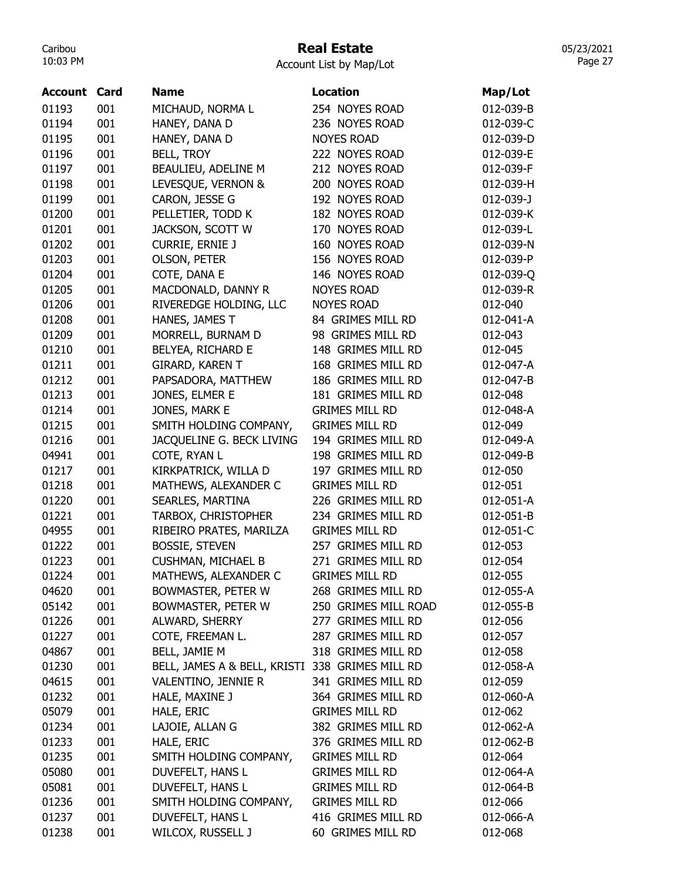## Real Estate

Account List by Map/Lot

| Account | Card | <b>Name</b>                                     | <b>Location</b>       | Map/Lot   |
|---------|------|-------------------------------------------------|-----------------------|-----------|
| 01193   | 001  | MICHAUD, NORMA L                                | 254 NOYES ROAD        | 012-039-B |
| 01194   | 001  | HANEY, DANA D                                   | 236 NOYES ROAD        | 012-039-C |
| 01195   | 001  | HANEY, DANA D                                   | <b>NOYES ROAD</b>     | 012-039-D |
| 01196   | 001  | <b>BELL, TROY</b>                               | 222 NOYES ROAD        | 012-039-E |
| 01197   | 001  | BEAULIEU, ADELINE M                             | 212 NOYES ROAD        | 012-039-F |
| 01198   | 001  | LEVESQUE, VERNON &                              | 200 NOYES ROAD        | 012-039-H |
| 01199   | 001  | CARON, JESSE G                                  | 192 NOYES ROAD        | 012-039-J |
| 01200   | 001  | PELLETIER, TODD K                               | 182 NOYES ROAD        | 012-039-K |
| 01201   | 001  | JACKSON, SCOTT W                                | 170 NOYES ROAD        | 012-039-L |
| 01202   | 001  | <b>CURRIE, ERNIE J</b>                          | 160 NOYES ROAD        | 012-039-N |
| 01203   | 001  | <b>OLSON, PETER</b>                             | 156 NOYES ROAD        | 012-039-P |
| 01204   | 001  | COTE, DANA E                                    | 146 NOYES ROAD        | 012-039-Q |
| 01205   | 001  | MACDONALD, DANNY R                              | <b>NOYES ROAD</b>     | 012-039-R |
| 01206   | 001  | RIVEREDGE HOLDING, LLC                          | <b>NOYES ROAD</b>     | 012-040   |
| 01208   | 001  | HANES, JAMES T                                  | 84 GRIMES MILL RD     | 012-041-A |
| 01209   | 001  | MORRELL, BURNAM D                               | 98 GRIMES MILL RD     | 012-043   |
| 01210   | 001  | BELYEA, RICHARD E                               | 148 GRIMES MILL RD    | 012-045   |
| 01211   | 001  | GIRARD, KAREN T                                 | 168 GRIMES MILL RD    | 012-047-A |
| 01212   | 001  | PAPSADORA, MATTHEW                              | 186 GRIMES MILL RD    | 012-047-B |
| 01213   | 001  | JONES, ELMER E                                  | 181 GRIMES MILL RD    | 012-048   |
| 01214   | 001  | JONES, MARK E                                   | <b>GRIMES MILL RD</b> | 012-048-A |
| 01215   | 001  | SMITH HOLDING COMPANY,                          | <b>GRIMES MILL RD</b> | 012-049   |
| 01216   | 001  | JACQUELINE G. BECK LIVING                       | 194 GRIMES MILL RD    | 012-049-A |
| 04941   | 001  | COTE, RYAN L                                    | 198 GRIMES MILL RD    | 012-049-B |
| 01217   | 001  | KIRKPATRICK, WILLA D                            | 197 GRIMES MILL RD    | 012-050   |
| 01218   | 001  | MATHEWS, ALEXANDER C                            | <b>GRIMES MILL RD</b> | 012-051   |
| 01220   | 001  | SEARLES, MARTINA                                | 226 GRIMES MILL RD    | 012-051-A |
| 01221   | 001  | TARBOX, CHRISTOPHER                             | 234 GRIMES MILL RD    | 012-051-B |
| 04955   | 001  | RIBEIRO PRATES, MARILZA                         | <b>GRIMES MILL RD</b> | 012-051-C |
| 01222   | 001  | <b>BOSSIE, STEVEN</b>                           | 257 GRIMES MILL RD    | 012-053   |
| 01223   | 001  | <b>CUSHMAN, MICHAEL B</b>                       | 271 GRIMES MILL RD    | 012-054   |
| 01224   | 001  | MATHEWS, ALEXANDER C                            | <b>GRIMES MILL RD</b> | 012-055   |
| 04620   | 001  | BOWMASTER, PETER W                              | 268 GRIMES MILL RD    | 012-055-A |
| 05142   | 001  | BOWMASTER, PETER W                              | 250 GRIMES MILL ROAD  | 012-055-B |
| 01226   | 001  | ALWARD, SHERRY                                  | 277 GRIMES MILL RD    | 012-056   |
| 01227   | 001  | COTE, FREEMAN L.                                | 287 GRIMES MILL RD    | 012-057   |
| 04867   | 001  | BELL, JAMIE M                                   | 318 GRIMES MILL RD    | 012-058   |
| 01230   | 001  | BELL, JAMES A & BELL, KRISTI 338 GRIMES MILL RD |                       | 012-058-A |
| 04615   | 001  | VALENTINO, JENNIE R                             | 341 GRIMES MILL RD    | 012-059   |
| 01232   | 001  | HALE, MAXINE J                                  | 364 GRIMES MILL RD    | 012-060-A |
| 05079   | 001  | HALE, ERIC                                      | <b>GRIMES MILL RD</b> | 012-062   |
| 01234   | 001  | LAJOIE, ALLAN G                                 | 382 GRIMES MILL RD    | 012-062-A |
| 01233   | 001  | HALE, ERIC                                      | 376 GRIMES MILL RD    | 012-062-B |
| 01235   | 001  | SMITH HOLDING COMPANY,                          | <b>GRIMES MILL RD</b> | 012-064   |
| 05080   | 001  | DUVEFELT, HANS L                                | <b>GRIMES MILL RD</b> | 012-064-A |
| 05081   | 001  | DUVEFELT, HANS L                                | <b>GRIMES MILL RD</b> | 012-064-B |
| 01236   | 001  | SMITH HOLDING COMPANY,                          | <b>GRIMES MILL RD</b> | 012-066   |
| 01237   | 001  | DUVEFELT, HANS L                                | 416 GRIMES MILL RD    | 012-066-A |
| 01238   | 001  | WILCOX, RUSSELL J                               | 60 GRIMES MILL RD     | 012-068   |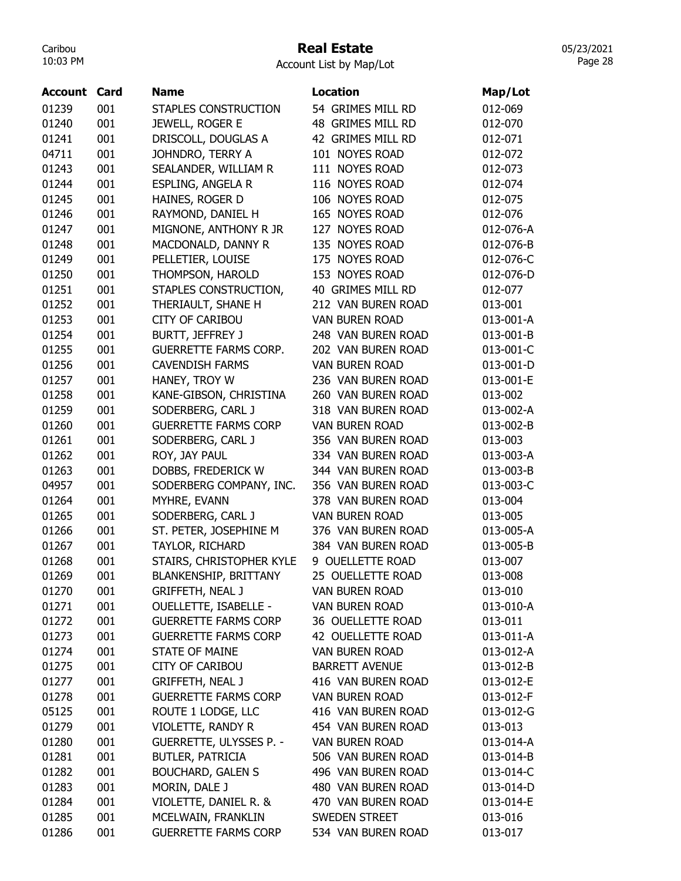### Real Estate

Account List by Map/Lot

| <b>Account Card</b> |     | Name                           | <b>Location</b>       | Map/Lot   |
|---------------------|-----|--------------------------------|-----------------------|-----------|
| 01239               | 001 | STAPLES CONSTRUCTION           | 54 GRIMES MILL RD     | 012-069   |
| 01240               | 001 | JEWELL, ROGER E                | 48 GRIMES MILL RD     | 012-070   |
| 01241               | 001 | DRISCOLL, DOUGLAS A            | 42 GRIMES MILL RD     | 012-071   |
| 04711               | 001 | JOHNDRO, TERRY A               | 101 NOYES ROAD        | 012-072   |
| 01243               | 001 | SEALANDER, WILLIAM R           | 111 NOYES ROAD        | 012-073   |
| 01244               | 001 | ESPLING, ANGELA R              | 116 NOYES ROAD        | 012-074   |
| 01245               | 001 | HAINES, ROGER D                | 106 NOYES ROAD        | 012-075   |
| 01246               | 001 | RAYMOND, DANIEL H              | 165 NOYES ROAD        | 012-076   |
| 01247               | 001 | MIGNONE, ANTHONY R JR          | 127 NOYES ROAD        | 012-076-A |
| 01248               | 001 | MACDONALD, DANNY R             | 135 NOYES ROAD        | 012-076-B |
| 01249               | 001 | PELLETIER, LOUISE              | 175 NOYES ROAD        | 012-076-C |
| 01250               | 001 | THOMPSON, HAROLD               | 153 NOYES ROAD        | 012-076-D |
| 01251               | 001 | STAPLES CONSTRUCTION,          | 40 GRIMES MILL RD     | 012-077   |
| 01252               | 001 | THERIAULT, SHANE H             | 212 VAN BUREN ROAD    | 013-001   |
| 01253               | 001 | <b>CITY OF CARIBOU</b>         | <b>VAN BUREN ROAD</b> | 013-001-A |
| 01254               | 001 | BURTT, JEFFREY J               | 248 VAN BUREN ROAD    | 013-001-B |
| 01255               | 001 | <b>GUERRETTE FARMS CORP.</b>   | 202 VAN BUREN ROAD    | 013-001-C |
| 01256               | 001 | <b>CAVENDISH FARMS</b>         | <b>VAN BUREN ROAD</b> | 013-001-D |
| 01257               | 001 | HANEY, TROY W                  | 236 VAN BUREN ROAD    | 013-001-E |
| 01258               | 001 | KANE-GIBSON, CHRISTINA         | 260 VAN BUREN ROAD    | 013-002   |
| 01259               | 001 | SODERBERG, CARL J              | 318 VAN BUREN ROAD    | 013-002-A |
| 01260               | 001 | <b>GUERRETTE FARMS CORP</b>    | <b>VAN BUREN ROAD</b> | 013-002-B |
| 01261               | 001 | SODERBERG, CARL J              | 356 VAN BUREN ROAD    | 013-003   |
| 01262               | 001 | ROY, JAY PAUL                  | 334 VAN BUREN ROAD    | 013-003-A |
| 01263               | 001 | DOBBS, FREDERICK W             | 344 VAN BUREN ROAD    | 013-003-B |
| 04957               | 001 | SODERBERG COMPANY, INC.        | 356 VAN BUREN ROAD    | 013-003-C |
| 01264               | 001 | MYHRE, EVANN                   | 378 VAN BUREN ROAD    | 013-004   |
| 01265               | 001 | SODERBERG, CARL J              | <b>VAN BUREN ROAD</b> | 013-005   |
| 01266               | 001 | ST. PETER, JOSEPHINE M         | 376 VAN BUREN ROAD    | 013-005-A |
| 01267               | 001 | TAYLOR, RICHARD                | 384 VAN BUREN ROAD    | 013-005-B |
| 01268               | 001 | STAIRS, CHRISTOPHER KYLE       | 9 OUELLETTE ROAD      | 013-007   |
| 01269               | 001 | <b>BLANKENSHIP, BRITTANY</b>   | 25 OUELLETTE ROAD     | 013-008   |
| 01270               | 001 | <b>GRIFFETH, NEAL J</b>        | VAN BUREN ROAD        | 013-010   |
| 01271               | 001 | <b>OUELLETTE, ISABELLE -</b>   | VAN BUREN ROAD        | 013-010-A |
| 01272               | 001 | <b>GUERRETTE FARMS CORP</b>    | 36 OUELLETTE ROAD     | 013-011   |
| 01273               | 001 | <b>GUERRETTE FARMS CORP</b>    | 42 OUELLETTE ROAD     | 013-011-A |
| 01274               | 001 | STATE OF MAINE                 | VAN BUREN ROAD        | 013-012-A |
| 01275               | 001 | <b>CITY OF CARIBOU</b>         | <b>BARRETT AVENUE</b> | 013-012-B |
| 01277               | 001 | <b>GRIFFETH, NEAL J</b>        | 416 VAN BUREN ROAD    | 013-012-E |
| 01278               | 001 | <b>GUERRETTE FARMS CORP</b>    | <b>VAN BUREN ROAD</b> | 013-012-F |
| 05125               | 001 | ROUTE 1 LODGE, LLC             | 416 VAN BUREN ROAD    | 013-012-G |
| 01279               | 001 | VIOLETTE, RANDY R              | 454 VAN BUREN ROAD    | 013-013   |
| 01280               | 001 | <b>GUERRETTE, ULYSSES P. -</b> | VAN BUREN ROAD        | 013-014-A |
| 01281               | 001 | BUTLER, PATRICIA               | 506 VAN BUREN ROAD    | 013-014-B |
| 01282               | 001 | <b>BOUCHARD, GALEN S</b>       | 496 VAN BUREN ROAD    | 013-014-C |
| 01283               | 001 | MORIN, DALE J                  | 480 VAN BUREN ROAD    | 013-014-D |
| 01284               | 001 | VIOLETTE, DANIEL R. &          | 470 VAN BUREN ROAD    | 013-014-E |
| 01285               | 001 | MCELWAIN, FRANKLIN             | SWEDEN STREET         | 013-016   |
| 01286               | 001 | <b>GUERRETTE FARMS CORP</b>    | 534 VAN BUREN ROAD    | 013-017   |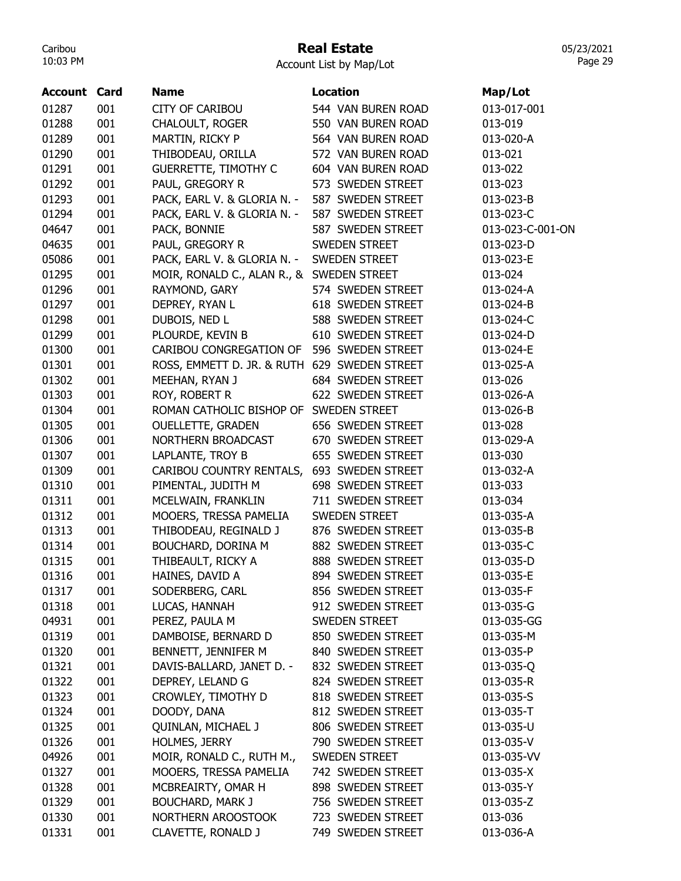### Real Estate

Account List by Map/Lot

| <b>Account Card</b> |     | <b>Name</b>                                  | <b>Location</b>      | Map/Lot          |
|---------------------|-----|----------------------------------------------|----------------------|------------------|
| 01287               | 001 | <b>CITY OF CARIBOU</b>                       | 544 VAN BUREN ROAD   | 013-017-001      |
| 01288               | 001 | <b>CHALOULT, ROGER</b>                       | 550 VAN BUREN ROAD   | 013-019          |
| 01289               | 001 | MARTIN, RICKY P                              | 564 VAN BUREN ROAD   | 013-020-A        |
| 01290               | 001 | THIBODEAU, ORILLA                            | 572 VAN BUREN ROAD   | 013-021          |
| 01291               | 001 | <b>GUERRETTE, TIMOTHY C</b>                  | 604 VAN BUREN ROAD   | 013-022          |
| 01292               | 001 | PAUL, GREGORY R                              | 573 SWEDEN STREET    | 013-023          |
| 01293               | 001 | PACK, EARL V. & GLORIA N. -                  | 587 SWEDEN STREET    | 013-023-B        |
| 01294               | 001 | PACK, EARL V. & GLORIA N. -                  | 587 SWEDEN STREET    | 013-023-C        |
| 04647               | 001 | PACK, BONNIE                                 | 587 SWEDEN STREET    | 013-023-C-001-ON |
| 04635               | 001 | PAUL, GREGORY R                              | SWEDEN STREET        | 013-023-D        |
| 05086               | 001 | PACK, EARL V. & GLORIA N. -                  | <b>SWEDEN STREET</b> | 013-023-E        |
| 01295               | 001 | MOIR, RONALD C., ALAN R., & SWEDEN STREET    |                      | 013-024          |
| 01296               | 001 | RAYMOND, GARY                                | 574 SWEDEN STREET    | 013-024-A        |
| 01297               | 001 | DEPREY, RYAN L                               | 618 SWEDEN STREET    | 013-024-B        |
| 01298               | 001 | DUBOIS, NED L                                | 588 SWEDEN STREET    | 013-024-C        |
| 01299               | 001 | PLOURDE, KEVIN B                             | 610 SWEDEN STREET    | 013-024-D        |
| 01300               | 001 | CARIBOU CONGREGATION OF                      | 596 SWEDEN STREET    | 013-024-E        |
| 01301               | 001 | ROSS, EMMETT D. JR. & RUTH 629 SWEDEN STREET |                      | 013-025-A        |
| 01302               | 001 | MEEHAN, RYAN J                               | 684 SWEDEN STREET    | 013-026          |
| 01303               | 001 | ROY, ROBERT R                                | 622 SWEDEN STREET    | 013-026-A        |
| 01304               | 001 | ROMAN CATHOLIC BISHOP OF SWEDEN STREET       |                      | 013-026-B        |
| 01305               | 001 | <b>OUELLETTE, GRADEN</b>                     | 656 SWEDEN STREET    | 013-028          |
| 01306               | 001 | NORTHERN BROADCAST                           | 670 SWEDEN STREET    | 013-029-A        |
| 01307               | 001 | LAPLANTE, TROY B                             | 655 SWEDEN STREET    | 013-030          |
| 01309               | 001 | CARIBOU COUNTRY RENTALS,                     | 693 SWEDEN STREET    | 013-032-A        |
| 01310               | 001 | PIMENTAL, JUDITH M                           | 698 SWEDEN STREET    | 013-033          |
| 01311               | 001 | MCELWAIN, FRANKLIN                           | 711 SWEDEN STREET    | 013-034          |
| 01312               | 001 | MOOERS, TRESSA PAMELIA                       | SWEDEN STREET        | 013-035-A        |
| 01313               | 001 | THIBODEAU, REGINALD J                        | 876 SWEDEN STREET    | 013-035-B        |
| 01314               | 001 | BOUCHARD, DORINA M                           | 882 SWEDEN STREET    | 013-035-C        |
| 01315               | 001 | THIBEAULT, RICKY A                           | 888 SWEDEN STREET    | 013-035-D        |
| 01316               | 001 | HAINES, DAVID A                              | 894 SWEDEN STREET    | 013-035-E        |
| 01317               | 001 | SODERBERG, CARL                              | 856 SWEDEN STREET    | 013-035-F        |
| 01318               | 001 | LUCAS, HANNAH                                | 912 SWEDEN STREET    | 013-035-G        |
| 04931               | 001 | PEREZ, PAULA M                               | SWEDEN STREET        | 013-035-GG       |
| 01319               | 001 | DAMBOISE, BERNARD D                          | 850 SWEDEN STREET    | 013-035-M        |
| 01320               | 001 | BENNETT, JENNIFER M                          | 840 SWEDEN STREET    | 013-035-P        |
| 01321               | 001 | DAVIS-BALLARD, JANET D. -                    | 832 SWEDEN STREET    | 013-035-Q        |
| 01322               | 001 | DEPREY, LELAND G                             | 824 SWEDEN STREET    | 013-035-R        |
| 01323               | 001 | CROWLEY, TIMOTHY D                           | 818 SWEDEN STREET    | 013-035-S        |
|                     |     |                                              |                      |                  |
| 01324               | 001 | DOODY, DANA                                  | 812 SWEDEN STREET    | 013-035-T        |
| 01325               | 001 | QUINLAN, MICHAEL J                           | 806 SWEDEN STREET    | 013-035-U        |
| 01326               | 001 | HOLMES, JERRY                                | 790 SWEDEN STREET    | 013-035-V        |
| 04926               | 001 | MOIR, RONALD C., RUTH M.,                    | SWEDEN STREET        | 013-035-VV       |
| 01327               | 001 | MOOERS, TRESSA PAMELIA                       | 742 SWEDEN STREET    | 013-035-X        |
| 01328               | 001 | MCBREAIRTY, OMAR H                           | 898 SWEDEN STREET    | 013-035-Y        |
| 01329               | 001 | <b>BOUCHARD, MARK J</b>                      | 756 SWEDEN STREET    | 013-035-Z        |
| 01330               | 001 | NORTHERN AROOSTOOK                           | 723 SWEDEN STREET    | 013-036          |
| 01331               | 001 | CLAVETTE, RONALD J                           | 749 SWEDEN STREET    | 013-036-A        |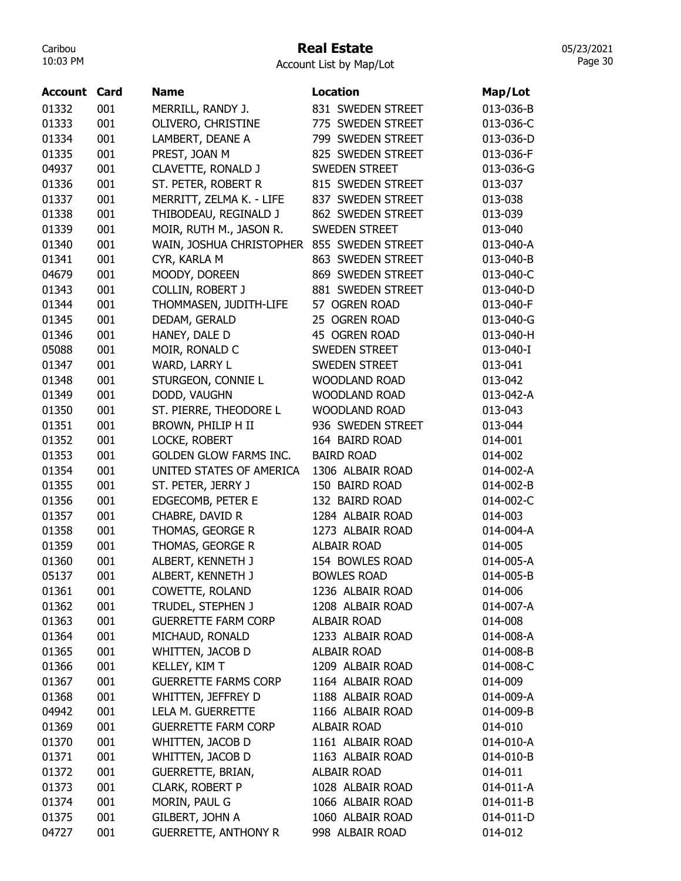### Real Estate

Account List by Map/Lot

| <b>Account Card</b> |     | <b>Name</b>                   | <b>Location</b>      | Map/Lot   |
|---------------------|-----|-------------------------------|----------------------|-----------|
| 01332               | 001 | MERRILL, RANDY J.             | 831 SWEDEN STREET    | 013-036-B |
| 01333               | 001 | OLIVERO, CHRISTINE            | 775 SWEDEN STREET    | 013-036-C |
| 01334               | 001 | LAMBERT, DEANE A              | 799 SWEDEN STREET    | 013-036-D |
| 01335               | 001 | PREST, JOAN M                 | 825 SWEDEN STREET    | 013-036-F |
| 04937               | 001 | CLAVETTE, RONALD J            | <b>SWEDEN STREET</b> | 013-036-G |
| 01336               | 001 | ST. PETER, ROBERT R           | 815 SWEDEN STREET    | 013-037   |
| 01337               | 001 | MERRITT, ZELMA K. - LIFE      | 837 SWEDEN STREET    | 013-038   |
| 01338               | 001 | THIBODEAU, REGINALD J         | 862 SWEDEN STREET    | 013-039   |
| 01339               | 001 | MOIR, RUTH M., JASON R.       | <b>SWEDEN STREET</b> | 013-040   |
| 01340               | 001 | WAIN, JOSHUA CHRISTOPHER      | 855 SWEDEN STREET    | 013-040-A |
| 01341               | 001 | CYR, KARLA M                  | 863 SWEDEN STREET    | 013-040-B |
| 04679               | 001 | MOODY, DOREEN                 | 869 SWEDEN STREET    | 013-040-C |
| 01343               | 001 | <b>COLLIN, ROBERT J</b>       | 881 SWEDEN STREET    | 013-040-D |
| 01344               | 001 | THOMMASEN, JUDITH-LIFE        | 57 OGREN ROAD        | 013-040-F |
| 01345               | 001 | DEDAM, GERALD                 | 25 OGREN ROAD        | 013-040-G |
| 01346               | 001 | HANEY, DALE D                 | 45 OGREN ROAD        | 013-040-H |
| 05088               | 001 | MOIR, RONALD C                | SWEDEN STREET        | 013-040-I |
| 01347               | 001 | WARD, LARRY L                 | <b>SWEDEN STREET</b> | 013-041   |
| 01348               | 001 | STURGEON, CONNIE L            | <b>WOODLAND ROAD</b> | 013-042   |
| 01349               | 001 | DODD, VAUGHN                  | <b>WOODLAND ROAD</b> | 013-042-A |
| 01350               | 001 | ST. PIERRE, THEODORE L        | <b>WOODLAND ROAD</b> | 013-043   |
| 01351               | 001 | BROWN, PHILIP H II            | 936 SWEDEN STREET    | 013-044   |
| 01352               | 001 | LOCKE, ROBERT                 | 164 BAIRD ROAD       | 014-001   |
| 01353               | 001 | <b>GOLDEN GLOW FARMS INC.</b> | <b>BAIRD ROAD</b>    | 014-002   |
| 01354               | 001 | UNITED STATES OF AMERICA      | 1306 ALBAIR ROAD     | 014-002-A |
| 01355               | 001 | ST. PETER, JERRY J            | 150 BAIRD ROAD       | 014-002-B |
| 01356               | 001 | EDGECOMB, PETER E             | 132 BAIRD ROAD       | 014-002-C |
| 01357               | 001 | CHABRE, DAVID R               | 1284 ALBAIR ROAD     | 014-003   |
| 01358               | 001 | THOMAS, GEORGE R              | 1273 ALBAIR ROAD     | 014-004-A |
| 01359               | 001 | THOMAS, GEORGE R              | <b>ALBAIR ROAD</b>   | 014-005   |
| 01360               | 001 | ALBERT, KENNETH J             | 154 BOWLES ROAD      | 014-005-A |
| 05137               | 001 | ALBERT, KENNETH J             | <b>BOWLES ROAD</b>   | 014-005-B |
| 01361               | 001 | COWETTE, ROLAND               | 1236 ALBAIR ROAD     | 014-006   |
| 01362               | 001 | TRUDEL, STEPHEN J             | 1208 ALBAIR ROAD     | 014-007-A |
| 01363               | 001 | <b>GUERRETTE FARM CORP</b>    | ALBAIR ROAD          | 014-008   |
| 01364               | 001 | MICHAUD, RONALD               | 1233 ALBAIR ROAD     | 014-008-A |
| 01365               | 001 | WHITTEN, JACOB D              | ALBAIR ROAD          | 014-008-B |
| 01366               | 001 | KELLEY, KIM T                 | 1209 ALBAIR ROAD     | 014-008-C |
| 01367               | 001 | <b>GUERRETTE FARMS CORP</b>   | 1164 ALBAIR ROAD     | 014-009   |
| 01368               | 001 | WHITTEN, JEFFREY D            | 1188 ALBAIR ROAD     | 014-009-A |
| 04942               | 001 | LELA M. GUERRETTE             | 1166 ALBAIR ROAD     | 014-009-B |
| 01369               | 001 | <b>GUERRETTE FARM CORP</b>    | ALBAIR ROAD          | 014-010   |
| 01370               | 001 | WHITTEN, JACOB D              | 1161 ALBAIR ROAD     | 014-010-A |
| 01371               | 001 | WHITTEN, JACOB D              | 1163 ALBAIR ROAD     | 014-010-B |
| 01372               | 001 | <b>GUERRETTE, BRIAN,</b>      | <b>ALBAIR ROAD</b>   | 014-011   |
| 01373               | 001 | CLARK, ROBERT P               | 1028 ALBAIR ROAD     | 014-011-A |
| 01374               | 001 | MORIN, PAUL G                 | 1066 ALBAIR ROAD     | 014-011-B |
| 01375               | 001 | GILBERT, JOHN A               | 1060 ALBAIR ROAD     | 014-011-D |
| 04727               | 001 | <b>GUERRETTE, ANTHONY R</b>   | 998 ALBAIR ROAD      | 014-012   |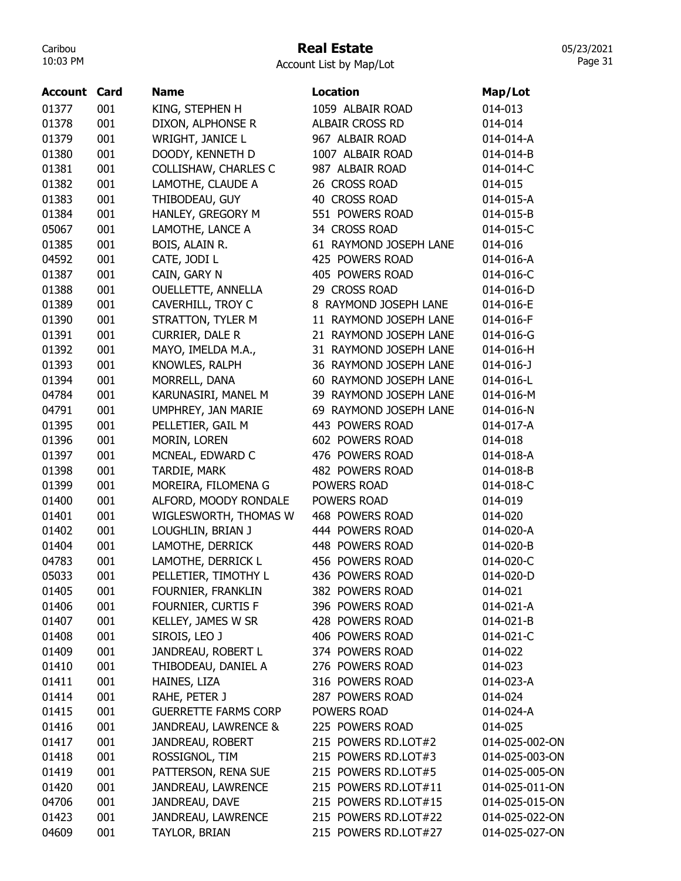## Real Estate

| <b>Account Card</b> |     | <b>Name</b>                 | Location               | Map/Lot         |
|---------------------|-----|-----------------------------|------------------------|-----------------|
| 01377               | 001 | KING, STEPHEN H             | 1059 ALBAIR ROAD       | 014-013         |
| 01378               | 001 | DIXON, ALPHONSE R           | ALBAIR CROSS RD        | 014-014         |
| 01379               | 001 | WRIGHT, JANICE L            | 967 ALBAIR ROAD        | 014-014-A       |
| 01380               | 001 | DOODY, KENNETH D            | 1007 ALBAIR ROAD       | 014-014-B       |
| 01381               | 001 | COLLISHAW, CHARLES C        | 987 ALBAIR ROAD        | 014-014-C       |
| 01382               | 001 | LAMOTHE, CLAUDE A           | 26 CROSS ROAD          | 014-015         |
| 01383               | 001 | THIBODEAU, GUY              | 40 CROSS ROAD          | 014-015-A       |
| 01384               | 001 | HANLEY, GREGORY M           | 551 POWERS ROAD        | 014-015-B       |
| 05067               | 001 | LAMOTHE, LANCE A            | 34 CROSS ROAD          | 014-015-C       |
| 01385               | 001 | BOIS, ALAIN R.              | 61 RAYMOND JOSEPH LANE | 014-016         |
| 04592               | 001 | CATE, JODI L                | 425 POWERS ROAD        | 014-016-A       |
| 01387               | 001 | CAIN, GARY N                | 405 POWERS ROAD        | 014-016-C       |
| 01388               | 001 | OUELLETTE, ANNELLA          | 29 CROSS ROAD          | 014-016-D       |
| 01389               | 001 | CAVERHILL, TROY C           | 8 RAYMOND JOSEPH LANE  | 014-016-E       |
| 01390               | 001 | STRATTON, TYLER M           | 11 RAYMOND JOSEPH LANE | 014-016-F       |
| 01391               | 001 | CURRIER, DALE R             | 21 RAYMOND JOSEPH LANE | 014-016-G       |
| 01392               | 001 | MAYO, IMELDA M.A.,          | 31 RAYMOND JOSEPH LANE | 014-016-H       |
| 01393               | 001 | KNOWLES, RALPH              | 36 RAYMOND JOSEPH LANE | $014 - 016 - J$ |
| 01394               | 001 | MORRELL, DANA               | 60 RAYMOND JOSEPH LANE | 014-016-L       |
| 04784               | 001 | KARUNASIRI, MANEL M         | 39 RAYMOND JOSEPH LANE | 014-016-M       |
| 04791               | 001 | UMPHREY, JAN MARIE          | 69 RAYMOND JOSEPH LANE | 014-016-N       |
| 01395               | 001 | PELLETIER, GAIL M           | 443 POWERS ROAD        | 014-017-A       |
| 01396               | 001 | MORIN, LOREN                | 602 POWERS ROAD        | 014-018         |
| 01397               | 001 | MCNEAL, EDWARD C            | 476 POWERS ROAD        | 014-018-A       |
| 01398               | 001 | TARDIE, MARK                | 482 POWERS ROAD        | 014-018-B       |
| 01399               | 001 | MOREIRA, FILOMENA G         | POWERS ROAD            | 014-018-C       |
| 01400               | 001 | ALFORD, MOODY RONDALE       | POWERS ROAD            | 014-019         |
| 01401               | 001 | WIGLESWORTH, THOMAS W       | 468 POWERS ROAD        | 014-020         |
| 01402               | 001 | LOUGHLIN, BRIAN J           | 444 POWERS ROAD        | 014-020-A       |
| 01404               | 001 | LAMOTHE, DERRICK            | 448 POWERS ROAD        | 014-020-B       |
| 04783               | 001 | LAMOTHE, DERRICK L          | 456 POWERS ROAD        | 014-020-C       |
| 05033               | 001 | PELLETIER, TIMOTHY L        | 436 POWERS ROAD        | 014-020-D       |
| 01405               | 001 | FOURNIER, FRANKLIN          | 382 POWERS ROAD        | 014-021         |
| 01406               | 001 | FOURNIER, CURTIS F          | 396 POWERS ROAD        | 014-021-A       |
| 01407               | 001 | KELLEY, JAMES W SR          | 428 POWERS ROAD        | 014-021-B       |
| 01408               | 001 | SIROIS, LEO J               | 406 POWERS ROAD        | 014-021-C       |
| 01409               | 001 | JANDREAU, ROBERT L          | 374 POWERS ROAD        | 014-022         |
| 01410               | 001 | THIBODEAU, DANIEL A         | 276 POWERS ROAD        | 014-023         |
| 01411               | 001 | HAINES, LIZA                | 316 POWERS ROAD        | 014-023-A       |
| 01414               | 001 | RAHE, PETER J               | 287 POWERS ROAD        | 014-024         |
| 01415               | 001 | <b>GUERRETTE FARMS CORP</b> | POWERS ROAD            | 014-024-A       |
| 01416               | 001 | JANDREAU, LAWRENCE &        | 225 POWERS ROAD        | 014-025         |
| 01417               | 001 | JANDREAU, ROBERT            | 215 POWERS RD.LOT#2    | 014-025-002-ON  |
| 01418               | 001 | ROSSIGNOL, TIM              | 215 POWERS RD.LOT#3    | 014-025-003-ON  |
| 01419               | 001 | PATTERSON, RENA SUE         | 215 POWERS RD.LOT#5    | 014-025-005-ON  |
| 01420               | 001 | JANDREAU, LAWRENCE          | 215 POWERS RD.LOT#11   | 014-025-011-ON  |
| 04706               | 001 | JANDREAU, DAVE              | 215 POWERS RD.LOT#15   | 014-025-015-ON  |
| 01423               | 001 | JANDREAU, LAWRENCE          | 215 POWERS RD.LOT#22   | 014-025-022-ON  |
| 04609               | 001 | TAYLOR, BRIAN               | 215 POWERS RD.LOT#27   | 014-025-027-ON  |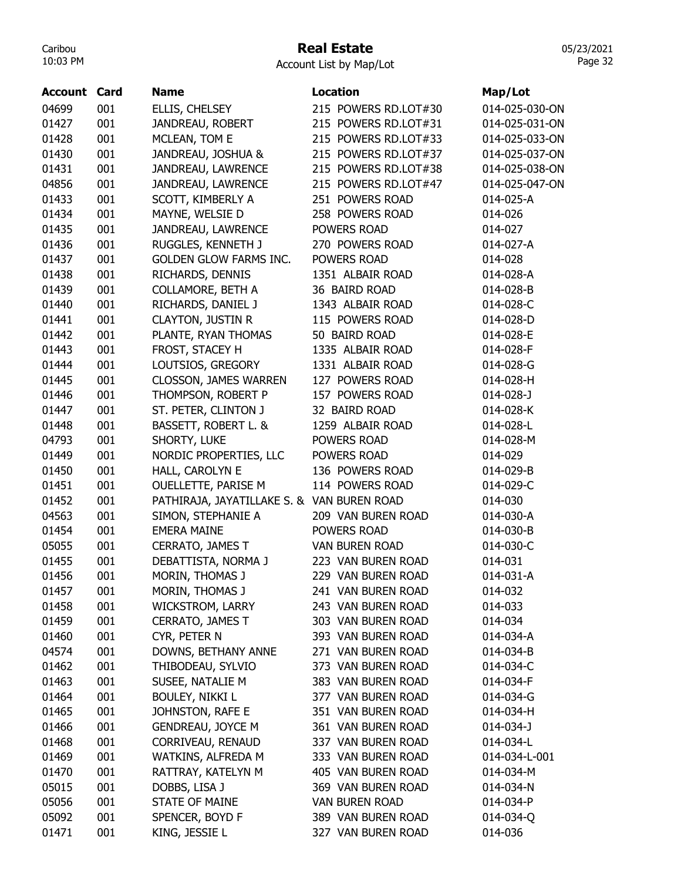## Real Estate

Account List by Map/Lot

| <b>Account Card</b> |     | <b>Name</b>                                | <b>Location</b>       | Map/Lot                |
|---------------------|-----|--------------------------------------------|-----------------------|------------------------|
| 04699               | 001 | ELLIS, CHELSEY                             | 215 POWERS RD.LOT#30  | 014-025-030-ON         |
| 01427               | 001 | JANDREAU, ROBERT                           | 215 POWERS RD.LOT#31  | 014-025-031-ON         |
| 01428               | 001 | MCLEAN, TOM E                              | 215 POWERS RD.LOT#33  | 014-025-033-ON         |
| 01430               | 001 | JANDREAU, JOSHUA &                         | 215 POWERS RD.LOT#37  | 014-025-037-ON         |
| 01431               | 001 | JANDREAU, LAWRENCE                         | 215 POWERS RD.LOT#38  | 014-025-038-ON         |
| 04856               | 001 | JANDREAU, LAWRENCE                         | 215 POWERS RD.LOT#47  | 014-025-047-ON         |
| 01433               | 001 | SCOTT, KIMBERLY A                          | 251 POWERS ROAD       | 014-025-A              |
| 01434               | 001 | MAYNE, WELSIE D                            | 258 POWERS ROAD       | 014-026                |
| 01435               | 001 | JANDREAU, LAWRENCE                         | POWERS ROAD           | 014-027                |
| 01436               | 001 | RUGGLES, KENNETH J                         | 270 POWERS ROAD       | 014-027-A              |
| 01437               | 001 | <b>GOLDEN GLOW FARMS INC.</b>              | POWERS ROAD           | 014-028                |
| 01438               | 001 | RICHARDS, DENNIS                           | 1351 ALBAIR ROAD      | 014-028-A              |
| 01439               | 001 | <b>COLLAMORE, BETH A</b>                   | 36 BAIRD ROAD         | 014-028-B              |
| 01440               | 001 | RICHARDS, DANIEL J                         | 1343 ALBAIR ROAD      | 014-028-C              |
| 01441               | 001 | <b>CLAYTON, JUSTIN R</b>                   | 115 POWERS ROAD       | 014-028-D              |
| 01442               | 001 | PLANTE, RYAN THOMAS                        | 50 BAIRD ROAD         | 014-028-E              |
| 01443               | 001 | FROST, STACEY H                            | 1335 ALBAIR ROAD      | 014-028-F              |
| 01444               | 001 | LOUTSIOS, GREGORY                          | 1331 ALBAIR ROAD      | 014-028-G              |
| 01445               | 001 | <b>CLOSSON, JAMES WARREN</b>               | 127 POWERS ROAD       | 014-028-H              |
| 01446               | 001 | THOMPSON, ROBERT P                         | 157 POWERS ROAD       | $014 - 028 - J$        |
| 01447               | 001 | ST. PETER, CLINTON J                       | 32 BAIRD ROAD         | 014-028-K              |
| 01448               | 001 | BASSETT, ROBERT L. &                       | 1259 ALBAIR ROAD      | 014-028-L              |
| 04793               | 001 | SHORTY, LUKE                               | POWERS ROAD           | 014-028-M              |
| 01449               | 001 | NORDIC PROPERTIES, LLC                     | POWERS ROAD           | 014-029                |
| 01450               | 001 | HALL, CAROLYN E                            | 136 POWERS ROAD       | 014-029-B              |
| 01451               | 001 | OUELLETTE, PARISE M                        | 114 POWERS ROAD       | 014-029-C              |
| 01452               | 001 | PATHIRAJA, JAYATILLAKE S. & VAN BUREN ROAD |                       | 014-030                |
| 04563               | 001 | SIMON, STEPHANIE A                         | 209 VAN BUREN ROAD    | 014-030-A              |
| 01454               | 001 | <b>EMERA MAINE</b>                         | POWERS ROAD           | 014-030-B              |
| 05055               | 001 | CERRATO, JAMES T                           | <b>VAN BUREN ROAD</b> | 014-030-C              |
| 01455               | 001 | DEBATTISTA, NORMA J                        | 223 VAN BUREN ROAD    | 014-031                |
| 01456               | 001 | MORIN, THOMAS J                            | 229 VAN BUREN ROAD    | 014-031-A              |
| 01457               | 001 | MORIN, THOMAS J                            | 241 VAN BUREN ROAD    | 014-032                |
| 01458               | 001 | WICKSTROM, LARRY                           | 243 VAN BUREN ROAD    | 014-033                |
| 01459               | 001 | CERRATO, JAMES T                           | 303 VAN BUREN ROAD    | 014-034                |
| 01460               | 001 | CYR, PETER N                               | 393 VAN BUREN ROAD    | 014-034-A              |
| 04574               | 001 | DOWNS, BETHANY ANNE                        | 271 VAN BUREN ROAD    | 014-034-B              |
|                     | 001 | THIBODEAU, SYLVIO                          | 373 VAN BUREN ROAD    |                        |
| 01462<br>01463      | 001 | SUSEE, NATALIE M                           | 383 VAN BUREN ROAD    | 014-034-C<br>014-034-F |
|                     |     |                                            | 377 VAN BUREN ROAD    |                        |
| 01464               | 001 | <b>BOULEY, NIKKI L</b>                     |                       | 014-034-G              |
| 01465               | 001 | JOHNSTON, RAFE E                           | 351 VAN BUREN ROAD    | 014-034-H              |
| 01466               | 001 | <b>GENDREAU, JOYCE M</b>                   | 361 VAN BUREN ROAD    | 014-034-J              |
| 01468               | 001 | CORRIVEAU, RENAUD                          | 337 VAN BUREN ROAD    | 014-034-L              |
| 01469               | 001 | WATKINS, ALFREDA M                         | 333 VAN BUREN ROAD    | 014-034-L-001          |
| 01470               | 001 | RATTRAY, KATELYN M                         | 405 VAN BUREN ROAD    | 014-034-M              |
| 05015               | 001 | DOBBS, LISA J                              | 369 VAN BUREN ROAD    | 014-034-N              |
| 05056               | 001 | <b>STATE OF MAINE</b>                      | <b>VAN BUREN ROAD</b> | 014-034-P              |
| 05092               | 001 | SPENCER, BOYD F                            | 389 VAN BUREN ROAD    | 014-034-Q              |
| 01471               | 001 | KING, JESSIE L                             | 327 VAN BUREN ROAD    | 014-036                |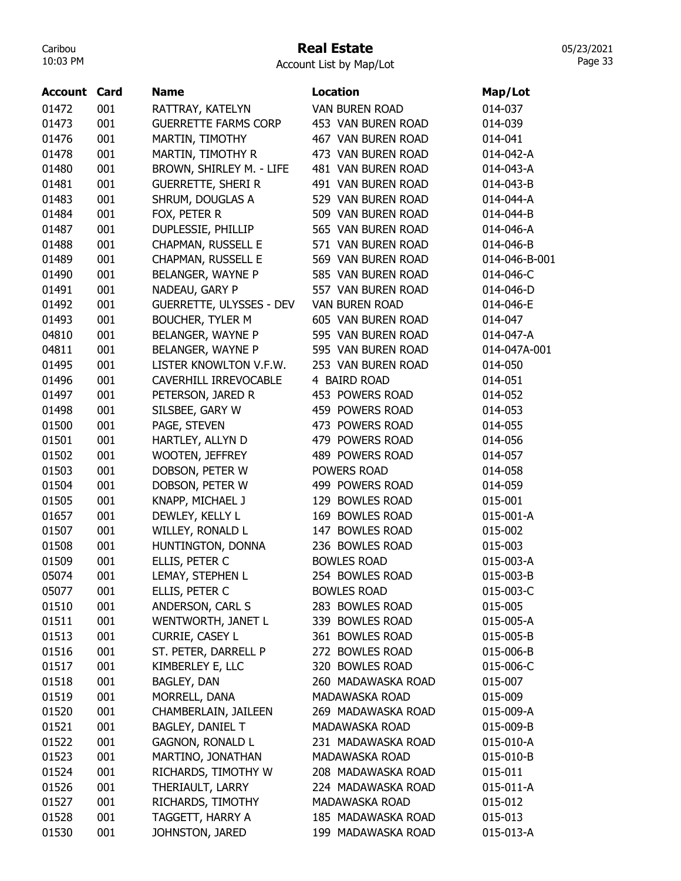### Real Estate

Account List by Map/Lot

| <b>Account Card</b> |     | <b>Name</b>                     | <b>Location</b>       | Map/Lot       |
|---------------------|-----|---------------------------------|-----------------------|---------------|
| 01472               | 001 | RATTRAY, KATELYN                | <b>VAN BUREN ROAD</b> | 014-037       |
| 01473               | 001 | <b>GUERRETTE FARMS CORP</b>     | 453 VAN BUREN ROAD    | 014-039       |
| 01476               | 001 | MARTIN, TIMOTHY                 | 467 VAN BUREN ROAD    | 014-041       |
| 01478               | 001 | MARTIN, TIMOTHY R               | 473 VAN BUREN ROAD    | 014-042-A     |
| 01480               | 001 | BROWN, SHIRLEY M. - LIFE        | 481 VAN BUREN ROAD    | 014-043-A     |
| 01481               | 001 | <b>GUERRETTE, SHERI R</b>       | 491 VAN BUREN ROAD    | 014-043-B     |
| 01483               | 001 | SHRUM, DOUGLAS A                | 529 VAN BUREN ROAD    | 014-044-A     |
| 01484               | 001 | FOX, PETER R                    | 509 VAN BUREN ROAD    | 014-044-B     |
| 01487               | 001 | DUPLESSIE, PHILLIP              | 565 VAN BUREN ROAD    | 014-046-A     |
| 01488               | 001 | CHAPMAN, RUSSELL E              | 571 VAN BUREN ROAD    | 014-046-B     |
| 01489               | 001 | CHAPMAN, RUSSELL E              | 569 VAN BUREN ROAD    | 014-046-B-001 |
| 01490               | 001 | BELANGER, WAYNE P               | 585 VAN BUREN ROAD    | 014-046-C     |
| 01491               | 001 | NADEAU, GARY P                  | 557 VAN BUREN ROAD    | 014-046-D     |
| 01492               | 001 | <b>GUERRETTE, ULYSSES - DEV</b> | <b>VAN BUREN ROAD</b> | 014-046-E     |
| 01493               | 001 | <b>BOUCHER, TYLER M</b>         | 605 VAN BUREN ROAD    | 014-047       |
| 04810               | 001 | BELANGER, WAYNE P               | 595 VAN BUREN ROAD    | 014-047-A     |
| 04811               | 001 | BELANGER, WAYNE P               | 595 VAN BUREN ROAD    | 014-047A-001  |
| 01495               | 001 | LISTER KNOWLTON V.F.W.          | 253 VAN BUREN ROAD    | 014-050       |
| 01496               | 001 | CAVERHILL IRREVOCABLE           | 4 BAIRD ROAD          | 014-051       |
| 01497               | 001 | PETERSON, JARED R               | 453 POWERS ROAD       | 014-052       |
| 01498               | 001 | SILSBEE, GARY W                 | 459 POWERS ROAD       | 014-053       |
| 01500               | 001 | PAGE, STEVEN                    | 473 POWERS ROAD       | 014-055       |
| 01501               | 001 | HARTLEY, ALLYN D                | 479 POWERS ROAD       | 014-056       |
| 01502               | 001 | WOOTEN, JEFFREY                 | 489 POWERS ROAD       | 014-057       |
| 01503               | 001 | DOBSON, PETER W                 | POWERS ROAD           | 014-058       |
| 01504               | 001 | DOBSON, PETER W                 | 499 POWERS ROAD       | 014-059       |
| 01505               | 001 | KNAPP, MICHAEL J                | 129 BOWLES ROAD       | 015-001       |
| 01657               | 001 | DEWLEY, KELLY L                 | 169 BOWLES ROAD       | 015-001-A     |
| 01507               | 001 | WILLEY, RONALD L                | 147 BOWLES ROAD       | 015-002       |
| 01508               | 001 | HUNTINGTON, DONNA               | 236 BOWLES ROAD       | 015-003       |
| 01509               | 001 | ELLIS, PETER C                  | <b>BOWLES ROAD</b>    | 015-003-A     |
| 05074               | 001 | LEMAY, STEPHEN L                | 254 BOWLES ROAD       | 015-003-B     |
| 05077               | 001 | ELLIS, PETER C                  | <b>BOWLES ROAD</b>    | 015-003-C     |
| 01510               | 001 | ANDERSON, CARL S                | 283 BOWLES ROAD       | 015-005       |
| 01511               | 001 | WENTWORTH, JANET L              | 339 BOWLES ROAD       | 015-005-A     |
| 01513               | 001 | CURRIE, CASEY L                 | 361 BOWLES ROAD       | 015-005-B     |
| 01516               | 001 | ST. PETER, DARRELL P            | 272 BOWLES ROAD       | 015-006-B     |
| 01517               | 001 | KIMBERLEY E, LLC                | 320 BOWLES ROAD       | 015-006-C     |
| 01518               | 001 | BAGLEY, DAN                     | 260 MADAWASKA ROAD    | 015-007       |
| 01519               | 001 | MORRELL, DANA                   | MADAWASKA ROAD        | 015-009       |
| 01520               | 001 | CHAMBERLAIN, JAILEEN            | 269 MADAWASKA ROAD    | 015-009-A     |
| 01521               | 001 | <b>BAGLEY, DANIEL T</b>         | MADAWASKA ROAD        | 015-009-B     |
| 01522               | 001 |                                 | 231 MADAWASKA ROAD    | 015-010-A     |
| 01523               | 001 | <b>GAGNON, RONALD L</b>         | MADAWASKA ROAD        |               |
|                     |     | MARTINO, JONATHAN               |                       | 015-010-B     |
| 01524               | 001 | RICHARDS, TIMOTHY W             | 208 MADAWASKA ROAD    | 015-011       |
| 01526               | 001 | THERIAULT, LARRY                | 224 MADAWASKA ROAD    | 015-011-A     |
| 01527               | 001 | RICHARDS, TIMOTHY               | MADAWASKA ROAD        | 015-012       |
| 01528               | 001 | TAGGETT, HARRY A                | 185 MADAWASKA ROAD    | 015-013       |
| 01530               | 001 | JOHNSTON, JARED                 | 199 MADAWASKA ROAD    | 015-013-A     |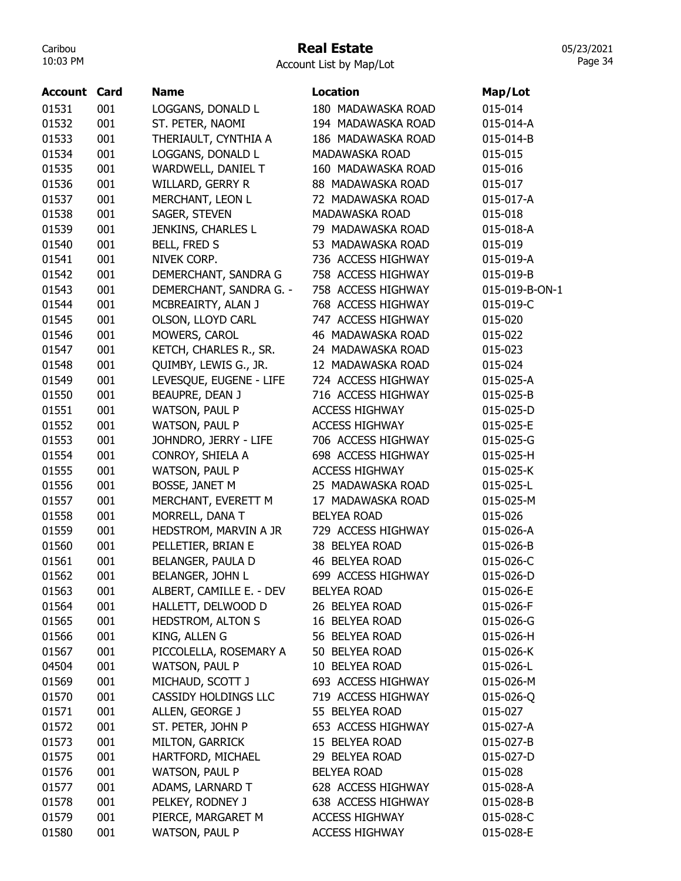#### Real Estate

Account List by Map/Lot

| <b>Account Card</b> |            | <b>Name</b>              | <b>Location</b>       | Map/Lot        |
|---------------------|------------|--------------------------|-----------------------|----------------|
| 01531               | 001        | LOGGANS, DONALD L        | 180 MADAWASKA ROAD    | 015-014        |
| 01532               | 001        | ST. PETER, NAOMI         | 194 MADAWASKA ROAD    | 015-014-A      |
| 01533               | 001        | THERIAULT, CYNTHIA A     | 186 MADAWASKA ROAD    | 015-014-B      |
| 01534               | 001        | LOGGANS, DONALD L        | MADAWASKA ROAD        | 015-015        |
| 01535               | 001        | WARDWELL, DANIEL T       | 160 MADAWASKA ROAD    | 015-016        |
| 01536               | 001        | WILLARD, GERRY R         | 88 MADAWASKA ROAD     | 015-017        |
| 01537               | 001        | MERCHANT, LEON L         | 72 MADAWASKA ROAD     | 015-017-A      |
| 01538               | 001        | SAGER, STEVEN            | MADAWASKA ROAD        | 015-018        |
| 01539               | 001        | JENKINS, CHARLES L       | 79 MADAWASKA ROAD     | 015-018-A      |
| 01540               | 001        | BELL, FRED S             | 53 MADAWASKA ROAD     | 015-019        |
| 01541               | 001        | NIVEK CORP.              | 736 ACCESS HIGHWAY    | 015-019-A      |
| 01542               | 001        | DEMERCHANT, SANDRA G     | 758 ACCESS HIGHWAY    | 015-019-B      |
| 01543               | 001        | DEMERCHANT, SANDRA G. -  | 758 ACCESS HIGHWAY    | 015-019-B-ON-1 |
| 01544               | 001        | MCBREAIRTY, ALAN J       | 768 ACCESS HIGHWAY    | 015-019-C      |
| 01545               | 001        | OLSON, LLOYD CARL        | 747 ACCESS HIGHWAY    | 015-020        |
| 01546               | 001        | MOWERS, CAROL            | 46 MADAWASKA ROAD     | 015-022        |
| 01547               | 001        | KETCH, CHARLES R., SR.   | 24 MADAWASKA ROAD     | 015-023        |
| 01548               | 001        | QUIMBY, LEWIS G., JR.    | 12 MADAWASKA ROAD     | 015-024        |
| 01549               | 001        | LEVESQUE, EUGENE - LIFE  | 724 ACCESS HIGHWAY    | 015-025-A      |
| 01550               | 001        | BEAUPRE, DEAN J          | 716 ACCESS HIGHWAY    | 015-025-B      |
| 01551               | 001        | <b>WATSON, PAUL P</b>    | <b>ACCESS HIGHWAY</b> | 015-025-D      |
| 01552               | 001        | WATSON, PAUL P           | <b>ACCESS HIGHWAY</b> | 015-025-E      |
| 01553               | 001        | JOHNDRO, JERRY - LIFE    | 706 ACCESS HIGHWAY    | 015-025-G      |
| 01554               | 001        | CONROY, SHIELA A         | 698 ACCESS HIGHWAY    | 015-025-H      |
| 01555               | 001        | WATSON, PAUL P           | <b>ACCESS HIGHWAY</b> | 015-025-K      |
| 01556               | 001        | BOSSE, JANET M           | 25 MADAWASKA ROAD     | 015-025-L      |
| 01557               | 001        | MERCHANT, EVERETT M      | 17 MADAWASKA ROAD     | 015-025-M      |
| 01558               | 001        | MORRELL, DANA T          | <b>BELYEA ROAD</b>    | 015-026        |
| 01559               | 001        | HEDSTROM, MARVIN A JR    | 729 ACCESS HIGHWAY    | 015-026-A      |
| 01560               | 001        | PELLETIER, BRIAN E       | 38 BELYEA ROAD        | 015-026-B      |
| 01561               | 001        | BELANGER, PAULA D        | 46 BELYEA ROAD        | 015-026-C      |
| 01562               | 001        | BELANGER, JOHN L         | 699 ACCESS HIGHWAY    | 015-026-D      |
| 01563               | 001        | ALBERT, CAMILLE E. - DEV | <b>BELYEA ROAD</b>    | 015-026-E      |
| 01564               | 001        | HALLETT, DELWOOD D       | 26 BELYEA ROAD        | 015-026-F      |
| 01565               | 001        | HEDSTROM, ALTON S        | 16 BELYEA ROAD        | 015-026-G      |
| 01566               | 001        | KING, ALLEN G            | 56 BELYEA ROAD        | 015-026-H      |
| 01567               | 001        | PICCOLELLA, ROSEMARY A   | 50 BELYEA ROAD        | 015-026-K      |
| 04504               | 001        | WATSON, PAUL P           | 10 BELYEA ROAD        | 015-026-L      |
| 01569               | 001        | MICHAUD, SCOTT J         | 693 ACCESS HIGHWAY    | 015-026-M      |
| 01570               | 001        | CASSIDY HOLDINGS LLC     | 719 ACCESS HIGHWAY    | 015-026-Q      |
| 01571               | 001        | ALLEN, GEORGE J          | 55 BELYEA ROAD        | 015-027        |
| 01572               |            | ST. PETER, JOHN P        | 653 ACCESS HIGHWAY    | 015-027-A      |
| 01573               | 001<br>001 | MILTON, GARRICK          | 15 BELYEA ROAD        | 015-027-B      |
|                     |            |                          |                       |                |
| 01575               | 001        | HARTFORD, MICHAEL        | 29 BELYEA ROAD        | 015-027-D      |
| 01576               | 001        | WATSON, PAUL P           | <b>BELYEA ROAD</b>    | 015-028        |
| 01577               | 001        | ADAMS, LARNARD T         | 628 ACCESS HIGHWAY    | 015-028-A      |
| 01578               | 001        | PELKEY, RODNEY J         | 638 ACCESS HIGHWAY    | 015-028-B      |
| 01579               | 001        | PIERCE, MARGARET M       | <b>ACCESS HIGHWAY</b> | 015-028-C      |
| 01580               | 001        | WATSON, PAUL P           | <b>ACCESS HIGHWAY</b> | 015-028-E      |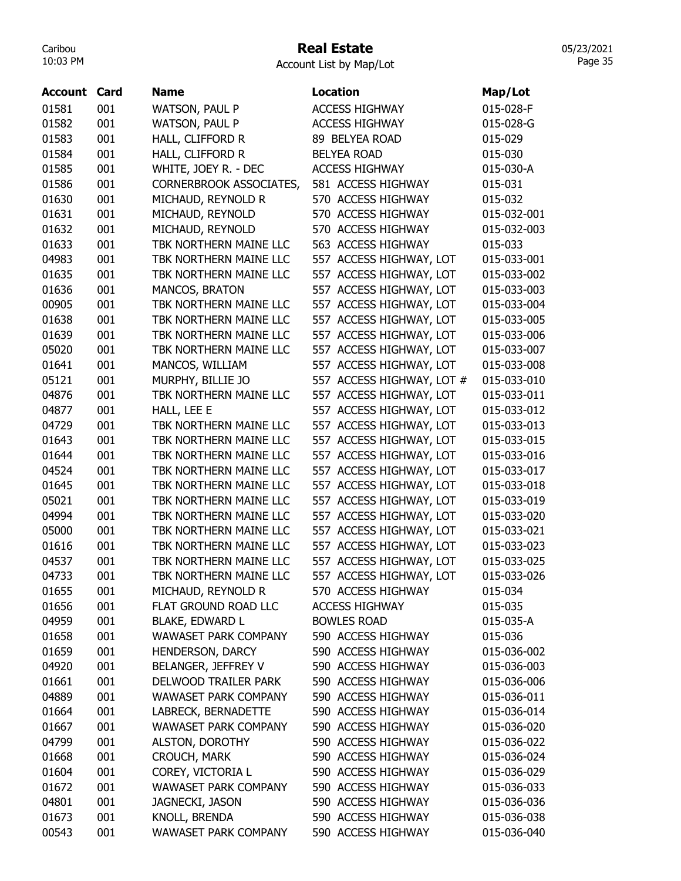## Real Estate

Account List by Map/Lot

| Account | Card | <b>Name</b>                                 | <b>Location</b>           | Map/Lot     |
|---------|------|---------------------------------------------|---------------------------|-------------|
| 01581   | 001  |                                             | <b>ACCESS HIGHWAY</b>     | 015-028-F   |
| 01582   | 001  | WATSON, PAUL P                              | <b>ACCESS HIGHWAY</b>     | 015-028-G   |
|         |      | <b>WATSON, PAUL P</b>                       |                           |             |
| 01583   | 001  | HALL, CLIFFORD R                            | 89 BELYEA ROAD            | 015-029     |
| 01584   | 001  | HALL, CLIFFORD R                            | <b>BELYEA ROAD</b>        | 015-030     |
| 01585   | 001  | WHITE, JOEY R. - DEC                        | <b>ACCESS HIGHWAY</b>     | 015-030-A   |
| 01586   | 001  | CORNERBROOK ASSOCIATES,                     | 581 ACCESS HIGHWAY        | 015-031     |
| 01630   | 001  | MICHAUD, REYNOLD R                          | 570 ACCESS HIGHWAY        | 015-032     |
| 01631   | 001  | MICHAUD, REYNOLD                            | 570 ACCESS HIGHWAY        | 015-032-001 |
| 01632   | 001  | MICHAUD, REYNOLD                            | 570 ACCESS HIGHWAY        | 015-032-003 |
| 01633   | 001  | TBK NORTHERN MAINE LLC                      | 563 ACCESS HIGHWAY        | 015-033     |
| 04983   | 001  | TBK NORTHERN MAINE LLC                      | 557 ACCESS HIGHWAY, LOT   | 015-033-001 |
| 01635   | 001  | TBK NORTHERN MAINE LLC                      | 557 ACCESS HIGHWAY, LOT   | 015-033-002 |
| 01636   | 001  | MANCOS, BRATON                              | 557 ACCESS HIGHWAY, LOT   | 015-033-003 |
| 00905   | 001  | TBK NORTHERN MAINE LLC                      | 557 ACCESS HIGHWAY, LOT   | 015-033-004 |
| 01638   | 001  | TBK NORTHERN MAINE LLC                      | 557 ACCESS HIGHWAY, LOT   | 015-033-005 |
| 01639   | 001  | TBK NORTHERN MAINE LLC                      | 557 ACCESS HIGHWAY, LOT   | 015-033-006 |
| 05020   | 001  | TBK NORTHERN MAINE LLC                      | 557 ACCESS HIGHWAY, LOT   | 015-033-007 |
| 01641   | 001  | MANCOS, WILLIAM                             | 557 ACCESS HIGHWAY, LOT   | 015-033-008 |
| 05121   | 001  | MURPHY, BILLIE JO                           | 557 ACCESS HIGHWAY, LOT # | 015-033-010 |
| 04876   | 001  | TBK NORTHERN MAINE LLC                      | 557 ACCESS HIGHWAY, LOT   | 015-033-011 |
| 04877   | 001  | HALL, LEE E                                 | 557 ACCESS HIGHWAY, LOT   | 015-033-012 |
| 04729   | 001  | TBK NORTHERN MAINE LLC                      | 557 ACCESS HIGHWAY, LOT   | 015-033-013 |
| 01643   | 001  | TBK NORTHERN MAINE LLC                      | 557 ACCESS HIGHWAY, LOT   | 015-033-015 |
| 01644   | 001  | TBK NORTHERN MAINE LLC                      | 557 ACCESS HIGHWAY, LOT   | 015-033-016 |
| 04524   | 001  | TBK NORTHERN MAINE LLC                      | 557 ACCESS HIGHWAY, LOT   | 015-033-017 |
| 01645   | 001  | TBK NORTHERN MAINE LLC                      | 557 ACCESS HIGHWAY, LOT   | 015-033-018 |
| 05021   | 001  | TBK NORTHERN MAINE LLC                      | 557 ACCESS HIGHWAY, LOT   | 015-033-019 |
| 04994   | 001  | TBK NORTHERN MAINE LLC                      | 557 ACCESS HIGHWAY, LOT   | 015-033-020 |
| 05000   | 001  | TBK NORTHERN MAINE LLC                      | 557 ACCESS HIGHWAY, LOT   | 015-033-021 |
| 01616   | 001  | TBK NORTHERN MAINE LLC                      | 557 ACCESS HIGHWAY, LOT   | 015-033-023 |
| 04537   | 001  | TBK NORTHERN MAINE LLC                      | 557 ACCESS HIGHWAY, LOT   | 015-033-025 |
| 04733   | 001  | TBK NORTHERN MAINE LLC                      | 557 ACCESS HIGHWAY, LOT   | 015-033-026 |
| 01655   | 001  | MICHAUD, REYNOLD R                          | 570 ACCESS HIGHWAY        | 015-034     |
| 01656   | 001  | FLAT GROUND ROAD LLC                        | <b>ACCESS HIGHWAY</b>     | 015-035     |
| 04959   | 001  | <b>BLAKE, EDWARD L</b>                      | <b>BOWLES ROAD</b>        | 015-035-A   |
| 01658   | 001  | <b>WAWASET PARK COMPANY</b>                 | 590 ACCESS HIGHWAY        | 015-036     |
| 01659   | 001  | HENDERSON, DARCY                            | 590 ACCESS HIGHWAY        | 015-036-002 |
|         |      |                                             | 590 ACCESS HIGHWAY        |             |
| 04920   | 001  | BELANGER, JEFFREY V<br>DELWOOD TRAILER PARK |                           | 015-036-003 |
| 01661   | 001  |                                             | 590 ACCESS HIGHWAY        | 015-036-006 |
| 04889   | 001  | <b>WAWASET PARK COMPANY</b>                 | 590 ACCESS HIGHWAY        | 015-036-011 |
| 01664   | 001  | LABRECK, BERNADETTE                         | 590 ACCESS HIGHWAY        | 015-036-014 |
| 01667   | 001  | <b>WAWASET PARK COMPANY</b>                 | 590 ACCESS HIGHWAY        | 015-036-020 |
| 04799   | 001  | ALSTON, DOROTHY                             | 590 ACCESS HIGHWAY        | 015-036-022 |
| 01668   | 001  | CROUCH, MARK                                | 590 ACCESS HIGHWAY        | 015-036-024 |
| 01604   | 001  | COREY, VICTORIA L                           | 590 ACCESS HIGHWAY        | 015-036-029 |
| 01672   | 001  | <b>WAWASET PARK COMPANY</b>                 | 590 ACCESS HIGHWAY        | 015-036-033 |
| 04801   | 001  | JAGNECKI, JASON                             | 590 ACCESS HIGHWAY        | 015-036-036 |
| 01673   | 001  | KNOLL, BRENDA                               | 590 ACCESS HIGHWAY        | 015-036-038 |
| 00543   | 001  | <b>WAWASET PARK COMPANY</b>                 | 590 ACCESS HIGHWAY        | 015-036-040 |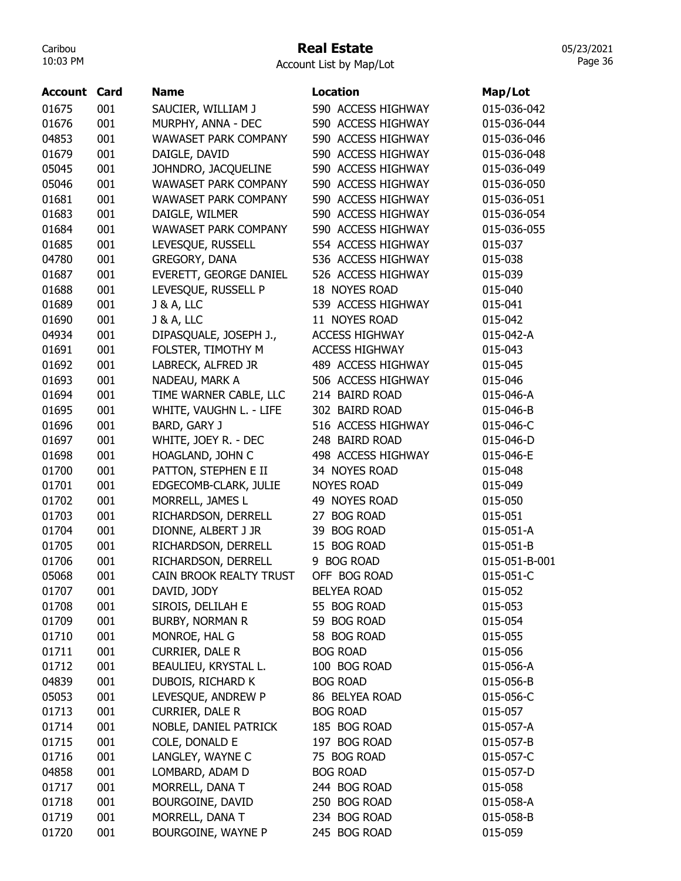#### Real Estate

05/23/2021 Page 36

Account List by Map/Lot

| <b>Account Card</b> |     | <b>Name</b>                 | <b>Location</b>       | Map/Lot       |
|---------------------|-----|-----------------------------|-----------------------|---------------|
| 01675               | 001 | SAUCIER, WILLIAM J          | 590 ACCESS HIGHWAY    | 015-036-042   |
| 01676               | 001 | MURPHY, ANNA - DEC          | 590 ACCESS HIGHWAY    | 015-036-044   |
| 04853               | 001 | <b>WAWASET PARK COMPANY</b> | 590 ACCESS HIGHWAY    | 015-036-046   |
| 01679               | 001 | DAIGLE, DAVID               | 590 ACCESS HIGHWAY    | 015-036-048   |
| 05045               | 001 | JOHNDRO, JACQUELINE         | 590 ACCESS HIGHWAY    | 015-036-049   |
| 05046               | 001 | <b>WAWASET PARK COMPANY</b> | 590 ACCESS HIGHWAY    | 015-036-050   |
| 01681               | 001 | <b>WAWASET PARK COMPANY</b> | 590 ACCESS HIGHWAY    | 015-036-051   |
| 01683               | 001 | DAIGLE, WILMER              | 590 ACCESS HIGHWAY    | 015-036-054   |
| 01684               | 001 | WAWASET PARK COMPANY        | 590 ACCESS HIGHWAY    | 015-036-055   |
| 01685               | 001 | LEVESQUE, RUSSELL           | 554 ACCESS HIGHWAY    | 015-037       |
| 04780               | 001 | GREGORY, DANA               | 536 ACCESS HIGHWAY    | 015-038       |
| 01687               | 001 | EVERETT, GEORGE DANIEL      | 526 ACCESS HIGHWAY    | 015-039       |
| 01688               | 001 | LEVESQUE, RUSSELL P         | 18 NOYES ROAD         | 015-040       |
| 01689               | 001 | <b>J &amp; A, LLC</b>       | 539 ACCESS HIGHWAY    | 015-041       |
| 01690               | 001 | <b>J &amp; A, LLC</b>       | 11 NOYES ROAD         | 015-042       |
| 04934               | 001 | DIPASQUALE, JOSEPH J.,      | <b>ACCESS HIGHWAY</b> | 015-042-A     |
| 01691               | 001 | FOLSTER, TIMOTHY M          | <b>ACCESS HIGHWAY</b> | 015-043       |
| 01692               | 001 | LABRECK, ALFRED JR          | 489 ACCESS HIGHWAY    | 015-045       |
| 01693               | 001 | NADEAU, MARK A              | 506 ACCESS HIGHWAY    | 015-046       |
| 01694               | 001 | TIME WARNER CABLE, LLC      | 214 BAIRD ROAD        | 015-046-A     |
| 01695               | 001 | WHITE, VAUGHN L. - LIFE     | 302 BAIRD ROAD        | 015-046-B     |
| 01696               | 001 | BARD, GARY J                | 516 ACCESS HIGHWAY    | 015-046-C     |
| 01697               | 001 | WHITE, JOEY R. - DEC        | 248 BAIRD ROAD        | 015-046-D     |
| 01698               | 001 | HOAGLAND, JOHN C            | 498 ACCESS HIGHWAY    | 015-046-E     |
| 01700               | 001 | PATTON, STEPHEN E II        | 34 NOYES ROAD         | 015-048       |
| 01701               | 001 | EDGECOMB-CLARK, JULIE       | <b>NOYES ROAD</b>     | 015-049       |
| 01702               | 001 | MORRELL, JAMES L            | 49 NOYES ROAD         | 015-050       |
| 01703               | 001 | RICHARDSON, DERRELL         | 27 BOG ROAD           | 015-051       |
| 01704               | 001 | DIONNE, ALBERT J JR         | 39 BOG ROAD           | 015-051-A     |
| 01705               | 001 | RICHARDSON, DERRELL         | 15 BOG ROAD           | 015-051-B     |
| 01706               | 001 | RICHARDSON, DERRELL         | 9 BOG ROAD            | 015-051-B-001 |
| 05068               | 001 | CAIN BROOK REALTY TRUST     | OFF BOG ROAD          | 015-051-C     |
| 01707               | 001 | DAVID, JODY                 | <b>BELYEA ROAD</b>    | 015-052       |
| 01708               | 001 | SIROIS, DELILAH E           | 55 BOG ROAD           | 015-053       |
| 01709               | 001 | <b>BURBY, NORMAN R</b>      | 59 BOG ROAD           | 015-054       |
| 01710               | 001 | MONROE, HAL G               | 58 BOG ROAD           | 015-055       |
| 01711               | 001 | <b>CURRIER, DALE R</b>      | <b>BOG ROAD</b>       | 015-056       |
| 01712               | 001 | BEAULIEU, KRYSTAL L.        | 100 BOG ROAD          | 015-056-A     |
| 04839               | 001 | DUBOIS, RICHARD K           | <b>BOG ROAD</b>       | 015-056-B     |
| 05053               | 001 | LEVESQUE, ANDREW P          | 86 BELYEA ROAD        | 015-056-C     |
| 01713               | 001 | CURRIER, DALE R             | <b>BOG ROAD</b>       | 015-057       |
| 01714               | 001 | NOBLE, DANIEL PATRICK       | 185 BOG ROAD          | 015-057-A     |
| 01715               | 001 | COLE, DONALD E              | 197 BOG ROAD          | 015-057-B     |
| 01716               | 001 | LANGLEY, WAYNE C            | 75 BOG ROAD           | 015-057-C     |
| 04858               | 001 | LOMBARD, ADAM D             | <b>BOG ROAD</b>       | 015-057-D     |
| 01717               | 001 | MORRELL, DANA T             | 244 BOG ROAD          | 015-058       |
| 01718               | 001 | BOURGOINE, DAVID            | 250 BOG ROAD          | 015-058-A     |
| 01719               | 001 | MORRELL, DANA T             | 234 BOG ROAD          | 015-058-B     |
| 01720               | 001 | BOURGOINE, WAYNE P          | 245 BOG ROAD          | 015-059       |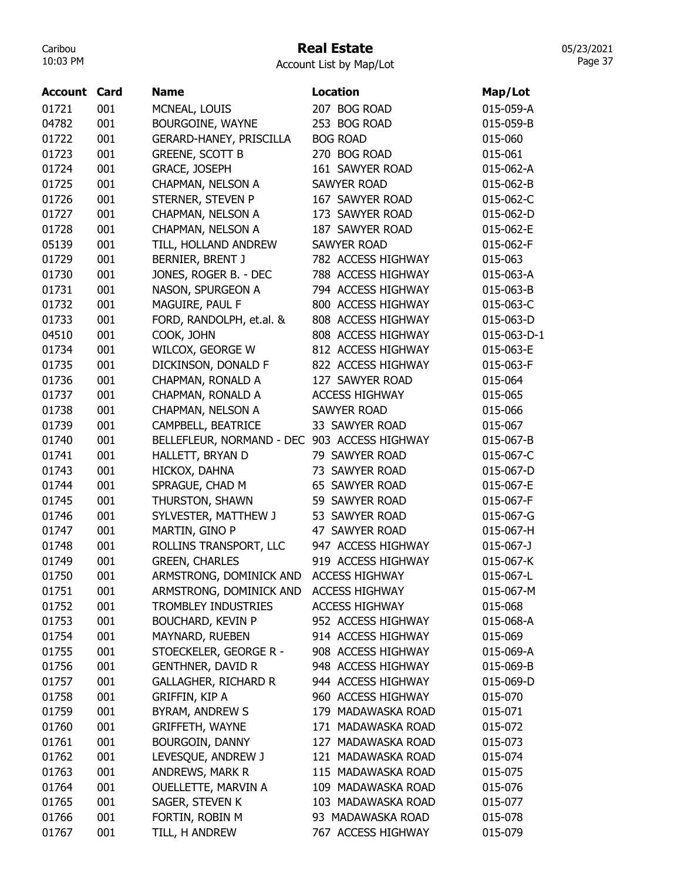# Real Estate

Account List by Map/Lot

| Account | Card | <b>Name</b>                                  | <b>Location</b>       | Map/Lot         |
|---------|------|----------------------------------------------|-----------------------|-----------------|
| 01721   | 001  | MCNEAL, LOUIS                                | 207 BOG ROAD          | 015-059-A       |
| 04782   | 001  | BOURGOINE, WAYNE                             | 253 BOG ROAD          | 015-059-B       |
| 01722   | 001  | GERARD-HANEY, PRISCILLA                      | <b>BOG ROAD</b>       | 015-060         |
| 01723   | 001  | <b>GREENE, SCOTT B</b>                       | 270 BOG ROAD          | 015-061         |
| 01724   | 001  | <b>GRACE, JOSEPH</b>                         | 161 SAWYER ROAD       | 015-062-A       |
| 01725   | 001  | CHAPMAN, NELSON A                            | <b>SAWYER ROAD</b>    | 015-062-B       |
| 01726   | 001  | STERNER, STEVEN P                            | 167 SAWYER ROAD       | 015-062-C       |
| 01727   | 001  | CHAPMAN, NELSON A                            | 173 SAWYER ROAD       | 015-062-D       |
| 01728   | 001  | CHAPMAN, NELSON A                            | 187 SAWYER ROAD       | 015-062-E       |
| 05139   | 001  | TILL, HOLLAND ANDREW                         | <b>SAWYER ROAD</b>    | 015-062-F       |
| 01729   | 001  | BERNIER, BRENT J                             | 782 ACCESS HIGHWAY    | 015-063         |
| 01730   | 001  | JONES, ROGER B. - DEC                        | 788 ACCESS HIGHWAY    | 015-063-A       |
| 01731   | 001  | NASON, SPURGEON A                            | 794 ACCESS HIGHWAY    | 015-063-B       |
| 01732   | 001  | MAGUIRE, PAUL F                              | 800 ACCESS HIGHWAY    | 015-063-C       |
| 01733   | 001  | FORD, RANDOLPH, et.al. &                     | 808 ACCESS HIGHWAY    | 015-063-D       |
| 04510   | 001  | COOK, JOHN                                   | 808 ACCESS HIGHWAY    | 015-063-D-1     |
| 01734   | 001  | WILCOX, GEORGE W                             | 812 ACCESS HIGHWAY    | 015-063-E       |
| 01735   | 001  | DICKINSON, DONALD F                          | 822 ACCESS HIGHWAY    | 015-063-F       |
| 01736   | 001  | CHAPMAN, RONALD A                            | 127 SAWYER ROAD       | 015-064         |
| 01737   | 001  | CHAPMAN, RONALD A                            | <b>ACCESS HIGHWAY</b> | 015-065         |
| 01738   | 001  | CHAPMAN, NELSON A                            | <b>SAWYER ROAD</b>    | 015-066         |
| 01739   | 001  | CAMPBELL, BEATRICE                           | 33 SAWYER ROAD        | 015-067         |
| 01740   | 001  | BELLEFLEUR, NORMAND - DEC 903 ACCESS HIGHWAY |                       | 015-067-B       |
| 01741   | 001  | HALLETT, BRYAN D                             | 79 SAWYER ROAD        | 015-067-C       |
| 01743   | 001  | HICKOX, DAHNA                                | 73 SAWYER ROAD        | 015-067-D       |
| 01744   | 001  | SPRAGUE, CHAD M                              | 65 SAWYER ROAD        | 015-067-E       |
| 01745   | 001  | THURSTON, SHAWN                              | 59 SAWYER ROAD        | 015-067-F       |
| 01746   | 001  | SYLVESTER, MATTHEW J                         | 53 SAWYER ROAD        | 015-067-G       |
| 01747   | 001  | MARTIN, GINO P                               | 47 SAWYER ROAD        | 015-067-H       |
| 01748   | 001  | ROLLINS TRANSPORT, LLC                       | 947 ACCESS HIGHWAY    | $015 - 067 - J$ |
| 01749   | 001  | <b>GREEN, CHARLES</b>                        | 919 ACCESS HIGHWAY    | 015-067-K       |
| 01750   | 001  | ARMSTRONG, DOMINICK AND                      | <b>ACCESS HIGHWAY</b> | 015-067-L       |
| 01751   | 001  | ARMSTRONG, DOMINICK AND                      | <b>ACCESS HIGHWAY</b> | 015-067-M       |
| 01752   | 001  | <b>TROMBLEY INDUSTRIES</b>                   | <b>ACCESS HIGHWAY</b> | 015-068         |
| 01753   | 001  | <b>BOUCHARD, KEVIN P</b>                     | 952 ACCESS HIGHWAY    | 015-068-A       |
| 01754   | 001  | MAYNARD, RUEBEN                              | 914 ACCESS HIGHWAY    | 015-069         |
| 01755   | 001  | STOECKELER, GEORGE R -                       | 908 ACCESS HIGHWAY    | 015-069-A       |
| 01756   | 001  | <b>GENTHNER, DAVID R</b>                     | 948 ACCESS HIGHWAY    | 015-069-B       |
| 01757   | 001  | <b>GALLAGHER, RICHARD R</b>                  | 944 ACCESS HIGHWAY    | 015-069-D       |
| 01758   | 001  | GRIFFIN, KIP A                               | 960 ACCESS HIGHWAY    | 015-070         |
| 01759   | 001  | BYRAM, ANDREW S                              | 179 MADAWASKA ROAD    | 015-071         |
| 01760   | 001  | <b>GRIFFETH, WAYNE</b>                       | 171 MADAWASKA ROAD    | 015-072         |
| 01761   | 001  | <b>BOURGOIN, DANNY</b>                       | 127 MADAWASKA ROAD    | 015-073         |
| 01762   | 001  | LEVESQUE, ANDREW J                           | 121 MADAWASKA ROAD    | 015-074         |
| 01763   | 001  | ANDREWS, MARK R                              | 115 MADAWASKA ROAD    | 015-075         |
| 01764   | 001  | OUELLETTE, MARVIN A                          | 109 MADAWASKA ROAD    | 015-076         |
| 01765   | 001  | SAGER, STEVEN K                              | 103 MADAWASKA ROAD    | 015-077         |
| 01766   | 001  | FORTIN, ROBIN M                              | 93 MADAWASKA ROAD     | 015-078         |
| 01767   | 001  | TILL, H ANDREW                               | 767 ACCESS HIGHWAY    | 015-079         |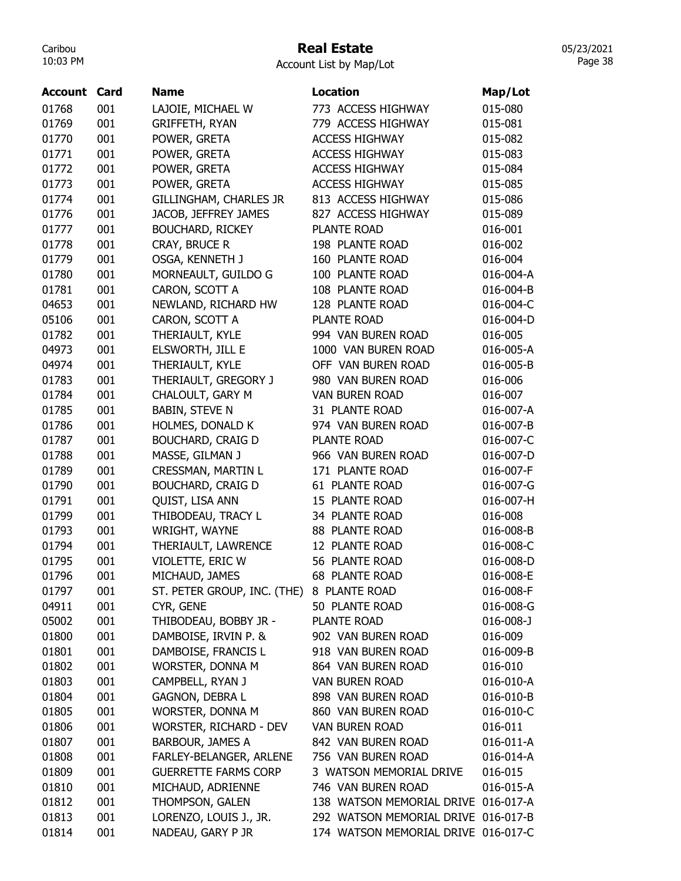## Real Estate

| Account | Card | <b>Name</b>                 | <b>Location</b>                     | Map/Lot   |
|---------|------|-----------------------------|-------------------------------------|-----------|
| 01768   | 001  | LAJOIE, MICHAEL W           | 773 ACCESS HIGHWAY                  | 015-080   |
| 01769   | 001  | <b>GRIFFETH, RYAN</b>       | 779 ACCESS HIGHWAY                  | 015-081   |
| 01770   | 001  | POWER, GRETA                | <b>ACCESS HIGHWAY</b>               | 015-082   |
| 01771   | 001  | POWER, GRETA                | <b>ACCESS HIGHWAY</b>               | 015-083   |
| 01772   | 001  | POWER, GRETA                | <b>ACCESS HIGHWAY</b>               | 015-084   |
| 01773   | 001  | POWER, GRETA                | <b>ACCESS HIGHWAY</b>               | 015-085   |
| 01774   | 001  | GILLINGHAM, CHARLES JR      | 813 ACCESS HIGHWAY                  | 015-086   |
| 01776   | 001  | JACOB, JEFFREY JAMES        | 827 ACCESS HIGHWAY                  | 015-089   |
| 01777   | 001  | <b>BOUCHARD, RICKEY</b>     | PLANTE ROAD                         | 016-001   |
| 01778   | 001  | CRAY, BRUCE R               | 198 PLANTE ROAD                     | 016-002   |
| 01779   | 001  | OSGA, KENNETH J             | 160 PLANTE ROAD                     | 016-004   |
| 01780   | 001  | MORNEAULT, GUILDO G         | 100 PLANTE ROAD                     | 016-004-A |
| 01781   | 001  | CARON, SCOTT A              | 108 PLANTE ROAD                     | 016-004-B |
| 04653   | 001  | NEWLAND, RICHARD HW         | 128 PLANTE ROAD                     | 016-004-C |
| 05106   | 001  | CARON, SCOTT A              | <b>PLANTE ROAD</b>                  | 016-004-D |
| 01782   | 001  | THERIAULT, KYLE             | 994 VAN BUREN ROAD                  | 016-005   |
| 04973   | 001  | ELSWORTH, JILL E            | 1000 VAN BUREN ROAD                 | 016-005-A |
| 04974   | 001  | THERIAULT, KYLE             | OFF VAN BUREN ROAD                  | 016-005-B |
| 01783   | 001  | THERIAULT, GREGORY J        | 980 VAN BUREN ROAD                  | 016-006   |
| 01784   | 001  | CHALOULT, GARY M            | <b>VAN BUREN ROAD</b>               | 016-007   |
| 01785   | 001  | <b>BABIN, STEVE N</b>       | 31 PLANTE ROAD                      | 016-007-A |
| 01786   | 001  | HOLMES, DONALD K            | 974 VAN BUREN ROAD                  | 016-007-B |
| 01787   | 001  | <b>BOUCHARD, CRAIG D</b>    | PLANTE ROAD                         | 016-007-C |
| 01788   | 001  | MASSE, GILMAN J             | 966 VAN BUREN ROAD                  | 016-007-D |
| 01789   | 001  | CRESSMAN, MARTIN L          | 171 PLANTE ROAD                     | 016-007-F |
| 01790   | 001  | <b>BOUCHARD, CRAIG D</b>    | 61 PLANTE ROAD                      | 016-007-G |
| 01791   | 001  | QUIST, LISA ANN             | 15 PLANTE ROAD                      | 016-007-H |
| 01799   | 001  | THIBODEAU, TRACY L          | 34 PLANTE ROAD                      | 016-008   |
| 01793   | 001  | WRIGHT, WAYNE               | 88 PLANTE ROAD                      | 016-008-B |
| 01794   | 001  | THERIAULT, LAWRENCE         | 12 PLANTE ROAD                      | 016-008-C |
| 01795   | 001  | VIOLETTE, ERIC W            | 56 PLANTE ROAD                      | 016-008-D |
| 01796   | 001  | MICHAUD, JAMES              | <b>68 PLANTE ROAD</b>               | 016-008-E |
| 01797   | 001  | ST. PETER GROUP, INC. (THE) | 8 PLANTE ROAD                       | 016-008-F |
| 04911   | 001  | CYR, GENE                   | 50 PLANTE ROAD                      | 016-008-G |
| 05002   | 001  | THIBODEAU, BOBBY JR -       | PLANTE ROAD                         | 016-008-J |
| 01800   | 001  | DAMBOISE, IRVIN P. &        | 902 VAN BUREN ROAD                  | 016-009   |
| 01801   | 001  | DAMBOISE, FRANCIS L         | 918 VAN BUREN ROAD                  | 016-009-B |
| 01802   | 001  | WORSTER, DONNA M            | 864 VAN BUREN ROAD                  | 016-010   |
| 01803   | 001  | CAMPBELL, RYAN J            | VAN BUREN ROAD                      | 016-010-A |
| 01804   | 001  | GAGNON, DEBRA L             | 898 VAN BUREN ROAD                  | 016-010-B |
| 01805   | 001  | WORSTER, DONNA M            | 860 VAN BUREN ROAD                  | 016-010-C |
| 01806   | 001  | WORSTER, RICHARD - DEV      | <b>VAN BUREN ROAD</b>               | 016-011   |
| 01807   | 001  | BARBOUR, JAMES A            | 842 VAN BUREN ROAD                  | 016-011-A |
| 01808   | 001  | FARLEY-BELANGER, ARLENE     | 756 VAN BUREN ROAD                  | 016-014-A |
| 01809   | 001  | <b>GUERRETTE FARMS CORP</b> | 3 WATSON MEMORIAL DRIVE             | 016-015   |
| 01810   | 001  | MICHAUD, ADRIENNE           | 746 VAN BUREN ROAD                  | 016-015-A |
| 01812   | 001  | THOMPSON, GALEN             | 138 WATSON MEMORIAL DRIVE 016-017-A |           |
| 01813   | 001  | LORENZO, LOUIS J., JR.      | 292 WATSON MEMORIAL DRIVE 016-017-B |           |
| 01814   | 001  | NADEAU, GARY P JR           | 174 WATSON MEMORIAL DRIVE 016-017-C |           |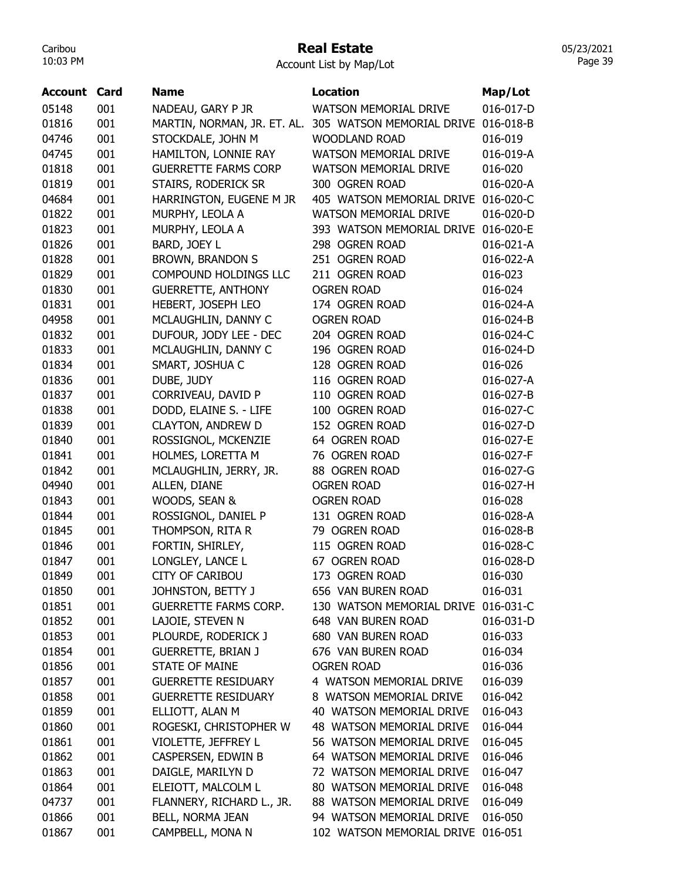## Real Estate

Account List by Map/Lot

| <b>Account Card</b> |     | <b>Name</b>                  | <b>Location</b>                     | Map/Lot   |
|---------------------|-----|------------------------------|-------------------------------------|-----------|
| 05148               | 001 | NADEAU, GARY P JR            | <b>WATSON MEMORIAL DRIVE</b>        | 016-017-D |
| 01816               | 001 | MARTIN, NORMAN, JR. ET. AL.  | 305 WATSON MEMORIAL DRIVE           | 016-018-B |
| 04746               | 001 | STOCKDALE, JOHN M            | <b>WOODLAND ROAD</b>                | 016-019   |
| 04745               | 001 | HAMILTON, LONNIE RAY         | <b>WATSON MEMORIAL DRIVE</b>        | 016-019-A |
| 01818               | 001 | <b>GUERRETTE FARMS CORP</b>  | <b>WATSON MEMORIAL DRIVE</b>        | 016-020   |
| 01819               | 001 | STAIRS, RODERICK SR          | 300 OGREN ROAD                      | 016-020-A |
| 04684               | 001 | HARRINGTON, EUGENE M JR      | 405 WATSON MEMORIAL DRIVE           | 016-020-C |
| 01822               | 001 | MURPHY, LEOLA A              | <b>WATSON MEMORIAL DRIVE</b>        | 016-020-D |
| 01823               | 001 | MURPHY, LEOLA A              | 393 WATSON MEMORIAL DRIVE           | 016-020-E |
| 01826               | 001 | BARD, JOEY L                 | 298 OGREN ROAD                      | 016-021-A |
| 01828               | 001 | <b>BROWN, BRANDON S</b>      | 251 OGREN ROAD                      | 016-022-A |
| 01829               | 001 | COMPOUND HOLDINGS LLC        | 211 OGREN ROAD                      | 016-023   |
| 01830               | 001 | <b>GUERRETTE, ANTHONY</b>    | <b>OGREN ROAD</b>                   | 016-024   |
| 01831               | 001 | HEBERT, JOSEPH LEO           | 174 OGREN ROAD                      | 016-024-A |
| 04958               | 001 | MCLAUGHLIN, DANNY C          | <b>OGREN ROAD</b>                   | 016-024-B |
| 01832               | 001 | DUFOUR, JODY LEE - DEC       | 204 OGREN ROAD                      | 016-024-C |
| 01833               | 001 | MCLAUGHLIN, DANNY C          | 196 OGREN ROAD                      | 016-024-D |
| 01834               | 001 | SMART, JOSHUA C              | 128 OGREN ROAD                      | 016-026   |
| 01836               | 001 | DUBE, JUDY                   | 116 OGREN ROAD                      | 016-027-A |
| 01837               | 001 | CORRIVEAU, DAVID P           | 110 OGREN ROAD                      | 016-027-B |
| 01838               | 001 | DODD, ELAINE S. - LIFE       | 100 OGREN ROAD                      | 016-027-C |
| 01839               | 001 | <b>CLAYTON, ANDREW D</b>     | 152 OGREN ROAD                      | 016-027-D |
| 01840               | 001 | ROSSIGNOL, MCKENZIE          | 64 OGREN ROAD                       | 016-027-E |
| 01841               | 001 | HOLMES, LORETTA M            | 76 OGREN ROAD                       | 016-027-F |
| 01842               | 001 | MCLAUGHLIN, JERRY, JR.       | 88 OGREN ROAD                       | 016-027-G |
| 04940               | 001 | ALLEN, DIANE                 | <b>OGREN ROAD</b>                   | 016-027-H |
| 01843               | 001 | WOODS, SEAN &                | <b>OGREN ROAD</b>                   | 016-028   |
| 01844               | 001 | ROSSIGNOL, DANIEL P          | 131 OGREN ROAD                      | 016-028-A |
| 01845               | 001 | THOMPSON, RITA R             | 79 OGREN ROAD                       | 016-028-B |
| 01846               | 001 | FORTIN, SHIRLEY,             | 115 OGREN ROAD                      | 016-028-C |
| 01847               | 001 | LONGLEY, LANCE L             | 67 OGREN ROAD                       | 016-028-D |
| 01849               | 001 | <b>CITY OF CARIBOU</b>       | 173 OGREN ROAD                      | 016-030   |
| 01850               | 001 | JOHNSTON, BETTY J            | 656 VAN BUREN ROAD                  | 016-031   |
| 01851               | 001 | <b>GUERRETTE FARMS CORP.</b> | 130 WATSON MEMORIAL DRIVE 016-031-C |           |
| 01852               | 001 | LAJOIE, STEVEN N             | 648 VAN BUREN ROAD                  | 016-031-D |
| 01853               | 001 | PLOURDE, RODERICK J          | 680 VAN BUREN ROAD                  | 016-033   |
| 01854               | 001 | <b>GUERRETTE, BRIAN J</b>    | 676 VAN BUREN ROAD                  | 016-034   |
| 01856               | 001 | <b>STATE OF MAINE</b>        | <b>OGREN ROAD</b>                   | 016-036   |
| 01857               | 001 | <b>GUERRETTE RESIDUARY</b>   | 4 WATSON MEMORIAL DRIVE             | 016-039   |
| 01858               | 001 | <b>GUERRETTE RESIDUARY</b>   | 8 WATSON MEMORIAL DRIVE             | 016-042   |
| 01859               | 001 | ELLIOTT, ALAN M              | 40 WATSON MEMORIAL DRIVE            | 016-043   |
| 01860               | 001 | ROGESKI, CHRISTOPHER W       | 48 WATSON MEMORIAL DRIVE            | 016-044   |
| 01861               | 001 | VIOLETTE, JEFFREY L          | 56 WATSON MEMORIAL DRIVE            | 016-045   |
| 01862               | 001 | CASPERSEN, EDWIN B           | 64 WATSON MEMORIAL DRIVE            | 016-046   |
| 01863               | 001 | DAIGLE, MARILYN D            | 72 WATSON MEMORIAL DRIVE            | 016-047   |
| 01864               | 001 | ELEIOTT, MALCOLM L           | 80 WATSON MEMORIAL DRIVE            | 016-048   |
| 04737               | 001 | FLANNERY, RICHARD L., JR.    | 88 WATSON MEMORIAL DRIVE            | 016-049   |
| 01866               | 001 | BELL, NORMA JEAN             | 94 WATSON MEMORIAL DRIVE            | 016-050   |
| 01867               | 001 | CAMPBELL, MONA N             | 102 WATSON MEMORIAL DRIVE 016-051   |           |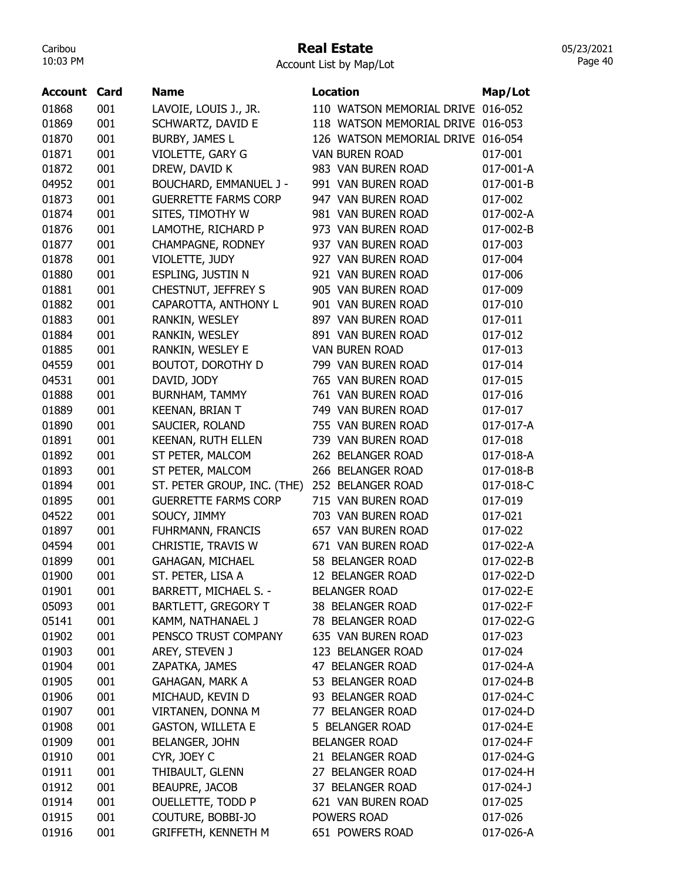### Real Estate

Account List by Map/Lot

| Account | Card | <b>Name</b>                   | <b>Location</b>                   | Map/Lot   |
|---------|------|-------------------------------|-----------------------------------|-----------|
| 01868   | 001  |                               | 110 WATSON MEMORIAL DRIVE         |           |
|         |      | LAVOIE, LOUIS J., JR.         | 118 WATSON MEMORIAL DRIVE 016-053 | 016-052   |
| 01869   | 001  | SCHWARTZ, DAVID E             |                                   |           |
| 01870   | 001  | <b>BURBY, JAMES L</b>         | 126 WATSON MEMORIAL DRIVE         | 016-054   |
| 01871   | 001  | VIOLETTE, GARY G              | <b>VAN BUREN ROAD</b>             | 017-001   |
| 01872   | 001  | DREW, DAVID K                 | 983 VAN BUREN ROAD                | 017-001-A |
| 04952   | 001  | <b>BOUCHARD, EMMANUEL J -</b> | 991 VAN BUREN ROAD                | 017-001-B |
| 01873   | 001  | <b>GUERRETTE FARMS CORP</b>   | 947 VAN BUREN ROAD                | 017-002   |
| 01874   | 001  | SITES, TIMOTHY W              | 981 VAN BUREN ROAD                | 017-002-A |
| 01876   | 001  | LAMOTHE, RICHARD P            | 973 VAN BUREN ROAD                | 017-002-B |
| 01877   | 001  | <b>CHAMPAGNE, RODNEY</b>      | 937 VAN BUREN ROAD                | 017-003   |
| 01878   | 001  | VIOLETTE, JUDY                | 927 VAN BUREN ROAD                | 017-004   |
| 01880   | 001  | ESPLING, JUSTIN N             | 921 VAN BUREN ROAD                | 017-006   |
| 01881   | 001  | CHESTNUT, JEFFREY S           | 905 VAN BUREN ROAD                | 017-009   |
| 01882   | 001  | CAPAROTTA, ANTHONY L          | 901 VAN BUREN ROAD                | 017-010   |
| 01883   | 001  | RANKIN, WESLEY                | 897 VAN BUREN ROAD                | 017-011   |
| 01884   | 001  | RANKIN, WESLEY                | 891 VAN BUREN ROAD                | 017-012   |
| 01885   | 001  | RANKIN, WESLEY E              | <b>VAN BUREN ROAD</b>             | 017-013   |
| 04559   | 001  | <b>BOUTOT, DOROTHY D</b>      | 799 VAN BUREN ROAD                | 017-014   |
| 04531   | 001  | DAVID, JODY                   | 765 VAN BUREN ROAD                | 017-015   |
| 01888   | 001  | <b>BURNHAM, TAMMY</b>         | 761 VAN BUREN ROAD                | 017-016   |
| 01889   | 001  | KEENAN, BRIAN T               | 749 VAN BUREN ROAD                | 017-017   |
| 01890   | 001  | SAUCIER, ROLAND               | 755 VAN BUREN ROAD                | 017-017-A |
| 01891   | 001  | KEENAN, RUTH ELLEN            | 739 VAN BUREN ROAD                | 017-018   |
| 01892   | 001  | ST PETER, MALCOM              | 262 BELANGER ROAD                 | 017-018-A |
| 01893   | 001  | ST PETER, MALCOM              | 266 BELANGER ROAD                 | 017-018-B |
| 01894   | 001  | ST. PETER GROUP, INC. (THE)   | 252 BELANGER ROAD                 | 017-018-C |
| 01895   | 001  | <b>GUERRETTE FARMS CORP</b>   | 715 VAN BUREN ROAD                | 017-019   |
| 04522   | 001  | SOUCY, JIMMY                  | 703 VAN BUREN ROAD                | 017-021   |
| 01897   | 001  | FUHRMANN, FRANCIS             | 657 VAN BUREN ROAD                | 017-022   |
| 04594   | 001  | CHRISTIE, TRAVIS W            | 671 VAN BUREN ROAD                | 017-022-A |
| 01899   | 001  |                               | 58 BELANGER ROAD                  | 017-022-B |
|         |      | GAHAGAN, MICHAEL              |                                   |           |
| 01900   | 001  | ST. PETER, LISA A             | 12 BELANGER ROAD                  | 017-022-D |
| 01901   | 001  | BARRETT, MICHAEL S. -         | <b>BELANGER ROAD</b>              | 017-022-E |
| 05093   | 001  | <b>BARTLETT, GREGORY T</b>    | 38 BELANGER ROAD                  | 017-022-F |
| 05141   | 001  | KAMM, NATHANAEL J             | 78 BELANGER ROAD                  | 017-022-G |
| 01902   | 001  | PENSCO TRUST COMPANY          | 635 VAN BUREN ROAD                | 017-023   |
| 01903   | 001  | AREY, STEVEN J                | 123 BELANGER ROAD                 | 017-024   |
| 01904   | 001  | ZAPATKA, JAMES                | 47 BELANGER ROAD                  | 017-024-A |
| 01905   | 001  | <b>GAHAGAN, MARK A</b>        | 53 BELANGER ROAD                  | 017-024-B |
| 01906   | 001  | MICHAUD, KEVIN D              | 93 BELANGER ROAD                  | 017-024-C |
| 01907   | 001  | VIRTANEN, DONNA M             | 77 BELANGER ROAD                  | 017-024-D |
| 01908   | 001  | <b>GASTON, WILLETA E</b>      | 5 BELANGER ROAD                   | 017-024-E |
| 01909   | 001  | BELANGER, JOHN                | <b>BELANGER ROAD</b>              | 017-024-F |
| 01910   | 001  | CYR, JOEY C                   | 21 BELANGER ROAD                  | 017-024-G |
| 01911   | 001  | THIBAULT, GLENN               | 27 BELANGER ROAD                  | 017-024-H |
| 01912   | 001  | <b>BEAUPRE, JACOB</b>         | 37 BELANGER ROAD                  | 017-024-J |
| 01914   | 001  | OUELLETTE, TODD P             | 621 VAN BUREN ROAD                | 017-025   |
| 01915   | 001  | COUTURE, BOBBI-JO             | POWERS ROAD                       | 017-026   |
| 01916   | 001  | <b>GRIFFETH, KENNETH M</b>    | 651 POWERS ROAD                   | 017-026-A |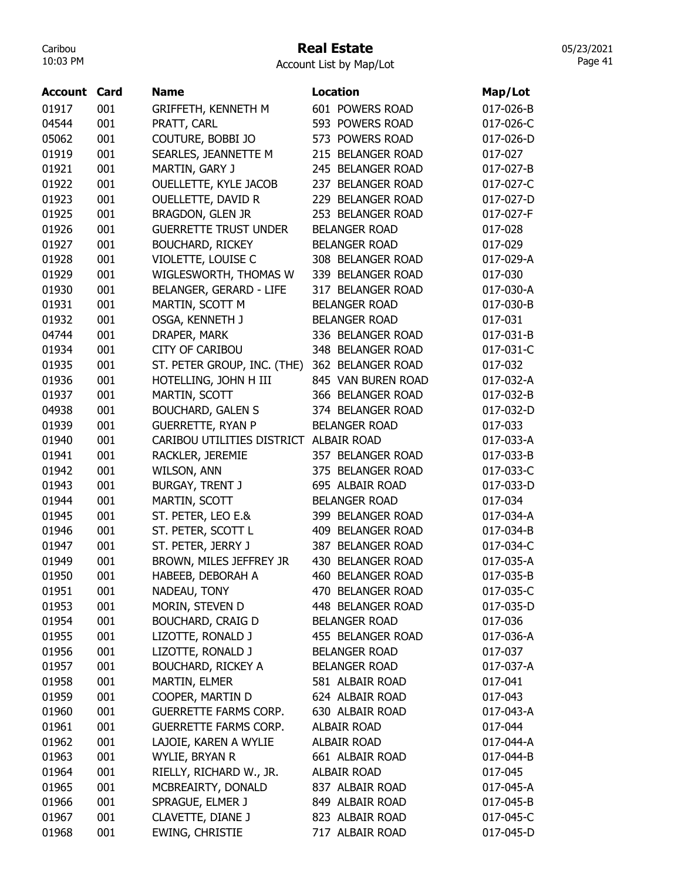### Real Estate

Account List by Map/Lot

| <b>Account Card</b> |     | <b>Name</b>                            | <b>Location</b>      | Map/Lot   |
|---------------------|-----|----------------------------------------|----------------------|-----------|
| 01917               | 001 | <b>GRIFFETH, KENNETH M</b>             | 601 POWERS ROAD      | 017-026-B |
| 04544               | 001 | PRATT, CARL                            | 593 POWERS ROAD      | 017-026-C |
| 05062               | 001 | COUTURE, BOBBI JO                      | 573 POWERS ROAD      | 017-026-D |
| 01919               | 001 | SEARLES, JEANNETTE M                   | 215 BELANGER ROAD    | 017-027   |
| 01921               | 001 | MARTIN, GARY J                         | 245 BELANGER ROAD    | 017-027-B |
| 01922               | 001 | OUELLETTE, KYLE JACOB                  | 237 BELANGER ROAD    | 017-027-C |
| 01923               | 001 | OUELLETTE, DAVID R                     | 229 BELANGER ROAD    | 017-027-D |
| 01925               | 001 | BRAGDON, GLEN JR                       | 253 BELANGER ROAD    | 017-027-F |
| 01926               | 001 | <b>GUERRETTE TRUST UNDER</b>           | <b>BELANGER ROAD</b> | 017-028   |
| 01927               | 001 | <b>BOUCHARD, RICKEY</b>                | <b>BELANGER ROAD</b> | 017-029   |
| 01928               | 001 | VIOLETTE, LOUISE C                     | 308 BELANGER ROAD    | 017-029-A |
| 01929               | 001 | WIGLESWORTH, THOMAS W                  | 339 BELANGER ROAD    | 017-030   |
| 01930               | 001 | <b>BELANGER, GERARD - LIFE</b>         | 317 BELANGER ROAD    | 017-030-A |
| 01931               | 001 | MARTIN, SCOTT M                        | <b>BELANGER ROAD</b> | 017-030-B |
| 01932               | 001 | OSGA, KENNETH J                        | <b>BELANGER ROAD</b> | 017-031   |
| 04744               | 001 | DRAPER, MARK                           | 336 BELANGER ROAD    | 017-031-B |
| 01934               | 001 | <b>CITY OF CARIBOU</b>                 | 348 BELANGER ROAD    | 017-031-C |
| 01935               | 001 | ST. PETER GROUP, INC. (THE)            | 362 BELANGER ROAD    | 017-032   |
| 01936               | 001 | HOTELLING, JOHN H III                  | 845 VAN BUREN ROAD   | 017-032-A |
| 01937               | 001 | MARTIN, SCOTT                          | 366 BELANGER ROAD    | 017-032-B |
| 04938               | 001 | <b>BOUCHARD, GALEN S</b>               | 374 BELANGER ROAD    | 017-032-D |
| 01939               | 001 | <b>GUERRETTE, RYAN P</b>               | <b>BELANGER ROAD</b> | 017-033   |
| 01940               | 001 | CARIBOU UTILITIES DISTRICT ALBAIR ROAD |                      | 017-033-A |
| 01941               | 001 | RACKLER, JEREMIE                       | 357 BELANGER ROAD    | 017-033-B |
| 01942               | 001 | WILSON, ANN                            | 375 BELANGER ROAD    | 017-033-C |
| 01943               | 001 | <b>BURGAY, TRENT J</b>                 | 695 ALBAIR ROAD      | 017-033-D |
| 01944               | 001 | MARTIN, SCOTT                          | <b>BELANGER ROAD</b> | 017-034   |
| 01945               | 001 | ST. PETER, LEO E.&                     | 399 BELANGER ROAD    | 017-034-A |
| 01946               | 001 | ST. PETER, SCOTT L                     | 409 BELANGER ROAD    | 017-034-B |
| 01947               | 001 | ST. PETER, JERRY J                     | 387 BELANGER ROAD    | 017-034-C |
| 01949               | 001 | BROWN, MILES JEFFREY JR                | 430 BELANGER ROAD    | 017-035-A |
| 01950               | 001 | HABEEB, DEBORAH A                      | 460 BELANGER ROAD    | 017-035-B |
| 01951               | 001 | NADEAU, TONY                           | 470 BELANGER ROAD    | 017-035-C |
| 01953               | 001 | MORIN, STEVEN D                        | 448 BELANGER ROAD    | 017-035-D |
| 01954               | 001 | <b>BOUCHARD, CRAIG D</b>               | <b>BELANGER ROAD</b> | 017-036   |
| 01955               | 001 | LIZOTTE, RONALD J                      | 455 BELANGER ROAD    | 017-036-A |
| 01956               | 001 | LIZOTTE, RONALD J                      | <b>BELANGER ROAD</b> | 017-037   |
| 01957               | 001 | <b>BOUCHARD, RICKEY A</b>              | <b>BELANGER ROAD</b> | 017-037-A |
| 01958               | 001 | MARTIN, ELMER                          | 581 ALBAIR ROAD      | 017-041   |
| 01959               | 001 | COOPER, MARTIN D                       | 624 ALBAIR ROAD      | 017-043   |
| 01960               | 001 | <b>GUERRETTE FARMS CORP.</b>           | 630 ALBAIR ROAD      | 017-043-A |
| 01961               | 001 | <b>GUERRETTE FARMS CORP.</b>           | <b>ALBAIR ROAD</b>   | 017-044   |
| 01962               | 001 | LAJOIE, KAREN A WYLIE                  | ALBAIR ROAD          | 017-044-A |
| 01963               | 001 | WYLIE, BRYAN R                         | 661 ALBAIR ROAD      | 017-044-B |
| 01964               | 001 | RIELLY, RICHARD W., JR.                | <b>ALBAIR ROAD</b>   | 017-045   |
| 01965               | 001 | MCBREAIRTY, DONALD                     | 837 ALBAIR ROAD      | 017-045-A |
| 01966               | 001 | SPRAGUE, ELMER J                       | 849 ALBAIR ROAD      | 017-045-B |
| 01967               | 001 | CLAVETTE, DIANE J                      | 823 ALBAIR ROAD      | 017-045-C |
| 01968               | 001 | EWING, CHRISTIE                        | 717 ALBAIR ROAD      | 017-045-D |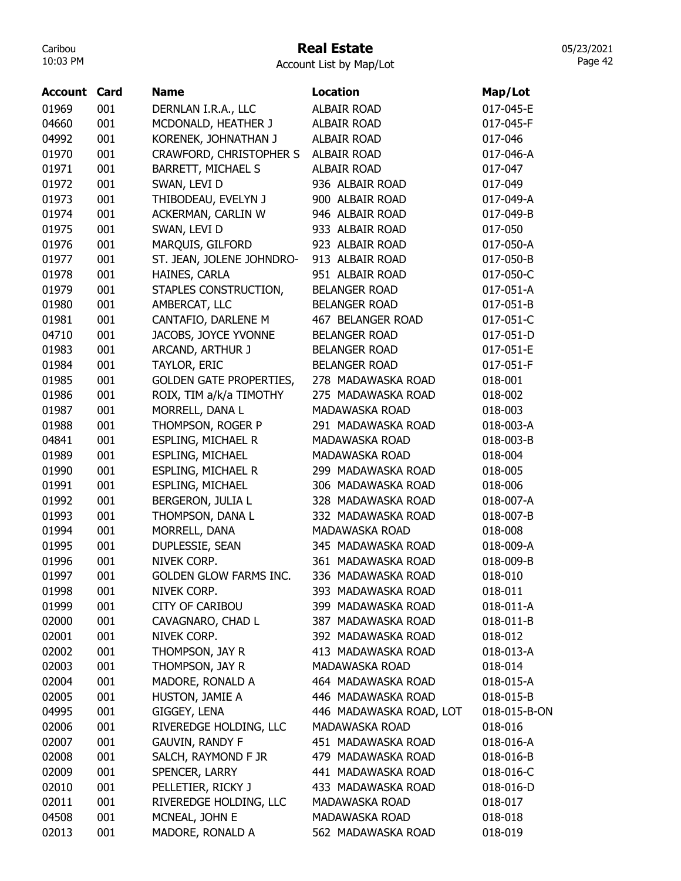# Real Estate

Account List by Map/Lot

| <b>Account Card</b> |     | <b>Name</b>                    | Location                | Map/Lot      |
|---------------------|-----|--------------------------------|-------------------------|--------------|
| 01969               | 001 | DERNLAN I.R.A., LLC            | <b>ALBAIR ROAD</b>      | 017-045-E    |
| 04660               | 001 | MCDONALD, HEATHER J            | <b>ALBAIR ROAD</b>      | 017-045-F    |
| 04992               | 001 | KORENEK, JOHNATHAN J           | <b>ALBAIR ROAD</b>      | 017-046      |
| 01970               | 001 | CRAWFORD, CHRISTOPHER S        | <b>ALBAIR ROAD</b>      | 017-046-A    |
| 01971               | 001 | BARRETT, MICHAEL S             | <b>ALBAIR ROAD</b>      | 017-047      |
| 01972               | 001 | SWAN, LEVI D                   | 936 ALBAIR ROAD         | 017-049      |
| 01973               | 001 | THIBODEAU, EVELYN J            | 900 ALBAIR ROAD         | 017-049-A    |
| 01974               | 001 | ACKERMAN, CARLIN W             | 946 ALBAIR ROAD         | 017-049-B    |
| 01975               | 001 | SWAN, LEVI D                   | 933 ALBAIR ROAD         | 017-050      |
| 01976               | 001 | MARQUIS, GILFORD               | 923 ALBAIR ROAD         | 017-050-A    |
| 01977               | 001 | ST. JEAN, JOLENE JOHNDRO-      | 913 ALBAIR ROAD         | 017-050-B    |
| 01978               | 001 | HAINES, CARLA                  | 951 ALBAIR ROAD         | 017-050-C    |
| 01979               | 001 | STAPLES CONSTRUCTION,          | <b>BELANGER ROAD</b>    | 017-051-A    |
| 01980               | 001 | AMBERCAT, LLC                  | <b>BELANGER ROAD</b>    | 017-051-B    |
| 01981               | 001 | CANTAFIO, DARLENE M            | 467 BELANGER ROAD       | 017-051-C    |
| 04710               | 001 | JACOBS, JOYCE YVONNE           | <b>BELANGER ROAD</b>    | 017-051-D    |
| 01983               | 001 | ARCAND, ARTHUR J               | <b>BELANGER ROAD</b>    | 017-051-E    |
| 01984               | 001 | TAYLOR, ERIC                   | <b>BELANGER ROAD</b>    | 017-051-F    |
| 01985               | 001 | <b>GOLDEN GATE PROPERTIES,</b> | 278 MADAWASKA ROAD      | 018-001      |
| 01986               | 001 | ROIX, TIM a/k/a TIMOTHY        | 275 MADAWASKA ROAD      | 018-002      |
| 01987               | 001 | MORRELL, DANA L                | MADAWASKA ROAD          | 018-003      |
| 01988               | 001 | THOMPSON, ROGER P              | 291 MADAWASKA ROAD      | 018-003-A    |
| 04841               | 001 | <b>ESPLING, MICHAEL R</b>      | MADAWASKA ROAD          | 018-003-B    |
| 01989               | 001 | ESPLING, MICHAEL               | MADAWASKA ROAD          | 018-004      |
| 01990               | 001 | <b>ESPLING, MICHAEL R</b>      | 299 MADAWASKA ROAD      | 018-005      |
| 01991               | 001 | <b>ESPLING, MICHAEL</b>        | 306 MADAWASKA ROAD      | 018-006      |
| 01992               | 001 | BERGERON, JULIA L              | 328 MADAWASKA ROAD      | 018-007-A    |
| 01993               | 001 | THOMPSON, DANA L               | 332 MADAWASKA ROAD      | 018-007-B    |
| 01994               | 001 | MORRELL, DANA                  | <b>MADAWASKA ROAD</b>   | 018-008      |
| 01995               | 001 | DUPLESSIE, SEAN                | 345 MADAWASKA ROAD      | 018-009-A    |
| 01996               | 001 | NIVEK CORP.                    | 361 MADAWASKA ROAD      | 018-009-B    |
| 01997               | 001 | GOLDEN GLOW FARMS INC.         | 336 MADAWASKA ROAD      | 018-010      |
| 01998               | 001 | NIVEK CORP.                    | 393 MADAWASKA ROAD      | 018-011      |
| 01999               | 001 | <b>CITY OF CARIBOU</b>         | 399 MADAWASKA ROAD      | 018-011-A    |
| 02000               | 001 | CAVAGNARO, CHAD L              | 387 MADAWASKA ROAD      | 018-011-B    |
| 02001               | 001 | NIVEK CORP.                    | 392 MADAWASKA ROAD      | 018-012      |
| 02002               | 001 | THOMPSON, JAY R                | 413 MADAWASKA ROAD      | 018-013-A    |
| 02003               | 001 | THOMPSON, JAY R                | <b>MADAWASKA ROAD</b>   | 018-014      |
| 02004               | 001 | MADORE, RONALD A               | 464 MADAWASKA ROAD      | 018-015-A    |
| 02005               | 001 | HUSTON, JAMIE A                | 446 MADAWASKA ROAD      | 018-015-B    |
| 04995               | 001 | GIGGEY, LENA                   | 446 MADAWASKA ROAD, LOT | 018-015-B-ON |
| 02006               | 001 | RIVEREDGE HOLDING, LLC         | MADAWASKA ROAD          | 018-016      |
| 02007               | 001 | <b>GAUVIN, RANDY F</b>         | 451 MADAWASKA ROAD      | 018-016-A    |
| 02008               | 001 | SALCH, RAYMOND F JR            | 479 MADAWASKA ROAD      | 018-016-B    |
| 02009               | 001 | SPENCER, LARRY                 | 441 MADAWASKA ROAD      | 018-016-C    |
| 02010               | 001 | PELLETIER, RICKY J             | 433 MADAWASKA ROAD      | 018-016-D    |
| 02011               | 001 | RIVEREDGE HOLDING, LLC         | MADAWASKA ROAD          | 018-017      |
| 04508               | 001 | MCNEAL, JOHN E                 | MADAWASKA ROAD          | 018-018      |
| 02013               | 001 | MADORE, RONALD A               | 562 MADAWASKA ROAD      | 018-019      |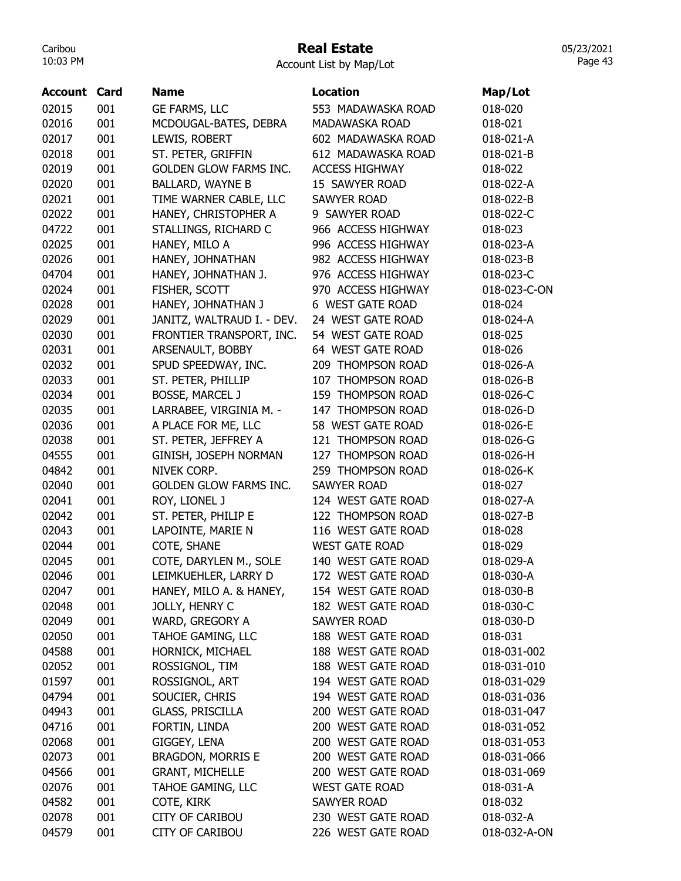### Real Estate

Account List by Map/Lot

| <b>Account Card</b> |     | <b>Name</b>                   | <b>Location</b>       | Map/Lot      |
|---------------------|-----|-------------------------------|-----------------------|--------------|
| 02015               | 001 | GE FARMS, LLC                 | 553 MADAWASKA ROAD    | 018-020      |
| 02016               | 001 | MCDOUGAL-BATES, DEBRA         | MADAWASKA ROAD        | 018-021      |
| 02017               | 001 | LEWIS, ROBERT                 | 602 MADAWASKA ROAD    | 018-021-A    |
| 02018               | 001 | ST. PETER, GRIFFIN            | 612 MADAWASKA ROAD    | 018-021-B    |
| 02019               | 001 | <b>GOLDEN GLOW FARMS INC.</b> | <b>ACCESS HIGHWAY</b> | 018-022      |
| 02020               | 001 | <b>BALLARD, WAYNE B</b>       | 15 SAWYER ROAD        | 018-022-A    |
| 02021               | 001 | TIME WARNER CABLE, LLC        | <b>SAWYER ROAD</b>    | 018-022-B    |
| 02022               | 001 | HANEY, CHRISTOPHER A          | 9 SAWYER ROAD         | 018-022-C    |
| 04722               | 001 | STALLINGS, RICHARD C          | 966 ACCESS HIGHWAY    | 018-023      |
| 02025               | 001 | HANEY, MILO A                 | 996 ACCESS HIGHWAY    | 018-023-A    |
| 02026               | 001 | HANEY, JOHNATHAN              | 982 ACCESS HIGHWAY    | 018-023-B    |
| 04704               | 001 | HANEY, JOHNATHAN J.           | 976 ACCESS HIGHWAY    | 018-023-C    |
| 02024               | 001 | FISHER, SCOTT                 | 970 ACCESS HIGHWAY    | 018-023-C-ON |
| 02028               | 001 | HANEY, JOHNATHAN J            | 6 WEST GATE ROAD      | 018-024      |
| 02029               | 001 | JANITZ, WALTRAUD I. - DEV.    | 24 WEST GATE ROAD     | 018-024-A    |
| 02030               | 001 | FRONTIER TRANSPORT, INC.      | 54 WEST GATE ROAD     | 018-025      |
| 02031               | 001 | ARSENAULT, BOBBY              | 64 WEST GATE ROAD     | 018-026      |
| 02032               | 001 | SPUD SPEEDWAY, INC.           | 209 THOMPSON ROAD     | 018-026-A    |
| 02033               | 001 | ST. PETER, PHILLIP            | 107 THOMPSON ROAD     | 018-026-B    |
| 02034               | 001 | <b>BOSSE, MARCEL J</b>        | 159 THOMPSON ROAD     | 018-026-C    |
| 02035               | 001 | LARRABEE, VIRGINIA M. -       | 147 THOMPSON ROAD     | 018-026-D    |
| 02036               | 001 | A PLACE FOR ME, LLC           | 58 WEST GATE ROAD     | 018-026-E    |
| 02038               | 001 | ST. PETER, JEFFREY A          | 121 THOMPSON ROAD     | 018-026-G    |
| 04555               | 001 | GINISH, JOSEPH NORMAN         | 127 THOMPSON ROAD     | 018-026-H    |
| 04842               | 001 | NIVEK CORP.                   | 259 THOMPSON ROAD     | 018-026-K    |
| 02040               | 001 | <b>GOLDEN GLOW FARMS INC.</b> | <b>SAWYER ROAD</b>    | 018-027      |
| 02041               | 001 | ROY, LIONEL J                 | 124 WEST GATE ROAD    | 018-027-A    |
| 02042               | 001 | ST. PETER, PHILIP E           | 122 THOMPSON ROAD     | 018-027-B    |
| 02043               | 001 | LAPOINTE, MARIE N             | 116 WEST GATE ROAD    | 018-028      |
| 02044               | 001 | COTE, SHANE                   | <b>WEST GATE ROAD</b> | 018-029      |
| 02045               | 001 | COTE, DARYLEN M., SOLE        | 140 WEST GATE ROAD    | 018-029-A    |
| 02046               | 001 | LEIMKUEHLER, LARRY D          | 172 WEST GATE ROAD    | 018-030-A    |
| 02047               | 001 | HANEY, MILO A. & HANEY,       | 154 WEST GATE ROAD    | 018-030-B    |
| 02048               | 001 | JOLLY, HENRY C                | 182 WEST GATE ROAD    | 018-030-C    |
| 02049               | 001 | WARD, GREGORY A               | <b>SAWYER ROAD</b>    | 018-030-D    |
| 02050               | 001 | TAHOE GAMING, LLC             | 188 WEST GATE ROAD    | 018-031      |
| 04588               | 001 | HORNICK, MICHAEL              | 188 WEST GATE ROAD    | 018-031-002  |
| 02052               | 001 | ROSSIGNOL, TIM                | 188 WEST GATE ROAD    | 018-031-010  |
| 01597               | 001 | ROSSIGNOL, ART                | 194 WEST GATE ROAD    | 018-031-029  |
| 04794               | 001 | SOUCIER, CHRIS                | 194 WEST GATE ROAD    | 018-031-036  |
| 04943               | 001 | GLASS, PRISCILLA              | 200 WEST GATE ROAD    | 018-031-047  |
| 04716               | 001 | FORTIN, LINDA                 | 200 WEST GATE ROAD    | 018-031-052  |
| 02068               | 001 | GIGGEY, LENA                  | 200 WEST GATE ROAD    | 018-031-053  |
| 02073               | 001 | <b>BRAGDON, MORRIS E</b>      | 200 WEST GATE ROAD    | 018-031-066  |
| 04566               | 001 | <b>GRANT, MICHELLE</b>        | 200 WEST GATE ROAD    | 018-031-069  |
| 02076               | 001 | TAHOE GAMING, LLC             | <b>WEST GATE ROAD</b> | 018-031-A    |
| 04582               | 001 | COTE, KIRK                    | <b>SAWYER ROAD</b>    | 018-032      |
| 02078               | 001 | <b>CITY OF CARIBOU</b>        | 230 WEST GATE ROAD    | 018-032-A    |
| 04579               | 001 | <b>CITY OF CARIBOU</b>        | 226 WEST GATE ROAD    | 018-032-A-ON |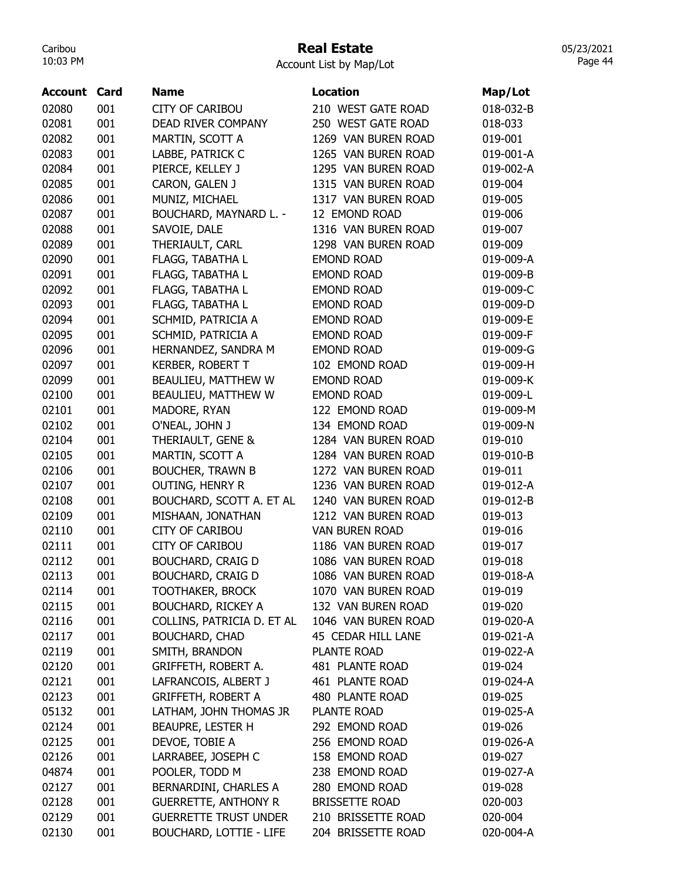## Real Estate

05/23/2021 Page 44

| <b>Account</b> | Card | <b>Name</b>                    | <b>Location</b>       | Map/Lot   |
|----------------|------|--------------------------------|-----------------------|-----------|
| 02080          | 001  | <b>CITY OF CARIBOU</b>         | 210 WEST GATE ROAD    | 018-032-B |
| 02081          | 001  | DEAD RIVER COMPANY             | 250 WEST GATE ROAD    | 018-033   |
| 02082          | 001  | MARTIN, SCOTT A                | 1269 VAN BUREN ROAD   | 019-001   |
| 02083          | 001  | LABBE, PATRICK C               | 1265 VAN BUREN ROAD   | 019-001-A |
| 02084          | 001  | PIERCE, KELLEY J               | 1295 VAN BUREN ROAD   | 019-002-A |
| 02085          | 001  | CARON, GALEN J                 | 1315 VAN BUREN ROAD   | 019-004   |
| 02086          | 001  | MUNIZ, MICHAEL                 | 1317 VAN BUREN ROAD   | 019-005   |
| 02087          | 001  | BOUCHARD, MAYNARD L. -         | 12 EMOND ROAD         | 019-006   |
| 02088          | 001  | SAVOIE, DALE                   | 1316 VAN BUREN ROAD   | 019-007   |
| 02089          | 001  | THERIAULT, CARL                | 1298 VAN BUREN ROAD   | 019-009   |
| 02090          | 001  | FLAGG, TABATHA L               | <b>EMOND ROAD</b>     | 019-009-A |
| 02091          | 001  | FLAGG, TABATHA L               | <b>EMOND ROAD</b>     | 019-009-B |
| 02092          | 001  | FLAGG, TABATHA L               | <b>EMOND ROAD</b>     | 019-009-C |
| 02093          | 001  | FLAGG, TABATHA L               | <b>EMOND ROAD</b>     | 019-009-D |
| 02094          | 001  | SCHMID, PATRICIA A             | <b>EMOND ROAD</b>     | 019-009-E |
| 02095          | 001  | SCHMID, PATRICIA A             | <b>EMOND ROAD</b>     | 019-009-F |
| 02096          | 001  | HERNANDEZ, SANDRA M            | <b>EMOND ROAD</b>     | 019-009-G |
| 02097          | 001  | <b>KERBER, ROBERT T</b>        | 102 EMOND ROAD        | 019-009-H |
| 02099          | 001  | BEAULIEU, MATTHEW W            | <b>EMOND ROAD</b>     | 019-009-K |
| 02100          | 001  | BEAULIEU, MATTHEW W            | <b>EMOND ROAD</b>     | 019-009-L |
| 02101          | 001  | MADORE, RYAN                   | 122 EMOND ROAD        | 019-009-M |
| 02102          | 001  | O'NEAL, JOHN J                 | 134 EMOND ROAD        | 019-009-N |
| 02104          | 001  | THERIAULT, GENE &              | 1284 VAN BUREN ROAD   | 019-010   |
| 02105          | 001  | MARTIN, SCOTT A                | 1284 VAN BUREN ROAD   | 019-010-B |
| 02106          | 001  | <b>BOUCHER, TRAWN B</b>        | 1272 VAN BUREN ROAD   | 019-011   |
| 02107          | 001  | <b>OUTING, HENRY R</b>         | 1236 VAN BUREN ROAD   | 019-012-A |
| 02108          | 001  | BOUCHARD, SCOTT A. ET AL       | 1240 VAN BUREN ROAD   | 019-012-B |
| 02109          | 001  | MISHAAN, JONATHAN              | 1212 VAN BUREN ROAD   | 019-013   |
| 02110          | 001  | <b>CITY OF CARIBOU</b>         | <b>VAN BUREN ROAD</b> | 019-016   |
| 02111          | 001  | <b>CITY OF CARIBOU</b>         | 1186 VAN BUREN ROAD   | 019-017   |
| 02112          | 001  | <b>BOUCHARD, CRAIG D</b>       | 1086 VAN BUREN ROAD   | 019-018   |
| 02113          | 001  | <b>BOUCHARD, CRAIG D</b>       | 1086 VAN BUREN ROAD   | 019-018-A |
| 02114          | 001  | <b>TOOTHAKER, BROCK</b>        | 1070 VAN BUREN ROAD   | 019-019   |
| 02115          | 001  | <b>BOUCHARD, RICKEY A</b>      | 132 VAN BUREN ROAD    | 019-020   |
| 02116          | 001  | COLLINS, PATRICIA D. ET AL     | 1046 VAN BUREN ROAD   | 019-020-A |
| 02117          | 001  | <b>BOUCHARD, CHAD</b>          | 45 CEDAR HILL LANE    | 019-021-A |
| 02119          | 001  | SMITH, BRANDON                 | PLANTE ROAD           | 019-022-A |
| 02120          | 001  | GRIFFETH, ROBERT A.            | 481 PLANTE ROAD       | 019-024   |
| 02121          | 001  | LAFRANCOIS, ALBERT J           | 461 PLANTE ROAD       | 019-024-A |
| 02123          | 001  | <b>GRIFFETH, ROBERT A</b>      | 480 PLANTE ROAD       | 019-025   |
| 05132          | 001  | LATHAM, JOHN THOMAS JR         | PLANTE ROAD           | 019-025-A |
| 02124          | 001  | BEAUPRE, LESTER H              | 292 EMOND ROAD        | 019-026   |
| 02125          | 001  | DEVOE, TOBIE A                 | 256 EMOND ROAD        | 019-026-A |
| 02126          | 001  | LARRABEE, JOSEPH C             | 158 EMOND ROAD        | 019-027   |
| 04874          | 001  | POOLER, TODD M                 | 238 EMOND ROAD        | 019-027-A |
| 02127          | 001  | BERNARDINI, CHARLES A          | 280 EMOND ROAD        | 019-028   |
| 02128          | 001  | <b>GUERRETTE, ANTHONY R</b>    | <b>BRISSETTE ROAD</b> | 020-003   |
| 02129          | 001  | <b>GUERRETTE TRUST UNDER</b>   | 210 BRISSETTE ROAD    | 020-004   |
| 02130          | 001  | <b>BOUCHARD, LOTTIE - LIFE</b> | 204 BRISSETTE ROAD    | 020-004-A |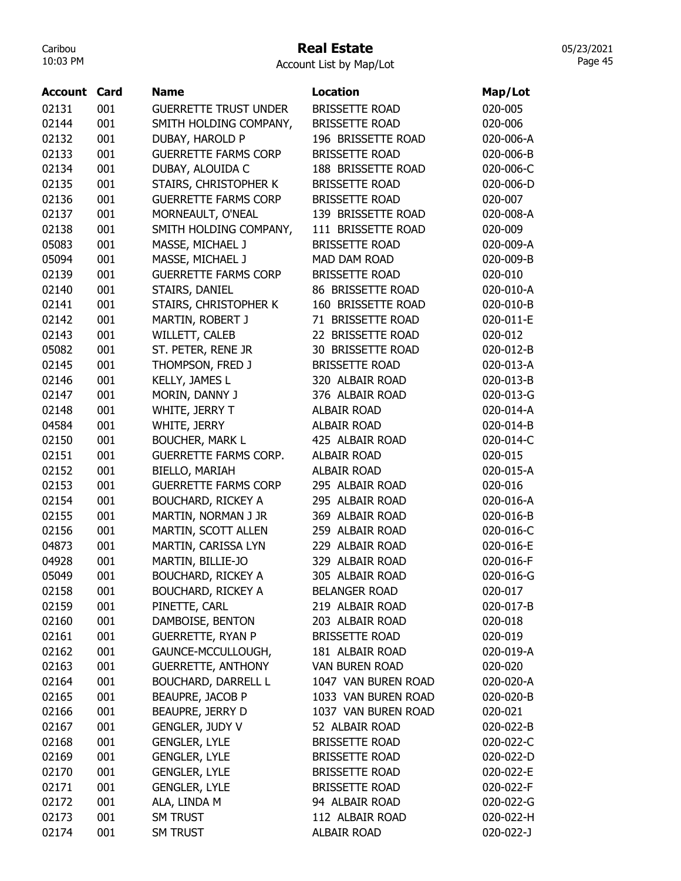### Real Estate

| Account | Card | <b>Name</b>                  | <b>Location</b>       | Map/Lot   |
|---------|------|------------------------------|-----------------------|-----------|
| 02131   | 001  | <b>GUERRETTE TRUST UNDER</b> | <b>BRISSETTE ROAD</b> | 020-005   |
| 02144   | 001  | SMITH HOLDING COMPANY,       | <b>BRISSETTE ROAD</b> | 020-006   |
| 02132   | 001  | DUBAY, HAROLD P              | 196 BRISSETTE ROAD    | 020-006-A |
| 02133   | 001  | <b>GUERRETTE FARMS CORP</b>  | <b>BRISSETTE ROAD</b> | 020-006-B |
| 02134   | 001  | DUBAY, ALOUIDA C             | 188 BRISSETTE ROAD    | 020-006-C |
| 02135   | 001  | STAIRS, CHRISTOPHER K        | <b>BRISSETTE ROAD</b> | 020-006-D |
| 02136   | 001  | <b>GUERRETTE FARMS CORP</b>  | <b>BRISSETTE ROAD</b> | 020-007   |
| 02137   | 001  | MORNEAULT, O'NEAL            | 139 BRISSETTE ROAD    | 020-008-A |
| 02138   | 001  | SMITH HOLDING COMPANY,       | 111 BRISSETTE ROAD    | 020-009   |
| 05083   | 001  | MASSE, MICHAEL J             | <b>BRISSETTE ROAD</b> | 020-009-A |
| 05094   | 001  | MASSE, MICHAEL J             | MAD DAM ROAD          | 020-009-B |
| 02139   | 001  | <b>GUERRETTE FARMS CORP</b>  | <b>BRISSETTE ROAD</b> | 020-010   |
| 02140   | 001  | STAIRS, DANIEL               | 86 BRISSETTE ROAD     | 020-010-A |
| 02141   | 001  | STAIRS, CHRISTOPHER K        | 160 BRISSETTE ROAD    | 020-010-B |
| 02142   | 001  | MARTIN, ROBERT J             | 71 BRISSETTE ROAD     | 020-011-E |
| 02143   | 001  | WILLETT, CALEB               | 22 BRISSETTE ROAD     | 020-012   |
| 05082   | 001  | ST. PETER, RENE JR           | 30 BRISSETTE ROAD     | 020-012-B |
| 02145   | 001  | THOMPSON, FRED J             | <b>BRISSETTE ROAD</b> | 020-013-A |
| 02146   | 001  | KELLY, JAMES L               | 320 ALBAIR ROAD       | 020-013-B |
| 02147   | 001  | MORIN, DANNY J               | 376 ALBAIR ROAD       | 020-013-G |
| 02148   | 001  | WHITE, JERRY T               | <b>ALBAIR ROAD</b>    | 020-014-A |
| 04584   | 001  | WHITE, JERRY                 | <b>ALBAIR ROAD</b>    | 020-014-B |
| 02150   | 001  | <b>BOUCHER, MARK L</b>       | 425 ALBAIR ROAD       | 020-014-C |
| 02151   | 001  | <b>GUERRETTE FARMS CORP.</b> | <b>ALBAIR ROAD</b>    | 020-015   |
| 02152   | 001  | BIELLO, MARIAH               | <b>ALBAIR ROAD</b>    | 020-015-A |
| 02153   | 001  | <b>GUERRETTE FARMS CORP</b>  | 295 ALBAIR ROAD       | 020-016   |
| 02154   | 001  | <b>BOUCHARD, RICKEY A</b>    | 295 ALBAIR ROAD       | 020-016-A |
| 02155   | 001  | MARTIN, NORMAN J JR          | 369 ALBAIR ROAD       | 020-016-B |
| 02156   | 001  | MARTIN, SCOTT ALLEN          | 259 ALBAIR ROAD       | 020-016-C |
| 04873   | 001  | MARTIN, CARISSA LYN          | 229 ALBAIR ROAD       | 020-016-E |
| 04928   | 001  | MARTIN, BILLIE-JO            | 329 ALBAIR ROAD       | 020-016-F |
| 05049   | 001  | <b>BOUCHARD, RICKEY A</b>    | 305 ALBAIR ROAD       | 020-016-G |
| 02158   | 001  | <b>BOUCHARD, RICKEY A</b>    | <b>BELANGER ROAD</b>  | 020-017   |
| 02159   | 001  | PINETTE, CARL                | 219 ALBAIR ROAD       | 020-017-B |
| 02160   | 001  | DAMBOISE, BENTON             | 203 ALBAIR ROAD       | 020-018   |
| 02161   | 001  | <b>GUERRETTE, RYAN P</b>     | <b>BRISSETTE ROAD</b> | 020-019   |
| 02162   | 001  | GAUNCE-MCCULLOUGH,           | 181 ALBAIR ROAD       | 020-019-A |
| 02163   | 001  | <b>GUERRETTE, ANTHONY</b>    | <b>VAN BUREN ROAD</b> | 020-020   |
| 02164   | 001  | <b>BOUCHARD, DARRELL L</b>   | 1047 VAN BUREN ROAD   | 020-020-A |
| 02165   | 001  | BEAUPRE, JACOB P             | 1033 VAN BUREN ROAD   | 020-020-B |
| 02166   | 001  | BEAUPRE, JERRY D             | 1037 VAN BUREN ROAD   | 020-021   |
| 02167   | 001  | GENGLER, JUDY V              | 52 ALBAIR ROAD        | 020-022-B |
| 02168   | 001  | <b>GENGLER, LYLE</b>         | <b>BRISSETTE ROAD</b> | 020-022-C |
| 02169   | 001  | <b>GENGLER, LYLE</b>         | <b>BRISSETTE ROAD</b> | 020-022-D |
| 02170   | 001  | <b>GENGLER, LYLE</b>         | <b>BRISSETTE ROAD</b> | 020-022-E |
| 02171   | 001  | <b>GENGLER, LYLE</b>         | <b>BRISSETTE ROAD</b> | 020-022-F |
| 02172   | 001  | ALA, LINDA M                 | 94 ALBAIR ROAD        | 020-022-G |
| 02173   | 001  | SM TRUST                     | 112 ALBAIR ROAD       | 020-022-H |
| 02174   | 001  | SM TRUST                     | ALBAIR ROAD           | 020-022-J |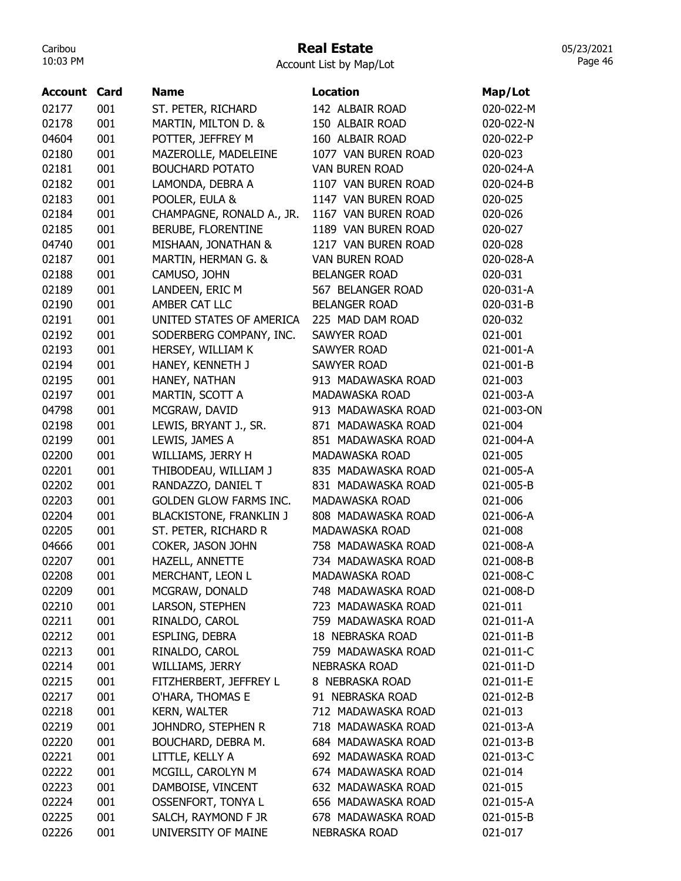# Real Estate

Account List by Map/Lot

| Account | Card | <b>Name</b>                    | Location                | Map/Lot    |
|---------|------|--------------------------------|-------------------------|------------|
| 02177   | 001  | ST. PETER, RICHARD             | 142 ALBAIR ROAD         | 020-022-M  |
| 02178   | 001  | MARTIN, MILTON D. &            | 150 ALBAIR ROAD         | 020-022-N  |
| 04604   | 001  | POTTER, JEFFREY M              | 160 ALBAIR ROAD         | 020-022-P  |
| 02180   | 001  | MAZEROLLE, MADELEINE           | 1077 VAN BUREN ROAD     | 020-023    |
| 02181   | 001  | <b>BOUCHARD POTATO</b>         | <b>VAN BUREN ROAD</b>   | 020-024-A  |
| 02182   | 001  | LAMONDA, DEBRA A               | 1107 VAN BUREN ROAD     | 020-024-B  |
| 02183   | 001  | POOLER, EULA &                 | 1147 VAN BUREN ROAD     | 020-025    |
| 02184   | 001  | CHAMPAGNE, RONALD A., JR.      | 1167 VAN BUREN ROAD     | 020-026    |
| 02185   | 001  | BERUBE, FLORENTINE             | 1189 VAN BUREN ROAD     | 020-027    |
| 04740   | 001  | MISHAAN, JONATHAN &            | 1217 VAN BUREN ROAD     | 020-028    |
| 02187   | 001  | MARTIN, HERMAN G. &            | <b>VAN BUREN ROAD</b>   | 020-028-A  |
| 02188   | 001  | CAMUSO, JOHN                   | <b>BELANGER ROAD</b>    | 020-031    |
| 02189   | 001  | LANDEEN, ERIC M                | 567 BELANGER ROAD       | 020-031-A  |
| 02190   | 001  | AMBER CAT LLC                  | <b>BELANGER ROAD</b>    | 020-031-B  |
| 02191   | 001  | UNITED STATES OF AMERICA       | 225 MAD DAM ROAD        | 020-032    |
| 02192   | 001  | SODERBERG COMPANY, INC.        | <b>SAWYER ROAD</b>      | 021-001    |
| 02193   | 001  | HERSEY, WILLIAM K              | <b>SAWYER ROAD</b>      | 021-001-A  |
| 02194   | 001  | HANEY, KENNETH J               | <b>SAWYER ROAD</b>      | 021-001-B  |
| 02195   | 001  | HANEY, NATHAN                  | 913 MADAWASKA ROAD      | 021-003    |
| 02197   | 001  | MARTIN, SCOTT A                | MADAWASKA ROAD          | 021-003-A  |
| 04798   | 001  | MCGRAW, DAVID                  | 913 MADAWASKA ROAD      | 021-003-ON |
| 02198   | 001  | LEWIS, BRYANT J., SR.          | 871 MADAWASKA ROAD      | 021-004    |
| 02199   | 001  | LEWIS, JAMES A                 | 851 MADAWASKA ROAD      | 021-004-A  |
| 02200   | 001  | WILLIAMS, JERRY H              | MADAWASKA ROAD          | 021-005    |
| 02201   | 001  | THIBODEAU, WILLIAM J           | 835 MADAWASKA ROAD      | 021-005-A  |
| 02202   | 001  | RANDAZZO, DANIEL T             | 831 MADAWASKA ROAD      | 021-005-B  |
| 02203   | 001  | <b>GOLDEN GLOW FARMS INC.</b>  | MADAWASKA ROAD          | 021-006    |
| 02204   | 001  | <b>BLACKISTONE, FRANKLIN J</b> | 808 MADAWASKA ROAD      | 021-006-A  |
| 02205   | 001  | ST. PETER, RICHARD R           | MADAWASKA ROAD          | 021-008    |
| 04666   | 001  | COKER, JASON JOHN              | 758 MADAWASKA ROAD      | 021-008-A  |
| 02207   | 001  | HAZELL, ANNETTE                | 734 MADAWASKA ROAD      | 021-008-B  |
| 02208   | 001  | MERCHANT, LEON L               | MADAWASKA ROAD          | 021-008-C  |
| 02209   | 001  | MCGRAW, DONALD                 | 748 MADAWASKA ROAD      | 021-008-D  |
| 02210   | 001  | LARSON, STEPHEN                | 723 MADAWASKA ROAD      | 021-011    |
| 02211   | 001  | RINALDO, CAROL                 | 759 MADAWASKA ROAD      | 021-011-A  |
| 02212   | 001  | ESPLING, DEBRA                 | <b>18 NEBRASKA ROAD</b> | 021-011-B  |
| 02213   | 001  | RINALDO, CAROL                 | 759 MADAWASKA ROAD      | 021-011-C  |
| 02214   | 001  | WILLIAMS, JERRY                | <b>NEBRASKA ROAD</b>    | 021-011-D  |
| 02215   | 001  | FITZHERBERT, JEFFREY L         | 8 NEBRASKA ROAD         | 021-011-E  |
| 02217   | 001  | O'HARA, THOMAS E               | 91 NEBRASKA ROAD        | 021-012-B  |
| 02218   | 001  | <b>KERN, WALTER</b>            | 712 MADAWASKA ROAD      | 021-013    |
| 02219   | 001  | JOHNDRO, STEPHEN R             | 718 MADAWASKA ROAD      | 021-013-A  |
| 02220   | 001  | BOUCHARD, DEBRA M.             | 684 MADAWASKA ROAD      | 021-013-B  |
| 02221   | 001  | LITTLE, KELLY A                | 692 MADAWASKA ROAD      | 021-013-C  |
| 02222   | 001  | MCGILL, CAROLYN M              | 674 MADAWASKA ROAD      | 021-014    |
| 02223   | 001  | DAMBOISE, VINCENT              | 632 MADAWASKA ROAD      | 021-015    |
| 02224   | 001  | <b>OSSENFORT, TONYA L</b>      | 656 MADAWASKA ROAD      | 021-015-A  |
| 02225   | 001  | SALCH, RAYMOND F JR            | 678 MADAWASKA ROAD      | 021-015-B  |
| 02226   | 001  | UNIVERSITY OF MAINE            | <b>NEBRASKA ROAD</b>    | 021-017    |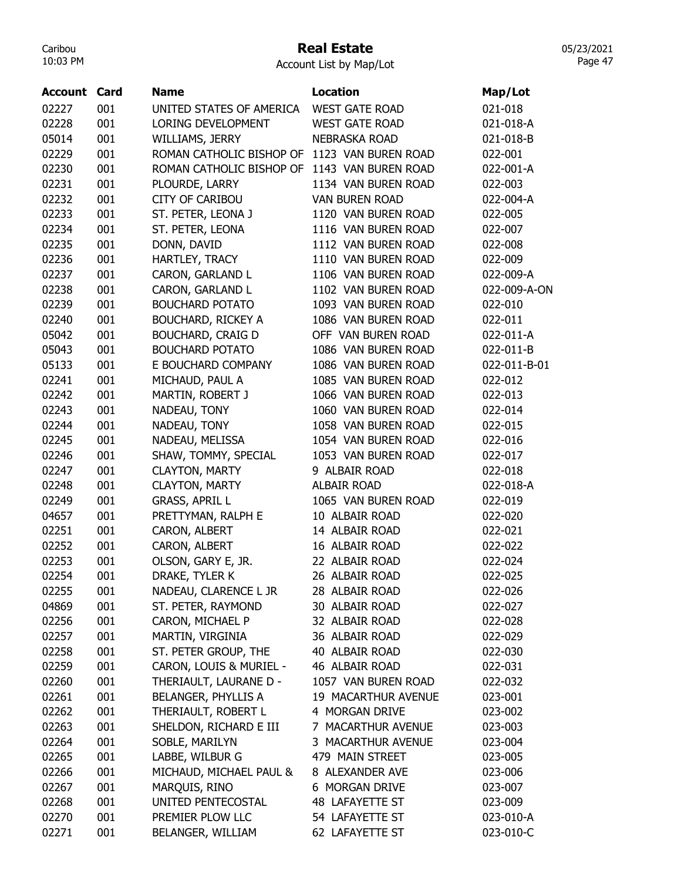## Real Estate

Account List by Map/Lot

| <b>Account</b> | Card | <b>Name</b>              | <b>Location</b>       | Map/Lot      |
|----------------|------|--------------------------|-----------------------|--------------|
| 02227          | 001  | UNITED STATES OF AMERICA | <b>WEST GATE ROAD</b> | 021-018      |
| 02228          | 001  | LORING DEVELOPMENT       | <b>WEST GATE ROAD</b> | 021-018-A    |
| 05014          | 001  | WILLIAMS, JERRY          | <b>NEBRASKA ROAD</b>  | 021-018-B    |
| 02229          | 001  | ROMAN CATHOLIC BISHOP OF | 1123 VAN BUREN ROAD   | 022-001      |
| 02230          | 001  | ROMAN CATHOLIC BISHOP OF | 1143 VAN BUREN ROAD   | 022-001-A    |
| 02231          | 001  | PLOURDE, LARRY           | 1134 VAN BUREN ROAD   | 022-003      |
| 02232          | 001  | <b>CITY OF CARIBOU</b>   | <b>VAN BUREN ROAD</b> | 022-004-A    |
| 02233          | 001  | ST. PETER, LEONA J       | 1120 VAN BUREN ROAD   | 022-005      |
| 02234          | 001  | ST. PETER, LEONA         | 1116 VAN BUREN ROAD   | 022-007      |
| 02235          | 001  | DONN, DAVID              | 1112 VAN BUREN ROAD   | 022-008      |
| 02236          | 001  | HARTLEY, TRACY           | 1110 VAN BUREN ROAD   | 022-009      |
| 02237          | 001  | CARON, GARLAND L         | 1106 VAN BUREN ROAD   | 022-009-A    |
| 02238          | 001  | CARON, GARLAND L         | 1102 VAN BUREN ROAD   | 022-009-A-ON |
| 02239          | 001  | <b>BOUCHARD POTATO</b>   | 1093 VAN BUREN ROAD   | 022-010      |
| 02240          | 001  |                          | 1086 VAN BUREN ROAD   | 022-011      |
| 05042          |      | BOUCHARD, RICKEY A       | OFF VAN BUREN ROAD    |              |
|                | 001  | <b>BOUCHARD, CRAIG D</b> |                       | 022-011-A    |
| 05043          | 001  | <b>BOUCHARD POTATO</b>   | 1086 VAN BUREN ROAD   | 022-011-B    |
| 05133          | 001  | E BOUCHARD COMPANY       | 1086 VAN BUREN ROAD   | 022-011-B-01 |
| 02241          | 001  | MICHAUD, PAUL A          | 1085 VAN BUREN ROAD   | 022-012      |
| 02242          | 001  | MARTIN, ROBERT J         | 1066 VAN BUREN ROAD   | 022-013      |
| 02243          | 001  | NADEAU, TONY             | 1060 VAN BUREN ROAD   | 022-014      |
| 02244          | 001  | NADEAU, TONY             | 1058 VAN BUREN ROAD   | 022-015      |
| 02245          | 001  | NADEAU, MELISSA          | 1054 VAN BUREN ROAD   | 022-016      |
| 02246          | 001  | SHAW, TOMMY, SPECIAL     | 1053 VAN BUREN ROAD   | 022-017      |
| 02247          | 001  | <b>CLAYTON, MARTY</b>    | 9 ALBAIR ROAD         | 022-018      |
| 02248          | 001  | <b>CLAYTON, MARTY</b>    | <b>ALBAIR ROAD</b>    | 022-018-A    |
| 02249          | 001  | <b>GRASS, APRIL L</b>    | 1065 VAN BUREN ROAD   | 022-019      |
| 04657          | 001  | PRETTYMAN, RALPH E       | 10 ALBAIR ROAD        | 022-020      |
| 02251          | 001  | CARON, ALBERT            | 14 ALBAIR ROAD        | 022-021      |
| 02252          | 001  | CARON, ALBERT            | 16 ALBAIR ROAD        | 022-022      |
| 02253          | 001  | OLSON, GARY E, JR.       | 22 ALBAIR ROAD        | 022-024      |
| 02254          | 001  | DRAKE, TYLER K           | 26 ALBAIR ROAD        | 022-025      |
| 02255          | 001  | NADEAU, CLARENCE L JR    | 28 ALBAIR ROAD        | 022-026      |
| 04869          | 001  | ST. PETER, RAYMOND       | 30 ALBAIR ROAD        | 022-027      |
| 02256          | 001  | CARON, MICHAEL P         | 32 ALBAIR ROAD        | 022-028      |
| 02257          | 001  | MARTIN, VIRGINIA         | 36 ALBAIR ROAD        | 022-029      |
| 02258          | 001  | ST. PETER GROUP, THE     | 40 ALBAIR ROAD        | 022-030      |
| 02259          | 001  | CARON, LOUIS & MURIEL -  | 46 ALBAIR ROAD        | 022-031      |
| 02260          | 001  | THERIAULT, LAURANE D -   | 1057 VAN BUREN ROAD   | 022-032      |
| 02261          | 001  | BELANGER, PHYLLIS A      | 19 MACARTHUR AVENUE   | 023-001      |
| 02262          | 001  | THERIAULT, ROBERT L      | 4 MORGAN DRIVE        | 023-002      |
| 02263          | 001  | SHELDON, RICHARD E III   | 7 MACARTHUR AVENUE    | 023-003      |
| 02264          | 001  | SOBLE, MARILYN           | 3 MACARTHUR AVENUE    | 023-004      |
| 02265          | 001  | LABBE, WILBUR G          | 479 MAIN STREET       | 023-005      |
| 02266          | 001  | MICHAUD, MICHAEL PAUL &  | 8 ALEXANDER AVE       | 023-006      |
| 02267          | 001  | MARQUIS, RINO            | 6 MORGAN DRIVE        | 023-007      |
| 02268          | 001  | UNITED PENTECOSTAL       | 48 LAFAYETTE ST       | 023-009      |
| 02270          | 001  | PREMIER PLOW LLC         | 54 LAFAYETTE ST       | 023-010-A    |
| 02271          | 001  | BELANGER, WILLIAM        | 62 LAFAYETTE ST       | 023-010-C    |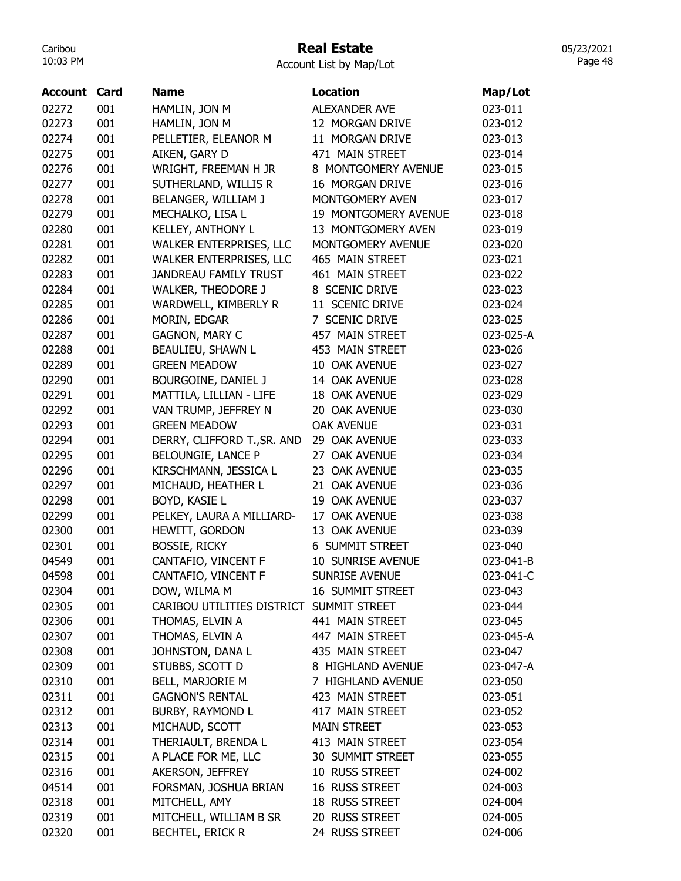# Real Estate

Account List by Map/Lot

| Account        | Card | <b>Name</b>                              | <b>Location</b>         |           |
|----------------|------|------------------------------------------|-------------------------|-----------|
|                |      |                                          |                         | Map/Lot   |
| 02272          | 001  | HAMLIN, JON M                            | <b>ALEXANDER AVE</b>    | 023-011   |
| 02273          | 001  | HAMLIN, JON M                            | 12 MORGAN DRIVE         | 023-012   |
| 02274          | 001  | PELLETIER, ELEANOR M                     | 11 MORGAN DRIVE         | 023-013   |
| 02275          | 001  | AIKEN, GARY D                            | 471 MAIN STREET         | 023-014   |
| 02276          | 001  | WRIGHT, FREEMAN H JR                     | 8 MONTGOMERY AVENUE     | 023-015   |
| 02277          | 001  | SUTHERLAND, WILLIS R                     | 16 MORGAN DRIVE         | 023-016   |
| 02278          | 001  | BELANGER, WILLIAM J                      | MONTGOMERY AVEN         | 023-017   |
| 02279          | 001  | MECHALKO, LISA L                         | 19 MONTGOMERY AVENUE    | 023-018   |
| 02280          | 001  | KELLEY, ANTHONY L                        | 13 MONTGOMERY AVEN      | 023-019   |
| 02281          | 001  | WALKER ENTERPRISES, LLC                  | MONTGOMERY AVENUE       | 023-020   |
| 02282          | 001  | WALKER ENTERPRISES, LLC                  | 465 MAIN STREET         | 023-021   |
| 02283          | 001  | <b>JANDREAU FAMILY TRUST</b>             | 461 MAIN STREET         | 023-022   |
| 02284          | 001  | <b>WALKER, THEODORE J</b>                | 8 SCENIC DRIVE          | 023-023   |
| 02285          | 001  | WARDWELL, KIMBERLY R                     | 11 SCENIC DRIVE         | 023-024   |
| 02286          | 001  | MORIN, EDGAR                             | 7 SCENIC DRIVE          | 023-025   |
| 02287          | 001  | <b>GAGNON, MARY C</b>                    | 457 MAIN STREET         | 023-025-A |
| 02288          | 001  | BEAULIEU, SHAWN L                        | 453 MAIN STREET         | 023-026   |
| 02289          | 001  | <b>GREEN MEADOW</b>                      | 10 OAK AVENUE           | 023-027   |
| 02290          | 001  | BOURGOINE, DANIEL J                      | 14 OAK AVENUE           | 023-028   |
| 02291          | 001  | MATTILA, LILLIAN - LIFE                  | 18 OAK AVENUE           | 023-029   |
| 02292          | 001  | VAN TRUMP, JEFFREY N                     | 20 OAK AVENUE           | 023-030   |
| 02293          | 001  | <b>GREEN MEADOW</b>                      | <b>OAK AVENUE</b>       | 023-031   |
| 02294          | 001  | DERRY, CLIFFORD T., SR. AND              | 29 OAK AVENUE           | 023-033   |
| 02295          | 001  | BELOUNGIE, LANCE P                       | 27 OAK AVENUE           | 023-034   |
| 02296          | 001  | KIRSCHMANN, JESSICA L                    | 23 OAK AVENUE           | 023-035   |
| 02297          | 001  | MICHAUD, HEATHER L                       | 21 OAK AVENUE           | 023-036   |
| 02298          | 001  | BOYD, KASIE L                            | 19 OAK AVENUE           | 023-037   |
| 02299          | 001  | PELKEY, LAURA A MILLIARD-                | 17 OAK AVENUE           | 023-038   |
| 02300          | 001  | HEWITT, GORDON                           | 13 OAK AVENUE           | 023-039   |
| 02301          | 001  | <b>BOSSIE, RICKY</b>                     | <b>6 SUMMIT STREET</b>  | 023-040   |
| 04549          | 001  | CANTAFIO, VINCENT F                      | 10 SUNRISE AVENUE       | 023-041-B |
|                | 001  |                                          | SUNRISE AVENUE          |           |
| 04598          |      | CANTAFIO, VINCENT F                      |                         | 023-041-C |
| 02304<br>02305 | 001  | DOW, WILMA M                             | <b>16 SUMMIT STREET</b> | 023-043   |
|                | 001  | CARIBOU UTILITIES DISTRICT SUMMIT STREET |                         | 023-044   |
| 02306          | 001  | THOMAS, ELVIN A                          | 441 MAIN STREET         | 023-045   |
| 02307          | 001  | THOMAS, ELVIN A                          | 447 MAIN STREET         | 023-045-A |
| 02308          | 001  | JOHNSTON, DANA L                         | 435 MAIN STREET         | 023-047   |
| 02309          | 001  | STUBBS, SCOTT D                          | 8 HIGHLAND AVENUE       | 023-047-A |
| 02310          | 001  | BELL, MARJORIE M                         | 7 HIGHLAND AVENUE       | 023-050   |
| 02311          | 001  | <b>GAGNON'S RENTAL</b>                   | 423 MAIN STREET         | 023-051   |
| 02312          | 001  | BURBY, RAYMOND L                         | 417 MAIN STREET         | 023-052   |
| 02313          | 001  | MICHAUD, SCOTT                           | <b>MAIN STREET</b>      | 023-053   |
| 02314          | 001  | THERIAULT, BRENDA L                      | 413 MAIN STREET         | 023-054   |
| 02315          | 001  | A PLACE FOR ME, LLC                      | 30 SUMMIT STREET        | 023-055   |
| 02316          | 001  | AKERSON, JEFFREY                         | 10 RUSS STREET          | 024-002   |
| 04514          | 001  | FORSMAN, JOSHUA BRIAN                    | 16 RUSS STREET          | 024-003   |
| 02318          | 001  | MITCHELL, AMY                            | 18 RUSS STREET          | 024-004   |
| 02319          | 001  | MITCHELL, WILLIAM B SR                   | 20 RUSS STREET          | 024-005   |
| 02320          | 001  | <b>BECHTEL, ERICK R</b>                  | 24 RUSS STREET          | 024-006   |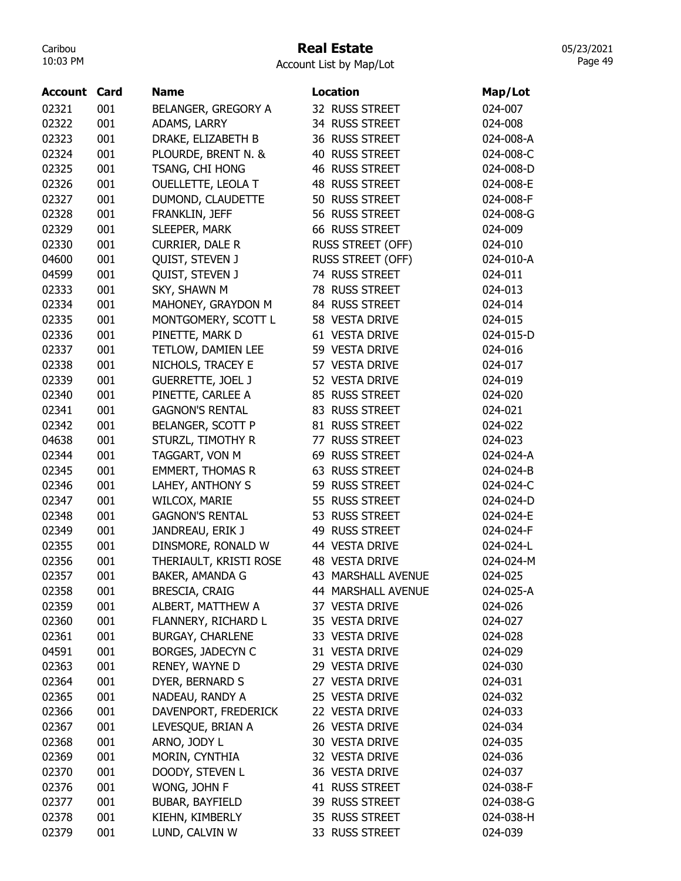# Real Estate

Account List by Map/Lot

| <b>Account Card</b> |     | <b>Name</b>              | <b>Location</b>          | Map/Lot   |
|---------------------|-----|--------------------------|--------------------------|-----------|
| 02321               | 001 | BELANGER, GREGORY A      | 32 RUSS STREET           | 024-007   |
| 02322               | 001 | ADAMS, LARRY             | 34 RUSS STREET           | 024-008   |
| 02323               | 001 | DRAKE, ELIZABETH B       | 36 RUSS STREET           | 024-008-A |
| 02324               | 001 | PLOURDE, BRENT N. &      | 40 RUSS STREET           | 024-008-C |
| 02325               | 001 | TSANG, CHI HONG          | 46 RUSS STREET           | 024-008-D |
| 02326               | 001 | OUELLETTE, LEOLA T       | 48 RUSS STREET           | 024-008-E |
| 02327               | 001 | DUMOND, CLAUDETTE        | 50 RUSS STREET           | 024-008-F |
| 02328               | 001 | FRANKLIN, JEFF           | 56 RUSS STREET           | 024-008-G |
| 02329               | 001 | SLEEPER, MARK            | 66 RUSS STREET           | 024-009   |
| 02330               | 001 | CURRIER, DALE R          | <b>RUSS STREET (OFF)</b> | 024-010   |
| 04600               | 001 | QUIST, STEVEN J          | <b>RUSS STREET (OFF)</b> | 024-010-A |
| 04599               | 001 | QUIST, STEVEN J          | 74 RUSS STREET           | 024-011   |
| 02333               | 001 | SKY, SHAWN M             | 78 RUSS STREET           | 024-013   |
| 02334               | 001 | MAHONEY, GRAYDON M       | 84 RUSS STREET           | 024-014   |
| 02335               | 001 | MONTGOMERY, SCOTT L      | 58 VESTA DRIVE           | 024-015   |
| 02336               | 001 | PINETTE, MARK D          | 61 VESTA DRIVE           | 024-015-D |
| 02337               | 001 | TETLOW, DAMIEN LEE       | 59 VESTA DRIVE           | 024-016   |
| 02338               | 001 | NICHOLS, TRACEY E        | 57 VESTA DRIVE           | 024-017   |
| 02339               | 001 | <b>GUERRETTE, JOEL J</b> | 52 VESTA DRIVE           | 024-019   |
| 02340               | 001 | PINETTE, CARLEE A        | 85 RUSS STREET           | 024-020   |
| 02341               | 001 | <b>GAGNON'S RENTAL</b>   | 83 RUSS STREET           | 024-021   |
| 02342               | 001 | BELANGER, SCOTT P        | 81 RUSS STREET           | 024-022   |
| 04638               | 001 | STURZL, TIMOTHY R        | 77 RUSS STREET           | 024-023   |
| 02344               | 001 | TAGGART, VON M           | 69 RUSS STREET           | 024-024-A |
| 02345               | 001 | <b>EMMERT, THOMAS R</b>  | 63 RUSS STREET           | 024-024-B |
| 02346               | 001 | LAHEY, ANTHONY S         | 59 RUSS STREET           | 024-024-C |
| 02347               | 001 | <b>WILCOX, MARIE</b>     | 55 RUSS STREET           | 024-024-D |
| 02348               | 001 | <b>GAGNON'S RENTAL</b>   | 53 RUSS STREET           | 024-024-E |
| 02349               | 001 | JANDREAU, ERIK J         | 49 RUSS STREET           | 024-024-F |
| 02355               | 001 | DINSMORE, RONALD W       | 44 VESTA DRIVE           | 024-024-L |
| 02356               | 001 | THERIAULT, KRISTI ROSE   | <b>48 VESTA DRIVE</b>    | 024-024-M |
| 02357               | 001 | BAKER, AMANDA G          | 43 MARSHALL AVENUE       | 024-025   |
| 02358               | 001 | <b>BRESCIA, CRAIG</b>    | 44 MARSHALL AVENUE       | 024-025-A |
| 02359               | 001 | ALBERT, MATTHEW A        | 37 VESTA DRIVE           | 024-026   |
| 02360               | 001 | FLANNERY, RICHARD L      | 35 VESTA DRIVE           | 024-027   |
| 02361               | 001 | <b>BURGAY, CHARLENE</b>  | 33 VESTA DRIVE           | 024-028   |
| 04591               | 001 | BORGES, JADECYN C        | 31 VESTA DRIVE           | 024-029   |
| 02363               | 001 | RENEY, WAYNE D           | 29 VESTA DRIVE           | 024-030   |
| 02364               | 001 | DYER, BERNARD S          | 27 VESTA DRIVE           | 024-031   |
| 02365               | 001 | NADEAU, RANDY A          | 25 VESTA DRIVE           | 024-032   |
| 02366               | 001 | DAVENPORT, FREDERICK     | 22 VESTA DRIVE           | 024-033   |
| 02367               | 001 | LEVESQUE, BRIAN A        | 26 VESTA DRIVE           | 024-034   |
| 02368               | 001 | ARNO, JODY L             | 30 VESTA DRIVE           | 024-035   |
| 02369               | 001 | MORIN, CYNTHIA           | 32 VESTA DRIVE           | 024-036   |
| 02370               | 001 | DOODY, STEVEN L          | 36 VESTA DRIVE           | 024-037   |
| 02376               | 001 | WONG, JOHN F             | 41 RUSS STREET           | 024-038-F |
| 02377               | 001 | <b>BUBAR, BAYFIELD</b>   | 39 RUSS STREET           | 024-038-G |
| 02378               | 001 | KIEHN, KIMBERLY          | 35 RUSS STREET           | 024-038-H |
| 02379               | 001 | LUND, CALVIN W           | 33 RUSS STREET           | 024-039   |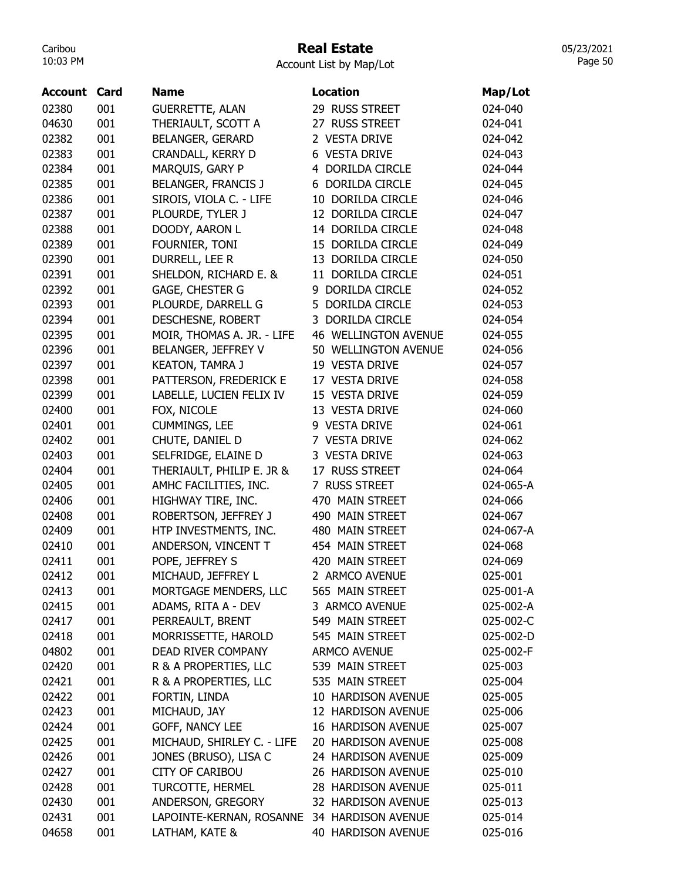# Real Estate

Account List by Map/Lot

| <b>Account Card</b> |     | Name                                        | <b>Location</b>             | Map/Lot   |
|---------------------|-----|---------------------------------------------|-----------------------------|-----------|
| 02380               | 001 | <b>GUERRETTE, ALAN</b>                      | 29 RUSS STREET              | 024-040   |
| 04630               | 001 | THERIAULT, SCOTT A                          | 27 RUSS STREET              | 024-041   |
| 02382               | 001 | <b>BELANGER, GERARD</b>                     | 2 VESTA DRIVE               | 024-042   |
| 02383               | 001 | CRANDALL, KERRY D                           | 6 VESTA DRIVE               | 024-043   |
| 02384               | 001 | MARQUIS, GARY P                             | 4 DORILDA CIRCLE            | 024-044   |
| 02385               | 001 | <b>BELANGER, FRANCIS J</b>                  | 6 DORILDA CIRCLE            | 024-045   |
| 02386               | 001 | SIROIS, VIOLA C. - LIFE                     | 10 DORILDA CIRCLE           | 024-046   |
| 02387               | 001 | PLOURDE, TYLER J                            | 12 DORILDA CIRCLE           | 024-047   |
| 02388               | 001 | DOODY, AARON L                              | 14 DORILDA CIRCLE           | 024-048   |
| 02389               | 001 | FOURNIER, TONI                              | 15 DORILDA CIRCLE           | 024-049   |
| 02390               | 001 | DURRELL, LEE R                              | 13 DORILDA CIRCLE           | 024-050   |
| 02391               | 001 | SHELDON, RICHARD E. &                       | 11 DORILDA CIRCLE           | 024-051   |
| 02392               | 001 | GAGE, CHESTER G                             | 9 DORILDA CIRCLE            | 024-052   |
| 02393               | 001 | PLOURDE, DARRELL G                          | 5 DORILDA CIRCLE            | 024-053   |
| 02394               | 001 | DESCHESNE, ROBERT                           | 3 DORILDA CIRCLE            | 024-054   |
| 02395               | 001 | MOIR, THOMAS A. JR. - LIFE                  | <b>46 WELLINGTON AVENUE</b> | 024-055   |
| 02396               | 001 | BELANGER, JEFFREY V                         | 50 WELLINGTON AVENUE        | 024-056   |
| 02397               | 001 | <b>KEATON, TAMRA J</b>                      | 19 VESTA DRIVE              | 024-057   |
| 02398               | 001 | PATTERSON, FREDERICK E                      | 17 VESTA DRIVE              | 024-058   |
| 02399               | 001 | LABELLE, LUCIEN FELIX IV                    | 15 VESTA DRIVE              | 024-059   |
| 02400               | 001 | FOX, NICOLE                                 | 13 VESTA DRIVE              | 024-060   |
| 02401               | 001 | <b>CUMMINGS, LEE</b>                        | 9 VESTA DRIVE               | 024-061   |
| 02402               | 001 | CHUTE, DANIEL D                             | 7 VESTA DRIVE               | 024-062   |
| 02403               | 001 | SELFRIDGE, ELAINE D                         | 3 VESTA DRIVE               | 024-063   |
| 02404               | 001 | THERIAULT, PHILIP E. JR &                   | 17 RUSS STREET              | 024-064   |
| 02405               | 001 | AMHC FACILITIES, INC.                       | 7 RUSS STREET               | 024-065-A |
| 02406               | 001 | HIGHWAY TIRE, INC.                          | 470 MAIN STREET             | 024-066   |
| 02408               | 001 | ROBERTSON, JEFFREY J                        | 490 MAIN STREET             | 024-067   |
| 02409               | 001 | HTP INVESTMENTS, INC.                       | 480 MAIN STREET             | 024-067-A |
| 02410               | 001 | ANDERSON, VINCENT T                         | 454 MAIN STREET             | 024-068   |
| 02411               | 001 | POPE, JEFFREY S                             | 420 MAIN STREET             | 024-069   |
| 02412               | 001 | MICHAUD, JEFFREY L                          | 2 ARMCO AVENUE              | 025-001   |
| 02413               | 001 | MORTGAGE MENDERS, LLC                       | 565 MAIN STREET             | 025-001-A |
| 02415               | 001 | ADAMS, RITA A - DEV                         | 3 ARMCO AVENUE              | 025-002-A |
| 02417               | 001 | PERREAULT, BRENT                            | 549 MAIN STREET             | 025-002-C |
| 02418               | 001 | MORRISSETTE, HAROLD                         | 545 MAIN STREET             | 025-002-D |
| 04802               | 001 | DEAD RIVER COMPANY                          | <b>ARMCO AVENUE</b>         | 025-002-F |
| 02420               | 001 | R & A PROPERTIES, LLC                       | 539 MAIN STREET             | 025-003   |
| 02421               | 001 | R & A PROPERTIES, LLC                       | 535 MAIN STREET             | 025-004   |
| 02422               | 001 | FORTIN, LINDA                               | 10 HARDISON AVENUE          | 025-005   |
| 02423               | 001 | MICHAUD, JAY                                | 12 HARDISON AVENUE          | 025-006   |
| 02424               | 001 | GOFF, NANCY LEE                             | 16 HARDISON AVENUE          | 025-007   |
| 02425               | 001 | MICHAUD, SHIRLEY C. - LIFE                  | 20 HARDISON AVENUE          | 025-008   |
| 02426               | 001 | JONES (BRUSO), LISA C                       | 24 HARDISON AVENUE          | 025-009   |
| 02427               | 001 | <b>CITY OF CARIBOU</b>                      | 26 HARDISON AVENUE          | 025-010   |
| 02428               | 001 | <b>TURCOTTE, HERMEL</b>                     | 28 HARDISON AVENUE          | 025-011   |
| 02430               | 001 | ANDERSON, GREGORY                           | 32 HARDISON AVENUE          | 025-013   |
| 02431               | 001 | LAPOINTE-KERNAN, ROSANNE 34 HARDISON AVENUE |                             | 025-014   |
| 04658               | 001 | LATHAM, KATE &                              | 40 HARDISON AVENUE          | 025-016   |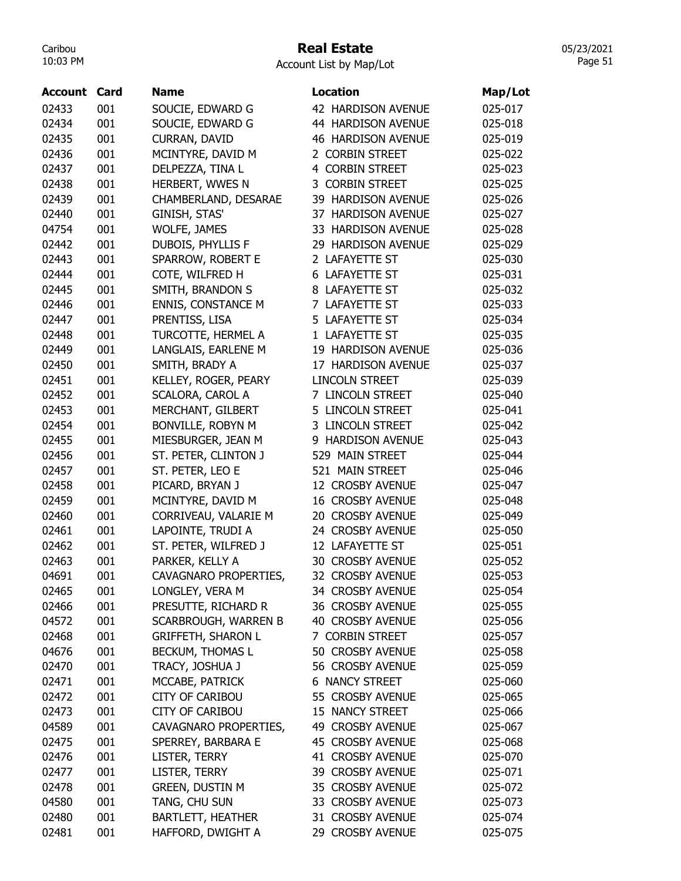## Real Estate

Account List by Map/Lot

| Account | Card | <b>Name</b>               | <b>Location</b>           | Map/Lot |
|---------|------|---------------------------|---------------------------|---------|
| 02433   | 001  | SOUCIE, EDWARD G          | 42 HARDISON AVENUE        | 025-017 |
| 02434   | 001  | SOUCIE, EDWARD G          | 44 HARDISON AVENUE        | 025-018 |
| 02435   | 001  | CURRAN, DAVID             | <b>46 HARDISON AVENUE</b> | 025-019 |
| 02436   | 001  | MCINTYRE, DAVID M         | 2 CORBIN STREET           | 025-022 |
| 02437   | 001  | DELPEZZA, TINA L          | 4 CORBIN STREET           | 025-023 |
| 02438   | 001  | HERBERT, WWES N           | 3 CORBIN STREET           | 025-025 |
| 02439   | 001  | CHAMBERLAND, DESARAE      | 39 HARDISON AVENUE        | 025-026 |
| 02440   | 001  | GINISH, STAS'             | 37 HARDISON AVENUE        | 025-027 |
| 04754   | 001  | WOLFE, JAMES              | 33 HARDISON AVENUE        | 025-028 |
| 02442   | 001  | DUBOIS, PHYLLIS F         | 29 HARDISON AVENUE        | 025-029 |
| 02443   | 001  | SPARROW, ROBERT E         | 2 LAFAYETTE ST            | 025-030 |
| 02444   | 001  | COTE, WILFRED H           | <b>6 LAFAYETTE ST</b>     | 025-031 |
| 02445   | 001  | SMITH, BRANDON S          | 8 LAFAYETTE ST            | 025-032 |
| 02446   | 001  | <b>ENNIS, CONSTANCE M</b> | 7 LAFAYETTE ST            | 025-033 |
| 02447   | 001  | PRENTISS, LISA            | 5 LAFAYETTE ST            | 025-034 |
| 02448   | 001  | TURCOTTE, HERMEL A        | 1 LAFAYETTE ST            | 025-035 |
| 02449   | 001  | LANGLAIS, EARLENE M       | 19 HARDISON AVENUE        | 025-036 |
| 02450   | 001  | SMITH, BRADY A            | 17 HARDISON AVENUE        | 025-037 |
| 02451   | 001  | KELLEY, ROGER, PEARY      | <b>LINCOLN STREET</b>     | 025-039 |
| 02452   | 001  | <b>SCALORA, CAROL A</b>   | 7 LINCOLN STREET          | 025-040 |
| 02453   | 001  | MERCHANT, GILBERT         | 5 LINCOLN STREET          | 025-041 |
| 02454   | 001  | BONVILLE, ROBYN M         | 3 LINCOLN STREET          | 025-042 |
| 02455   | 001  | MIESBURGER, JEAN M        | 9 HARDISON AVENUE         | 025-043 |
| 02456   | 001  | ST. PETER, CLINTON J      | 529 MAIN STREET           | 025-044 |
| 02457   | 001  | ST. PETER, LEO E          | 521 MAIN STREET           | 025-046 |
| 02458   | 001  | PICARD, BRYAN J           | 12 CROSBY AVENUE          | 025-047 |
| 02459   | 001  | MCINTYRE, DAVID M         | <b>16 CROSBY AVENUE</b>   | 025-048 |
| 02460   | 001  | CORRIVEAU, VALARIE M      | 20 CROSBY AVENUE          | 025-049 |
| 02461   | 001  | LAPOINTE, TRUDI A         | 24 CROSBY AVENUE          | 025-050 |
| 02462   | 001  | ST. PETER, WILFRED J      | 12 LAFAYETTE ST           | 025-051 |
| 02463   | 001  | PARKER, KELLY A           | <b>30 CROSBY AVENUE</b>   | 025-052 |
| 04691   | 001  | CAVAGNARO PROPERTIES,     | 32 CROSBY AVENUE          | 025-053 |
| 02465   | 001  | LONGLEY, VERA M           | 34 CROSBY AVENUE          | 025-054 |
| 02466   | 001  | PRESUTTE, RICHARD R       | 36 CROSBY AVENUE          | 025-055 |
| 04572   | 001  | SCARBROUGH, WARREN B      | <b>40 CROSBY AVENUE</b>   | 025-056 |
| 02468   | 001  | <b>GRIFFETH, SHARON L</b> | 7 CORBIN STREET           | 025-057 |
| 04676   | 001  | BECKUM, THOMAS L          | 50 CROSBY AVENUE          | 025-058 |
| 02470   | 001  | TRACY, JOSHUA J           | 56 CROSBY AVENUE          | 025-059 |
| 02471   | 001  | MCCABE, PATRICK           | <b>6 NANCY STREET</b>     | 025-060 |
| 02472   | 001  | <b>CITY OF CARIBOU</b>    | 55 CROSBY AVENUE          | 025-065 |
| 02473   | 001  | <b>CITY OF CARIBOU</b>    | 15 NANCY STREET           | 025-066 |
| 04589   | 001  | CAVAGNARO PROPERTIES,     | 49 CROSBY AVENUE          | 025-067 |
| 02475   | 001  | SPERREY, BARBARA E        | 45 CROSBY AVENUE          | 025-068 |
| 02476   | 001  | LISTER, TERRY             | 41 CROSBY AVENUE          | 025-070 |
| 02477   | 001  | LISTER, TERRY             | 39 CROSBY AVENUE          | 025-071 |
| 02478   | 001  | GREEN, DUSTIN M           | 35 CROSBY AVENUE          | 025-072 |
| 04580   | 001  | TANG, CHU SUN             | 33 CROSBY AVENUE          | 025-073 |
| 02480   | 001  | <b>BARTLETT, HEATHER</b>  | 31 CROSBY AVENUE          | 025-074 |
| 02481   | 001  | HAFFORD, DWIGHT A         | 29 CROSBY AVENUE          | 025-075 |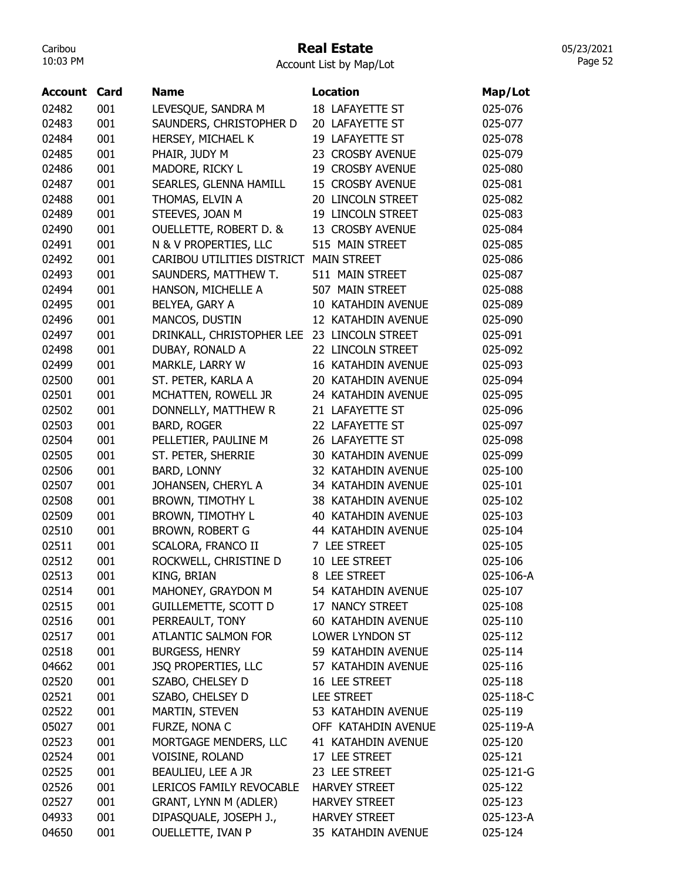## Real Estate

Account List by Map/Lot

| 18 LAFAYETTE ST<br>001<br>LEVESQUE, SANDRA M<br>025-076<br>02483<br>SAUNDERS, CHRISTOPHER D<br>20 LAFAYETTE ST<br>001<br>025-077<br>HERSEY, MICHAEL K<br>19 LAFAYETTE ST<br>001<br>025-078<br>001<br>PHAIR, JUDY M<br>02485<br>23 CROSBY AVENUE<br>025-079<br>02486<br>001<br>MADORE, RICKY L<br>19 CROSBY AVENUE<br>025-080<br>SEARLES, GLENNA HAMILL<br>02487<br>001<br>15 CROSBY AVENUE<br>025-081<br>THOMAS, ELVIN A<br>20 LINCOLN STREET<br>02488<br>001<br>025-082<br>STEEVES, JOAN M<br>02489<br>001<br>19 LINCOLN STREET<br>025-083<br>02490<br>001<br><b>OUELLETTE, ROBERT D. &amp;</b><br>13 CROSBY AVENUE<br>025-084<br>N & V PROPERTIES, LLC<br>515 MAIN STREET<br>02491<br>001<br>025-085<br>02492<br>001<br>CARIBOU UTILITIES DISTRICT<br><b>MAIN STREET</b><br>025-086<br>02493<br>001<br>SAUNDERS, MATTHEW T.<br>511 MAIN STREET<br>025-087<br>02494<br>001<br>HANSON, MICHELLE A<br>507 MAIN STREET<br>025-088<br>02495<br>BELYEA, GARY A<br>001<br>10 KATAHDIN AVENUE<br>025-089<br>MANCOS, DUSTIN<br>02496<br>001<br>12 KATAHDIN AVENUE<br>025-090<br>02497<br>001<br>DRINKALL, CHRISTOPHER LEE<br>23 LINCOLN STREET<br>025-091<br>02498<br>001<br>DUBAY, RONALD A<br>22 LINCOLN STREET<br>025-092<br>MARKLE, LARRY W<br>16 KATAHDIN AVENUE<br>02499<br>001<br>025-093<br>02500<br>001<br>ST. PETER, KARLA A<br>20 KATAHDIN AVENUE<br>025-094<br>02501<br>001<br>MCHATTEN, ROWELL JR<br>24 KATAHDIN AVENUE<br>025-095<br>02502<br>001<br>DONNELLY, MATTHEW R<br>21 LAFAYETTE ST<br>025-096<br><b>BARD, ROGER</b><br>02503<br>001<br>22 LAFAYETTE ST<br>025-097<br>02504<br>001<br>PELLETIER, PAULINE M<br>26 LAFAYETTE ST<br>025-098<br>02505<br>001<br>ST. PETER, SHERRIE<br>30 KATAHDIN AVENUE<br>025-099<br>02506<br>001<br><b>BARD, LONNY</b><br>32 KATAHDIN AVENUE<br>025-100<br>JOHANSEN, CHERYL A<br>34 KATAHDIN AVENUE<br>001<br>025-101<br>001<br><b>BROWN, TIMOTHY L</b><br>38 KATAHDIN AVENUE<br>025-102<br>001<br><b>BROWN, TIMOTHY L</b><br>40 KATAHDIN AVENUE<br>025-103<br>BROWN, ROBERT G<br>44 KATAHDIN AVENUE<br>001<br>025-104<br>SCALORA, FRANCO II<br>7 LEE STREET<br>001<br>025-105<br>001<br>10 LEE STREET<br>ROCKWELL, CHRISTINE D<br>025-106<br>001<br>KING, BRIAN<br>8 LEE STREET<br>025-106-A<br>MAHONEY, GRAYDON M<br>54 KATAHDIN AVENUE<br>001<br>025-107<br>001<br><b>GUILLEMETTE, SCOTT D</b><br>17 NANCY STREET<br>025-108<br>001<br>PERREAULT, TONY<br>60 KATAHDIN AVENUE<br>025-110<br>02517<br>001<br><b>ATLANTIC SALMON FOR</b><br>LOWER LYNDON ST<br>025-112<br><b>BURGESS, HENRY</b><br>02518<br>001<br>59 KATAHDIN AVENUE<br>025-114<br>JSQ PROPERTIES, LLC<br>57 KATAHDIN AVENUE<br>04662<br>001<br>025-116<br>SZABO, CHELSEY D<br>001<br>16 LEE STREET<br>02520<br>025-118<br>001<br>SZABO, CHELSEY D<br>02521<br><b>LEE STREET</b><br>025-118-C<br>MARTIN, STEVEN<br>02522<br>001<br>53 KATAHDIN AVENUE<br>025-119<br>05027<br>001<br>FURZE, NONA C<br>OFF KATAHDIN AVENUE<br>025-119-A<br>02523<br>MORTGAGE MENDERS, LLC<br>41 KATAHDIN AVENUE<br>001<br>025-120<br>001<br>02524<br>VOISINE, ROLAND<br>17 LEE STREET<br>025-121<br>BEAULIEU, LEE A JR<br>02525<br>001<br>23 LEE STREET<br>025-121-G<br>02526<br>001<br>LERICOS FAMILY REVOCABLE<br><b>HARVEY STREET</b><br>025-122<br>001<br>GRANT, LYNN M (ADLER)<br>02527<br><b>HARVEY STREET</b><br>025-123<br>04933<br>001<br>DIPASQUALE, JOSEPH J.,<br><b>HARVEY STREET</b><br>025-123-A | Account | Card | <b>Name</b>       | <b>Location</b>    | Map/Lot |
|-------------------------------------------------------------------------------------------------------------------------------------------------------------------------------------------------------------------------------------------------------------------------------------------------------------------------------------------------------------------------------------------------------------------------------------------------------------------------------------------------------------------------------------------------------------------------------------------------------------------------------------------------------------------------------------------------------------------------------------------------------------------------------------------------------------------------------------------------------------------------------------------------------------------------------------------------------------------------------------------------------------------------------------------------------------------------------------------------------------------------------------------------------------------------------------------------------------------------------------------------------------------------------------------------------------------------------------------------------------------------------------------------------------------------------------------------------------------------------------------------------------------------------------------------------------------------------------------------------------------------------------------------------------------------------------------------------------------------------------------------------------------------------------------------------------------------------------------------------------------------------------------------------------------------------------------------------------------------------------------------------------------------------------------------------------------------------------------------------------------------------------------------------------------------------------------------------------------------------------------------------------------------------------------------------------------------------------------------------------------------------------------------------------------------------------------------------------------------------------------------------------------------------------------------------------------------------------------------------------------------------------------------------------------------------------------------------------------------------------------------------------------------------------------------------------------------------------------------------------------------------------------------------------------------------------------------------------------------------------------------------------------------------------------------------------------------------------------------------------------------------------------------------------------------------------------------------------------------------------------------------------------------------------------------------------------------------------------------------------------------------------------------------------|---------|------|-------------------|--------------------|---------|
|                                                                                                                                                                                                                                                                                                                                                                                                                                                                                                                                                                                                                                                                                                                                                                                                                                                                                                                                                                                                                                                                                                                                                                                                                                                                                                                                                                                                                                                                                                                                                                                                                                                                                                                                                                                                                                                                                                                                                                                                                                                                                                                                                                                                                                                                                                                                                                                                                                                                                                                                                                                                                                                                                                                                                                                                                                                                                                                                                                                                                                                                                                                                                                                                                                                                                                                                                                                                             | 02482   |      |                   |                    |         |
|                                                                                                                                                                                                                                                                                                                                                                                                                                                                                                                                                                                                                                                                                                                                                                                                                                                                                                                                                                                                                                                                                                                                                                                                                                                                                                                                                                                                                                                                                                                                                                                                                                                                                                                                                                                                                                                                                                                                                                                                                                                                                                                                                                                                                                                                                                                                                                                                                                                                                                                                                                                                                                                                                                                                                                                                                                                                                                                                                                                                                                                                                                                                                                                                                                                                                                                                                                                                             |         |      |                   |                    |         |
|                                                                                                                                                                                                                                                                                                                                                                                                                                                                                                                                                                                                                                                                                                                                                                                                                                                                                                                                                                                                                                                                                                                                                                                                                                                                                                                                                                                                                                                                                                                                                                                                                                                                                                                                                                                                                                                                                                                                                                                                                                                                                                                                                                                                                                                                                                                                                                                                                                                                                                                                                                                                                                                                                                                                                                                                                                                                                                                                                                                                                                                                                                                                                                                                                                                                                                                                                                                                             | 02484   |      |                   |                    |         |
|                                                                                                                                                                                                                                                                                                                                                                                                                                                                                                                                                                                                                                                                                                                                                                                                                                                                                                                                                                                                                                                                                                                                                                                                                                                                                                                                                                                                                                                                                                                                                                                                                                                                                                                                                                                                                                                                                                                                                                                                                                                                                                                                                                                                                                                                                                                                                                                                                                                                                                                                                                                                                                                                                                                                                                                                                                                                                                                                                                                                                                                                                                                                                                                                                                                                                                                                                                                                             |         |      |                   |                    |         |
|                                                                                                                                                                                                                                                                                                                                                                                                                                                                                                                                                                                                                                                                                                                                                                                                                                                                                                                                                                                                                                                                                                                                                                                                                                                                                                                                                                                                                                                                                                                                                                                                                                                                                                                                                                                                                                                                                                                                                                                                                                                                                                                                                                                                                                                                                                                                                                                                                                                                                                                                                                                                                                                                                                                                                                                                                                                                                                                                                                                                                                                                                                                                                                                                                                                                                                                                                                                                             |         |      |                   |                    |         |
|                                                                                                                                                                                                                                                                                                                                                                                                                                                                                                                                                                                                                                                                                                                                                                                                                                                                                                                                                                                                                                                                                                                                                                                                                                                                                                                                                                                                                                                                                                                                                                                                                                                                                                                                                                                                                                                                                                                                                                                                                                                                                                                                                                                                                                                                                                                                                                                                                                                                                                                                                                                                                                                                                                                                                                                                                                                                                                                                                                                                                                                                                                                                                                                                                                                                                                                                                                                                             |         |      |                   |                    |         |
|                                                                                                                                                                                                                                                                                                                                                                                                                                                                                                                                                                                                                                                                                                                                                                                                                                                                                                                                                                                                                                                                                                                                                                                                                                                                                                                                                                                                                                                                                                                                                                                                                                                                                                                                                                                                                                                                                                                                                                                                                                                                                                                                                                                                                                                                                                                                                                                                                                                                                                                                                                                                                                                                                                                                                                                                                                                                                                                                                                                                                                                                                                                                                                                                                                                                                                                                                                                                             |         |      |                   |                    |         |
|                                                                                                                                                                                                                                                                                                                                                                                                                                                                                                                                                                                                                                                                                                                                                                                                                                                                                                                                                                                                                                                                                                                                                                                                                                                                                                                                                                                                                                                                                                                                                                                                                                                                                                                                                                                                                                                                                                                                                                                                                                                                                                                                                                                                                                                                                                                                                                                                                                                                                                                                                                                                                                                                                                                                                                                                                                                                                                                                                                                                                                                                                                                                                                                                                                                                                                                                                                                                             |         |      |                   |                    |         |
|                                                                                                                                                                                                                                                                                                                                                                                                                                                                                                                                                                                                                                                                                                                                                                                                                                                                                                                                                                                                                                                                                                                                                                                                                                                                                                                                                                                                                                                                                                                                                                                                                                                                                                                                                                                                                                                                                                                                                                                                                                                                                                                                                                                                                                                                                                                                                                                                                                                                                                                                                                                                                                                                                                                                                                                                                                                                                                                                                                                                                                                                                                                                                                                                                                                                                                                                                                                                             |         |      |                   |                    |         |
|                                                                                                                                                                                                                                                                                                                                                                                                                                                                                                                                                                                                                                                                                                                                                                                                                                                                                                                                                                                                                                                                                                                                                                                                                                                                                                                                                                                                                                                                                                                                                                                                                                                                                                                                                                                                                                                                                                                                                                                                                                                                                                                                                                                                                                                                                                                                                                                                                                                                                                                                                                                                                                                                                                                                                                                                                                                                                                                                                                                                                                                                                                                                                                                                                                                                                                                                                                                                             |         |      |                   |                    |         |
|                                                                                                                                                                                                                                                                                                                                                                                                                                                                                                                                                                                                                                                                                                                                                                                                                                                                                                                                                                                                                                                                                                                                                                                                                                                                                                                                                                                                                                                                                                                                                                                                                                                                                                                                                                                                                                                                                                                                                                                                                                                                                                                                                                                                                                                                                                                                                                                                                                                                                                                                                                                                                                                                                                                                                                                                                                                                                                                                                                                                                                                                                                                                                                                                                                                                                                                                                                                                             |         |      |                   |                    |         |
|                                                                                                                                                                                                                                                                                                                                                                                                                                                                                                                                                                                                                                                                                                                                                                                                                                                                                                                                                                                                                                                                                                                                                                                                                                                                                                                                                                                                                                                                                                                                                                                                                                                                                                                                                                                                                                                                                                                                                                                                                                                                                                                                                                                                                                                                                                                                                                                                                                                                                                                                                                                                                                                                                                                                                                                                                                                                                                                                                                                                                                                                                                                                                                                                                                                                                                                                                                                                             |         |      |                   |                    |         |
|                                                                                                                                                                                                                                                                                                                                                                                                                                                                                                                                                                                                                                                                                                                                                                                                                                                                                                                                                                                                                                                                                                                                                                                                                                                                                                                                                                                                                                                                                                                                                                                                                                                                                                                                                                                                                                                                                                                                                                                                                                                                                                                                                                                                                                                                                                                                                                                                                                                                                                                                                                                                                                                                                                                                                                                                                                                                                                                                                                                                                                                                                                                                                                                                                                                                                                                                                                                                             |         |      |                   |                    |         |
|                                                                                                                                                                                                                                                                                                                                                                                                                                                                                                                                                                                                                                                                                                                                                                                                                                                                                                                                                                                                                                                                                                                                                                                                                                                                                                                                                                                                                                                                                                                                                                                                                                                                                                                                                                                                                                                                                                                                                                                                                                                                                                                                                                                                                                                                                                                                                                                                                                                                                                                                                                                                                                                                                                                                                                                                                                                                                                                                                                                                                                                                                                                                                                                                                                                                                                                                                                                                             |         |      |                   |                    |         |
|                                                                                                                                                                                                                                                                                                                                                                                                                                                                                                                                                                                                                                                                                                                                                                                                                                                                                                                                                                                                                                                                                                                                                                                                                                                                                                                                                                                                                                                                                                                                                                                                                                                                                                                                                                                                                                                                                                                                                                                                                                                                                                                                                                                                                                                                                                                                                                                                                                                                                                                                                                                                                                                                                                                                                                                                                                                                                                                                                                                                                                                                                                                                                                                                                                                                                                                                                                                                             |         |      |                   |                    |         |
|                                                                                                                                                                                                                                                                                                                                                                                                                                                                                                                                                                                                                                                                                                                                                                                                                                                                                                                                                                                                                                                                                                                                                                                                                                                                                                                                                                                                                                                                                                                                                                                                                                                                                                                                                                                                                                                                                                                                                                                                                                                                                                                                                                                                                                                                                                                                                                                                                                                                                                                                                                                                                                                                                                                                                                                                                                                                                                                                                                                                                                                                                                                                                                                                                                                                                                                                                                                                             |         |      |                   |                    |         |
|                                                                                                                                                                                                                                                                                                                                                                                                                                                                                                                                                                                                                                                                                                                                                                                                                                                                                                                                                                                                                                                                                                                                                                                                                                                                                                                                                                                                                                                                                                                                                                                                                                                                                                                                                                                                                                                                                                                                                                                                                                                                                                                                                                                                                                                                                                                                                                                                                                                                                                                                                                                                                                                                                                                                                                                                                                                                                                                                                                                                                                                                                                                                                                                                                                                                                                                                                                                                             |         |      |                   |                    |         |
|                                                                                                                                                                                                                                                                                                                                                                                                                                                                                                                                                                                                                                                                                                                                                                                                                                                                                                                                                                                                                                                                                                                                                                                                                                                                                                                                                                                                                                                                                                                                                                                                                                                                                                                                                                                                                                                                                                                                                                                                                                                                                                                                                                                                                                                                                                                                                                                                                                                                                                                                                                                                                                                                                                                                                                                                                                                                                                                                                                                                                                                                                                                                                                                                                                                                                                                                                                                                             |         |      |                   |                    |         |
|                                                                                                                                                                                                                                                                                                                                                                                                                                                                                                                                                                                                                                                                                                                                                                                                                                                                                                                                                                                                                                                                                                                                                                                                                                                                                                                                                                                                                                                                                                                                                                                                                                                                                                                                                                                                                                                                                                                                                                                                                                                                                                                                                                                                                                                                                                                                                                                                                                                                                                                                                                                                                                                                                                                                                                                                                                                                                                                                                                                                                                                                                                                                                                                                                                                                                                                                                                                                             |         |      |                   |                    |         |
|                                                                                                                                                                                                                                                                                                                                                                                                                                                                                                                                                                                                                                                                                                                                                                                                                                                                                                                                                                                                                                                                                                                                                                                                                                                                                                                                                                                                                                                                                                                                                                                                                                                                                                                                                                                                                                                                                                                                                                                                                                                                                                                                                                                                                                                                                                                                                                                                                                                                                                                                                                                                                                                                                                                                                                                                                                                                                                                                                                                                                                                                                                                                                                                                                                                                                                                                                                                                             |         |      |                   |                    |         |
|                                                                                                                                                                                                                                                                                                                                                                                                                                                                                                                                                                                                                                                                                                                                                                                                                                                                                                                                                                                                                                                                                                                                                                                                                                                                                                                                                                                                                                                                                                                                                                                                                                                                                                                                                                                                                                                                                                                                                                                                                                                                                                                                                                                                                                                                                                                                                                                                                                                                                                                                                                                                                                                                                                                                                                                                                                                                                                                                                                                                                                                                                                                                                                                                                                                                                                                                                                                                             |         |      |                   |                    |         |
|                                                                                                                                                                                                                                                                                                                                                                                                                                                                                                                                                                                                                                                                                                                                                                                                                                                                                                                                                                                                                                                                                                                                                                                                                                                                                                                                                                                                                                                                                                                                                                                                                                                                                                                                                                                                                                                                                                                                                                                                                                                                                                                                                                                                                                                                                                                                                                                                                                                                                                                                                                                                                                                                                                                                                                                                                                                                                                                                                                                                                                                                                                                                                                                                                                                                                                                                                                                                             |         |      |                   |                    |         |
|                                                                                                                                                                                                                                                                                                                                                                                                                                                                                                                                                                                                                                                                                                                                                                                                                                                                                                                                                                                                                                                                                                                                                                                                                                                                                                                                                                                                                                                                                                                                                                                                                                                                                                                                                                                                                                                                                                                                                                                                                                                                                                                                                                                                                                                                                                                                                                                                                                                                                                                                                                                                                                                                                                                                                                                                                                                                                                                                                                                                                                                                                                                                                                                                                                                                                                                                                                                                             |         |      |                   |                    |         |
|                                                                                                                                                                                                                                                                                                                                                                                                                                                                                                                                                                                                                                                                                                                                                                                                                                                                                                                                                                                                                                                                                                                                                                                                                                                                                                                                                                                                                                                                                                                                                                                                                                                                                                                                                                                                                                                                                                                                                                                                                                                                                                                                                                                                                                                                                                                                                                                                                                                                                                                                                                                                                                                                                                                                                                                                                                                                                                                                                                                                                                                                                                                                                                                                                                                                                                                                                                                                             |         |      |                   |                    |         |
|                                                                                                                                                                                                                                                                                                                                                                                                                                                                                                                                                                                                                                                                                                                                                                                                                                                                                                                                                                                                                                                                                                                                                                                                                                                                                                                                                                                                                                                                                                                                                                                                                                                                                                                                                                                                                                                                                                                                                                                                                                                                                                                                                                                                                                                                                                                                                                                                                                                                                                                                                                                                                                                                                                                                                                                                                                                                                                                                                                                                                                                                                                                                                                                                                                                                                                                                                                                                             |         |      |                   |                    |         |
|                                                                                                                                                                                                                                                                                                                                                                                                                                                                                                                                                                                                                                                                                                                                                                                                                                                                                                                                                                                                                                                                                                                                                                                                                                                                                                                                                                                                                                                                                                                                                                                                                                                                                                                                                                                                                                                                                                                                                                                                                                                                                                                                                                                                                                                                                                                                                                                                                                                                                                                                                                                                                                                                                                                                                                                                                                                                                                                                                                                                                                                                                                                                                                                                                                                                                                                                                                                                             |         |      |                   |                    |         |
|                                                                                                                                                                                                                                                                                                                                                                                                                                                                                                                                                                                                                                                                                                                                                                                                                                                                                                                                                                                                                                                                                                                                                                                                                                                                                                                                                                                                                                                                                                                                                                                                                                                                                                                                                                                                                                                                                                                                                                                                                                                                                                                                                                                                                                                                                                                                                                                                                                                                                                                                                                                                                                                                                                                                                                                                                                                                                                                                                                                                                                                                                                                                                                                                                                                                                                                                                                                                             | 02507   |      |                   |                    |         |
|                                                                                                                                                                                                                                                                                                                                                                                                                                                                                                                                                                                                                                                                                                                                                                                                                                                                                                                                                                                                                                                                                                                                                                                                                                                                                                                                                                                                                                                                                                                                                                                                                                                                                                                                                                                                                                                                                                                                                                                                                                                                                                                                                                                                                                                                                                                                                                                                                                                                                                                                                                                                                                                                                                                                                                                                                                                                                                                                                                                                                                                                                                                                                                                                                                                                                                                                                                                                             | 02508   |      |                   |                    |         |
|                                                                                                                                                                                                                                                                                                                                                                                                                                                                                                                                                                                                                                                                                                                                                                                                                                                                                                                                                                                                                                                                                                                                                                                                                                                                                                                                                                                                                                                                                                                                                                                                                                                                                                                                                                                                                                                                                                                                                                                                                                                                                                                                                                                                                                                                                                                                                                                                                                                                                                                                                                                                                                                                                                                                                                                                                                                                                                                                                                                                                                                                                                                                                                                                                                                                                                                                                                                                             | 02509   |      |                   |                    |         |
|                                                                                                                                                                                                                                                                                                                                                                                                                                                                                                                                                                                                                                                                                                                                                                                                                                                                                                                                                                                                                                                                                                                                                                                                                                                                                                                                                                                                                                                                                                                                                                                                                                                                                                                                                                                                                                                                                                                                                                                                                                                                                                                                                                                                                                                                                                                                                                                                                                                                                                                                                                                                                                                                                                                                                                                                                                                                                                                                                                                                                                                                                                                                                                                                                                                                                                                                                                                                             | 02510   |      |                   |                    |         |
|                                                                                                                                                                                                                                                                                                                                                                                                                                                                                                                                                                                                                                                                                                                                                                                                                                                                                                                                                                                                                                                                                                                                                                                                                                                                                                                                                                                                                                                                                                                                                                                                                                                                                                                                                                                                                                                                                                                                                                                                                                                                                                                                                                                                                                                                                                                                                                                                                                                                                                                                                                                                                                                                                                                                                                                                                                                                                                                                                                                                                                                                                                                                                                                                                                                                                                                                                                                                             | 02511   |      |                   |                    |         |
|                                                                                                                                                                                                                                                                                                                                                                                                                                                                                                                                                                                                                                                                                                                                                                                                                                                                                                                                                                                                                                                                                                                                                                                                                                                                                                                                                                                                                                                                                                                                                                                                                                                                                                                                                                                                                                                                                                                                                                                                                                                                                                                                                                                                                                                                                                                                                                                                                                                                                                                                                                                                                                                                                                                                                                                                                                                                                                                                                                                                                                                                                                                                                                                                                                                                                                                                                                                                             | 02512   |      |                   |                    |         |
|                                                                                                                                                                                                                                                                                                                                                                                                                                                                                                                                                                                                                                                                                                                                                                                                                                                                                                                                                                                                                                                                                                                                                                                                                                                                                                                                                                                                                                                                                                                                                                                                                                                                                                                                                                                                                                                                                                                                                                                                                                                                                                                                                                                                                                                                                                                                                                                                                                                                                                                                                                                                                                                                                                                                                                                                                                                                                                                                                                                                                                                                                                                                                                                                                                                                                                                                                                                                             | 02513   |      |                   |                    |         |
|                                                                                                                                                                                                                                                                                                                                                                                                                                                                                                                                                                                                                                                                                                                                                                                                                                                                                                                                                                                                                                                                                                                                                                                                                                                                                                                                                                                                                                                                                                                                                                                                                                                                                                                                                                                                                                                                                                                                                                                                                                                                                                                                                                                                                                                                                                                                                                                                                                                                                                                                                                                                                                                                                                                                                                                                                                                                                                                                                                                                                                                                                                                                                                                                                                                                                                                                                                                                             | 02514   |      |                   |                    |         |
|                                                                                                                                                                                                                                                                                                                                                                                                                                                                                                                                                                                                                                                                                                                                                                                                                                                                                                                                                                                                                                                                                                                                                                                                                                                                                                                                                                                                                                                                                                                                                                                                                                                                                                                                                                                                                                                                                                                                                                                                                                                                                                                                                                                                                                                                                                                                                                                                                                                                                                                                                                                                                                                                                                                                                                                                                                                                                                                                                                                                                                                                                                                                                                                                                                                                                                                                                                                                             | 02515   |      |                   |                    |         |
|                                                                                                                                                                                                                                                                                                                                                                                                                                                                                                                                                                                                                                                                                                                                                                                                                                                                                                                                                                                                                                                                                                                                                                                                                                                                                                                                                                                                                                                                                                                                                                                                                                                                                                                                                                                                                                                                                                                                                                                                                                                                                                                                                                                                                                                                                                                                                                                                                                                                                                                                                                                                                                                                                                                                                                                                                                                                                                                                                                                                                                                                                                                                                                                                                                                                                                                                                                                                             | 02516   |      |                   |                    |         |
|                                                                                                                                                                                                                                                                                                                                                                                                                                                                                                                                                                                                                                                                                                                                                                                                                                                                                                                                                                                                                                                                                                                                                                                                                                                                                                                                                                                                                                                                                                                                                                                                                                                                                                                                                                                                                                                                                                                                                                                                                                                                                                                                                                                                                                                                                                                                                                                                                                                                                                                                                                                                                                                                                                                                                                                                                                                                                                                                                                                                                                                                                                                                                                                                                                                                                                                                                                                                             |         |      |                   |                    |         |
|                                                                                                                                                                                                                                                                                                                                                                                                                                                                                                                                                                                                                                                                                                                                                                                                                                                                                                                                                                                                                                                                                                                                                                                                                                                                                                                                                                                                                                                                                                                                                                                                                                                                                                                                                                                                                                                                                                                                                                                                                                                                                                                                                                                                                                                                                                                                                                                                                                                                                                                                                                                                                                                                                                                                                                                                                                                                                                                                                                                                                                                                                                                                                                                                                                                                                                                                                                                                             |         |      |                   |                    |         |
|                                                                                                                                                                                                                                                                                                                                                                                                                                                                                                                                                                                                                                                                                                                                                                                                                                                                                                                                                                                                                                                                                                                                                                                                                                                                                                                                                                                                                                                                                                                                                                                                                                                                                                                                                                                                                                                                                                                                                                                                                                                                                                                                                                                                                                                                                                                                                                                                                                                                                                                                                                                                                                                                                                                                                                                                                                                                                                                                                                                                                                                                                                                                                                                                                                                                                                                                                                                                             |         |      |                   |                    |         |
|                                                                                                                                                                                                                                                                                                                                                                                                                                                                                                                                                                                                                                                                                                                                                                                                                                                                                                                                                                                                                                                                                                                                                                                                                                                                                                                                                                                                                                                                                                                                                                                                                                                                                                                                                                                                                                                                                                                                                                                                                                                                                                                                                                                                                                                                                                                                                                                                                                                                                                                                                                                                                                                                                                                                                                                                                                                                                                                                                                                                                                                                                                                                                                                                                                                                                                                                                                                                             |         |      |                   |                    |         |
|                                                                                                                                                                                                                                                                                                                                                                                                                                                                                                                                                                                                                                                                                                                                                                                                                                                                                                                                                                                                                                                                                                                                                                                                                                                                                                                                                                                                                                                                                                                                                                                                                                                                                                                                                                                                                                                                                                                                                                                                                                                                                                                                                                                                                                                                                                                                                                                                                                                                                                                                                                                                                                                                                                                                                                                                                                                                                                                                                                                                                                                                                                                                                                                                                                                                                                                                                                                                             |         |      |                   |                    |         |
|                                                                                                                                                                                                                                                                                                                                                                                                                                                                                                                                                                                                                                                                                                                                                                                                                                                                                                                                                                                                                                                                                                                                                                                                                                                                                                                                                                                                                                                                                                                                                                                                                                                                                                                                                                                                                                                                                                                                                                                                                                                                                                                                                                                                                                                                                                                                                                                                                                                                                                                                                                                                                                                                                                                                                                                                                                                                                                                                                                                                                                                                                                                                                                                                                                                                                                                                                                                                             |         |      |                   |                    |         |
|                                                                                                                                                                                                                                                                                                                                                                                                                                                                                                                                                                                                                                                                                                                                                                                                                                                                                                                                                                                                                                                                                                                                                                                                                                                                                                                                                                                                                                                                                                                                                                                                                                                                                                                                                                                                                                                                                                                                                                                                                                                                                                                                                                                                                                                                                                                                                                                                                                                                                                                                                                                                                                                                                                                                                                                                                                                                                                                                                                                                                                                                                                                                                                                                                                                                                                                                                                                                             |         |      |                   |                    |         |
|                                                                                                                                                                                                                                                                                                                                                                                                                                                                                                                                                                                                                                                                                                                                                                                                                                                                                                                                                                                                                                                                                                                                                                                                                                                                                                                                                                                                                                                                                                                                                                                                                                                                                                                                                                                                                                                                                                                                                                                                                                                                                                                                                                                                                                                                                                                                                                                                                                                                                                                                                                                                                                                                                                                                                                                                                                                                                                                                                                                                                                                                                                                                                                                                                                                                                                                                                                                                             |         |      |                   |                    |         |
|                                                                                                                                                                                                                                                                                                                                                                                                                                                                                                                                                                                                                                                                                                                                                                                                                                                                                                                                                                                                                                                                                                                                                                                                                                                                                                                                                                                                                                                                                                                                                                                                                                                                                                                                                                                                                                                                                                                                                                                                                                                                                                                                                                                                                                                                                                                                                                                                                                                                                                                                                                                                                                                                                                                                                                                                                                                                                                                                                                                                                                                                                                                                                                                                                                                                                                                                                                                                             |         |      |                   |                    |         |
|                                                                                                                                                                                                                                                                                                                                                                                                                                                                                                                                                                                                                                                                                                                                                                                                                                                                                                                                                                                                                                                                                                                                                                                                                                                                                                                                                                                                                                                                                                                                                                                                                                                                                                                                                                                                                                                                                                                                                                                                                                                                                                                                                                                                                                                                                                                                                                                                                                                                                                                                                                                                                                                                                                                                                                                                                                                                                                                                                                                                                                                                                                                                                                                                                                                                                                                                                                                                             |         |      |                   |                    |         |
|                                                                                                                                                                                                                                                                                                                                                                                                                                                                                                                                                                                                                                                                                                                                                                                                                                                                                                                                                                                                                                                                                                                                                                                                                                                                                                                                                                                                                                                                                                                                                                                                                                                                                                                                                                                                                                                                                                                                                                                                                                                                                                                                                                                                                                                                                                                                                                                                                                                                                                                                                                                                                                                                                                                                                                                                                                                                                                                                                                                                                                                                                                                                                                                                                                                                                                                                                                                                             |         |      |                   |                    |         |
|                                                                                                                                                                                                                                                                                                                                                                                                                                                                                                                                                                                                                                                                                                                                                                                                                                                                                                                                                                                                                                                                                                                                                                                                                                                                                                                                                                                                                                                                                                                                                                                                                                                                                                                                                                                                                                                                                                                                                                                                                                                                                                                                                                                                                                                                                                                                                                                                                                                                                                                                                                                                                                                                                                                                                                                                                                                                                                                                                                                                                                                                                                                                                                                                                                                                                                                                                                                                             |         |      |                   |                    |         |
|                                                                                                                                                                                                                                                                                                                                                                                                                                                                                                                                                                                                                                                                                                                                                                                                                                                                                                                                                                                                                                                                                                                                                                                                                                                                                                                                                                                                                                                                                                                                                                                                                                                                                                                                                                                                                                                                                                                                                                                                                                                                                                                                                                                                                                                                                                                                                                                                                                                                                                                                                                                                                                                                                                                                                                                                                                                                                                                                                                                                                                                                                                                                                                                                                                                                                                                                                                                                             |         |      |                   |                    |         |
|                                                                                                                                                                                                                                                                                                                                                                                                                                                                                                                                                                                                                                                                                                                                                                                                                                                                                                                                                                                                                                                                                                                                                                                                                                                                                                                                                                                                                                                                                                                                                                                                                                                                                                                                                                                                                                                                                                                                                                                                                                                                                                                                                                                                                                                                                                                                                                                                                                                                                                                                                                                                                                                                                                                                                                                                                                                                                                                                                                                                                                                                                                                                                                                                                                                                                                                                                                                                             | 04650   | 001  | OUELLETTE, IVAN P | 35 KATAHDIN AVENUE | 025-124 |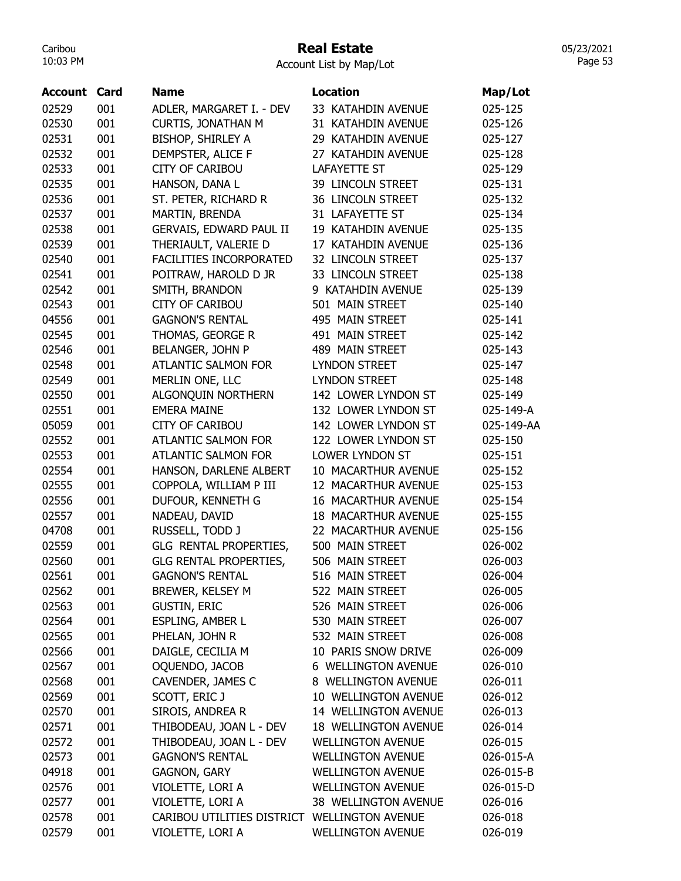### Real Estate

05/23/2021 Page 53

| Account | Card | <b>Name</b>                                  | <b>Location</b>            | Map/Lot    |
|---------|------|----------------------------------------------|----------------------------|------------|
| 02529   | 001  | ADLER, MARGARET I. - DEV                     | 33 KATAHDIN AVENUE         | 025-125    |
| 02530   | 001  | <b>CURTIS, JONATHAN M</b>                    | 31 KATAHDIN AVENUE         | 025-126    |
| 02531   | 001  | BISHOP, SHIRLEY A                            | 29 KATAHDIN AVENUE         | 025-127    |
| 02532   | 001  | DEMPSTER, ALICE F                            | 27 KATAHDIN AVENUE         | 025-128    |
| 02533   | 001  | <b>CITY OF CARIBOU</b>                       | <b>LAFAYETTE ST</b>        | 025-129    |
| 02535   | 001  | HANSON, DANA L                               | 39 LINCOLN STREET          | 025-131    |
| 02536   | 001  | ST. PETER, RICHARD R                         | 36 LINCOLN STREET          | 025-132    |
| 02537   | 001  | MARTIN, BRENDA                               | 31 LAFAYETTE ST            | 025-134    |
| 02538   | 001  | GERVAIS, EDWARD PAUL II                      | 19 KATAHDIN AVENUE         | 025-135    |
| 02539   | 001  | THERIAULT, VALERIE D                         | 17 KATAHDIN AVENUE         | 025-136    |
| 02540   | 001  | FACILITIES INCORPORATED                      | 32 LINCOLN STREET          | 025-137    |
| 02541   | 001  | POITRAW, HAROLD D JR                         | 33 LINCOLN STREET          | 025-138    |
| 02542   | 001  | SMITH, BRANDON                               | 9 KATAHDIN AVENUE          | 025-139    |
| 02543   | 001  | <b>CITY OF CARIBOU</b>                       | 501 MAIN STREET            | 025-140    |
| 04556   | 001  | <b>GAGNON'S RENTAL</b>                       | 495 MAIN STREET            | 025-141    |
| 02545   | 001  | THOMAS, GEORGE R                             | 491 MAIN STREET            | 025-142    |
| 02546   | 001  | BELANGER, JOHN P                             | 489 MAIN STREET            | 025-143    |
| 02548   | 001  | <b>ATLANTIC SALMON FOR</b>                   | <b>LYNDON STREET</b>       | 025-147    |
| 02549   | 001  | MERLIN ONE, LLC                              | <b>LYNDON STREET</b>       | 025-148    |
| 02550   | 001  | ALGONQUIN NORTHERN                           | 142 LOWER LYNDON ST        | 025-149    |
| 02551   | 001  | <b>EMERA MAINE</b>                           | 132 LOWER LYNDON ST        | 025-149-A  |
| 05059   | 001  | <b>CITY OF CARIBOU</b>                       | 142 LOWER LYNDON ST        | 025-149-AA |
| 02552   | 001  | <b>ATLANTIC SALMON FOR</b>                   | 122 LOWER LYNDON ST        | 025-150    |
| 02553   | 001  | <b>ATLANTIC SALMON FOR</b>                   | LOWER LYNDON ST            | 025-151    |
| 02554   | 001  | HANSON, DARLENE ALBERT                       | 10 MACARTHUR AVENUE        | 025-152    |
| 02555   | 001  | COPPOLA, WILLIAM P III                       | 12 MACARTHUR AVENUE        | 025-153    |
| 02556   | 001  | DUFOUR, KENNETH G                            | 16 MACARTHUR AVENUE        | 025-154    |
| 02557   | 001  | NADEAU, DAVID                                | <b>18 MACARTHUR AVENUE</b> | 025-155    |
| 04708   | 001  | RUSSELL, TODD J                              | 22 MACARTHUR AVENUE        | 025-156    |
| 02559   | 001  | GLG RENTAL PROPERTIES,                       | 500 MAIN STREET            | 026-002    |
| 02560   | 001  | <b>GLG RENTAL PROPERTIES,</b>                | 506 MAIN STREET            | 026-003    |
| 02561   | 001  | <b>GAGNON'S RENTAL</b>                       | 516 MAIN STREET            | 026-004    |
| 02562   | 001  | BREWER, KELSEY M                             | 522 MAIN STREET            | 026-005    |
| 02563   | 001  | <b>GUSTIN, ERIC</b>                          | 526 MAIN STREET            | 026-006    |
| 02564   | 001  | ESPLING, AMBER L                             | 530 MAIN STREET            | 026-007    |
| 02565   | 001  | PHELAN, JOHN R                               | 532 MAIN STREET            | 026-008    |
| 02566   | 001  | DAIGLE, CECILIA M                            | 10 PARIS SNOW DRIVE        | 026-009    |
| 02567   | 001  | OQUENDO, JACOB                               | 6 WELLINGTON AVENUE        | 026-010    |
| 02568   | 001  | CAVENDER, JAMES C                            | 8 WELLINGTON AVENUE        | 026-011    |
| 02569   | 001  | SCOTT, ERIC J                                | 10 WELLINGTON AVENUE       | 026-012    |
| 02570   | 001  | SIROIS, ANDREA R                             | 14 WELLINGTON AVENUE       | 026-013    |
| 02571   | 001  | THIBODEAU, JOAN L - DEV                      | 18 WELLINGTON AVENUE       | 026-014    |
| 02572   | 001  | THIBODEAU, JOAN L - DEV                      | <b>WELLINGTON AVENUE</b>   | 026-015    |
| 02573   | 001  | <b>GAGNON'S RENTAL</b>                       | <b>WELLINGTON AVENUE</b>   | 026-015-A  |
| 04918   | 001  | <b>GAGNON, GARY</b>                          | <b>WELLINGTON AVENUE</b>   | 026-015-B  |
| 02576   | 001  | VIOLETTE, LORI A                             | <b>WELLINGTON AVENUE</b>   | 026-015-D  |
| 02577   | 001  | VIOLETTE, LORI A                             | 38 WELLINGTON AVENUE       | 026-016    |
| 02578   | 001  | CARIBOU UTILITIES DISTRICT WELLINGTON AVENUE |                            | 026-018    |
| 02579   | 001  | VIOLETTE, LORI A                             | <b>WELLINGTON AVENUE</b>   | 026-019    |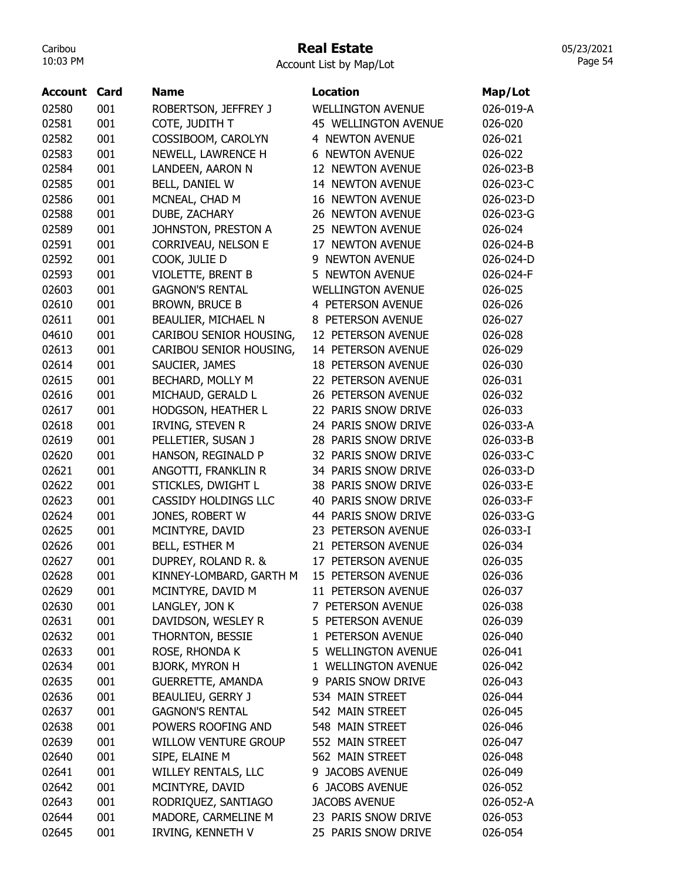### Real Estate

Account List by Map/Lot

| Account | Card | <b>Name</b>                 | <b>Location</b>             | Map/Lot   |
|---------|------|-----------------------------|-----------------------------|-----------|
| 02580   | 001  | ROBERTSON, JEFFREY J        | <b>WELLINGTON AVENUE</b>    | 026-019-A |
| 02581   | 001  | COTE, JUDITH T              | <b>45 WELLINGTON AVENUE</b> | 026-020   |
| 02582   | 001  | COSSIBOOM, CAROLYN          | 4 NEWTON AVENUE             | 026-021   |
| 02583   | 001  | NEWELL, LAWRENCE H          | <b>NEWTON AVENUE</b><br>6   | 026-022   |
| 02584   | 001  | LANDEEN, AARON N            | 12 NEWTON AVENUE            | 026-023-B |
| 02585   | 001  | BELL, DANIEL W              | 14 NEWTON AVENUE            | 026-023-C |
| 02586   | 001  | MCNEAL, CHAD M              | <b>16 NEWTON AVENUE</b>     | 026-023-D |
| 02588   | 001  | DUBE, ZACHARY               | 26 NEWTON AVENUE            | 026-023-G |
| 02589   | 001  | JOHNSTON, PRESTON A         | 25 NEWTON AVENUE            | 026-024   |
| 02591   | 001  | CORRIVEAU, NELSON E         | 17 NEWTON AVENUE            | 026-024-B |
| 02592   | 001  | COOK, JULIE D               | <b>NEWTON AVENUE</b><br>9   | 026-024-D |
| 02593   | 001  | VIOLETTE, BRENT B           | 5 NEWTON AVENUE             | 026-024-F |
| 02603   | 001  | <b>GAGNON'S RENTAL</b>      | <b>WELLINGTON AVENUE</b>    | 026-025   |
| 02610   | 001  | <b>BROWN, BRUCE B</b>       | 4 PETERSON AVENUE           | 026-026   |
| 02611   | 001  | BEAULIER, MICHAEL N         | 8 PETERSON AVENUE           | 026-027   |
| 04610   | 001  | CARIBOU SENIOR HOUSING,     | 12 PETERSON AVENUE          | 026-028   |
| 02613   | 001  | CARIBOU SENIOR HOUSING,     | 14 PETERSON AVENUE          | 026-029   |
| 02614   | 001  | SAUCIER, JAMES              | <b>18 PETERSON AVENUE</b>   | 026-030   |
| 02615   | 001  | BECHARD, MOLLY M            | 22 PETERSON AVENUE          | 026-031   |
| 02616   | 001  | MICHAUD, GERALD L           | 26 PETERSON AVENUE          | 026-032   |
| 02617   | 001  | <b>HODGSON, HEATHER L</b>   | 22 PARIS SNOW DRIVE         | 026-033   |
| 02618   | 001  | IRVING, STEVEN R            | 24 PARIS SNOW DRIVE         | 026-033-A |
| 02619   | 001  | PELLETIER, SUSAN J          | 28 PARIS SNOW DRIVE         | 026-033-B |
| 02620   | 001  | HANSON, REGINALD P          | 32 PARIS SNOW DRIVE         | 026-033-C |
| 02621   | 001  | ANGOTTI, FRANKLIN R         | 34 PARIS SNOW DRIVE         | 026-033-D |
| 02622   | 001  | STICKLES, DWIGHT L          | 38 PARIS SNOW DRIVE         | 026-033-E |
| 02623   | 001  | <b>CASSIDY HOLDINGS LLC</b> | 40 PARIS SNOW DRIVE         | 026-033-F |
| 02624   | 001  | JONES, ROBERT W             | 44 PARIS SNOW DRIVE         | 026-033-G |
| 02625   | 001  | MCINTYRE, DAVID             | 23 PETERSON AVENUE          | 026-033-I |
| 02626   | 001  | <b>BELL, ESTHER M</b>       | 21 PETERSON AVENUE          | 026-034   |
| 02627   | 001  | DUPREY, ROLAND R. &         | 17 PETERSON AVENUE          | 026-035   |
| 02628   | 001  | KINNEY-LOMBARD, GARTH M     | PETERSON AVENUE<br>15       | 026-036   |
| 02629   | 001  | MCINTYRE, DAVID M           | 11 PETERSON AVENUE          | 026-037   |
| 02630   | 001  | LANGLEY, JON K              | 7 PETERSON AVENUE           | 026-038   |
| 02631   | 001  | DAVIDSON, WESLEY R          | 5 PETERSON AVENUE           | 026-039   |
| 02632   | 001  | THORNTON, BESSIE            | 1 PETERSON AVENUE           | 026-040   |
| 02633   | 001  | ROSE, RHONDA K              | 5 WELLINGTON AVENUE         | 026-041   |
| 02634   | 001  | <b>BJORK, MYRON H</b>       | 1 WELLINGTON AVENUE         | 026-042   |
| 02635   | 001  | <b>GUERRETTE, AMANDA</b>    | 9 PARIS SNOW DRIVE          | 026-043   |
| 02636   | 001  | BEAULIEU, GERRY J           | 534 MAIN STREET             | 026-044   |
| 02637   | 001  | <b>GAGNON'S RENTAL</b>      | 542 MAIN STREET             | 026-045   |
| 02638   | 001  | POWERS ROOFING AND          | 548 MAIN STREET             |           |
|         |      |                             |                             | 026-046   |
| 02639   | 001  | <b>WILLOW VENTURE GROUP</b> | 552 MAIN STREET             | 026-047   |
| 02640   | 001  | SIPE, ELAINE M              | 562 MAIN STREET             | 026-048   |
| 02641   | 001  | WILLEY RENTALS, LLC         | 9 JACOBS AVENUE             | 026-049   |
| 02642   | 001  | MCINTYRE, DAVID             | <b>6 JACOBS AVENUE</b>      | 026-052   |
| 02643   | 001  | RODRIQUEZ, SANTIAGO         | <b>JACOBS AVENUE</b>        | 026-052-A |
| 02644   | 001  | MADORE, CARMELINE M         | 23 PARIS SNOW DRIVE         | 026-053   |
| 02645   | 001  | IRVING, KENNETH V           | 25 PARIS SNOW DRIVE         | 026-054   |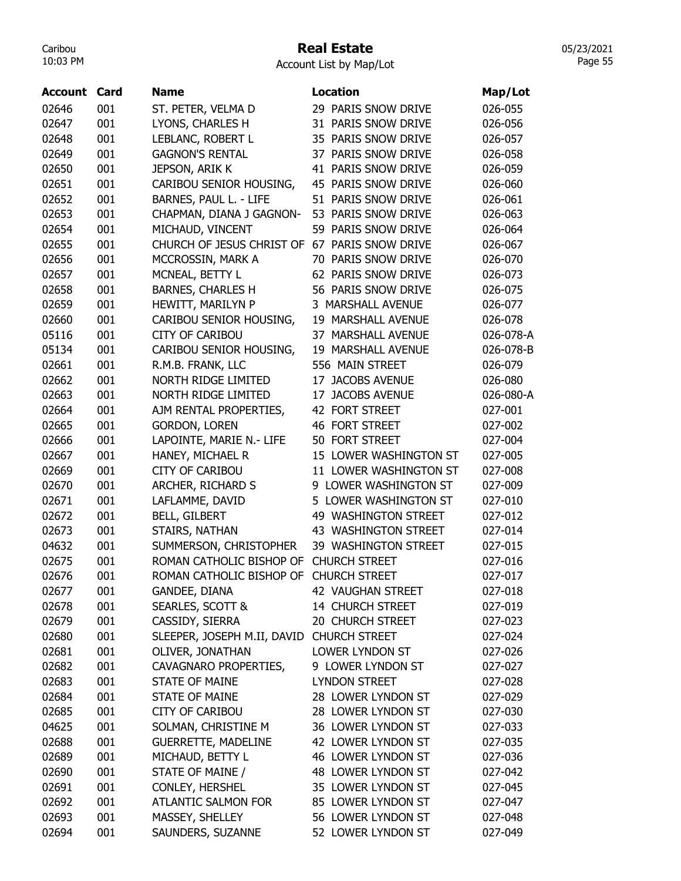## Real Estate

Account List by Map/Lot

| Account        | Card | <b>Name</b>                                        | <b>Location</b>                              | Map/Lot   |
|----------------|------|----------------------------------------------------|----------------------------------------------|-----------|
| 02646          | 001  | ST. PETER, VELMA D                                 | 29 PARIS SNOW DRIVE                          | 026-055   |
| 02647          | 001  | LYONS, CHARLES H                                   | 31 PARIS SNOW DRIVE                          | 026-056   |
| 02648          | 001  | LEBLANC, ROBERT L                                  | 35 PARIS SNOW DRIVE                          | 026-057   |
| 02649          | 001  | <b>GAGNON'S RENTAL</b>                             | 37 PARIS SNOW DRIVE                          | 026-058   |
| 02650          | 001  | JEPSON, ARIK K                                     | 41 PARIS SNOW DRIVE                          | 026-059   |
| 02651          | 001  | CARIBOU SENIOR HOUSING,                            | 45 PARIS SNOW DRIVE                          | 026-060   |
| 02652          | 001  | BARNES, PAUL L. - LIFE                             | 51 PARIS SNOW DRIVE                          | 026-061   |
| 02653          | 001  | CHAPMAN, DIANA J GAGNON-                           | 53 PARIS SNOW DRIVE                          | 026-063   |
| 02654          | 001  | MICHAUD, VINCENT                                   | 59 PARIS SNOW DRIVE                          | 026-064   |
| 02655          | 001  | CHURCH OF JESUS CHRIST OF 67 PARIS SNOW DRIVE      |                                              | 026-067   |
| 02656          | 001  | MCCROSSIN, MARK A                                  | 70 PARIS SNOW DRIVE                          | 026-070   |
| 02657          | 001  | MCNEAL, BETTY L                                    | 62 PARIS SNOW DRIVE                          | 026-073   |
| 02658          | 001  | <b>BARNES, CHARLES H</b>                           | 56 PARIS SNOW DRIVE                          | 026-075   |
| 02659          | 001  | HEWITT, MARILYN P                                  | 3 MARSHALL AVENUE                            | 026-077   |
| 02660          | 001  | CARIBOU SENIOR HOUSING,                            | 19 MARSHALL AVENUE                           | 026-078   |
| 05116          | 001  | <b>CITY OF CARIBOU</b>                             | 37 MARSHALL AVENUE                           | 026-078-A |
| 05134          | 001  | CARIBOU SENIOR HOUSING,                            | 19 MARSHALL AVENUE                           | 026-078-B |
| 02661          | 001  | R.M.B. FRANK, LLC                                  | 556 MAIN STREET                              | 026-079   |
| 02662          | 001  | <b>NORTH RIDGE LIMITED</b>                         | 17 JACOBS AVENUE                             | 026-080   |
| 02663          | 001  | <b>NORTH RIDGE LIMITED</b>                         | 17 JACOBS AVENUE                             | 026-080-A |
| 02664          | 001  | AJM RENTAL PROPERTIES,                             | 42 FORT STREET                               | 027-001   |
| 02665          | 001  | <b>GORDON, LOREN</b>                               | 46 FORT STREET                               | 027-002   |
| 02666          | 001  | LAPOINTE, MARIE N.- LIFE                           | 50 FORT STREET                               | 027-004   |
| 02667          | 001  | HANEY, MICHAEL R                                   | 15 LOWER WASHINGTON ST                       | 027-005   |
| 02669          | 001  | <b>CITY OF CARIBOU</b>                             | 11 LOWER WASHINGTON ST                       | 027-008   |
|                | 001  | ARCHER, RICHARD S                                  | 9 LOWER WASHINGTON ST                        | 027-009   |
| 02670<br>02671 | 001  | LAFLAMME, DAVID                                    | 5 LOWER WASHINGTON ST                        | 027-010   |
| 02672          | 001  | <b>BELL, GILBERT</b>                               | 49 WASHINGTON STREET                         | 027-012   |
| 02673          | 001  | STAIRS, NATHAN                                     | 43 WASHINGTON STREET                         | 027-014   |
|                | 001  |                                                    |                                              |           |
| 04632          |      | SUMMERSON, CHRISTOPHER<br>ROMAN CATHOLIC BISHOP OF | 39 WASHINGTON STREET<br><b>CHURCH STREET</b> | 027-015   |
| 02675          | 001  |                                                    |                                              | 027-016   |
| 02676          | 001  | ROMAN CATHOLIC BISHOP OF CHURCH STREET             |                                              | 027-017   |
| 02677          | 001  | GANDEE, DIANA                                      | 42 VAUGHAN STREET                            | 027-018   |
| 02678          | 001  | <b>SEARLES, SCOTT &amp;</b>                        | 14 CHURCH STREET                             | 027-019   |
| 02679          | 001  | CASSIDY, SIERRA                                    | 20 CHURCH STREET                             | 027-023   |
| 02680          | 001  | SLEEPER, JOSEPH M.II, DAVID CHURCH STREET          |                                              | 027-024   |
| 02681          | 001  | OLIVER, JONATHAN                                   | LOWER LYNDON ST                              | 027-026   |
| 02682          | 001  | CAVAGNARO PROPERTIES,                              | 9 LOWER LYNDON ST                            | 027-027   |
| 02683          | 001  | <b>STATE OF MAINE</b>                              | <b>LYNDON STREET</b>                         | 027-028   |
| 02684          | 001  | STATE OF MAINE                                     | 28 LOWER LYNDON ST                           | 027-029   |
| 02685          | 001  | <b>CITY OF CARIBOU</b>                             | 28 LOWER LYNDON ST                           | 027-030   |
| 04625          | 001  | SOLMAN, CHRISTINE M                                | 36 LOWER LYNDON ST                           | 027-033   |
| 02688          | 001  | <b>GUERRETTE, MADELINE</b>                         | 42 LOWER LYNDON ST                           | 027-035   |
| 02689          | 001  | MICHAUD, BETTY L                                   | 46 LOWER LYNDON ST                           | 027-036   |
| 02690          | 001  | STATE OF MAINE /                                   | 48 LOWER LYNDON ST                           | 027-042   |
| 02691          | 001  | CONLEY, HERSHEL                                    | 35 LOWER LYNDON ST                           | 027-045   |
| 02692          | 001  | ATLANTIC SALMON FOR                                | 85 LOWER LYNDON ST                           | 027-047   |
| 02693          | 001  | MASSEY, SHELLEY                                    | 56 LOWER LYNDON ST                           | 027-048   |
| 02694          | 001  | SAUNDERS, SUZANNE                                  | 52 LOWER LYNDON ST                           | 027-049   |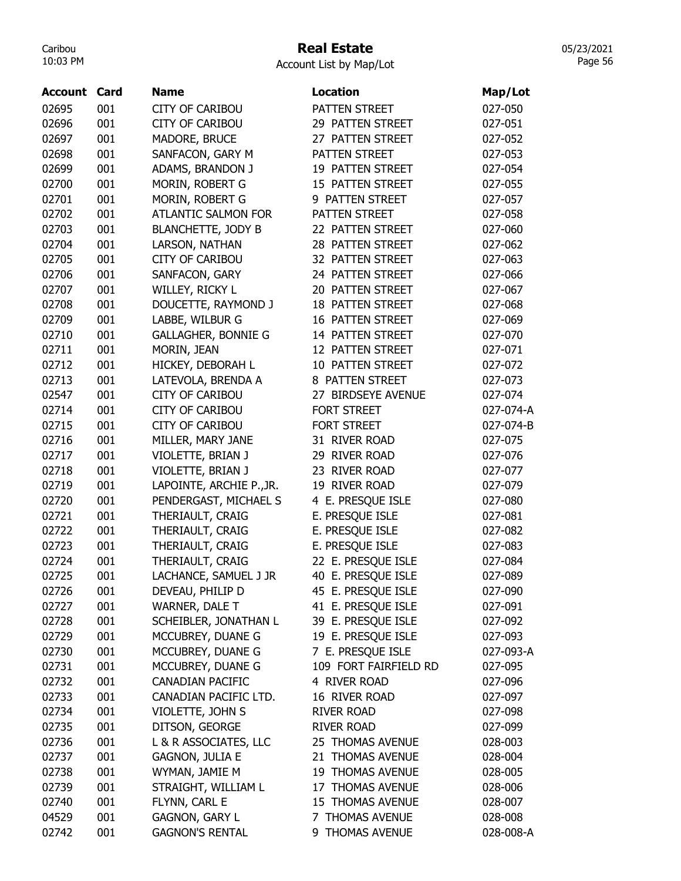# Real Estate

|  | Account List by Map/Lot |  |  |  |  |  |  |  |  |  |  |  |  |  |  |  |  |  |  |  |  |  |  |  |  |  |  |  |  |  |  |  |  |  |  |  |  |  |  |  |  |  |  |  |  |  |  |  |  |  |  |  |  |  |  |  |  |  |  |  |  |  |  |  |  |  |  |  |  |  |  |  |  |  |  |  |
|--|-------------------------|--|--|--|--|--|--|--|--|--|--|--|--|--|--|--|--|--|--|--|--|--|--|--|--|--|--|--|--|--|--|--|--|--|--|--|--|--|--|--|--|--|--|--|--|--|--|--|--|--|--|--|--|--|--|--|--|--|--|--|--|--|--|--|--|--|--|--|--|--|--|--|--|--|--|--|
|--|-------------------------|--|--|--|--|--|--|--|--|--|--|--|--|--|--|--|--|--|--|--|--|--|--|--|--|--|--|--|--|--|--|--|--|--|--|--|--|--|--|--|--|--|--|--|--|--|--|--|--|--|--|--|--|--|--|--|--|--|--|--|--|--|--|--|--|--|--|--|--|--|--|--|--|--|--|--|

| <b>Account Card</b> |     | <b>Name</b>                | <b>Location</b>          | Map/Lot   |
|---------------------|-----|----------------------------|--------------------------|-----------|
| 02695               | 001 | <b>CITY OF CARIBOU</b>     | PATTEN STREET            | 027-050   |
| 02696               | 001 | <b>CITY OF CARIBOU</b>     | 29 PATTEN STREET         | 027-051   |
| 02697               | 001 | MADORE, BRUCE              | 27 PATTEN STREET         | 027-052   |
| 02698               | 001 | SANFACON, GARY M           | PATTEN STREET            | 027-053   |
| 02699               | 001 | ADAMS, BRANDON J           | 19 PATTEN STREET         | 027-054   |
| 02700               | 001 | MORIN, ROBERT G            | 15 PATTEN STREET         | 027-055   |
| 02701               | 001 | MORIN, ROBERT G            | 9 PATTEN STREET          | 027-057   |
| 02702               | 001 | <b>ATLANTIC SALMON FOR</b> | PATTEN STREET            | 027-058   |
| 02703               | 001 | <b>BLANCHETTE, JODY B</b>  | 22 PATTEN STREET         | 027-060   |
| 02704               | 001 | LARSON, NATHAN             | 28 PATTEN STREET         | 027-062   |
| 02705               | 001 | <b>CITY OF CARIBOU</b>     | 32 PATTEN STREET         | 027-063   |
| 02706               | 001 | SANFACON, GARY             | 24 PATTEN STREET         | 027-066   |
| 02707               | 001 | WILLEY, RICKY L            | 20 PATTEN STREET         | 027-067   |
| 02708               | 001 | DOUCETTE, RAYMOND J        | <b>18 PATTEN STREET</b>  | 027-068   |
| 02709               | 001 | LABBE, WILBUR G            | <b>16 PATTEN STREET</b>  | 027-069   |
| 02710               | 001 | <b>GALLAGHER, BONNIE G</b> | 14 PATTEN STREET         | 027-070   |
| 02711               | 001 | MORIN, JEAN                | 12 PATTEN STREET         | 027-071   |
| 02712               | 001 | HICKEY, DEBORAH L          | 10 PATTEN STREET         | 027-072   |
| 02713               | 001 | LATEVOLA, BRENDA A         | 8 PATTEN STREET          | 027-073   |
| 02547               | 001 | <b>CITY OF CARIBOU</b>     | 27 BIRDSEYE AVENUE       | 027-074   |
| 02714               | 001 | <b>CITY OF CARIBOU</b>     | <b>FORT STREET</b>       | 027-074-A |
| 02715               | 001 | <b>CITY OF CARIBOU</b>     | <b>FORT STREET</b>       | 027-074-B |
| 02716               | 001 | MILLER, MARY JANE          | 31 RIVER ROAD            | 027-075   |
| 02717               | 001 | VIOLETTE, BRIAN J          | 29 RIVER ROAD            | 027-076   |
| 02718               | 001 | VIOLETTE, BRIAN J          | <b>RIVER ROAD</b><br>23. | 027-077   |
| 02719               | 001 | LAPOINTE, ARCHIE P., JR.   | 19 RIVER ROAD            | 027-079   |
| 02720               | 001 | PENDERGAST, MICHAEL S      | 4 E. PRESQUE ISLE        | 027-080   |
| 02721               | 001 | THERIAULT, CRAIG           | E. PRESQUE ISLE          | 027-081   |
| 02722               | 001 | THERIAULT, CRAIG           | E. PRESQUE ISLE          | 027-082   |
| 02723               | 001 | THERIAULT, CRAIG           | E. PRESQUE ISLE          | 027-083   |
| 02724               | 001 | THERIAULT, CRAIG           | 22 E. PRESQUE ISLE       | 027-084   |
| 02725               | 001 | LACHANCE, SAMUEL J JR      | 40 E. PRESQUE ISLE       | 027-089   |
| 02726               | 001 | DEVEAU, PHILIP D           | 45 E. PRESQUE ISLE       | 027-090   |
| 02727               | 001 | WARNER, DALE T             | 41 E. PRESQUE ISLE       | 027-091   |
| 02728               | 001 | SCHEIBLER, JONATHAN L      | 39 E. PRESQUE ISLE       | 027-092   |
| 02729               | 001 | MCCUBREY, DUANE G          | 19 E. PRESQUE ISLE       | 027-093   |
| 02730               | 001 | MCCUBREY, DUANE G          | 7 E. PRESQUE ISLE        | 027-093-A |
| 02731               | 001 | MCCUBREY, DUANE G          | 109 FORT FAIRFIELD RD    | 027-095   |
| 02732               | 001 | <b>CANADIAN PACIFIC</b>    | 4 RIVER ROAD             | 027-096   |
| 02733               | 001 | CANADIAN PACIFIC LTD.      | 16 RIVER ROAD            | 027-097   |
| 02734               | 001 | VIOLETTE, JOHN S           | <b>RIVER ROAD</b>        | 027-098   |
| 02735               | 001 | DITSON, GEORGE             | <b>RIVER ROAD</b>        | 027-099   |
| 02736               | 001 | L & R ASSOCIATES, LLC      | 25 THOMAS AVENUE         | 028-003   |
| 02737               | 001 | <b>GAGNON, JULIA E</b>     | 21 THOMAS AVENUE         | 028-004   |
| 02738               | 001 | WYMAN, JAMIE M             | 19 THOMAS AVENUE         | 028-005   |
| 02739               | 001 | STRAIGHT, WILLIAM L        | 17 THOMAS AVENUE         | 028-006   |
| 02740               | 001 | FLYNN, CARL E              | 15 THOMAS AVENUE         | 028-007   |
| 04529               | 001 | <b>GAGNON, GARY L</b>      | 7 THOMAS AVENUE          | 028-008   |
| 02742               | 001 | <b>GAGNON'S RENTAL</b>     | 9 THOMAS AVENUE          | 028-008-A |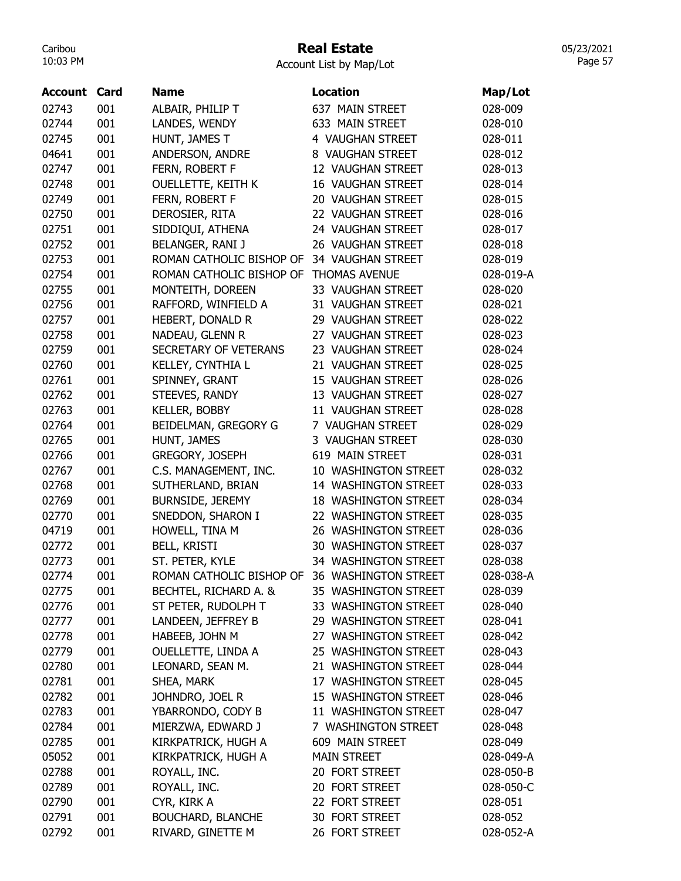## Real Estate

05/23/2021 Page 57

| 001<br>ALBAIR, PHILIP T<br>637 MAIN STREET<br>028-009<br>02743<br>LANDES, WENDY<br>02744<br>001<br>633 MAIN STREET<br>028-010<br>HUNT, JAMES T<br>001<br>4 VAUGHAN STREET<br>028-011<br>02745<br>001<br>ANDERSON, ANDRE<br>8 VAUGHAN STREET<br>04641<br>028-012<br>001<br>FERN, ROBERT F<br>02747<br>12 VAUGHAN STREET<br>028-013<br>001<br><b>OUELLETTE, KEITH K</b><br>16 VAUGHAN STREET<br>02748<br>028-014<br>001<br>FERN, ROBERT F<br>02749<br>20 VAUGHAN STREET<br>028-015<br>DEROSIER, RITA<br>001<br>22 VAUGHAN STREET<br>02750<br>028-016<br>SIDDIQUI, ATHENA<br>001<br>24 VAUGHAN STREET<br>02751<br>028-017<br>02752<br>001<br>BELANGER, RANI J<br>26 VAUGHAN STREET<br>028-018<br>02753<br>001<br>ROMAN CATHOLIC BISHOP OF<br>34 VAUGHAN STREET<br>028-019<br>001<br>ROMAN CATHOLIC BISHOP OF<br><b>THOMAS AVENUE</b><br>02754<br>028-019-A<br>001<br>02755<br>MONTEITH, DOREEN<br>33 VAUGHAN STREET<br>028-020<br>001<br>RAFFORD, WINFIELD A<br>31 VAUGHAN STREET<br>02756<br>028-021<br>HEBERT, DONALD R<br>001<br>02757<br>29 VAUGHAN STREET<br>028-022<br>NADEAU, GLENN R<br>001<br>27 VAUGHAN STREET<br>02758<br>028-023<br>001<br>SECRETARY OF VETERANS<br>23 VAUGHAN STREET<br>02759<br>028-024<br>02760<br>001<br>KELLEY, CYNTHIA L<br>21 VAUGHAN STREET<br>028-025<br>001<br>SPINNEY, GRANT<br>02761<br>15 VAUGHAN STREET<br>028-026<br>001<br>02762<br>STEEVES, RANDY<br>13 VAUGHAN STREET<br>028-027<br>001<br>KELLER, BOBBY<br>02763<br>11 VAUGHAN STREET<br>028-028<br>02764<br>001<br>BEIDELMAN, GREGORY G<br>7 VAUGHAN STREET<br>028-029<br>HUNT, JAMES<br>001<br>02765<br>3 VAUGHAN STREET<br>028-030<br>001<br>GREGORY, JOSEPH<br>619 MAIN STREET<br>02766<br>028-031<br>02767<br>001<br>C.S. MANAGEMENT, INC.<br>10 WASHINGTON STREET<br>028-032<br>02768<br>001<br>14 WASHINGTON STREET<br>SUTHERLAND, BRIAN<br>028-033<br>001<br><b>BURNSIDE, JEREMY</b><br>02769<br><b>18 WASHINGTON STREET</b><br>028-034<br>001<br>02770<br>SNEDDON, SHARON I<br>22 WASHINGTON STREET<br>028-035<br>26 WASHINGTON STREET<br>04719<br>001<br>HOWELL, TINA M<br>028-036<br>001<br><b>BELL, KRISTI</b><br>02772<br>30 WASHINGTON STREET<br>028-037<br>001<br>ST. PETER, KYLE<br>34 WASHINGTON STREET<br>02773<br>028-038<br>028-038-A<br>02774<br>001<br>ROMAN CATHOLIC BISHOP OF<br>36 WASHINGTON STREET<br>001<br>BECHTEL, RICHARD A. &<br>35 WASHINGTON STREET<br>02775<br>028-039<br>001<br>ST PETER, RUDOLPH T<br>33 WASHINGTON STREET<br>02776<br>028-040<br>LANDEEN, JEFFREY B<br>02777<br>001<br>29 WASHINGTON STREET<br>028-041<br>001<br>HABEEB, JOHN M<br>02778<br>27 WASHINGTON STREET<br>028-042<br>001<br>OUELLETTE, LINDA A<br>25 WASHINGTON STREET<br>02779<br>028-043<br>LEONARD, SEAN M.<br>02780<br>001<br>21 WASHINGTON STREET<br>028-044 | <b>Account Card</b> | <b>Name</b> | <b>Location</b> | Map/Lot   |
|-------------------------------------------------------------------------------------------------------------------------------------------------------------------------------------------------------------------------------------------------------------------------------------------------------------------------------------------------------------------------------------------------------------------------------------------------------------------------------------------------------------------------------------------------------------------------------------------------------------------------------------------------------------------------------------------------------------------------------------------------------------------------------------------------------------------------------------------------------------------------------------------------------------------------------------------------------------------------------------------------------------------------------------------------------------------------------------------------------------------------------------------------------------------------------------------------------------------------------------------------------------------------------------------------------------------------------------------------------------------------------------------------------------------------------------------------------------------------------------------------------------------------------------------------------------------------------------------------------------------------------------------------------------------------------------------------------------------------------------------------------------------------------------------------------------------------------------------------------------------------------------------------------------------------------------------------------------------------------------------------------------------------------------------------------------------------------------------------------------------------------------------------------------------------------------------------------------------------------------------------------------------------------------------------------------------------------------------------------------------------------------------------------------------------------------------------------------------------------------------------------------------------------------------------------------------------------------------------------------------------------------------------------------------------------------------------------------------------------------------------------------------------------|---------------------|-------------|-----------------|-----------|
|                                                                                                                                                                                                                                                                                                                                                                                                                                                                                                                                                                                                                                                                                                                                                                                                                                                                                                                                                                                                                                                                                                                                                                                                                                                                                                                                                                                                                                                                                                                                                                                                                                                                                                                                                                                                                                                                                                                                                                                                                                                                                                                                                                                                                                                                                                                                                                                                                                                                                                                                                                                                                                                                                                                                                                               |                     |             |                 |           |
|                                                                                                                                                                                                                                                                                                                                                                                                                                                                                                                                                                                                                                                                                                                                                                                                                                                                                                                                                                                                                                                                                                                                                                                                                                                                                                                                                                                                                                                                                                                                                                                                                                                                                                                                                                                                                                                                                                                                                                                                                                                                                                                                                                                                                                                                                                                                                                                                                                                                                                                                                                                                                                                                                                                                                                               |                     |             |                 |           |
|                                                                                                                                                                                                                                                                                                                                                                                                                                                                                                                                                                                                                                                                                                                                                                                                                                                                                                                                                                                                                                                                                                                                                                                                                                                                                                                                                                                                                                                                                                                                                                                                                                                                                                                                                                                                                                                                                                                                                                                                                                                                                                                                                                                                                                                                                                                                                                                                                                                                                                                                                                                                                                                                                                                                                                               |                     |             |                 |           |
|                                                                                                                                                                                                                                                                                                                                                                                                                                                                                                                                                                                                                                                                                                                                                                                                                                                                                                                                                                                                                                                                                                                                                                                                                                                                                                                                                                                                                                                                                                                                                                                                                                                                                                                                                                                                                                                                                                                                                                                                                                                                                                                                                                                                                                                                                                                                                                                                                                                                                                                                                                                                                                                                                                                                                                               |                     |             |                 |           |
|                                                                                                                                                                                                                                                                                                                                                                                                                                                                                                                                                                                                                                                                                                                                                                                                                                                                                                                                                                                                                                                                                                                                                                                                                                                                                                                                                                                                                                                                                                                                                                                                                                                                                                                                                                                                                                                                                                                                                                                                                                                                                                                                                                                                                                                                                                                                                                                                                                                                                                                                                                                                                                                                                                                                                                               |                     |             |                 |           |
|                                                                                                                                                                                                                                                                                                                                                                                                                                                                                                                                                                                                                                                                                                                                                                                                                                                                                                                                                                                                                                                                                                                                                                                                                                                                                                                                                                                                                                                                                                                                                                                                                                                                                                                                                                                                                                                                                                                                                                                                                                                                                                                                                                                                                                                                                                                                                                                                                                                                                                                                                                                                                                                                                                                                                                               |                     |             |                 |           |
|                                                                                                                                                                                                                                                                                                                                                                                                                                                                                                                                                                                                                                                                                                                                                                                                                                                                                                                                                                                                                                                                                                                                                                                                                                                                                                                                                                                                                                                                                                                                                                                                                                                                                                                                                                                                                                                                                                                                                                                                                                                                                                                                                                                                                                                                                                                                                                                                                                                                                                                                                                                                                                                                                                                                                                               |                     |             |                 |           |
|                                                                                                                                                                                                                                                                                                                                                                                                                                                                                                                                                                                                                                                                                                                                                                                                                                                                                                                                                                                                                                                                                                                                                                                                                                                                                                                                                                                                                                                                                                                                                                                                                                                                                                                                                                                                                                                                                                                                                                                                                                                                                                                                                                                                                                                                                                                                                                                                                                                                                                                                                                                                                                                                                                                                                                               |                     |             |                 |           |
|                                                                                                                                                                                                                                                                                                                                                                                                                                                                                                                                                                                                                                                                                                                                                                                                                                                                                                                                                                                                                                                                                                                                                                                                                                                                                                                                                                                                                                                                                                                                                                                                                                                                                                                                                                                                                                                                                                                                                                                                                                                                                                                                                                                                                                                                                                                                                                                                                                                                                                                                                                                                                                                                                                                                                                               |                     |             |                 |           |
|                                                                                                                                                                                                                                                                                                                                                                                                                                                                                                                                                                                                                                                                                                                                                                                                                                                                                                                                                                                                                                                                                                                                                                                                                                                                                                                                                                                                                                                                                                                                                                                                                                                                                                                                                                                                                                                                                                                                                                                                                                                                                                                                                                                                                                                                                                                                                                                                                                                                                                                                                                                                                                                                                                                                                                               |                     |             |                 |           |
|                                                                                                                                                                                                                                                                                                                                                                                                                                                                                                                                                                                                                                                                                                                                                                                                                                                                                                                                                                                                                                                                                                                                                                                                                                                                                                                                                                                                                                                                                                                                                                                                                                                                                                                                                                                                                                                                                                                                                                                                                                                                                                                                                                                                                                                                                                                                                                                                                                                                                                                                                                                                                                                                                                                                                                               |                     |             |                 |           |
|                                                                                                                                                                                                                                                                                                                                                                                                                                                                                                                                                                                                                                                                                                                                                                                                                                                                                                                                                                                                                                                                                                                                                                                                                                                                                                                                                                                                                                                                                                                                                                                                                                                                                                                                                                                                                                                                                                                                                                                                                                                                                                                                                                                                                                                                                                                                                                                                                                                                                                                                                                                                                                                                                                                                                                               |                     |             |                 |           |
|                                                                                                                                                                                                                                                                                                                                                                                                                                                                                                                                                                                                                                                                                                                                                                                                                                                                                                                                                                                                                                                                                                                                                                                                                                                                                                                                                                                                                                                                                                                                                                                                                                                                                                                                                                                                                                                                                                                                                                                                                                                                                                                                                                                                                                                                                                                                                                                                                                                                                                                                                                                                                                                                                                                                                                               |                     |             |                 |           |
|                                                                                                                                                                                                                                                                                                                                                                                                                                                                                                                                                                                                                                                                                                                                                                                                                                                                                                                                                                                                                                                                                                                                                                                                                                                                                                                                                                                                                                                                                                                                                                                                                                                                                                                                                                                                                                                                                                                                                                                                                                                                                                                                                                                                                                                                                                                                                                                                                                                                                                                                                                                                                                                                                                                                                                               |                     |             |                 |           |
|                                                                                                                                                                                                                                                                                                                                                                                                                                                                                                                                                                                                                                                                                                                                                                                                                                                                                                                                                                                                                                                                                                                                                                                                                                                                                                                                                                                                                                                                                                                                                                                                                                                                                                                                                                                                                                                                                                                                                                                                                                                                                                                                                                                                                                                                                                                                                                                                                                                                                                                                                                                                                                                                                                                                                                               |                     |             |                 |           |
|                                                                                                                                                                                                                                                                                                                                                                                                                                                                                                                                                                                                                                                                                                                                                                                                                                                                                                                                                                                                                                                                                                                                                                                                                                                                                                                                                                                                                                                                                                                                                                                                                                                                                                                                                                                                                                                                                                                                                                                                                                                                                                                                                                                                                                                                                                                                                                                                                                                                                                                                                                                                                                                                                                                                                                               |                     |             |                 |           |
|                                                                                                                                                                                                                                                                                                                                                                                                                                                                                                                                                                                                                                                                                                                                                                                                                                                                                                                                                                                                                                                                                                                                                                                                                                                                                                                                                                                                                                                                                                                                                                                                                                                                                                                                                                                                                                                                                                                                                                                                                                                                                                                                                                                                                                                                                                                                                                                                                                                                                                                                                                                                                                                                                                                                                                               |                     |             |                 |           |
|                                                                                                                                                                                                                                                                                                                                                                                                                                                                                                                                                                                                                                                                                                                                                                                                                                                                                                                                                                                                                                                                                                                                                                                                                                                                                                                                                                                                                                                                                                                                                                                                                                                                                                                                                                                                                                                                                                                                                                                                                                                                                                                                                                                                                                                                                                                                                                                                                                                                                                                                                                                                                                                                                                                                                                               |                     |             |                 |           |
|                                                                                                                                                                                                                                                                                                                                                                                                                                                                                                                                                                                                                                                                                                                                                                                                                                                                                                                                                                                                                                                                                                                                                                                                                                                                                                                                                                                                                                                                                                                                                                                                                                                                                                                                                                                                                                                                                                                                                                                                                                                                                                                                                                                                                                                                                                                                                                                                                                                                                                                                                                                                                                                                                                                                                                               |                     |             |                 |           |
|                                                                                                                                                                                                                                                                                                                                                                                                                                                                                                                                                                                                                                                                                                                                                                                                                                                                                                                                                                                                                                                                                                                                                                                                                                                                                                                                                                                                                                                                                                                                                                                                                                                                                                                                                                                                                                                                                                                                                                                                                                                                                                                                                                                                                                                                                                                                                                                                                                                                                                                                                                                                                                                                                                                                                                               |                     |             |                 |           |
|                                                                                                                                                                                                                                                                                                                                                                                                                                                                                                                                                                                                                                                                                                                                                                                                                                                                                                                                                                                                                                                                                                                                                                                                                                                                                                                                                                                                                                                                                                                                                                                                                                                                                                                                                                                                                                                                                                                                                                                                                                                                                                                                                                                                                                                                                                                                                                                                                                                                                                                                                                                                                                                                                                                                                                               |                     |             |                 |           |
|                                                                                                                                                                                                                                                                                                                                                                                                                                                                                                                                                                                                                                                                                                                                                                                                                                                                                                                                                                                                                                                                                                                                                                                                                                                                                                                                                                                                                                                                                                                                                                                                                                                                                                                                                                                                                                                                                                                                                                                                                                                                                                                                                                                                                                                                                                                                                                                                                                                                                                                                                                                                                                                                                                                                                                               |                     |             |                 |           |
|                                                                                                                                                                                                                                                                                                                                                                                                                                                                                                                                                                                                                                                                                                                                                                                                                                                                                                                                                                                                                                                                                                                                                                                                                                                                                                                                                                                                                                                                                                                                                                                                                                                                                                                                                                                                                                                                                                                                                                                                                                                                                                                                                                                                                                                                                                                                                                                                                                                                                                                                                                                                                                                                                                                                                                               |                     |             |                 |           |
|                                                                                                                                                                                                                                                                                                                                                                                                                                                                                                                                                                                                                                                                                                                                                                                                                                                                                                                                                                                                                                                                                                                                                                                                                                                                                                                                                                                                                                                                                                                                                                                                                                                                                                                                                                                                                                                                                                                                                                                                                                                                                                                                                                                                                                                                                                                                                                                                                                                                                                                                                                                                                                                                                                                                                                               |                     |             |                 |           |
|                                                                                                                                                                                                                                                                                                                                                                                                                                                                                                                                                                                                                                                                                                                                                                                                                                                                                                                                                                                                                                                                                                                                                                                                                                                                                                                                                                                                                                                                                                                                                                                                                                                                                                                                                                                                                                                                                                                                                                                                                                                                                                                                                                                                                                                                                                                                                                                                                                                                                                                                                                                                                                                                                                                                                                               |                     |             |                 |           |
|                                                                                                                                                                                                                                                                                                                                                                                                                                                                                                                                                                                                                                                                                                                                                                                                                                                                                                                                                                                                                                                                                                                                                                                                                                                                                                                                                                                                                                                                                                                                                                                                                                                                                                                                                                                                                                                                                                                                                                                                                                                                                                                                                                                                                                                                                                                                                                                                                                                                                                                                                                                                                                                                                                                                                                               |                     |             |                 |           |
|                                                                                                                                                                                                                                                                                                                                                                                                                                                                                                                                                                                                                                                                                                                                                                                                                                                                                                                                                                                                                                                                                                                                                                                                                                                                                                                                                                                                                                                                                                                                                                                                                                                                                                                                                                                                                                                                                                                                                                                                                                                                                                                                                                                                                                                                                                                                                                                                                                                                                                                                                                                                                                                                                                                                                                               |                     |             |                 |           |
|                                                                                                                                                                                                                                                                                                                                                                                                                                                                                                                                                                                                                                                                                                                                                                                                                                                                                                                                                                                                                                                                                                                                                                                                                                                                                                                                                                                                                                                                                                                                                                                                                                                                                                                                                                                                                                                                                                                                                                                                                                                                                                                                                                                                                                                                                                                                                                                                                                                                                                                                                                                                                                                                                                                                                                               |                     |             |                 |           |
|                                                                                                                                                                                                                                                                                                                                                                                                                                                                                                                                                                                                                                                                                                                                                                                                                                                                                                                                                                                                                                                                                                                                                                                                                                                                                                                                                                                                                                                                                                                                                                                                                                                                                                                                                                                                                                                                                                                                                                                                                                                                                                                                                                                                                                                                                                                                                                                                                                                                                                                                                                                                                                                                                                                                                                               |                     |             |                 |           |
|                                                                                                                                                                                                                                                                                                                                                                                                                                                                                                                                                                                                                                                                                                                                                                                                                                                                                                                                                                                                                                                                                                                                                                                                                                                                                                                                                                                                                                                                                                                                                                                                                                                                                                                                                                                                                                                                                                                                                                                                                                                                                                                                                                                                                                                                                                                                                                                                                                                                                                                                                                                                                                                                                                                                                                               |                     |             |                 |           |
|                                                                                                                                                                                                                                                                                                                                                                                                                                                                                                                                                                                                                                                                                                                                                                                                                                                                                                                                                                                                                                                                                                                                                                                                                                                                                                                                                                                                                                                                                                                                                                                                                                                                                                                                                                                                                                                                                                                                                                                                                                                                                                                                                                                                                                                                                                                                                                                                                                                                                                                                                                                                                                                                                                                                                                               |                     |             |                 |           |
|                                                                                                                                                                                                                                                                                                                                                                                                                                                                                                                                                                                                                                                                                                                                                                                                                                                                                                                                                                                                                                                                                                                                                                                                                                                                                                                                                                                                                                                                                                                                                                                                                                                                                                                                                                                                                                                                                                                                                                                                                                                                                                                                                                                                                                                                                                                                                                                                                                                                                                                                                                                                                                                                                                                                                                               |                     |             |                 |           |
|                                                                                                                                                                                                                                                                                                                                                                                                                                                                                                                                                                                                                                                                                                                                                                                                                                                                                                                                                                                                                                                                                                                                                                                                                                                                                                                                                                                                                                                                                                                                                                                                                                                                                                                                                                                                                                                                                                                                                                                                                                                                                                                                                                                                                                                                                                                                                                                                                                                                                                                                                                                                                                                                                                                                                                               |                     |             |                 |           |
|                                                                                                                                                                                                                                                                                                                                                                                                                                                                                                                                                                                                                                                                                                                                                                                                                                                                                                                                                                                                                                                                                                                                                                                                                                                                                                                                                                                                                                                                                                                                                                                                                                                                                                                                                                                                                                                                                                                                                                                                                                                                                                                                                                                                                                                                                                                                                                                                                                                                                                                                                                                                                                                                                                                                                                               |                     |             |                 |           |
|                                                                                                                                                                                                                                                                                                                                                                                                                                                                                                                                                                                                                                                                                                                                                                                                                                                                                                                                                                                                                                                                                                                                                                                                                                                                                                                                                                                                                                                                                                                                                                                                                                                                                                                                                                                                                                                                                                                                                                                                                                                                                                                                                                                                                                                                                                                                                                                                                                                                                                                                                                                                                                                                                                                                                                               |                     |             |                 |           |
|                                                                                                                                                                                                                                                                                                                                                                                                                                                                                                                                                                                                                                                                                                                                                                                                                                                                                                                                                                                                                                                                                                                                                                                                                                                                                                                                                                                                                                                                                                                                                                                                                                                                                                                                                                                                                                                                                                                                                                                                                                                                                                                                                                                                                                                                                                                                                                                                                                                                                                                                                                                                                                                                                                                                                                               |                     |             |                 |           |
|                                                                                                                                                                                                                                                                                                                                                                                                                                                                                                                                                                                                                                                                                                                                                                                                                                                                                                                                                                                                                                                                                                                                                                                                                                                                                                                                                                                                                                                                                                                                                                                                                                                                                                                                                                                                                                                                                                                                                                                                                                                                                                                                                                                                                                                                                                                                                                                                                                                                                                                                                                                                                                                                                                                                                                               |                     |             |                 |           |
|                                                                                                                                                                                                                                                                                                                                                                                                                                                                                                                                                                                                                                                                                                                                                                                                                                                                                                                                                                                                                                                                                                                                                                                                                                                                                                                                                                                                                                                                                                                                                                                                                                                                                                                                                                                                                                                                                                                                                                                                                                                                                                                                                                                                                                                                                                                                                                                                                                                                                                                                                                                                                                                                                                                                                                               |                     |             |                 |           |
| 001<br>SHEA, MARK<br>02781<br>17 WASHINGTON STREET<br>028-045                                                                                                                                                                                                                                                                                                                                                                                                                                                                                                                                                                                                                                                                                                                                                                                                                                                                                                                                                                                                                                                                                                                                                                                                                                                                                                                                                                                                                                                                                                                                                                                                                                                                                                                                                                                                                                                                                                                                                                                                                                                                                                                                                                                                                                                                                                                                                                                                                                                                                                                                                                                                                                                                                                                 |                     |             |                 |           |
| 001<br>JOHNDRO, JOEL R<br>15 WASHINGTON STREET<br>02782<br>028-046                                                                                                                                                                                                                                                                                                                                                                                                                                                                                                                                                                                                                                                                                                                                                                                                                                                                                                                                                                                                                                                                                                                                                                                                                                                                                                                                                                                                                                                                                                                                                                                                                                                                                                                                                                                                                                                                                                                                                                                                                                                                                                                                                                                                                                                                                                                                                                                                                                                                                                                                                                                                                                                                                                            |                     |             |                 |           |
| 001<br>YBARRONDO, CODY B<br>11 WASHINGTON STREET<br>02783<br>028-047                                                                                                                                                                                                                                                                                                                                                                                                                                                                                                                                                                                                                                                                                                                                                                                                                                                                                                                                                                                                                                                                                                                                                                                                                                                                                                                                                                                                                                                                                                                                                                                                                                                                                                                                                                                                                                                                                                                                                                                                                                                                                                                                                                                                                                                                                                                                                                                                                                                                                                                                                                                                                                                                                                          |                     |             |                 |           |
| 001<br>MIERZWA, EDWARD J<br>02784<br>7 WASHINGTON STREET<br>028-048                                                                                                                                                                                                                                                                                                                                                                                                                                                                                                                                                                                                                                                                                                                                                                                                                                                                                                                                                                                                                                                                                                                                                                                                                                                                                                                                                                                                                                                                                                                                                                                                                                                                                                                                                                                                                                                                                                                                                                                                                                                                                                                                                                                                                                                                                                                                                                                                                                                                                                                                                                                                                                                                                                           |                     |             |                 |           |
| 02785<br>001<br>KIRKPATRICK, HUGH A<br>609 MAIN STREET<br>028-049                                                                                                                                                                                                                                                                                                                                                                                                                                                                                                                                                                                                                                                                                                                                                                                                                                                                                                                                                                                                                                                                                                                                                                                                                                                                                                                                                                                                                                                                                                                                                                                                                                                                                                                                                                                                                                                                                                                                                                                                                                                                                                                                                                                                                                                                                                                                                                                                                                                                                                                                                                                                                                                                                                             |                     |             |                 |           |
| 001<br><b>MAIN STREET</b><br>05052<br>KIRKPATRICK, HUGH A<br>028-049-A                                                                                                                                                                                                                                                                                                                                                                                                                                                                                                                                                                                                                                                                                                                                                                                                                                                                                                                                                                                                                                                                                                                                                                                                                                                                                                                                                                                                                                                                                                                                                                                                                                                                                                                                                                                                                                                                                                                                                                                                                                                                                                                                                                                                                                                                                                                                                                                                                                                                                                                                                                                                                                                                                                        |                     |             |                 |           |
| 02788<br>001<br>ROYALL, INC.<br>20 FORT STREET<br>028-050-B                                                                                                                                                                                                                                                                                                                                                                                                                                                                                                                                                                                                                                                                                                                                                                                                                                                                                                                                                                                                                                                                                                                                                                                                                                                                                                                                                                                                                                                                                                                                                                                                                                                                                                                                                                                                                                                                                                                                                                                                                                                                                                                                                                                                                                                                                                                                                                                                                                                                                                                                                                                                                                                                                                                   |                     |             |                 |           |
| ROYALL, INC.<br>02789<br>001<br>20 FORT STREET<br>028-050-C                                                                                                                                                                                                                                                                                                                                                                                                                                                                                                                                                                                                                                                                                                                                                                                                                                                                                                                                                                                                                                                                                                                                                                                                                                                                                                                                                                                                                                                                                                                                                                                                                                                                                                                                                                                                                                                                                                                                                                                                                                                                                                                                                                                                                                                                                                                                                                                                                                                                                                                                                                                                                                                                                                                   |                     |             |                 |           |
| CYR, KIRK A<br>02790<br>001<br>22 FORT STREET<br>028-051                                                                                                                                                                                                                                                                                                                                                                                                                                                                                                                                                                                                                                                                                                                                                                                                                                                                                                                                                                                                                                                                                                                                                                                                                                                                                                                                                                                                                                                                                                                                                                                                                                                                                                                                                                                                                                                                                                                                                                                                                                                                                                                                                                                                                                                                                                                                                                                                                                                                                                                                                                                                                                                                                                                      |                     |             |                 |           |
| 02791<br>001<br><b>BOUCHARD, BLANCHE</b><br>30 FORT STREET<br>028-052                                                                                                                                                                                                                                                                                                                                                                                                                                                                                                                                                                                                                                                                                                                                                                                                                                                                                                                                                                                                                                                                                                                                                                                                                                                                                                                                                                                                                                                                                                                                                                                                                                                                                                                                                                                                                                                                                                                                                                                                                                                                                                                                                                                                                                                                                                                                                                                                                                                                                                                                                                                                                                                                                                         |                     |             |                 |           |
| 001<br>RIVARD, GINETTE M<br>02792<br>26 FORT STREET                                                                                                                                                                                                                                                                                                                                                                                                                                                                                                                                                                                                                                                                                                                                                                                                                                                                                                                                                                                                                                                                                                                                                                                                                                                                                                                                                                                                                                                                                                                                                                                                                                                                                                                                                                                                                                                                                                                                                                                                                                                                                                                                                                                                                                                                                                                                                                                                                                                                                                                                                                                                                                                                                                                           |                     |             |                 | 028-052-A |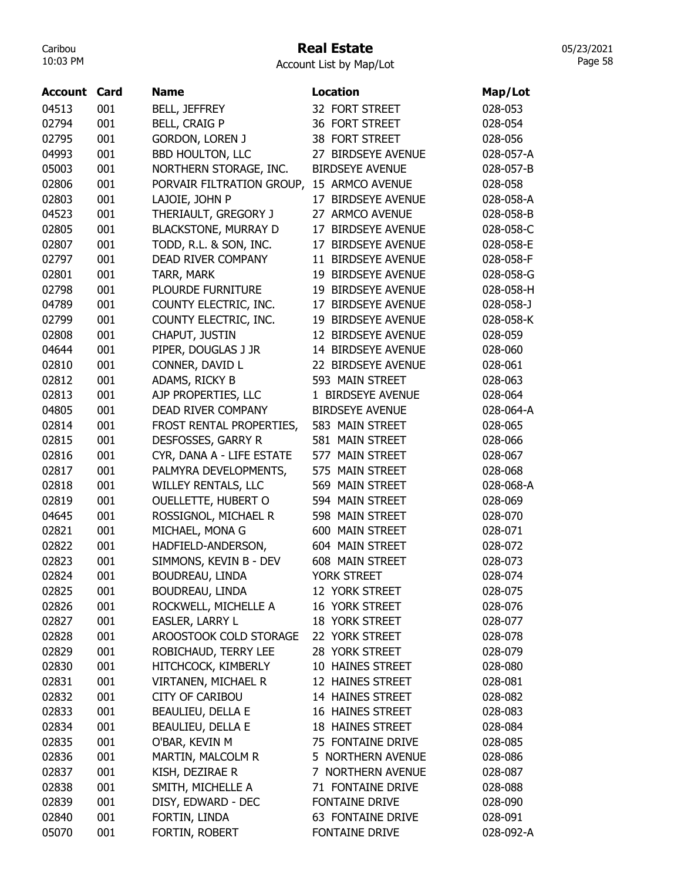## Real Estate

Account List by Map/Lot

| Account | Card | <b>Name</b>                 | <b>Location</b>          | Map/Lot   |
|---------|------|-----------------------------|--------------------------|-----------|
| 04513   | 001  | <b>BELL, JEFFREY</b>        | 32 FORT STREET           | 028-053   |
| 02794   | 001  | <b>BELL, CRAIG P</b>        | 36 FORT STREET           | 028-054   |
| 02795   | 001  | <b>GORDON, LOREN J</b>      | 38 FORT STREET           | 028-056   |
| 04993   | 001  | <b>BBD HOULTON, LLC</b>     | 27 BIRDSEYE AVENUE       | 028-057-A |
| 05003   | 001  | NORTHERN STORAGE, INC.      | <b>BIRDSEYE AVENUE</b>   | 028-057-B |
| 02806   | 001  | PORVAIR FILTRATION GROUP,   | 15 ARMCO AVENUE          | 028-058   |
| 02803   | 001  | LAJOIE, JOHN P              | 17 BIRDSEYE AVENUE       | 028-058-A |
| 04523   | 001  | THERIAULT, GREGORY J        | 27 ARMCO AVENUE          | 028-058-B |
| 02805   | 001  | <b>BLACKSTONE, MURRAY D</b> | 17 BIRDSEYE AVENUE       | 028-058-C |
| 02807   | 001  | TODD, R.L. & SON, INC.      | 17 BIRDSEYE AVENUE       | 028-058-E |
| 02797   | 001  | DEAD RIVER COMPANY          | 11 BIRDSEYE AVENUE       | 028-058-F |
| 02801   | 001  | TARR, MARK                  | 19 BIRDSEYE AVENUE       | 028-058-G |
| 02798   | 001  | <b>PLOURDE FURNITURE</b>    | 19 BIRDSEYE AVENUE       | 028-058-H |
| 04789   | 001  | COUNTY ELECTRIC, INC.       | 17 BIRDSEYE AVENUE       | 028-058-J |
| 02799   | 001  | COUNTY ELECTRIC, INC.       | 19 BIRDSEYE AVENUE       | 028-058-K |
| 02808   | 001  | CHAPUT, JUSTIN              | 12 BIRDSEYE AVENUE       | 028-059   |
| 04644   | 001  | PIPER, DOUGLAS J JR         | 14 BIRDSEYE AVENUE       | 028-060   |
| 02810   | 001  | CONNER, DAVID L             | 22 BIRDSEYE AVENUE       | 028-061   |
| 02812   | 001  | ADAMS, RICKY B              | 593 MAIN STREET          | 028-063   |
| 02813   | 001  | AJP PROPERTIES, LLC         | 1 BIRDSEYE AVENUE        | 028-064   |
| 04805   | 001  | DEAD RIVER COMPANY          | <b>BIRDSEYE AVENUE</b>   | 028-064-A |
| 02814   | 001  | FROST RENTAL PROPERTIES,    | 583 MAIN STREET          | 028-065   |
| 02815   | 001  | DESFOSSES, GARRY R          | 581 MAIN STREET          | 028-066   |
| 02816   | 001  | CYR, DANA A - LIFE ESTATE   | 577 MAIN STREET          | 028-067   |
| 02817   | 001  | PALMYRA DEVELOPMENTS,       | 575 MAIN STREET          | 028-068   |
| 02818   | 001  | WILLEY RENTALS, LLC         | 569 MAIN STREET          | 028-068-A |
| 02819   | 001  | <b>OUELLETTE, HUBERT O</b>  | 594 MAIN STREET          | 028-069   |
| 04645   | 001  | ROSSIGNOL, MICHAEL R        | 598 MAIN STREET          | 028-070   |
| 02821   | 001  | MICHAEL, MONA G             | 600 MAIN STREET          | 028-071   |
| 02822   | 001  | HADFIELD-ANDERSON,          | 604 MAIN STREET          | 028-072   |
| 02823   | 001  | SIMMONS, KEVIN B - DEV      | 608 MAIN STREET          | 028-073   |
| 02824   | 001  | <b>BOUDREAU, LINDA</b>      | YORK STREET              | 028-074   |
| 02825   | 001  | BOUDREAU, LINDA             | 12 YORK STREET           | 028-075   |
| 02826   | 001  | ROCKWELL, MICHELLE A        | 16 YORK STREET           | 028-076   |
| 02827   | 001  | EASLER, LARRY L             | 18 YORK STREET           | 028-077   |
| 02828   | 001  | AROOSTOOK COLD STORAGE      | 22 YORK STREET           | 028-078   |
| 02829   | 001  | ROBICHAUD, TERRY LEE        | 28 YORK STREET           | 028-079   |
| 02830   | 001  | HITCHCOCK, KIMBERLY         | 10 HAINES STREET         | 028-080   |
| 02831   | 001  | VIRTANEN, MICHAEL R         | 12 HAINES STREET         | 028-081   |
| 02832   | 001  | CITY OF CARIBOU             | 14 HAINES STREET         | 028-082   |
| 02833   | 001  | <b>BEAULIEU, DELLA E</b>    | 16 HAINES STREET         | 028-083   |
| 02834   | 001  | BEAULIEU, DELLA E           | <b>18 HAINES STREET</b>  | 028-084   |
| 02835   | 001  | O'BAR, KEVIN M              | 75 FONTAINE DRIVE        | 028-085   |
| 02836   | 001  | MARTIN, MALCOLM R           | 5 NORTHERN AVENUE        | 028-086   |
| 02837   | 001  | KISH, DEZIRAE R             | 7 NORTHERN AVENUE        | 028-087   |
| 02838   | 001  | SMITH, MICHELLE A           | 71 FONTAINE DRIVE        | 028-088   |
| 02839   | 001  | DISY, EDWARD - DEC          | FONTAINE DRIVE           | 028-090   |
| 02840   | 001  | FORTIN, LINDA               | <b>63 FONTAINE DRIVE</b> | 028-091   |
| 05070   | 001  | FORTIN, ROBERT              | FONTAINE DRIVE           | 028-092-A |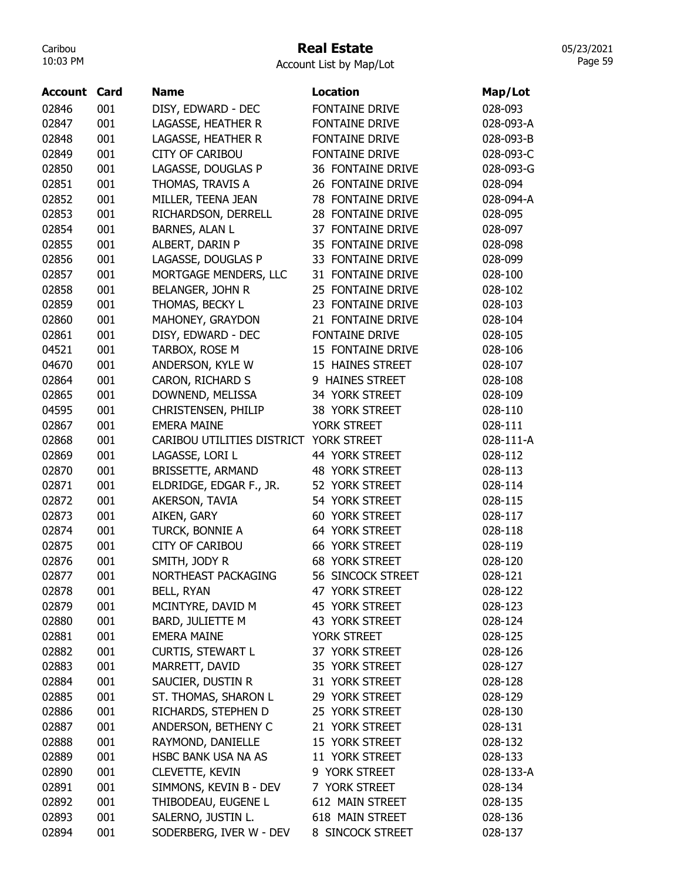# Real Estate

| Account List by Map/Lot |
|-------------------------|
|-------------------------|

| Account | Card | <b>Name</b>                | <b>Location</b>          | Map/Lot   |
|---------|------|----------------------------|--------------------------|-----------|
| 02846   | 001  | DISY, EDWARD - DEC         | FONTAINE DRIVE           | 028-093   |
| 02847   | 001  | LAGASSE, HEATHER R         | FONTAINE DRIVE           | 028-093-A |
| 02848   | 001  | LAGASSE, HEATHER R         | <b>FONTAINE DRIVE</b>    | 028-093-B |
| 02849   | 001  | <b>CITY OF CARIBOU</b>     | <b>FONTAINE DRIVE</b>    | 028-093-C |
| 02850   | 001  | LAGASSE, DOUGLAS P         | 36 FONTAINE DRIVE        | 028-093-G |
| 02851   | 001  | THOMAS, TRAVIS A           | 26 FONTAINE DRIVE        | 028-094   |
| 02852   | 001  | MILLER, TEENA JEAN         | 78 FONTAINE DRIVE        | 028-094-A |
| 02853   | 001  | RICHARDSON, DERRELL        | 28 FONTAINE DRIVE        | 028-095   |
| 02854   | 001  | <b>BARNES, ALAN L</b>      | 37 FONTAINE DRIVE        | 028-097   |
| 02855   | 001  | ALBERT, DARIN P            | 35 FONTAINE DRIVE        | 028-098   |
| 02856   | 001  | LAGASSE, DOUGLAS P         | 33 FONTAINE DRIVE        | 028-099   |
| 02857   | 001  | MORTGAGE MENDERS, LLC      | 31 FONTAINE DRIVE        | 028-100   |
| 02858   | 001  | BELANGER, JOHN R           | 25 FONTAINE DRIVE        | 028-102   |
| 02859   | 001  | THOMAS, BECKY L            | 23 FONTAINE DRIVE        | 028-103   |
| 02860   | 001  | MAHONEY, GRAYDON           | 21 FONTAINE DRIVE        | 028-104   |
| 02861   | 001  | DISY, EDWARD - DEC         | FONTAINE DRIVE           | 028-105   |
| 04521   | 001  | TARBOX, ROSE M             | 15 FONTAINE DRIVE        | 028-106   |
| 04670   | 001  | ANDERSON, KYLE W           | 15 HAINES STREET         | 028-107   |
| 02864   | 001  | CARON, RICHARD S           | 9 HAINES STREET          | 028-108   |
| 02865   | 001  | DOWNEND, MELISSA           | 34 YORK STREET           | 028-109   |
| 04595   | 001  | CHRISTENSEN, PHILIP        | 38 YORK STREET           | 028-110   |
| 02867   | 001  | <b>EMERA MAINE</b>         | YORK STREET              | 028-111   |
| 02868   | 001  | CARIBOU UTILITIES DISTRICT | <b>YORK STREET</b>       | 028-111-A |
| 02869   | 001  | LAGASSE, LORI L            | 44 YORK STREET           | 028-112   |
| 02870   | 001  | <b>BRISSETTE, ARMAND</b>   | 48 YORK STREET           | 028-113   |
| 02871   | 001  | ELDRIDGE, EDGAR F., JR.    | 52 YORK STREET           | 028-114   |
| 02872   | 001  | AKERSON, TAVIA             | 54 YORK STREET           | 028-115   |
| 02873   | 001  | AIKEN, GARY                | <b>60 YORK STREET</b>    | 028-117   |
| 02874   | 001  | TURCK, BONNIE A            | 64 YORK STREET           | 028-118   |
| 02875   | 001  | <b>CITY OF CARIBOU</b>     | <b>66 YORK STREET</b>    | 028-119   |
| 02876   | 001  | SMITH, JODY R              | <b>68 YORK STREET</b>    | 028-120   |
| 02877   | 001  | NORTHEAST PACKAGING        | <b>56 SINCOCK STREET</b> | 028-121   |
| 02878   | 001  | <b>BELL, RYAN</b>          | 47 YORK STREET           | 028-122   |
| 02879   | 001  | MCINTYRE, DAVID M          | 45 YORK STREET           | 028-123   |
| 02880   | 001  | BARD, JULIETTE M           | 43 YORK STREET           | 028-124   |
| 02881   | 001  | <b>EMERA MAINE</b>         | YORK STREET              | 028-125   |
| 02882   | 001  | <b>CURTIS, STEWART L</b>   | 37 YORK STREET           | 028-126   |
| 02883   | 001  | MARRETT, DAVID             | 35 YORK STREET           | 028-127   |
| 02884   | 001  | SAUCIER, DUSTIN R          | 31 YORK STREET           | 028-128   |
| 02885   | 001  | ST. THOMAS, SHARON L       | 29 YORK STREET           | 028-129   |
| 02886   | 001  | RICHARDS, STEPHEN D        | 25 YORK STREET           | 028-130   |
| 02887   | 001  | ANDERSON, BETHENY C        | 21 YORK STREET           | 028-131   |
| 02888   | 001  | RAYMOND, DANIELLE          | 15 YORK STREET           | 028-132   |
| 02889   | 001  | HSBC BANK USA NA AS        | 11 YORK STREET           | 028-133   |
| 02890   | 001  | <b>CLEVETTE, KEVIN</b>     | 9 YORK STREET            | 028-133-A |
| 02891   | 001  | SIMMONS, KEVIN B - DEV     | 7 YORK STREET            | 028-134   |
| 02892   | 001  | THIBODEAU, EUGENE L        | 612 MAIN STREET          | 028-135   |
| 02893   | 001  | SALERNO, JUSTIN L.         | 618 MAIN STREET          | 028-136   |
| 02894   | 001  | SODERBERG, IVER W - DEV    | 8 SINCOCK STREET         | 028-137   |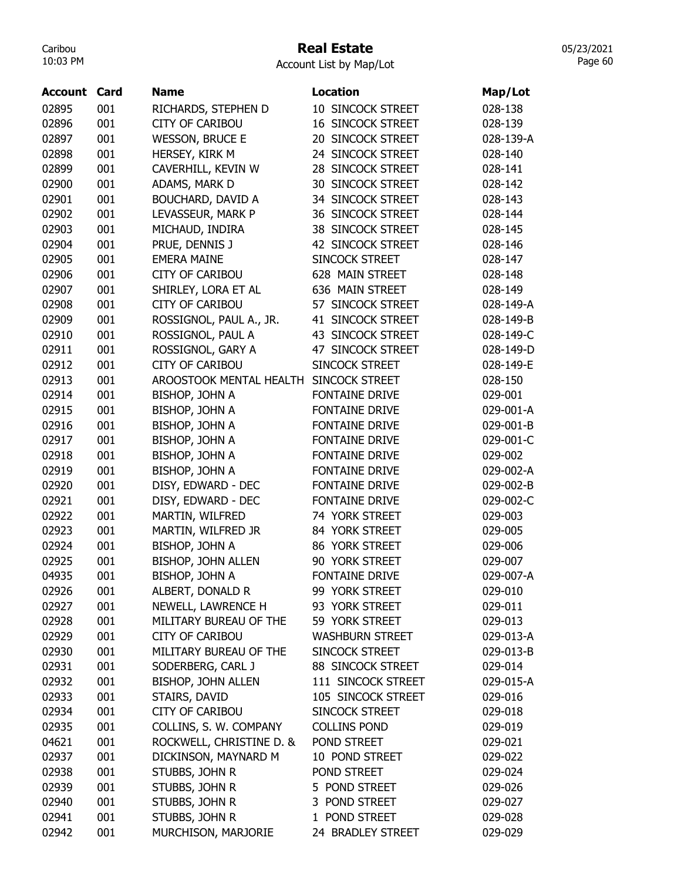## Real Estate

Account List by Map/Lot

| <b>Account Card</b> |     | <b>Name</b>                            | <b>Location</b>          | Map/Lot   |
|---------------------|-----|----------------------------------------|--------------------------|-----------|
| 02895               | 001 | RICHARDS, STEPHEN D                    | 10 SINCOCK STREET        | 028-138   |
| 02896               | 001 | <b>CITY OF CARIBOU</b>                 | <b>16 SINCOCK STREET</b> | 028-139   |
| 02897               | 001 | <b>WESSON, BRUCE E</b>                 | 20 SINCOCK STREET        | 028-139-A |
| 02898               | 001 | HERSEY, KIRK M                         | 24 SINCOCK STREET        | 028-140   |
| 02899               | 001 | CAVERHILL, KEVIN W                     | 28 SINCOCK STREET        | 028-141   |
| 02900               | 001 | ADAMS, MARK D                          | <b>30 SINCOCK STREET</b> | 028-142   |
| 02901               | 001 | BOUCHARD, DAVID A                      | 34 SINCOCK STREET        | 028-143   |
| 02902               | 001 | LEVASSEUR, MARK P                      | <b>36 SINCOCK STREET</b> | 028-144   |
| 02903               | 001 | MICHAUD, INDIRA                        | 38 SINCOCK STREET        | 028-145   |
| 02904               | 001 | PRUE, DENNIS J                         | 42 SINCOCK STREET        | 028-146   |
| 02905               | 001 | <b>EMERA MAINE</b>                     | SINCOCK STREET           | 028-147   |
| 02906               | 001 | <b>CITY OF CARIBOU</b>                 | 628 MAIN STREET          | 028-148   |
| 02907               | 001 | SHIRLEY, LORA ET AL                    | 636 MAIN STREET          | 028-149   |
| 02908               | 001 | <b>CITY OF CARIBOU</b>                 | 57 SINCOCK STREET        | 028-149-A |
| 02909               | 001 | ROSSIGNOL, PAUL A., JR.                | 41 SINCOCK STREET        | 028-149-B |
| 02910               | 001 | ROSSIGNOL, PAUL A                      | 43 SINCOCK STREET        | 028-149-C |
| 02911               | 001 | ROSSIGNOL, GARY A                      | 47 SINCOCK STREET        | 028-149-D |
| 02912               | 001 | <b>CITY OF CARIBOU</b>                 | SINCOCK STREET           | 028-149-E |
| 02913               | 001 | AROOSTOOK MENTAL HEALTH SINCOCK STREET |                          | 028-150   |
| 02914               | 001 | BISHOP, JOHN A                         | <b>FONTAINE DRIVE</b>    | 029-001   |
| 02915               | 001 | BISHOP, JOHN A                         | FONTAINE DRIVE           | 029-001-A |
| 02916               | 001 | BISHOP, JOHN A                         | FONTAINE DRIVE           | 029-001-B |
| 02917               | 001 | BISHOP, JOHN A                         | FONTAINE DRIVE           | 029-001-C |
| 02918               | 001 | BISHOP, JOHN A                         | FONTAINE DRIVE           | 029-002   |
| 02919               | 001 | BISHOP, JOHN A                         | FONTAINE DRIVE           | 029-002-A |
| 02920               | 001 | DISY, EDWARD - DEC                     | FONTAINE DRIVE           | 029-002-B |
| 02921               | 001 | DISY, EDWARD - DEC                     | FONTAINE DRIVE           | 029-002-C |
| 02922               | 001 | MARTIN, WILFRED                        | 74 YORK STREET           | 029-003   |
| 02923               | 001 | MARTIN, WILFRED JR                     | 84 YORK STREET           | 029-005   |
| 02924               | 001 | BISHOP, JOHN A                         | 86 YORK STREET           | 029-006   |
| 02925               | 001 | BISHOP, JOHN ALLEN                     | 90 YORK STREET           | 029-007   |
| 04935               | 001 | BISHOP, JOHN A                         | <b>FONTAINE DRIVE</b>    | 029-007-A |
| 02926               | 001 | ALBERT, DONALD R                       | 99 YORK STREET           | 029-010   |
| 02927               | 001 | NEWELL, LAWRENCE H                     | 93 YORK STREET           | 029-011   |
| 02928               | 001 | MILITARY BUREAU OF THE                 | 59 YORK STREET           | 029-013   |
| 02929               | 001 | <b>CITY OF CARIBOU</b>                 | <b>WASHBURN STREET</b>   | 029-013-A |
| 02930               | 001 | MILITARY BUREAU OF THE                 | SINCOCK STREET           | 029-013-B |
| 02931               | 001 | SODERBERG, CARL J                      | 88 SINCOCK STREET        | 029-014   |
| 02932               | 001 | BISHOP, JOHN ALLEN                     | 111 SINCOCK STREET       | 029-015-A |
| 02933               | 001 | STAIRS, DAVID                          | 105 SINCOCK STREET       | 029-016   |
| 02934               | 001 | <b>CITY OF CARIBOU</b>                 | SINCOCK STREET           | 029-018   |
| 02935               | 001 | COLLINS, S. W. COMPANY                 | <b>COLLINS POND</b>      | 029-019   |
| 04621               | 001 | ROCKWELL, CHRISTINE D. &               | POND STREET              | 029-021   |
| 02937               | 001 | DICKINSON, MAYNARD M                   | 10 POND STREET           | 029-022   |
| 02938               | 001 | STUBBS, JOHN R                         | POND STREET              | 029-024   |
| 02939               | 001 | STUBBS, JOHN R                         | 5 POND STREET            | 029-026   |
| 02940               | 001 | STUBBS, JOHN R                         | 3 POND STREET            | 029-027   |
| 02941               | 001 | STUBBS, JOHN R                         | 1 POND STREET            | 029-028   |
| 02942               | 001 | MURCHISON, MARJORIE                    | 24 BRADLEY STREET        | 029-029   |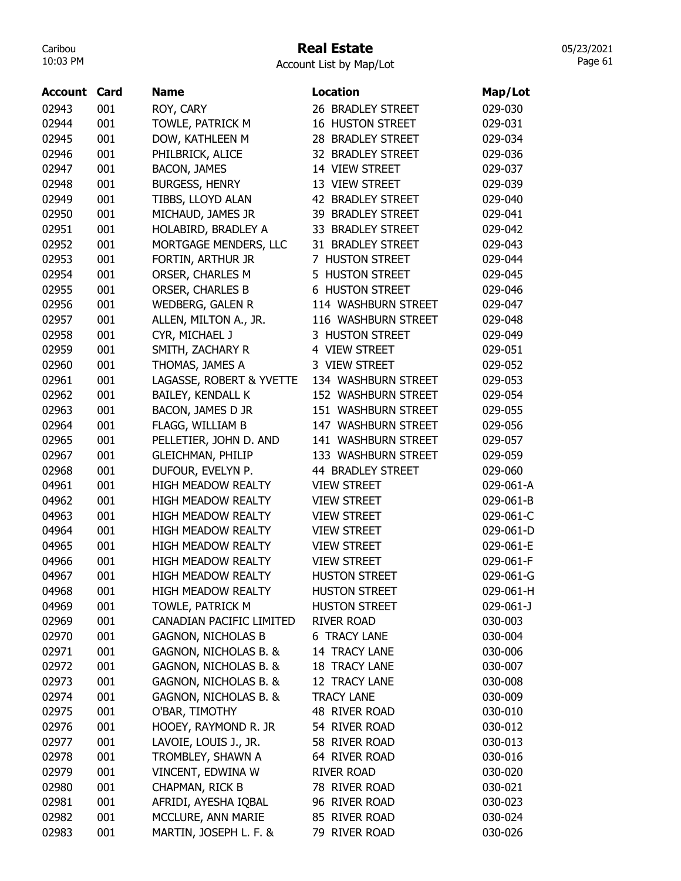## Real Estate

Account List by Map/Lot

| <b>Account Card</b> |     | <b>Name</b>               | <b>Location</b>         | Map/Lot         |
|---------------------|-----|---------------------------|-------------------------|-----------------|
| 02943               | 001 | ROY, CARY                 | 26 BRADLEY STREET       | 029-030         |
| 02944               | 001 | TOWLE, PATRICK M          | <b>16 HUSTON STREET</b> | 029-031         |
| 02945               | 001 | DOW, KATHLEEN M           | 28 BRADLEY STREET       | 029-034         |
| 02946               | 001 | PHILBRICK, ALICE          | 32 BRADLEY STREET       | 029-036         |
| 02947               | 001 | <b>BACON, JAMES</b>       | 14 VIEW STREET          | 029-037         |
| 02948               | 001 | <b>BURGESS, HENRY</b>     | 13 VIEW STREET          | 029-039         |
| 02949               | 001 | TIBBS, LLOYD ALAN         | 42 BRADLEY STREET       | 029-040         |
| 02950               | 001 | MICHAUD, JAMES JR         | 39 BRADLEY STREET       | 029-041         |
| 02951               | 001 | HOLABIRD, BRADLEY A       | 33 BRADLEY STREET       | 029-042         |
| 02952               | 001 | MORTGAGE MENDERS, LLC     | 31 BRADLEY STREET       | 029-043         |
| 02953               | 001 | FORTIN, ARTHUR JR         | 7 HUSTON STREET         | 029-044         |
| 02954               | 001 | ORSER, CHARLES M          | 5 HUSTON STREET         | 029-045         |
| 02955               | 001 | <b>ORSER, CHARLES B</b>   | <b>6 HUSTON STREET</b>  | 029-046         |
| 02956               | 001 | <b>WEDBERG, GALEN R</b>   | 114 WASHBURN STREET     | 029-047         |
| 02957               | 001 | ALLEN, MILTON A., JR.     | 116 WASHBURN STREET     | 029-048         |
| 02958               | 001 | CYR, MICHAEL J            | 3 HUSTON STREET         | 029-049         |
| 02959               | 001 | SMITH, ZACHARY R          | 4 VIEW STREET           | 029-051         |
| 02960               | 001 | THOMAS, JAMES A           | 3 VIEW STREET           | 029-052         |
| 02961               | 001 | LAGASSE, ROBERT & YVETTE  | 134 WASHBURN STREET     | 029-053         |
| 02962               | 001 | BAILEY, KENDALL K         | 152 WASHBURN STREET     | 029-054         |
| 02963               | 001 | BACON, JAMES D JR         | 151 WASHBURN STREET     | 029-055         |
| 02964               | 001 | FLAGG, WILLIAM B          | 147 WASHBURN STREET     | 029-056         |
| 02965               | 001 | PELLETIER, JOHN D. AND    | 141 WASHBURN STREET     | 029-057         |
| 02967               | 001 | <b>GLEICHMAN, PHILIP</b>  | 133 WASHBURN STREET     | 029-059         |
| 02968               | 001 | DUFOUR, EVELYN P.         | 44 BRADLEY STREET       | 029-060         |
| 04961               | 001 | <b>HIGH MEADOW REALTY</b> | <b>VIEW STREET</b>      | 029-061-A       |
| 04962               | 001 | <b>HIGH MEADOW REALTY</b> | <b>VIEW STREET</b>      | 029-061-B       |
| 04963               | 001 | <b>HIGH MEADOW REALTY</b> | <b>VIEW STREET</b>      | 029-061-C       |
| 04964               | 001 | <b>HIGH MEADOW REALTY</b> | <b>VIEW STREET</b>      | 029-061-D       |
| 04965               | 001 | <b>HIGH MEADOW REALTY</b> | <b>VIEW STREET</b>      | 029-061-E       |
| 04966               | 001 | <b>HIGH MEADOW REALTY</b> | <b>VIEW STREET</b>      | 029-061-F       |
| 04967               | 001 | HIGH MEADOW REALTY        | <b>HUSTON STREET</b>    | 029-061-G       |
| 04968               | 001 | <b>HIGH MEADOW REALTY</b> | <b>HUSTON STREET</b>    | 029-061-H       |
| 04969               | 001 | TOWLE, PATRICK M          | <b>HUSTON STREET</b>    | $029 - 061 - J$ |
| 02969               | 001 | CANADIAN PACIFIC LIMITED  | <b>RIVER ROAD</b>       | 030-003         |
| 02970               | 001 | <b>GAGNON, NICHOLAS B</b> | <b>6 TRACY LANE</b>     | 030-004         |
| 02971               | 001 | GAGNON, NICHOLAS B. &     | 14 TRACY LANE           | 030-006         |
| 02972               | 001 | GAGNON, NICHOLAS B. &     | <b>18 TRACY LANE</b>    | 030-007         |
| 02973               | 001 | GAGNON, NICHOLAS B. &     | 12 TRACY LANE           | 030-008         |
| 02974               | 001 | GAGNON, NICHOLAS B. &     | <b>TRACY LANE</b>       | 030-009         |
| 02975               | 001 | O'BAR, TIMOTHY            | 48 RIVER ROAD           | 030-010         |
| 02976               | 001 | HOOEY, RAYMOND R. JR      | 54 RIVER ROAD           | 030-012         |
| 02977               | 001 | LAVOIE, LOUIS J., JR.     | 58 RIVER ROAD           | 030-013         |
| 02978               | 001 | TROMBLEY, SHAWN A         | 64 RIVER ROAD           | 030-016         |
| 02979               | 001 | VINCENT, EDWINA W         | <b>RIVER ROAD</b>       | 030-020         |
| 02980               | 001 | CHAPMAN, RICK B           | 78 RIVER ROAD           | 030-021         |
| 02981               | 001 | AFRIDI, AYESHA IQBAL      | 96 RIVER ROAD           | 030-023         |
| 02982               | 001 | MCCLURE, ANN MARIE        | 85 RIVER ROAD           | 030-024         |
| 02983               | 001 |                           | 79 RIVER ROAD           |                 |
|                     |     | MARTIN, JOSEPH L. F. &    |                         | 030-026         |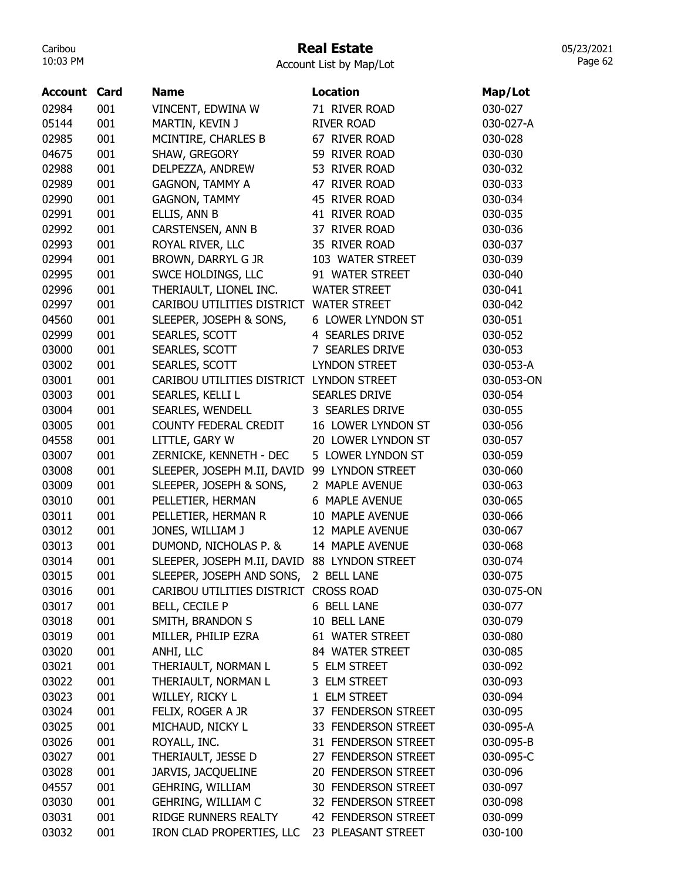# Real Estate

Account List by Map/Lot

| 02984<br>001<br>VINCENT, EDWINA W<br>71 RIVER ROAD<br>030-027<br>001<br>05144<br>MARTIN, KEVIN J<br><b>RIVER ROAD</b><br>030-027-A<br>001<br>02985<br>MCINTIRE, CHARLES B<br>67 RIVER ROAD<br>030-028<br>04675<br>001<br>SHAW, GREGORY<br>59 RIVER ROAD<br>030-030<br>001<br>02988<br>DELPEZZA, ANDREW<br>53 RIVER ROAD<br>030-032<br>001<br>02989<br><b>GAGNON, TAMMY A</b><br>47 RIVER ROAD<br>030-033<br>001<br>02990<br><b>GAGNON, TAMMY</b><br>45 RIVER ROAD<br>030-034<br>02991<br>001<br>ELLIS, ANN B<br>41 RIVER ROAD<br>030-035<br>02992<br>001<br>CARSTENSEN, ANN B<br>37 RIVER ROAD<br>030-036<br>02993<br>001<br>ROYAL RIVER, LLC<br>35 RIVER ROAD<br>030-037<br>001<br>02994<br>BROWN, DARRYL G JR<br>103 WATER STREET<br>030-039<br>02995<br>001<br>SWCE HOLDINGS, LLC<br>91 WATER STREET<br>030-040<br>001<br>02996<br>THERIAULT, LIONEL INC.<br><b>WATER STREET</b><br>030-041<br>001<br>02997<br>CARIBOU UTILITIES DISTRICT WATER STREET<br>030-042<br>04560<br>001<br>SLEEPER, JOSEPH & SONS,<br>6 LOWER LYNDON ST<br>030-051<br>02999<br>001<br>SEARLES, SCOTT<br><b>4 SEARLES DRIVE</b><br>030-052<br>03000<br>001<br>SEARLES, SCOTT<br>7 SEARLES DRIVE<br>030-053<br>03002<br>001<br><b>LYNDON STREET</b><br>SEARLES, SCOTT<br>030-053-A<br>03001<br>001<br>CARIBOU UTILITIES DISTRICT LYNDON STREET<br>030-053-ON<br>03003<br>001<br><b>SEARLES DRIVE</b><br>SEARLES, KELLI L<br>030-054<br>03004<br>001<br>SEARLES, WENDELL<br>3 SEARLES DRIVE<br>030-055<br>001<br>03005<br>COUNTY FEDERAL CREDIT<br>16 LOWER LYNDON ST<br>030-056<br>04558<br>001<br>LITTLE, GARY W<br>20 LOWER LYNDON ST<br>030-057<br>03007<br>001<br>ZERNICKE, KENNETH - DEC<br>5 LOWER LYNDON ST<br>030-059<br>03008<br>001<br>SLEEPER, JOSEPH M.II, DAVID<br>99 LYNDON STREET<br>030-060<br>001<br>03009<br>SLEEPER, JOSEPH & SONS,<br>2 MAPLE AVENUE<br>030-063<br>03010<br>001<br>6 MAPLE AVENUE<br>PELLETIER, HERMAN<br>030-065<br>03011<br>001<br>10 MAPLE AVENUE<br>PELLETIER, HERMAN R<br>030-066<br>03012<br>001<br>JONES, WILLIAM J<br>12 MAPLE AVENUE<br>030-067<br>DUMOND, NICHOLAS P. &<br>03013<br>001<br>14 MAPLE AVENUE<br>030-068<br>03014<br>SLEEPER, JOSEPH M.II, DAVID 88 LYNDON STREET<br>001<br>030-074<br>03015<br>001<br>SLEEPER, JOSEPH AND SONS,<br>030-075<br>2 BELL LANE<br>03016<br>001<br>CARIBOU UTILITIES DISTRICT CROSS ROAD<br>030-075-ON<br>03017<br>001<br><b>BELL, CECILE P</b><br>6 BELL LANE<br>030-077<br>03018<br>001<br>SMITH, BRANDON S<br>10 BELL LANE<br>030-079<br>03019<br>001<br>MILLER, PHILIP EZRA<br>61 WATER STREET<br>030-080<br>03020<br>001<br>84 WATER STREET<br>ANHI, LLC<br>030-085<br>03021<br>001<br>THERIAULT, NORMAN L<br>5 ELM STREET<br>030-092<br>THERIAULT, NORMAN L<br>03022<br>001<br>3 ELM STREET<br>030-093<br>03023<br>001<br>WILLEY, RICKY L<br>1 ELM STREET<br>030-094<br>001<br>03024<br>FELIX, ROGER A JR<br>37 FENDERSON STREET<br>030-095<br>03025<br>001<br>MICHAUD, NICKY L<br>33 FENDERSON STREET<br>030-095-A<br>03026<br>001<br>ROYALL, INC.<br>31 FENDERSON STREET<br>030-095-B<br>03027<br>001<br>THERIAULT, JESSE D<br>27 FENDERSON STREET<br>030-095-C<br>03028<br>001<br>JARVIS, JACQUELINE<br>20 FENDERSON STREET<br>030-096<br>GEHRING, WILLIAM<br>30 FENDERSON STREET<br>04557<br>001<br>030-097<br>GEHRING, WILLIAM C<br>03030<br>32 FENDERSON STREET<br>001<br>030-098<br>03031<br>001<br>RIDGE RUNNERS REALTY<br>42 FENDERSON STREET<br>030-099<br>03032<br>001<br>IRON CLAD PROPERTIES, LLC<br>23 PLEASANT STREET<br>030-100 | <b>Account Card</b> | <b>Name</b> | <b>Location</b> | Map/Lot |
|------------------------------------------------------------------------------------------------------------------------------------------------------------------------------------------------------------------------------------------------------------------------------------------------------------------------------------------------------------------------------------------------------------------------------------------------------------------------------------------------------------------------------------------------------------------------------------------------------------------------------------------------------------------------------------------------------------------------------------------------------------------------------------------------------------------------------------------------------------------------------------------------------------------------------------------------------------------------------------------------------------------------------------------------------------------------------------------------------------------------------------------------------------------------------------------------------------------------------------------------------------------------------------------------------------------------------------------------------------------------------------------------------------------------------------------------------------------------------------------------------------------------------------------------------------------------------------------------------------------------------------------------------------------------------------------------------------------------------------------------------------------------------------------------------------------------------------------------------------------------------------------------------------------------------------------------------------------------------------------------------------------------------------------------------------------------------------------------------------------------------------------------------------------------------------------------------------------------------------------------------------------------------------------------------------------------------------------------------------------------------------------------------------------------------------------------------------------------------------------------------------------------------------------------------------------------------------------------------------------------------------------------------------------------------------------------------------------------------------------------------------------------------------------------------------------------------------------------------------------------------------------------------------------------------------------------------------------------------------------------------------------------------------------------------------------------------------------------------------------------------------------------------------------------------------------------------------------------------------------------------------------------------------------------------------------------------------------------------------------------------------------------------------------------------------------------------------------------------------------------------------------------|---------------------|-------------|-----------------|---------|
|                                                                                                                                                                                                                                                                                                                                                                                                                                                                                                                                                                                                                                                                                                                                                                                                                                                                                                                                                                                                                                                                                                                                                                                                                                                                                                                                                                                                                                                                                                                                                                                                                                                                                                                                                                                                                                                                                                                                                                                                                                                                                                                                                                                                                                                                                                                                                                                                                                                                                                                                                                                                                                                                                                                                                                                                                                                                                                                                                                                                                                                                                                                                                                                                                                                                                                                                                                                                                                                                                                                        |                     |             |                 |         |
|                                                                                                                                                                                                                                                                                                                                                                                                                                                                                                                                                                                                                                                                                                                                                                                                                                                                                                                                                                                                                                                                                                                                                                                                                                                                                                                                                                                                                                                                                                                                                                                                                                                                                                                                                                                                                                                                                                                                                                                                                                                                                                                                                                                                                                                                                                                                                                                                                                                                                                                                                                                                                                                                                                                                                                                                                                                                                                                                                                                                                                                                                                                                                                                                                                                                                                                                                                                                                                                                                                                        |                     |             |                 |         |
|                                                                                                                                                                                                                                                                                                                                                                                                                                                                                                                                                                                                                                                                                                                                                                                                                                                                                                                                                                                                                                                                                                                                                                                                                                                                                                                                                                                                                                                                                                                                                                                                                                                                                                                                                                                                                                                                                                                                                                                                                                                                                                                                                                                                                                                                                                                                                                                                                                                                                                                                                                                                                                                                                                                                                                                                                                                                                                                                                                                                                                                                                                                                                                                                                                                                                                                                                                                                                                                                                                                        |                     |             |                 |         |
|                                                                                                                                                                                                                                                                                                                                                                                                                                                                                                                                                                                                                                                                                                                                                                                                                                                                                                                                                                                                                                                                                                                                                                                                                                                                                                                                                                                                                                                                                                                                                                                                                                                                                                                                                                                                                                                                                                                                                                                                                                                                                                                                                                                                                                                                                                                                                                                                                                                                                                                                                                                                                                                                                                                                                                                                                                                                                                                                                                                                                                                                                                                                                                                                                                                                                                                                                                                                                                                                                                                        |                     |             |                 |         |
|                                                                                                                                                                                                                                                                                                                                                                                                                                                                                                                                                                                                                                                                                                                                                                                                                                                                                                                                                                                                                                                                                                                                                                                                                                                                                                                                                                                                                                                                                                                                                                                                                                                                                                                                                                                                                                                                                                                                                                                                                                                                                                                                                                                                                                                                                                                                                                                                                                                                                                                                                                                                                                                                                                                                                                                                                                                                                                                                                                                                                                                                                                                                                                                                                                                                                                                                                                                                                                                                                                                        |                     |             |                 |         |
|                                                                                                                                                                                                                                                                                                                                                                                                                                                                                                                                                                                                                                                                                                                                                                                                                                                                                                                                                                                                                                                                                                                                                                                                                                                                                                                                                                                                                                                                                                                                                                                                                                                                                                                                                                                                                                                                                                                                                                                                                                                                                                                                                                                                                                                                                                                                                                                                                                                                                                                                                                                                                                                                                                                                                                                                                                                                                                                                                                                                                                                                                                                                                                                                                                                                                                                                                                                                                                                                                                                        |                     |             |                 |         |
|                                                                                                                                                                                                                                                                                                                                                                                                                                                                                                                                                                                                                                                                                                                                                                                                                                                                                                                                                                                                                                                                                                                                                                                                                                                                                                                                                                                                                                                                                                                                                                                                                                                                                                                                                                                                                                                                                                                                                                                                                                                                                                                                                                                                                                                                                                                                                                                                                                                                                                                                                                                                                                                                                                                                                                                                                                                                                                                                                                                                                                                                                                                                                                                                                                                                                                                                                                                                                                                                                                                        |                     |             |                 |         |
|                                                                                                                                                                                                                                                                                                                                                                                                                                                                                                                                                                                                                                                                                                                                                                                                                                                                                                                                                                                                                                                                                                                                                                                                                                                                                                                                                                                                                                                                                                                                                                                                                                                                                                                                                                                                                                                                                                                                                                                                                                                                                                                                                                                                                                                                                                                                                                                                                                                                                                                                                                                                                                                                                                                                                                                                                                                                                                                                                                                                                                                                                                                                                                                                                                                                                                                                                                                                                                                                                                                        |                     |             |                 |         |
|                                                                                                                                                                                                                                                                                                                                                                                                                                                                                                                                                                                                                                                                                                                                                                                                                                                                                                                                                                                                                                                                                                                                                                                                                                                                                                                                                                                                                                                                                                                                                                                                                                                                                                                                                                                                                                                                                                                                                                                                                                                                                                                                                                                                                                                                                                                                                                                                                                                                                                                                                                                                                                                                                                                                                                                                                                                                                                                                                                                                                                                                                                                                                                                                                                                                                                                                                                                                                                                                                                                        |                     |             |                 |         |
|                                                                                                                                                                                                                                                                                                                                                                                                                                                                                                                                                                                                                                                                                                                                                                                                                                                                                                                                                                                                                                                                                                                                                                                                                                                                                                                                                                                                                                                                                                                                                                                                                                                                                                                                                                                                                                                                                                                                                                                                                                                                                                                                                                                                                                                                                                                                                                                                                                                                                                                                                                                                                                                                                                                                                                                                                                                                                                                                                                                                                                                                                                                                                                                                                                                                                                                                                                                                                                                                                                                        |                     |             |                 |         |
|                                                                                                                                                                                                                                                                                                                                                                                                                                                                                                                                                                                                                                                                                                                                                                                                                                                                                                                                                                                                                                                                                                                                                                                                                                                                                                                                                                                                                                                                                                                                                                                                                                                                                                                                                                                                                                                                                                                                                                                                                                                                                                                                                                                                                                                                                                                                                                                                                                                                                                                                                                                                                                                                                                                                                                                                                                                                                                                                                                                                                                                                                                                                                                                                                                                                                                                                                                                                                                                                                                                        |                     |             |                 |         |
|                                                                                                                                                                                                                                                                                                                                                                                                                                                                                                                                                                                                                                                                                                                                                                                                                                                                                                                                                                                                                                                                                                                                                                                                                                                                                                                                                                                                                                                                                                                                                                                                                                                                                                                                                                                                                                                                                                                                                                                                                                                                                                                                                                                                                                                                                                                                                                                                                                                                                                                                                                                                                                                                                                                                                                                                                                                                                                                                                                                                                                                                                                                                                                                                                                                                                                                                                                                                                                                                                                                        |                     |             |                 |         |
|                                                                                                                                                                                                                                                                                                                                                                                                                                                                                                                                                                                                                                                                                                                                                                                                                                                                                                                                                                                                                                                                                                                                                                                                                                                                                                                                                                                                                                                                                                                                                                                                                                                                                                                                                                                                                                                                                                                                                                                                                                                                                                                                                                                                                                                                                                                                                                                                                                                                                                                                                                                                                                                                                                                                                                                                                                                                                                                                                                                                                                                                                                                                                                                                                                                                                                                                                                                                                                                                                                                        |                     |             |                 |         |
|                                                                                                                                                                                                                                                                                                                                                                                                                                                                                                                                                                                                                                                                                                                                                                                                                                                                                                                                                                                                                                                                                                                                                                                                                                                                                                                                                                                                                                                                                                                                                                                                                                                                                                                                                                                                                                                                                                                                                                                                                                                                                                                                                                                                                                                                                                                                                                                                                                                                                                                                                                                                                                                                                                                                                                                                                                                                                                                                                                                                                                                                                                                                                                                                                                                                                                                                                                                                                                                                                                                        |                     |             |                 |         |
|                                                                                                                                                                                                                                                                                                                                                                                                                                                                                                                                                                                                                                                                                                                                                                                                                                                                                                                                                                                                                                                                                                                                                                                                                                                                                                                                                                                                                                                                                                                                                                                                                                                                                                                                                                                                                                                                                                                                                                                                                                                                                                                                                                                                                                                                                                                                                                                                                                                                                                                                                                                                                                                                                                                                                                                                                                                                                                                                                                                                                                                                                                                                                                                                                                                                                                                                                                                                                                                                                                                        |                     |             |                 |         |
|                                                                                                                                                                                                                                                                                                                                                                                                                                                                                                                                                                                                                                                                                                                                                                                                                                                                                                                                                                                                                                                                                                                                                                                                                                                                                                                                                                                                                                                                                                                                                                                                                                                                                                                                                                                                                                                                                                                                                                                                                                                                                                                                                                                                                                                                                                                                                                                                                                                                                                                                                                                                                                                                                                                                                                                                                                                                                                                                                                                                                                                                                                                                                                                                                                                                                                                                                                                                                                                                                                                        |                     |             |                 |         |
|                                                                                                                                                                                                                                                                                                                                                                                                                                                                                                                                                                                                                                                                                                                                                                                                                                                                                                                                                                                                                                                                                                                                                                                                                                                                                                                                                                                                                                                                                                                                                                                                                                                                                                                                                                                                                                                                                                                                                                                                                                                                                                                                                                                                                                                                                                                                                                                                                                                                                                                                                                                                                                                                                                                                                                                                                                                                                                                                                                                                                                                                                                                                                                                                                                                                                                                                                                                                                                                                                                                        |                     |             |                 |         |
|                                                                                                                                                                                                                                                                                                                                                                                                                                                                                                                                                                                                                                                                                                                                                                                                                                                                                                                                                                                                                                                                                                                                                                                                                                                                                                                                                                                                                                                                                                                                                                                                                                                                                                                                                                                                                                                                                                                                                                                                                                                                                                                                                                                                                                                                                                                                                                                                                                                                                                                                                                                                                                                                                                                                                                                                                                                                                                                                                                                                                                                                                                                                                                                                                                                                                                                                                                                                                                                                                                                        |                     |             |                 |         |
|                                                                                                                                                                                                                                                                                                                                                                                                                                                                                                                                                                                                                                                                                                                                                                                                                                                                                                                                                                                                                                                                                                                                                                                                                                                                                                                                                                                                                                                                                                                                                                                                                                                                                                                                                                                                                                                                                                                                                                                                                                                                                                                                                                                                                                                                                                                                                                                                                                                                                                                                                                                                                                                                                                                                                                                                                                                                                                                                                                                                                                                                                                                                                                                                                                                                                                                                                                                                                                                                                                                        |                     |             |                 |         |
|                                                                                                                                                                                                                                                                                                                                                                                                                                                                                                                                                                                                                                                                                                                                                                                                                                                                                                                                                                                                                                                                                                                                                                                                                                                                                                                                                                                                                                                                                                                                                                                                                                                                                                                                                                                                                                                                                                                                                                                                                                                                                                                                                                                                                                                                                                                                                                                                                                                                                                                                                                                                                                                                                                                                                                                                                                                                                                                                                                                                                                                                                                                                                                                                                                                                                                                                                                                                                                                                                                                        |                     |             |                 |         |
|                                                                                                                                                                                                                                                                                                                                                                                                                                                                                                                                                                                                                                                                                                                                                                                                                                                                                                                                                                                                                                                                                                                                                                                                                                                                                                                                                                                                                                                                                                                                                                                                                                                                                                                                                                                                                                                                                                                                                                                                                                                                                                                                                                                                                                                                                                                                                                                                                                                                                                                                                                                                                                                                                                                                                                                                                                                                                                                                                                                                                                                                                                                                                                                                                                                                                                                                                                                                                                                                                                                        |                     |             |                 |         |
|                                                                                                                                                                                                                                                                                                                                                                                                                                                                                                                                                                                                                                                                                                                                                                                                                                                                                                                                                                                                                                                                                                                                                                                                                                                                                                                                                                                                                                                                                                                                                                                                                                                                                                                                                                                                                                                                                                                                                                                                                                                                                                                                                                                                                                                                                                                                                                                                                                                                                                                                                                                                                                                                                                                                                                                                                                                                                                                                                                                                                                                                                                                                                                                                                                                                                                                                                                                                                                                                                                                        |                     |             |                 |         |
|                                                                                                                                                                                                                                                                                                                                                                                                                                                                                                                                                                                                                                                                                                                                                                                                                                                                                                                                                                                                                                                                                                                                                                                                                                                                                                                                                                                                                                                                                                                                                                                                                                                                                                                                                                                                                                                                                                                                                                                                                                                                                                                                                                                                                                                                                                                                                                                                                                                                                                                                                                                                                                                                                                                                                                                                                                                                                                                                                                                                                                                                                                                                                                                                                                                                                                                                                                                                                                                                                                                        |                     |             |                 |         |
|                                                                                                                                                                                                                                                                                                                                                                                                                                                                                                                                                                                                                                                                                                                                                                                                                                                                                                                                                                                                                                                                                                                                                                                                                                                                                                                                                                                                                                                                                                                                                                                                                                                                                                                                                                                                                                                                                                                                                                                                                                                                                                                                                                                                                                                                                                                                                                                                                                                                                                                                                                                                                                                                                                                                                                                                                                                                                                                                                                                                                                                                                                                                                                                                                                                                                                                                                                                                                                                                                                                        |                     |             |                 |         |
|                                                                                                                                                                                                                                                                                                                                                                                                                                                                                                                                                                                                                                                                                                                                                                                                                                                                                                                                                                                                                                                                                                                                                                                                                                                                                                                                                                                                                                                                                                                                                                                                                                                                                                                                                                                                                                                                                                                                                                                                                                                                                                                                                                                                                                                                                                                                                                                                                                                                                                                                                                                                                                                                                                                                                                                                                                                                                                                                                                                                                                                                                                                                                                                                                                                                                                                                                                                                                                                                                                                        |                     |             |                 |         |
|                                                                                                                                                                                                                                                                                                                                                                                                                                                                                                                                                                                                                                                                                                                                                                                                                                                                                                                                                                                                                                                                                                                                                                                                                                                                                                                                                                                                                                                                                                                                                                                                                                                                                                                                                                                                                                                                                                                                                                                                                                                                                                                                                                                                                                                                                                                                                                                                                                                                                                                                                                                                                                                                                                                                                                                                                                                                                                                                                                                                                                                                                                                                                                                                                                                                                                                                                                                                                                                                                                                        |                     |             |                 |         |
|                                                                                                                                                                                                                                                                                                                                                                                                                                                                                                                                                                                                                                                                                                                                                                                                                                                                                                                                                                                                                                                                                                                                                                                                                                                                                                                                                                                                                                                                                                                                                                                                                                                                                                                                                                                                                                                                                                                                                                                                                                                                                                                                                                                                                                                                                                                                                                                                                                                                                                                                                                                                                                                                                                                                                                                                                                                                                                                                                                                                                                                                                                                                                                                                                                                                                                                                                                                                                                                                                                                        |                     |             |                 |         |
|                                                                                                                                                                                                                                                                                                                                                                                                                                                                                                                                                                                                                                                                                                                                                                                                                                                                                                                                                                                                                                                                                                                                                                                                                                                                                                                                                                                                                                                                                                                                                                                                                                                                                                                                                                                                                                                                                                                                                                                                                                                                                                                                                                                                                                                                                                                                                                                                                                                                                                                                                                                                                                                                                                                                                                                                                                                                                                                                                                                                                                                                                                                                                                                                                                                                                                                                                                                                                                                                                                                        |                     |             |                 |         |
|                                                                                                                                                                                                                                                                                                                                                                                                                                                                                                                                                                                                                                                                                                                                                                                                                                                                                                                                                                                                                                                                                                                                                                                                                                                                                                                                                                                                                                                                                                                                                                                                                                                                                                                                                                                                                                                                                                                                                                                                                                                                                                                                                                                                                                                                                                                                                                                                                                                                                                                                                                                                                                                                                                                                                                                                                                                                                                                                                                                                                                                                                                                                                                                                                                                                                                                                                                                                                                                                                                                        |                     |             |                 |         |
|                                                                                                                                                                                                                                                                                                                                                                                                                                                                                                                                                                                                                                                                                                                                                                                                                                                                                                                                                                                                                                                                                                                                                                                                                                                                                                                                                                                                                                                                                                                                                                                                                                                                                                                                                                                                                                                                                                                                                                                                                                                                                                                                                                                                                                                                                                                                                                                                                                                                                                                                                                                                                                                                                                                                                                                                                                                                                                                                                                                                                                                                                                                                                                                                                                                                                                                                                                                                                                                                                                                        |                     |             |                 |         |
|                                                                                                                                                                                                                                                                                                                                                                                                                                                                                                                                                                                                                                                                                                                                                                                                                                                                                                                                                                                                                                                                                                                                                                                                                                                                                                                                                                                                                                                                                                                                                                                                                                                                                                                                                                                                                                                                                                                                                                                                                                                                                                                                                                                                                                                                                                                                                                                                                                                                                                                                                                                                                                                                                                                                                                                                                                                                                                                                                                                                                                                                                                                                                                                                                                                                                                                                                                                                                                                                                                                        |                     |             |                 |         |
|                                                                                                                                                                                                                                                                                                                                                                                                                                                                                                                                                                                                                                                                                                                                                                                                                                                                                                                                                                                                                                                                                                                                                                                                                                                                                                                                                                                                                                                                                                                                                                                                                                                                                                                                                                                                                                                                                                                                                                                                                                                                                                                                                                                                                                                                                                                                                                                                                                                                                                                                                                                                                                                                                                                                                                                                                                                                                                                                                                                                                                                                                                                                                                                                                                                                                                                                                                                                                                                                                                                        |                     |             |                 |         |
|                                                                                                                                                                                                                                                                                                                                                                                                                                                                                                                                                                                                                                                                                                                                                                                                                                                                                                                                                                                                                                                                                                                                                                                                                                                                                                                                                                                                                                                                                                                                                                                                                                                                                                                                                                                                                                                                                                                                                                                                                                                                                                                                                                                                                                                                                                                                                                                                                                                                                                                                                                                                                                                                                                                                                                                                                                                                                                                                                                                                                                                                                                                                                                                                                                                                                                                                                                                                                                                                                                                        |                     |             |                 |         |
|                                                                                                                                                                                                                                                                                                                                                                                                                                                                                                                                                                                                                                                                                                                                                                                                                                                                                                                                                                                                                                                                                                                                                                                                                                                                                                                                                                                                                                                                                                                                                                                                                                                                                                                                                                                                                                                                                                                                                                                                                                                                                                                                                                                                                                                                                                                                                                                                                                                                                                                                                                                                                                                                                                                                                                                                                                                                                                                                                                                                                                                                                                                                                                                                                                                                                                                                                                                                                                                                                                                        |                     |             |                 |         |
|                                                                                                                                                                                                                                                                                                                                                                                                                                                                                                                                                                                                                                                                                                                                                                                                                                                                                                                                                                                                                                                                                                                                                                                                                                                                                                                                                                                                                                                                                                                                                                                                                                                                                                                                                                                                                                                                                                                                                                                                                                                                                                                                                                                                                                                                                                                                                                                                                                                                                                                                                                                                                                                                                                                                                                                                                                                                                                                                                                                                                                                                                                                                                                                                                                                                                                                                                                                                                                                                                                                        |                     |             |                 |         |
|                                                                                                                                                                                                                                                                                                                                                                                                                                                                                                                                                                                                                                                                                                                                                                                                                                                                                                                                                                                                                                                                                                                                                                                                                                                                                                                                                                                                                                                                                                                                                                                                                                                                                                                                                                                                                                                                                                                                                                                                                                                                                                                                                                                                                                                                                                                                                                                                                                                                                                                                                                                                                                                                                                                                                                                                                                                                                                                                                                                                                                                                                                                                                                                                                                                                                                                                                                                                                                                                                                                        |                     |             |                 |         |
|                                                                                                                                                                                                                                                                                                                                                                                                                                                                                                                                                                                                                                                                                                                                                                                                                                                                                                                                                                                                                                                                                                                                                                                                                                                                                                                                                                                                                                                                                                                                                                                                                                                                                                                                                                                                                                                                                                                                                                                                                                                                                                                                                                                                                                                                                                                                                                                                                                                                                                                                                                                                                                                                                                                                                                                                                                                                                                                                                                                                                                                                                                                                                                                                                                                                                                                                                                                                                                                                                                                        |                     |             |                 |         |
|                                                                                                                                                                                                                                                                                                                                                                                                                                                                                                                                                                                                                                                                                                                                                                                                                                                                                                                                                                                                                                                                                                                                                                                                                                                                                                                                                                                                                                                                                                                                                                                                                                                                                                                                                                                                                                                                                                                                                                                                                                                                                                                                                                                                                                                                                                                                                                                                                                                                                                                                                                                                                                                                                                                                                                                                                                                                                                                                                                                                                                                                                                                                                                                                                                                                                                                                                                                                                                                                                                                        |                     |             |                 |         |
|                                                                                                                                                                                                                                                                                                                                                                                                                                                                                                                                                                                                                                                                                                                                                                                                                                                                                                                                                                                                                                                                                                                                                                                                                                                                                                                                                                                                                                                                                                                                                                                                                                                                                                                                                                                                                                                                                                                                                                                                                                                                                                                                                                                                                                                                                                                                                                                                                                                                                                                                                                                                                                                                                                                                                                                                                                                                                                                                                                                                                                                                                                                                                                                                                                                                                                                                                                                                                                                                                                                        |                     |             |                 |         |
|                                                                                                                                                                                                                                                                                                                                                                                                                                                                                                                                                                                                                                                                                                                                                                                                                                                                                                                                                                                                                                                                                                                                                                                                                                                                                                                                                                                                                                                                                                                                                                                                                                                                                                                                                                                                                                                                                                                                                                                                                                                                                                                                                                                                                                                                                                                                                                                                                                                                                                                                                                                                                                                                                                                                                                                                                                                                                                                                                                                                                                                                                                                                                                                                                                                                                                                                                                                                                                                                                                                        |                     |             |                 |         |
|                                                                                                                                                                                                                                                                                                                                                                                                                                                                                                                                                                                                                                                                                                                                                                                                                                                                                                                                                                                                                                                                                                                                                                                                                                                                                                                                                                                                                                                                                                                                                                                                                                                                                                                                                                                                                                                                                                                                                                                                                                                                                                                                                                                                                                                                                                                                                                                                                                                                                                                                                                                                                                                                                                                                                                                                                                                                                                                                                                                                                                                                                                                                                                                                                                                                                                                                                                                                                                                                                                                        |                     |             |                 |         |
|                                                                                                                                                                                                                                                                                                                                                                                                                                                                                                                                                                                                                                                                                                                                                                                                                                                                                                                                                                                                                                                                                                                                                                                                                                                                                                                                                                                                                                                                                                                                                                                                                                                                                                                                                                                                                                                                                                                                                                                                                                                                                                                                                                                                                                                                                                                                                                                                                                                                                                                                                                                                                                                                                                                                                                                                                                                                                                                                                                                                                                                                                                                                                                                                                                                                                                                                                                                                                                                                                                                        |                     |             |                 |         |
|                                                                                                                                                                                                                                                                                                                                                                                                                                                                                                                                                                                                                                                                                                                                                                                                                                                                                                                                                                                                                                                                                                                                                                                                                                                                                                                                                                                                                                                                                                                                                                                                                                                                                                                                                                                                                                                                                                                                                                                                                                                                                                                                                                                                                                                                                                                                                                                                                                                                                                                                                                                                                                                                                                                                                                                                                                                                                                                                                                                                                                                                                                                                                                                                                                                                                                                                                                                                                                                                                                                        |                     |             |                 |         |
|                                                                                                                                                                                                                                                                                                                                                                                                                                                                                                                                                                                                                                                                                                                                                                                                                                                                                                                                                                                                                                                                                                                                                                                                                                                                                                                                                                                                                                                                                                                                                                                                                                                                                                                                                                                                                                                                                                                                                                                                                                                                                                                                                                                                                                                                                                                                                                                                                                                                                                                                                                                                                                                                                                                                                                                                                                                                                                                                                                                                                                                                                                                                                                                                                                                                                                                                                                                                                                                                                                                        |                     |             |                 |         |
|                                                                                                                                                                                                                                                                                                                                                                                                                                                                                                                                                                                                                                                                                                                                                                                                                                                                                                                                                                                                                                                                                                                                                                                                                                                                                                                                                                                                                                                                                                                                                                                                                                                                                                                                                                                                                                                                                                                                                                                                                                                                                                                                                                                                                                                                                                                                                                                                                                                                                                                                                                                                                                                                                                                                                                                                                                                                                                                                                                                                                                                                                                                                                                                                                                                                                                                                                                                                                                                                                                                        |                     |             |                 |         |
|                                                                                                                                                                                                                                                                                                                                                                                                                                                                                                                                                                                                                                                                                                                                                                                                                                                                                                                                                                                                                                                                                                                                                                                                                                                                                                                                                                                                                                                                                                                                                                                                                                                                                                                                                                                                                                                                                                                                                                                                                                                                                                                                                                                                                                                                                                                                                                                                                                                                                                                                                                                                                                                                                                                                                                                                                                                                                                                                                                                                                                                                                                                                                                                                                                                                                                                                                                                                                                                                                                                        |                     |             |                 |         |
|                                                                                                                                                                                                                                                                                                                                                                                                                                                                                                                                                                                                                                                                                                                                                                                                                                                                                                                                                                                                                                                                                                                                                                                                                                                                                                                                                                                                                                                                                                                                                                                                                                                                                                                                                                                                                                                                                                                                                                                                                                                                                                                                                                                                                                                                                                                                                                                                                                                                                                                                                                                                                                                                                                                                                                                                                                                                                                                                                                                                                                                                                                                                                                                                                                                                                                                                                                                                                                                                                                                        |                     |             |                 |         |
|                                                                                                                                                                                                                                                                                                                                                                                                                                                                                                                                                                                                                                                                                                                                                                                                                                                                                                                                                                                                                                                                                                                                                                                                                                                                                                                                                                                                                                                                                                                                                                                                                                                                                                                                                                                                                                                                                                                                                                                                                                                                                                                                                                                                                                                                                                                                                                                                                                                                                                                                                                                                                                                                                                                                                                                                                                                                                                                                                                                                                                                                                                                                                                                                                                                                                                                                                                                                                                                                                                                        |                     |             |                 |         |
|                                                                                                                                                                                                                                                                                                                                                                                                                                                                                                                                                                                                                                                                                                                                                                                                                                                                                                                                                                                                                                                                                                                                                                                                                                                                                                                                                                                                                                                                                                                                                                                                                                                                                                                                                                                                                                                                                                                                                                                                                                                                                                                                                                                                                                                                                                                                                                                                                                                                                                                                                                                                                                                                                                                                                                                                                                                                                                                                                                                                                                                                                                                                                                                                                                                                                                                                                                                                                                                                                                                        |                     |             |                 |         |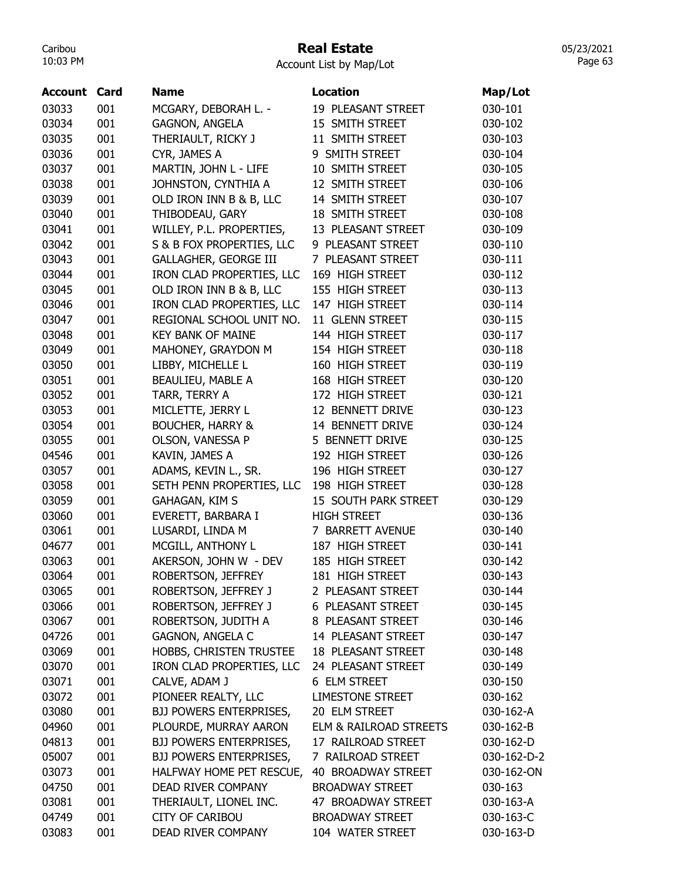### Real Estate

Account List by Map/Lot

|                     |     |                              | <b>Location</b>           |             |
|---------------------|-----|------------------------------|---------------------------|-------------|
| <b>Account Card</b> |     | <b>Name</b>                  |                           | Map/Lot     |
| 03033               | 001 | MCGARY, DEBORAH L. -         | 19 PLEASANT STREET        | 030-101     |
| 03034               | 001 | <b>GAGNON, ANGELA</b>        | 15 SMITH STREET           | 030-102     |
| 03035               | 001 | THERIAULT, RICKY J           | 11 SMITH STREET           | 030-103     |
| 03036               | 001 | CYR, JAMES A                 | 9 SMITH STREET            | 030-104     |
| 03037               | 001 | MARTIN, JOHN L - LIFE        | 10 SMITH STREET           | 030-105     |
| 03038               | 001 | JOHNSTON, CYNTHIA A          | 12 SMITH STREET           | 030-106     |
| 03039               | 001 | OLD IRON INN B & B, LLC      | 14 SMITH STREET           | 030-107     |
| 03040               | 001 | THIBODEAU, GARY              | 18 SMITH STREET           | 030-108     |
| 03041               | 001 | WILLEY, P.L. PROPERTIES,     | 13 PLEASANT STREET        | 030-109     |
| 03042               | 001 | S & B FOX PROPERTIES, LLC    | 9 PLEASANT STREET         | 030-110     |
| 03043               | 001 | <b>GALLAGHER, GEORGE III</b> | 7 PLEASANT STREET         | 030-111     |
| 03044               | 001 | IRON CLAD PROPERTIES, LLC    | 169 HIGH STREET           | 030-112     |
| 03045               | 001 | OLD IRON INN B & B, LLC      | 155 HIGH STREET           | 030-113     |
| 03046               | 001 | IRON CLAD PROPERTIES, LLC    | 147 HIGH STREET           | 030-114     |
| 03047               | 001 | REGIONAL SCHOOL UNIT NO.     | 11 GLENN STREET           | 030-115     |
| 03048               | 001 | <b>KEY BANK OF MAINE</b>     | 144 HIGH STREET           | 030-117     |
| 03049               | 001 | MAHONEY, GRAYDON M           | 154 HIGH STREET           | 030-118     |
| 03050               | 001 | LIBBY, MICHELLE L            | 160 HIGH STREET           | 030-119     |
| 03051               | 001 | BEAULIEU, MABLE A            | 168 HIGH STREET           | 030-120     |
| 03052               | 001 | TARR, TERRY A                | 172 HIGH STREET           | 030-121     |
| 03053               | 001 | MICLETTE, JERRY L            | 12 BENNETT DRIVE          | 030-123     |
| 03054               | 001 | <b>BOUCHER, HARRY &amp;</b>  | 14 BENNETT DRIVE          | 030-124     |
| 03055               | 001 | OLSON, VANESSA P             | 5 BENNETT DRIVE           | 030-125     |
| 04546               | 001 | KAVIN, JAMES A               | 192 HIGH STREET           | 030-126     |
| 03057               | 001 | ADAMS, KEVIN L., SR.         | 196 HIGH STREET           | 030-127     |
| 03058               | 001 | SETH PENN PROPERTIES, LLC    | 198 HIGH STREET           | 030-128     |
| 03059               | 001 | GAHAGAN, KIM S               | 15 SOUTH PARK STREET      | 030-129     |
| 03060               | 001 | EVERETT, BARBARA I           | <b>HIGH STREET</b>        | 030-136     |
| 03061               | 001 | LUSARDI, LINDA M             | 7 BARRETT AVENUE          | 030-140     |
| 04677               | 001 | MCGILL, ANTHONY L            | 187 HIGH STREET           | 030-141     |
| 03063               | 001 | AKERSON, JOHN W - DEV        | 185 HIGH STREET           | 030-142     |
|                     |     |                              |                           |             |
| 03064               | 001 | ROBERTSON, JEFFREY           | 181 HIGH STREET           | 030-143     |
| 03065               | 001 | ROBERTSON, JEFFREY J         | 2 PLEASANT STREET         | 030-144     |
| 03066               | 001 | ROBERTSON, JEFFREY J         | 6 PLEASANT STREET         | 030-145     |
| 03067               | 001 | ROBERTSON, JUDITH A          | 8 PLEASANT STREET         | 030-146     |
| 04726               | 001 | <b>GAGNON, ANGELA C</b>      | 14 PLEASANT STREET        | 030-147     |
| 03069               | 001 | HOBBS, CHRISTEN TRUSTEE      | <b>18 PLEASANT STREET</b> | 030-148     |
| 03070               | 001 | IRON CLAD PROPERTIES, LLC    | 24 PLEASANT STREET        | 030-149     |
| 03071               | 001 | CALVE, ADAM J                | 6 ELM STREET              | 030-150     |
| 03072               | 001 | PIONEER REALTY, LLC          | <b>LIMESTONE STREET</b>   | 030-162     |
| 03080               | 001 | BJJ POWERS ENTERPRISES,      | 20 ELM STREET             | 030-162-A   |
| 04960               | 001 | PLOURDE, MURRAY AARON        | ELM & RAILROAD STREETS    | 030-162-B   |
| 04813               | 001 | BJJ POWERS ENTERPRISES,      | 17 RAILROAD STREET        | 030-162-D   |
| 05007               | 001 | BJJ POWERS ENTERPRISES,      | 7 RAILROAD STREET         | 030-162-D-2 |
| 03073               | 001 | HALFWAY HOME PET RESCUE,     | 40 BROADWAY STREET        | 030-162-ON  |
| 04750               | 001 | DEAD RIVER COMPANY           | <b>BROADWAY STREET</b>    | 030-163     |
| 03081               | 001 | THERIAULT, LIONEL INC.       | 47 BROADWAY STREET        | 030-163-A   |
| 04749               | 001 | <b>CITY OF CARIBOU</b>       | <b>BROADWAY STREET</b>    | 030-163-C   |
| 03083               | 001 | DEAD RIVER COMPANY           | 104 WATER STREET          | 030-163-D   |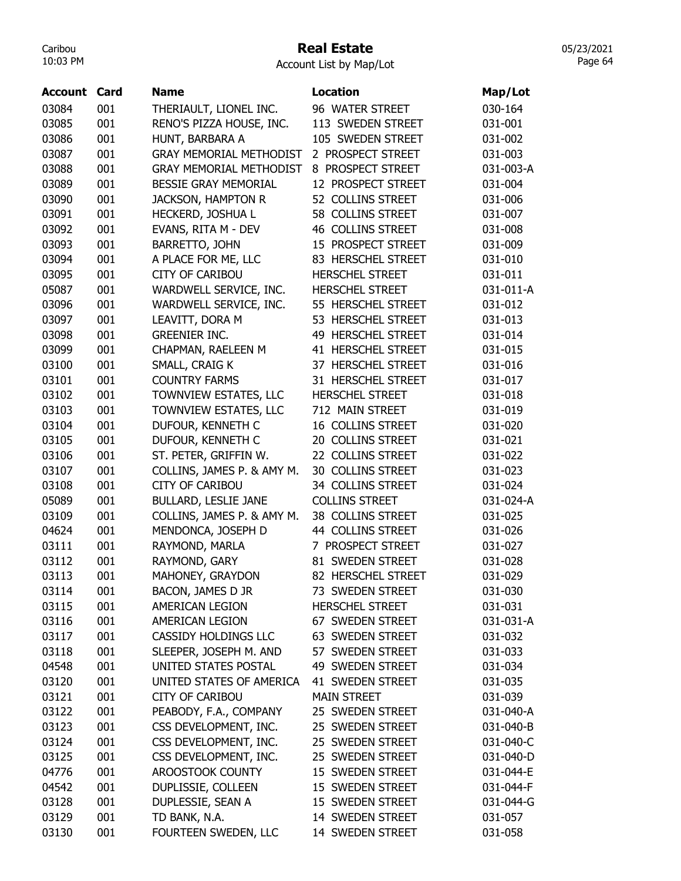### Real Estate

Account List by Map/Lot

| Account | Card | <b>Name</b>                    | <b>Location</b>          | Map/Lot   |
|---------|------|--------------------------------|--------------------------|-----------|
| 03084   | 001  | THERIAULT, LIONEL INC.         | 96 WATER STREET          | 030-164   |
| 03085   | 001  | RENO'S PIZZA HOUSE, INC.       | 113 SWEDEN STREET        | 031-001   |
| 03086   | 001  | HUNT, BARBARA A                | 105 SWEDEN STREET        | 031-002   |
| 03087   | 001  | <b>GRAY MEMORIAL METHODIST</b> | 2 PROSPECT STREET        | 031-003   |
| 03088   | 001  | <b>GRAY MEMORIAL METHODIST</b> | 8 PROSPECT STREET        | 031-003-A |
| 03089   | 001  | <b>BESSIE GRAY MEMORIAL</b>    | 12 PROSPECT STREET       | 031-004   |
| 03090   | 001  | <b>JACKSON, HAMPTON R</b>      | 52 COLLINS STREET        | 031-006   |
| 03091   | 001  | HECKERD, JOSHUA L              | 58 COLLINS STREET        | 031-007   |
| 03092   | 001  | EVANS, RITA M - DEV            | <b>46 COLLINS STREET</b> | 031-008   |
| 03093   | 001  | BARRETTO, JOHN                 | 15 PROSPECT STREET       | 031-009   |
| 03094   | 001  | A PLACE FOR ME, LLC            | 83 HERSCHEL STREET       | 031-010   |
| 03095   | 001  | <b>CITY OF CARIBOU</b>         | <b>HERSCHEL STREET</b>   | 031-011   |
| 05087   | 001  | WARDWELL SERVICE, INC.         | <b>HERSCHEL STREET</b>   | 031-011-A |
| 03096   | 001  | WARDWELL SERVICE, INC.         | 55 HERSCHEL STREET       | 031-012   |
| 03097   | 001  | LEAVITT, DORA M                | 53 HERSCHEL STREET       | 031-013   |
| 03098   | 001  | <b>GREENIER INC.</b>           | 49 HERSCHEL STREET       | 031-014   |
| 03099   | 001  | CHAPMAN, RAELEEN M             | 41 HERSCHEL STREET       | 031-015   |
| 03100   | 001  | SMALL, CRAIG K                 | 37 HERSCHEL STREET       | 031-016   |
| 03101   | 001  | <b>COUNTRY FARMS</b>           | 31 HERSCHEL STREET       | 031-017   |
| 03102   | 001  | TOWNVIEW ESTATES, LLC          | <b>HERSCHEL STREET</b>   | 031-018   |
| 03103   | 001  | TOWNVIEW ESTATES, LLC          | 712 MAIN STREET          | 031-019   |
| 03104   | 001  | DUFOUR, KENNETH C              | 16 COLLINS STREET        | 031-020   |
|         |      |                                |                          |           |
| 03105   | 001  | DUFOUR, KENNETH C              | 20 COLLINS STREET        | 031-021   |
| 03106   | 001  | ST. PETER, GRIFFIN W.          | 22 COLLINS STREET        | 031-022   |
| 03107   | 001  | COLLINS, JAMES P. & AMY M.     | 30 COLLINS STREET        | 031-023   |
| 03108   | 001  | <b>CITY OF CARIBOU</b>         | 34 COLLINS STREET        | 031-024   |
| 05089   | 001  | <b>BULLARD, LESLIE JANE</b>    | <b>COLLINS STREET</b>    | 031-024-A |
| 03109   | 001  | COLLINS, JAMES P. & AMY M.     | 38 COLLINS STREET        | 031-025   |
| 04624   | 001  | MENDONCA, JOSEPH D             | 44 COLLINS STREET        | 031-026   |
| 03111   | 001  | RAYMOND, MARLA                 | 7 PROSPECT STREET        | 031-027   |
| 03112   | 001  | RAYMOND, GARY                  | 81 SWEDEN STREET         | 031-028   |
| 03113   | 001  | MAHONEY, GRAYDON               | 82 HERSCHEL STREET       | 031-029   |
| 03114   | 001  | BACON, JAMES D JR              | 73 SWEDEN STREET         | 031-030   |
| 03115   | 001  | AMERICAN LEGION                | <b>HERSCHEL STREET</b>   | 031-031   |
| 03116   | 001  | AMERICAN LEGION                | 67 SWEDEN STREET         | 031-031-A |
| 03117   | 001  | CASSIDY HOLDINGS LLC           | 63 SWEDEN STREET         | 031-032   |
| 03118   | 001  | SLEEPER, JOSEPH M. AND         | 57 SWEDEN STREET         | 031-033   |
| 04548   | 001  | UNITED STATES POSTAL           | 49 SWEDEN STREET         | 031-034   |
| 03120   | 001  | UNITED STATES OF AMERICA       | 41 SWEDEN STREET         | 031-035   |
| 03121   | 001  | <b>CITY OF CARIBOU</b>         | <b>MAIN STREET</b>       | 031-039   |
| 03122   | 001  | PEABODY, F.A., COMPANY         | 25 SWEDEN STREET         | 031-040-A |
| 03123   | 001  | CSS DEVELOPMENT, INC.          | 25 SWEDEN STREET         | 031-040-B |
| 03124   | 001  | CSS DEVELOPMENT, INC.          | 25 SWEDEN STREET         | 031-040-C |
| 03125   | 001  | CSS DEVELOPMENT, INC.          | 25 SWEDEN STREET         | 031-040-D |
| 04776   | 001  | AROOSTOOK COUNTY               | 15 SWEDEN STREET         | 031-044-E |
| 04542   | 001  | DUPLISSIE, COLLEEN             | 15 SWEDEN STREET         | 031-044-F |
| 03128   | 001  | DUPLESSIE, SEAN A              | 15 SWEDEN STREET         | 031-044-G |
| 03129   | 001  | TD BANK, N.A.                  | 14 SWEDEN STREET         | 031-057   |
| 03130   | 001  | FOURTEEN SWEDEN, LLC           | 14 SWEDEN STREET         | 031-058   |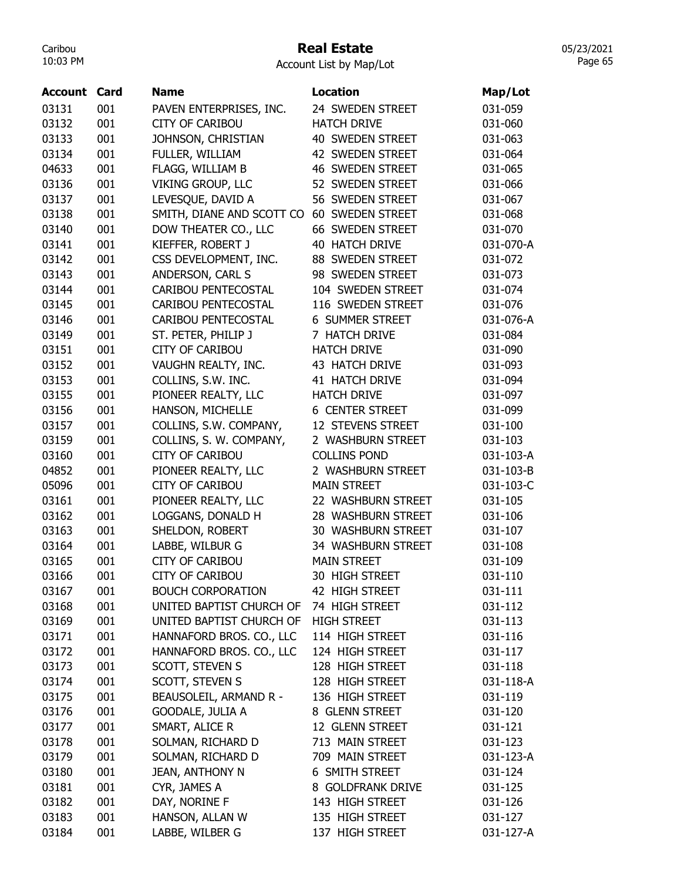## Real Estate

05/23/2021 Page 65

| Account | Card | <b>Name</b>               | Location                | Map/Lot   |
|---------|------|---------------------------|-------------------------|-----------|
| 03131   | 001  | PAVEN ENTERPRISES, INC.   | 24 SWEDEN STREET        | 031-059   |
| 03132   | 001  | CITY OF CARIBOU           | <b>HATCH DRIVE</b>      | 031-060   |
| 03133   | 001  | JOHNSON, CHRISTIAN        | <b>40 SWEDEN STREET</b> | 031-063   |
| 03134   | 001  | FULLER, WILLIAM           | 42 SWEDEN STREET        | 031-064   |
| 04633   | 001  | FLAGG, WILLIAM B          | <b>46 SWEDEN STREET</b> | 031-065   |
| 03136   | 001  | <b>VIKING GROUP, LLC</b>  | 52 SWEDEN STREET        | 031-066   |
| 03137   | 001  | LEVESQUE, DAVID A         | 56 SWEDEN STREET        | 031-067   |
| 03138   | 001  | SMITH, DIANE AND SCOTT CO | 60 SWEDEN STREET        | 031-068   |
| 03140   | 001  | DOW THEATER CO., LLC      | 66 SWEDEN STREET        | 031-070   |
| 03141   | 001  | KIEFFER, ROBERT J         | 40 HATCH DRIVE          | 031-070-A |
| 03142   | 001  | CSS DEVELOPMENT, INC.     | 88 SWEDEN STREET        | 031-072   |
| 03143   | 001  | ANDERSON, CARL S          | 98 SWEDEN STREET        | 031-073   |
| 03144   | 001  | CARIBOU PENTECOSTAL       | 104 SWEDEN STREET       | 031-074   |
| 03145   | 001  | CARIBOU PENTECOSTAL       | 116 SWEDEN STREET       | 031-076   |
| 03146   | 001  | CARIBOU PENTECOSTAL       | <b>6 SUMMER STREET</b>  | 031-076-A |
| 03149   | 001  | ST. PETER, PHILIP J       | 7 HATCH DRIVE           | 031-084   |
| 03151   | 001  | <b>CITY OF CARIBOU</b>    | <b>HATCH DRIVE</b>      | 031-090   |
| 03152   | 001  | VAUGHN REALTY, INC.       | 43 HATCH DRIVE          | 031-093   |
| 03153   | 001  | COLLINS, S.W. INC.        | 41 HATCH DRIVE          | 031-094   |
| 03155   | 001  | PIONEER REALTY, LLC       | <b>HATCH DRIVE</b>      | 031-097   |
| 03156   | 001  | HANSON, MICHELLE          | <b>6 CENTER STREET</b>  | 031-099   |
| 03157   | 001  | COLLINS, S.W. COMPANY,    | 12 STEVENS STREET       | 031-100   |
| 03159   | 001  | COLLINS, S. W. COMPANY,   | 2 WASHBURN STREET       | 031-103   |
| 03160   | 001  | <b>CITY OF CARIBOU</b>    | <b>COLLINS POND</b>     | 031-103-A |
| 04852   | 001  | PIONEER REALTY, LLC       | 2 WASHBURN STREET       | 031-103-B |
| 05096   | 001  | <b>CITY OF CARIBOU</b>    | <b>MAIN STREET</b>      | 031-103-C |
| 03161   | 001  | PIONEER REALTY, LLC       | 22 WASHBURN STREET      | 031-105   |
| 03162   | 001  | LOGGANS, DONALD H         | 28 WASHBURN STREET      | 031-106   |
| 03163   | 001  | SHELDON, ROBERT           | 30 WASHBURN STREET      | 031-107   |
| 03164   | 001  | LABBE, WILBUR G           | 34 WASHBURN STREET      | 031-108   |
| 03165   | 001  | <b>CITY OF CARIBOU</b>    | <b>MAIN STREET</b>      | 031-109   |
| 03166   | 001  | <b>CITY OF CARIBOU</b>    | 30 HIGH STREET          | 031-110   |
| 03167   | 001  | <b>BOUCH CORPORATION</b>  | 42 HIGH STREET          | 031-111   |
| 03168   | 001  | UNITED BAPTIST CHURCH OF  | 74 HIGH STREET          | 031-112   |
| 03169   | 001  | UNITED BAPTIST CHURCH OF  | <b>HIGH STREET</b>      | 031-113   |
| 03171   | 001  | HANNAFORD BROS. CO., LLC  | 114 HIGH STREET         | 031-116   |
| 03172   | 001  | HANNAFORD BROS. CO., LLC  | 124 HIGH STREET         | 031-117   |
| 03173   | 001  | SCOTT, STEVEN S           | 128 HIGH STREET         | 031-118   |
| 03174   | 001  | SCOTT, STEVEN S           | 128 HIGH STREET         | 031-118-A |
| 03175   | 001  | BEAUSOLEIL, ARMAND R -    | 136 HIGH STREET         | 031-119   |
| 03176   | 001  | GOODALE, JULIA A          | 8 GLENN STREET          | 031-120   |
| 03177   | 001  | SMART, ALICE R            | 12 GLENN STREET         | 031-121   |
| 03178   | 001  | SOLMAN, RICHARD D         | 713 MAIN STREET         | 031-123   |
| 03179   | 001  | SOLMAN, RICHARD D         | 709 MAIN STREET         | 031-123-A |
| 03180   | 001  | <b>JEAN, ANTHONY N</b>    | 6 SMITH STREET          | 031-124   |
| 03181   | 001  | CYR, JAMES A              | 8 GOLDFRANK DRIVE       | 031-125   |
| 03182   | 001  | DAY, NORINE F             | 143 HIGH STREET         | 031-126   |
| 03183   | 001  | HANSON, ALLAN W           | 135 HIGH STREET         | 031-127   |
| 03184   | 001  | LABBE, WILBER G           | 137 HIGH STREET         | 031-127-A |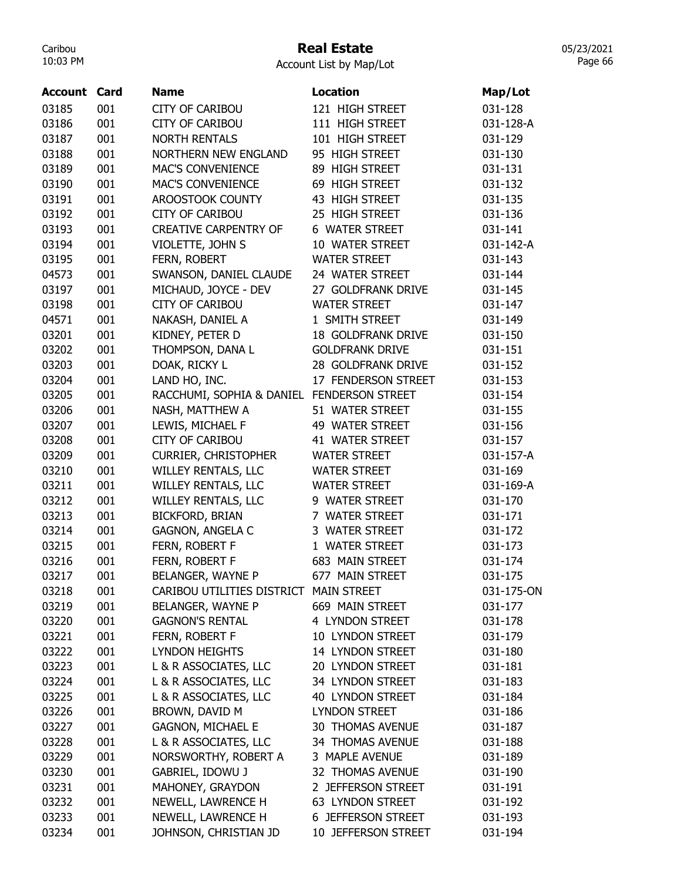# Real Estate

| Account List by Map/Lot |  |
|-------------------------|--|
|-------------------------|--|

| <b>Account Card</b> |     | <b>Name</b>                                | <b>Location</b>           | Map/Lot    |
|---------------------|-----|--------------------------------------------|---------------------------|------------|
| 03185               | 001 | <b>CITY OF CARIBOU</b>                     | 121 HIGH STREET           | 031-128    |
| 03186               | 001 | <b>CITY OF CARIBOU</b>                     | 111 HIGH STREET           | 031-128-A  |
| 03187               | 001 | <b>NORTH RENTALS</b>                       | 101 HIGH STREET           | 031-129    |
| 03188               | 001 | <b>NORTHERN NEW ENGLAND</b>                | 95 HIGH STREET            | 031-130    |
| 03189               | 001 | <b>MAC'S CONVENIENCE</b>                   | 89 HIGH STREET            | 031-131    |
| 03190               | 001 | <b>MAC'S CONVENIENCE</b>                   | 69 HIGH STREET            | 031-132    |
| 03191               | 001 | AROOSTOOK COUNTY                           | 43 HIGH STREET            | 031-135    |
| 03192               | 001 | <b>CITY OF CARIBOU</b>                     | 25 HIGH STREET            | 031-136    |
| 03193               | 001 | <b>CREATIVE CARPENTRY OF</b>               | 6 WATER STREET            | 031-141    |
| 03194               | 001 | VIOLETTE, JOHN S                           | 10 WATER STREET           | 031-142-A  |
| 03195               | 001 | FERN, ROBERT                               | <b>WATER STREET</b>       | 031-143    |
| 04573               | 001 | SWANSON, DANIEL CLAUDE                     | 24 WATER STREET           | 031-144    |
| 03197               | 001 | MICHAUD, JOYCE - DEV                       | 27 GOLDFRANK DRIVE        | 031-145    |
| 03198               | 001 | <b>CITY OF CARIBOU</b>                     | <b>WATER STREET</b>       | 031-147    |
| 04571               | 001 | NAKASH, DANIEL A                           | 1 SMITH STREET            | 031-149    |
| 03201               | 001 | KIDNEY, PETER D                            | <b>18 GOLDFRANK DRIVE</b> | 031-150    |
| 03202               | 001 | THOMPSON, DANA L                           | <b>GOLDFRANK DRIVE</b>    | 031-151    |
| 03203               | 001 | DOAK, RICKY L                              | 28 GOLDFRANK DRIVE        | 031-152    |
| 03204               | 001 | LAND HO, INC.                              | 17 FENDERSON STREET       | 031-153    |
| 03205               | 001 | RACCHUMI, SOPHIA & DANIEL FENDERSON STREET |                           | 031-154    |
| 03206               | 001 | NASH, MATTHEW A                            | 51 WATER STREET           | 031-155    |
| 03207               | 001 | LEWIS, MICHAEL F                           | 49 WATER STREET           | 031-156    |
| 03208               | 001 | <b>CITY OF CARIBOU</b>                     | 41 WATER STREET           | 031-157    |
| 03209               | 001 | <b>CURRIER, CHRISTOPHER</b>                | <b>WATER STREET</b>       | 031-157-A  |
| 03210               | 001 | WILLEY RENTALS, LLC                        | <b>WATER STREET</b>       | 031-169    |
| 03211               | 001 | WILLEY RENTALS, LLC                        | <b>WATER STREET</b>       | 031-169-A  |
| 03212               | 001 | WILLEY RENTALS, LLC                        | 9 WATER STREET            | 031-170    |
| 03213               | 001 | <b>BICKFORD, BRIAN</b>                     | 7 WATER STREET            | 031-171    |
| 03214               | 001 | GAGNON, ANGELA C                           | 3 WATER STREET            | 031-172    |
| 03215               | 001 | FERN, ROBERT F                             | 1 WATER STREET            | 031-173    |
| 03216               | 001 | FERN, ROBERT F                             | 683 MAIN STREET           | 031-174    |
| 03217               | 001 | BELANGER, WAYNE P                          | 677 MAIN STREET           | 031-175    |
| 03218               | 001 | CARIBOU UTILITIES DISTRICT MAIN STREET     |                           | 031-175-ON |
| 03219               | 001 | BELANGER, WAYNE P                          | 669 MAIN STREET           | 031-177    |
| 03220               | 001 | <b>GAGNON'S RENTAL</b>                     | 4 LYNDON STREET           | 031-178    |
| 03221               | 001 | FERN, ROBERT F                             | 10 LYNDON STREET          | 031-179    |
| 03222               | 001 | <b>LYNDON HEIGHTS</b>                      | 14 LYNDON STREET          | 031-180    |
| 03223               | 001 | L & R ASSOCIATES, LLC                      | 20 LYNDON STREET          | 031-181    |
| 03224               | 001 | L & R ASSOCIATES, LLC                      | 34 LYNDON STREET          | 031-183    |
| 03225               | 001 | L & R ASSOCIATES, LLC                      | <b>40 LYNDON STREET</b>   | 031-184    |
| 03226               | 001 | BROWN, DAVID M                             | <b>LYNDON STREET</b>      | 031-186    |
| 03227               | 001 | <b>GAGNON, MICHAEL E</b>                   | <b>30 THOMAS AVENUE</b>   | 031-187    |
| 03228               | 001 | L & R ASSOCIATES, LLC                      | 34 THOMAS AVENUE          | 031-188    |
| 03229               | 001 | NORSWORTHY, ROBERT A                       | 3 MAPLE AVENUE            | 031-189    |
| 03230               | 001 | GABRIEL, IDOWU J                           | 32 THOMAS AVENUE          | 031-190    |
| 03231               | 001 | MAHONEY, GRAYDON                           | 2 JEFFERSON STREET        | 031-191    |
| 03232               | 001 | NEWELL, LAWRENCE H                         | 63 LYNDON STREET          | 031-192    |
| 03233               | 001 | NEWELL, LAWRENCE H                         | 6 JEFFERSON STREET        | 031-193    |
| 03234               | 001 | JOHNSON, CHRISTIAN JD                      | 10 JEFFERSON STREET       | 031-194    |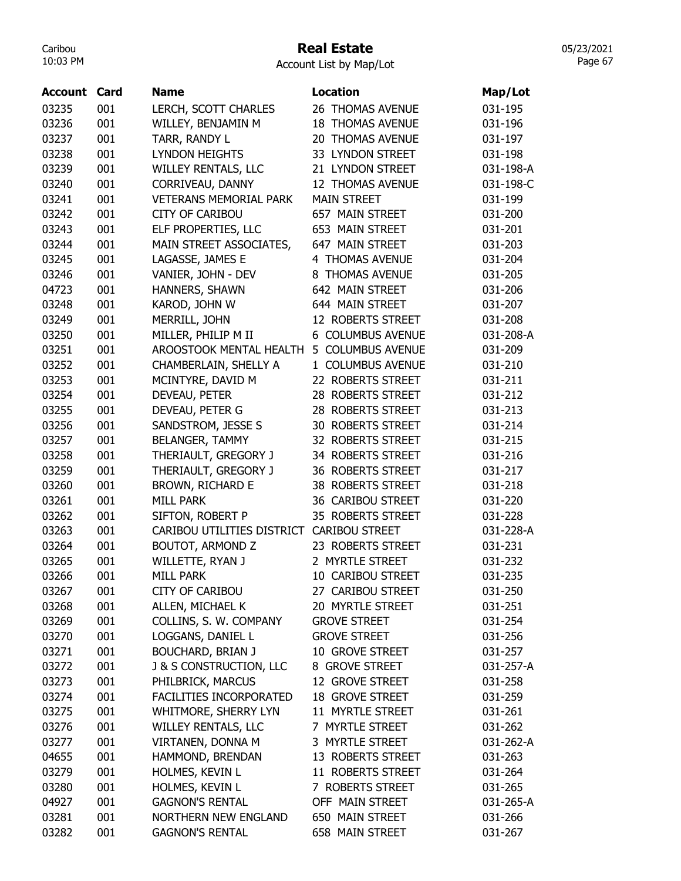# Real Estate

05/23/2021 Page 67

| <b>Account Card</b> |     | <b>Name</b>                               | <b>Location</b>          | Map/Lot   |
|---------------------|-----|-------------------------------------------|--------------------------|-----------|
| 03235               | 001 | LERCH, SCOTT CHARLES                      | 26 THOMAS AVENUE         | 031-195   |
| 03236               | 001 | WILLEY, BENJAMIN M                        | <b>18 THOMAS AVENUE</b>  | 031-196   |
| 03237               | 001 | TARR, RANDY L                             | 20 THOMAS AVENUE         | 031-197   |
| 03238               | 001 | <b>LYNDON HEIGHTS</b>                     | 33 LYNDON STREET         | 031-198   |
| 03239               | 001 | <b>WILLEY RENTALS, LLC</b>                | 21 LYNDON STREET         | 031-198-A |
| 03240               | 001 | CORRIVEAU, DANNY                          | 12 THOMAS AVENUE         | 031-198-C |
| 03241               | 001 | <b>VETERANS MEMORIAL PARK</b>             | <b>MAIN STREET</b>       | 031-199   |
| 03242               | 001 | <b>CITY OF CARIBOU</b>                    | 657 MAIN STREET          | 031-200   |
| 03243               | 001 | ELF PROPERTIES, LLC                       | 653 MAIN STREET          | 031-201   |
| 03244               | 001 | MAIN STREET ASSOCIATES,                   | 647 MAIN STREET          | 031-203   |
| 03245               | 001 | LAGASSE, JAMES E                          | 4 THOMAS AVENUE          | 031-204   |
| 03246               | 001 | VANIER, JOHN - DEV                        | 8 THOMAS AVENUE          | 031-205   |
| 04723               | 001 | HANNERS, SHAWN                            | 642 MAIN STREET          | 031-206   |
| 03248               | 001 | KAROD, JOHN W                             | 644 MAIN STREET          | 031-207   |
| 03249               | 001 | MERRILL, JOHN                             | 12 ROBERTS STREET        | 031-208   |
| 03250               | 001 | MILLER, PHILIP M II                       | 6 COLUMBUS AVENUE        | 031-208-A |
| 03251               | 001 | AROOSTOOK MENTAL HEALTH                   | 5 COLUMBUS AVENUE        | 031-209   |
| 03252               | 001 | CHAMBERLAIN, SHELLY A                     | 1 COLUMBUS AVENUE        | 031-210   |
| 03253               | 001 | MCINTYRE, DAVID M                         | 22 ROBERTS STREET        | 031-211   |
| 03254               | 001 | DEVEAU, PETER                             | 28 ROBERTS STREET        | 031-212   |
| 03255               | 001 | DEVEAU, PETER G                           | 28 ROBERTS STREET        | 031-213   |
| 03256               | 001 | SANDSTROM, JESSE S                        | <b>30 ROBERTS STREET</b> | 031-214   |
| 03257               | 001 | <b>BELANGER, TAMMY</b>                    | 32 ROBERTS STREET        | 031-215   |
| 03258               | 001 | THERIAULT, GREGORY J                      | 34 ROBERTS STREET        | 031-216   |
| 03259               | 001 | THERIAULT, GREGORY J                      | 36 ROBERTS STREET        | 031-217   |
| 03260               | 001 | BROWN, RICHARD E                          | 38 ROBERTS STREET        | 031-218   |
| 03261               | 001 | <b>MILL PARK</b>                          | 36 CARIBOU STREET        | 031-220   |
| 03262               | 001 | SIFTON, ROBERT P                          | 35 ROBERTS STREET        | 031-228   |
| 03263               | 001 | CARIBOU UTILITIES DISTRICT CARIBOU STREET |                          | 031-228-A |
| 03264               | 001 | BOUTOT, ARMOND Z                          | 23 ROBERTS STREET        | 031-231   |
| 03265               | 001 | WILLETTE, RYAN J                          | 2 MYRTLE STREET          | 031-232   |
| 03266               | 001 | <b>MILL PARK</b>                          | 10 CARIBOU STREET        | 031-235   |
| 03267               | 001 | <b>CITY OF CARIBOU</b>                    | 27 CARIBOU STREET        | 031-250   |
| 03268               | 001 | ALLEN, MICHAEL K                          | 20 MYRTLE STREET         | 031-251   |
| 03269               | 001 | COLLINS, S. W. COMPANY                    | <b>GROVE STREET</b>      | 031-254   |
| 03270               | 001 | LOGGANS, DANIEL L                         | <b>GROVE STREET</b>      | 031-256   |
| 03271               | 001 | <b>BOUCHARD, BRIAN J</b>                  | 10 GROVE STREET          | 031-257   |
| 03272               | 001 | <b>J &amp; S CONSTRUCTION, LLC</b>        | 8 GROVE STREET           | 031-257-A |
| 03273               | 001 | PHILBRICK, MARCUS                         | 12 GROVE STREET          | 031-258   |
| 03274               | 001 | <b>FACILITIES INCORPORATED</b>            | 18 GROVE STREET          | 031-259   |
|                     |     | WHITMORE, SHERRY LYN                      | 11 MYRTLE STREET         | 031-261   |
| 03275               | 001 |                                           |                          |           |
| 03276               | 001 | WILLEY RENTALS, LLC                       | 7 MYRTLE STREET          | 031-262   |
| 03277               | 001 | VIRTANEN, DONNA M                         | 3 MYRTLE STREET          | 031-262-A |
| 04655               | 001 | HAMMOND, BRENDAN                          | 13 ROBERTS STREET        | 031-263   |
| 03279               | 001 | HOLMES, KEVIN L                           | 11 ROBERTS STREET        | 031-264   |
| 03280               | 001 | HOLMES, KEVIN L                           | 7 ROBERTS STREET         | 031-265   |
| 04927               | 001 | <b>GAGNON'S RENTAL</b>                    | OFF MAIN STREET          | 031-265-A |
| 03281               | 001 | <b>NORTHERN NEW ENGLAND</b>               | 650 MAIN STREET          | 031-266   |
| 03282               | 001 | <b>GAGNON'S RENTAL</b>                    | 658 MAIN STREET          | 031-267   |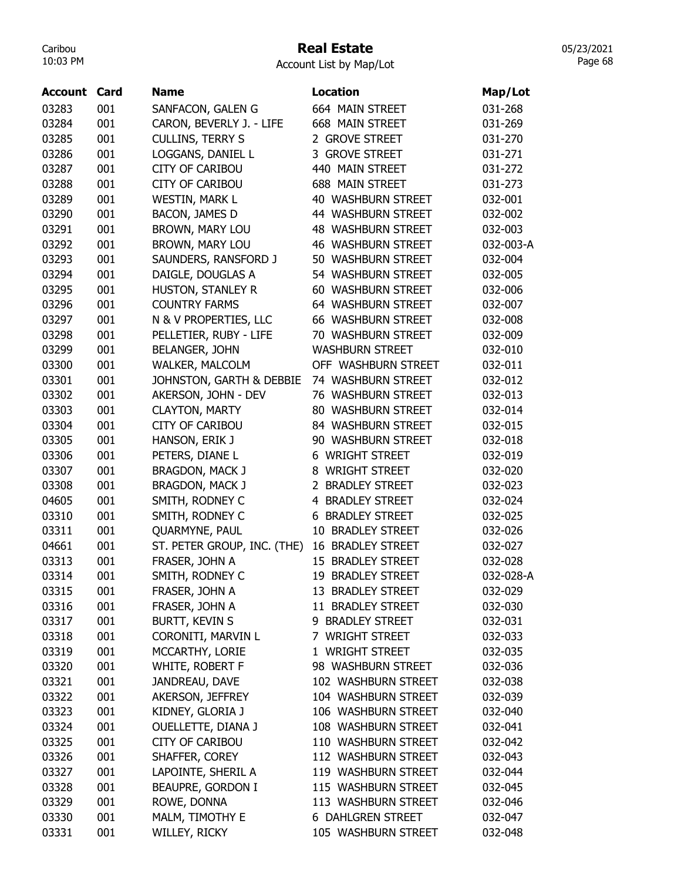# Real Estate

05/23/2021 Page 68

| Account | Card | <b>Name</b>                 | <b>Location</b>           | Map/Lot   |
|---------|------|-----------------------------|---------------------------|-----------|
| 03283   | 001  | SANFACON, GALEN G           | 664 MAIN STREET           | 031-268   |
| 03284   | 001  | CARON, BEVERLY J. - LIFE    | 668 MAIN STREET           | 031-269   |
| 03285   | 001  | <b>CULLINS, TERRY S</b>     | 2 GROVE STREET            | 031-270   |
| 03286   | 001  | LOGGANS, DANIEL L           | 3 GROVE STREET            | 031-271   |
| 03287   | 001  | <b>CITY OF CARIBOU</b>      | 440 MAIN STREET           | 031-272   |
| 03288   | 001  | <b>CITY OF CARIBOU</b>      | 688 MAIN STREET           | 031-273   |
| 03289   | 001  | <b>WESTIN, MARK L</b>       | 40 WASHBURN STREET        | 032-001   |
| 03290   | 001  | BACON, JAMES D              | 44 WASHBURN STREET        | 032-002   |
| 03291   | 001  | BROWN, MARY LOU             | 48 WASHBURN STREET        | 032-003   |
| 03292   | 001  | BROWN, MARY LOU             | <b>46 WASHBURN STREET</b> | 032-003-A |
| 03293   | 001  | SAUNDERS, RANSFORD J        | 50 WASHBURN STREET        | 032-004   |
| 03294   | 001  | DAIGLE, DOUGLAS A           | 54 WASHBURN STREET        | 032-005   |
| 03295   | 001  | HUSTON, STANLEY R           | 60 WASHBURN STREET        | 032-006   |
| 03296   | 001  | <b>COUNTRY FARMS</b>        | 64 WASHBURN STREET        | 032-007   |
| 03297   | 001  | N & V PROPERTIES, LLC       | <b>66 WASHBURN STREET</b> | 032-008   |
| 03298   | 001  | PELLETIER, RUBY - LIFE      | 70 WASHBURN STREET        | 032-009   |
| 03299   | 001  | <b>BELANGER, JOHN</b>       | <b>WASHBURN STREET</b>    | 032-010   |
| 03300   | 001  | <b>WALKER, MALCOLM</b>      | OFF WASHBURN STREET       | 032-011   |
| 03301   | 001  | JOHNSTON, GARTH & DEBBIE    | 74 WASHBURN STREET        | 032-012   |
| 03302   | 001  | AKERSON, JOHN - DEV         | 76 WASHBURN STREET        | 032-013   |
| 03303   | 001  | <b>CLAYTON, MARTY</b>       | 80 WASHBURN STREET        | 032-014   |
| 03304   | 001  | <b>CITY OF CARIBOU</b>      | 84 WASHBURN STREET        | 032-015   |
| 03305   | 001  | HANSON, ERIK J              | 90 WASHBURN STREET        | 032-018   |
| 03306   | 001  | PETERS, DIANE L             | 6 WRIGHT STREET           | 032-019   |
| 03307   | 001  | BRAGDON, MACK J             | 8 WRIGHT STREET           | 032-020   |
| 03308   | 001  | <b>BRAGDON, MACK J</b>      | 2 BRADLEY STREET          | 032-023   |
| 04605   | 001  | SMITH, RODNEY C             | 4 BRADLEY STREET          | 032-024   |
| 03310   | 001  | SMITH, RODNEY C             | <b>6 BRADLEY STREET</b>   | 032-025   |
| 03311   | 001  | QUARMYNE, PAUL              | 10 BRADLEY STREET         | 032-026   |
| 04661   | 001  | ST. PETER GROUP, INC. (THE) | <b>16 BRADLEY STREET</b>  | 032-027   |
| 03313   | 001  | FRASER, JOHN A              | 15 BRADLEY STREET         | 032-028   |
| 03314   | 001  | SMITH, RODNEY C             | 19 BRADLEY STREET         | 032-028-A |
| 03315   | 001  | FRASER, JOHN A              | 13 BRADLEY STREET         | 032-029   |
| 03316   | 001  | FRASER, JOHN A              | 11 BRADLEY STREET         | 032-030   |
| 03317   | 001  | <b>BURTT, KEVIN S</b>       | 9 BRADLEY STREET          | 032-031   |
| 03318   | 001  | CORONITI, MARVIN L          | 7 WRIGHT STREET           | 032-033   |
| 03319   | 001  | MCCARTHY, LORIE             | 1 WRIGHT STREET           | 032-035   |
| 03320   | 001  | WHITE, ROBERT F             | 98 WASHBURN STREET        | 032-036   |
| 03321   | 001  | JANDREAU, DAVE              | 102 WASHBURN STREET       | 032-038   |
| 03322   | 001  | AKERSON, JEFFREY            | 104 WASHBURN STREET       | 032-039   |
| 03323   | 001  | KIDNEY, GLORIA J            | 106 WASHBURN STREET       | 032-040   |
| 03324   | 001  | OUELLETTE, DIANA J          | 108 WASHBURN STREET       | 032-041   |
| 03325   | 001  | <b>CITY OF CARIBOU</b>      | 110 WASHBURN STREET       | 032-042   |
| 03326   | 001  | SHAFFER, COREY              | 112 WASHBURN STREET       | 032-043   |
| 03327   | 001  | LAPOINTE, SHERIL A          | 119 WASHBURN STREET       | 032-044   |
| 03328   | 001  | BEAUPRE, GORDON I           | 115 WASHBURN STREET       | 032-045   |
| 03329   | 001  | ROWE, DONNA                 | 113 WASHBURN STREET       | 032-046   |
| 03330   | 001  | MALM, TIMOTHY E             | <b>6 DAHLGREN STREET</b>  | 032-047   |
| 03331   | 001  | WILLEY, RICKY               | 105 WASHBURN STREET       | 032-048   |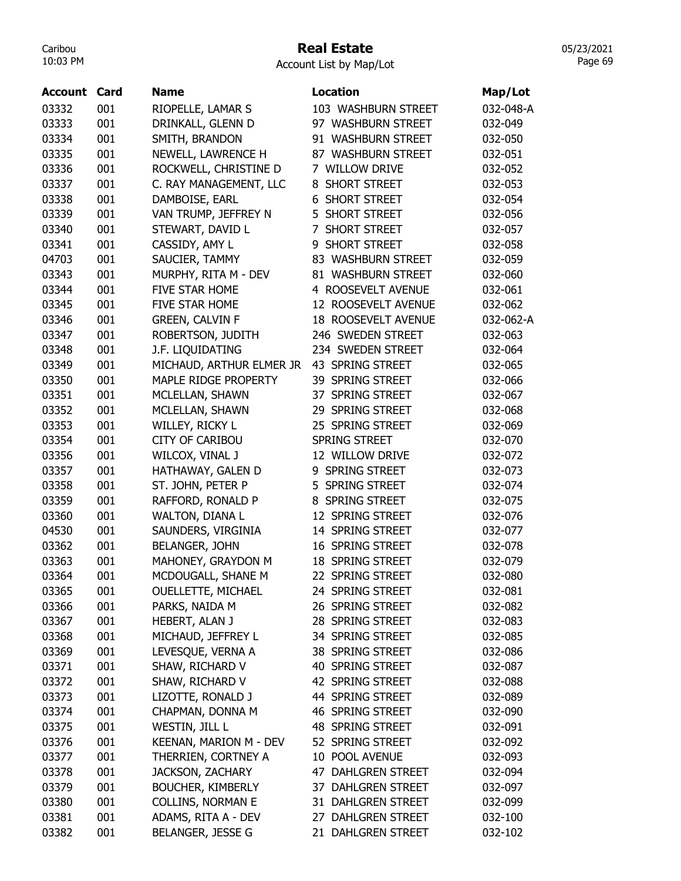### Real Estate

Account List by Map/Lot

| <b>Account Card</b> |     | <b>Name</b>               | <b>Location</b>       | Map/Lot   |
|---------------------|-----|---------------------------|-----------------------|-----------|
| 03332               | 001 | RIOPELLE, LAMAR S         | 103 WASHBURN STREET   | 032-048-A |
| 03333               | 001 | DRINKALL, GLENN D         | 97 WASHBURN STREET    | 032-049   |
| 03334               | 001 | SMITH, BRANDON            | 91 WASHBURN STREET    | 032-050   |
| 03335               | 001 | NEWELL, LAWRENCE H        | 87 WASHBURN STREET    | 032-051   |
| 03336               | 001 | ROCKWELL, CHRISTINE D     | 7 WILLOW DRIVE        | 032-052   |
| 03337               | 001 | C. RAY MANAGEMENT, LLC    | 8 SHORT STREET        | 032-053   |
| 03338               | 001 | DAMBOISE, EARL            | <b>6 SHORT STREET</b> | 032-054   |
| 03339               | 001 | VAN TRUMP, JEFFREY N      | 5 SHORT STREET        | 032-056   |
| 03340               | 001 | STEWART, DAVID L          | 7 SHORT STREET        | 032-057   |
| 03341               | 001 | CASSIDY, AMY L            | 9 SHORT STREET        | 032-058   |
| 04703               | 001 | SAUCIER, TAMMY            | 83 WASHBURN STREET    | 032-059   |
| 03343               | 001 | MURPHY, RITA M - DEV      | 81 WASHBURN STREET    | 032-060   |
| 03344               | 001 | <b>FIVE STAR HOME</b>     | 4 ROOSEVELT AVENUE    | 032-061   |
| 03345               | 001 | FIVE STAR HOME            | 12 ROOSEVELT AVENUE   | 032-062   |
| 03346               | 001 | GREEN, CALVIN F           | 18 ROOSEVELT AVENUE   | 032-062-A |
| 03347               | 001 | ROBERTSON, JUDITH         | 246 SWEDEN STREET     | 032-063   |
| 03348               | 001 | J.F. LIQUIDATING          | 234 SWEDEN STREET     | 032-064   |
| 03349               | 001 | MICHAUD, ARTHUR ELMER JR  | 43 SPRING STREET      | 032-065   |
| 03350               | 001 | MAPLE RIDGE PROPERTY      | 39 SPRING STREET      | 032-066   |
| 03351               | 001 | MCLELLAN, SHAWN           | 37 SPRING STREET      | 032-067   |
| 03352               | 001 | MCLELLAN, SHAWN           | 29 SPRING STREET      | 032-068   |
| 03353               | 001 | WILLEY, RICKY L           | 25 SPRING STREET      | 032-069   |
| 03354               | 001 | <b>CITY OF CARIBOU</b>    | <b>SPRING STREET</b>  | 032-070   |
| 03356               | 001 | WILCOX, VINAL J           | 12 WILLOW DRIVE       | 032-072   |
| 03357               | 001 | HATHAWAY, GALEN D         | 9 SPRING STREET       | 032-073   |
| 03358               | 001 | ST. JOHN, PETER P         | 5 SPRING STREET       | 032-074   |
| 03359               | 001 | RAFFORD, RONALD P         | 8 SPRING STREET       | 032-075   |
| 03360               | 001 | WALTON, DIANA L           | 12 SPRING STREET      | 032-076   |
| 04530               | 001 | SAUNDERS, VIRGINIA        | 14 SPRING STREET      | 032-077   |
| 03362               | 001 | BELANGER, JOHN            | 16 SPRING STREET      | 032-078   |
| 03363               | 001 | MAHONEY, GRAYDON M        | 18 SPRING STREET      | 032-079   |
| 03364               | 001 | MCDOUGALL, SHANE M        | 22 SPRING STREET      | 032-080   |
| 03365               | 001 | <b>OUELLETTE, MICHAEL</b> | 24 SPRING STREET      | 032-081   |
| 03366               | 001 | PARKS, NAIDA M            | 26 SPRING STREET      | 032-082   |
| 03367               | 001 | HEBERT, ALAN J            | 28 SPRING STREET      | 032-083   |
| 03368               | 001 | MICHAUD, JEFFREY L        | 34 SPRING STREET      | 032-085   |
| 03369               | 001 | LEVESQUE, VERNA A         | 38 SPRING STREET      | 032-086   |
| 03371               | 001 | SHAW, RICHARD V           | 40 SPRING STREET      | 032-087   |
| 03372               | 001 | SHAW, RICHARD V           | 42 SPRING STREET      | 032-088   |
| 03373               | 001 | LIZOTTE, RONALD J         | 44 SPRING STREET      | 032-089   |
| 03374               | 001 | CHAPMAN, DONNA M          | 46 SPRING STREET      | 032-090   |
| 03375               | 001 | WESTIN, JILL L            | 48 SPRING STREET      | 032-091   |
| 03376               | 001 | KEENAN, MARION M - DEV    | 52 SPRING STREET      | 032-092   |
| 03377               | 001 | THERRIEN, CORTNEY A       | 10 POOL AVENUE        | 032-093   |
| 03378               | 001 | <b>JACKSON, ZACHARY</b>   | 47 DAHLGREN STREET    | 032-094   |
| 03379               | 001 | <b>BOUCHER, KIMBERLY</b>  | 37 DAHLGREN STREET    | 032-097   |
| 03380               | 001 | <b>COLLINS, NORMAN E</b>  | 31 DAHLGREN STREET    | 032-099   |
| 03381               | 001 | ADAMS, RITA A - DEV       | 27 DAHLGREN STREET    | 032-100   |
| 03382               | 001 | BELANGER, JESSE G         | 21 DAHLGREN STREET    | 032-102   |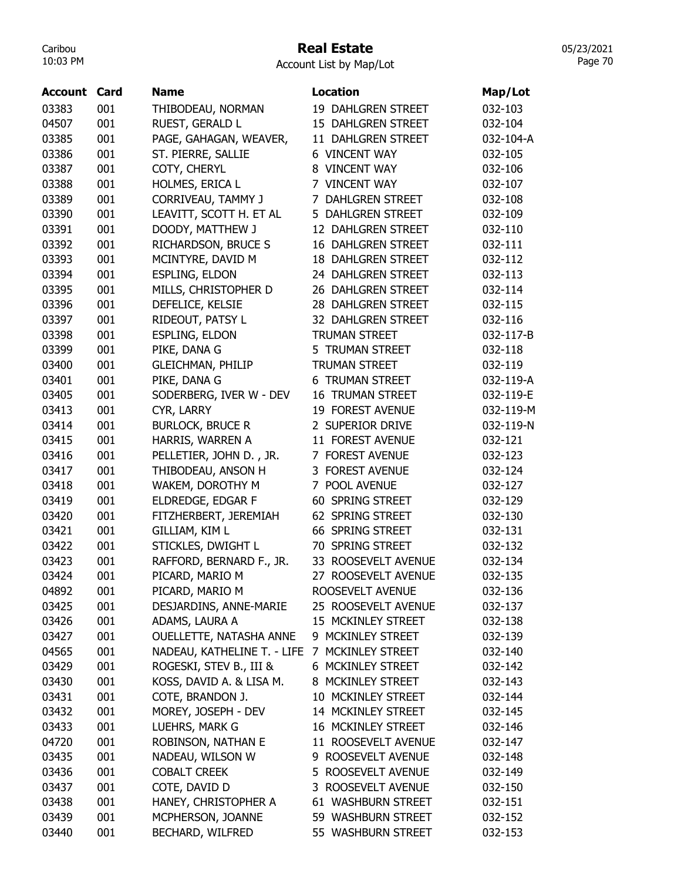## Real Estate

05/23/2021 Page 70

| <b>Account</b> | Card | <b>Name</b>                 | Location                  | Map/Lot   |
|----------------|------|-----------------------------|---------------------------|-----------|
| 03383          | 001  | THIBODEAU, NORMAN           | 19 DAHLGREN STREET        | 032-103   |
| 04507          | 001  | RUEST, GERALD L             | 15 DAHLGREN STREET        | 032-104   |
| 03385          | 001  | PAGE, GAHAGAN, WEAVER,      | 11 DAHLGREN STREET        | 032-104-A |
| 03386          | 001  | ST. PIERRE, SALLIE          | <b>6 VINCENT WAY</b>      | 032-105   |
| 03387          | 001  | COTY, CHERYL                | 8 VINCENT WAY             | 032-106   |
| 03388          | 001  | HOLMES, ERICA L             | 7 VINCENT WAY             | 032-107   |
| 03389          | 001  | CORRIVEAU, TAMMY J          | 7 DAHLGREN STREET         | 032-108   |
| 03390          | 001  | LEAVITT, SCOTT H. ET AL     | 5 DAHLGREN STREET         | 032-109   |
| 03391          | 001  | DOODY, MATTHEW J            | 12 DAHLGREN STREET        | 032-110   |
| 03392          | 001  | RICHARDSON, BRUCE S         | 16 DAHLGREN STREET        | 032-111   |
| 03393          | 001  | MCINTYRE, DAVID M           | <b>18 DAHLGREN STREET</b> | 032-112   |
| 03394          | 001  | <b>ESPLING, ELDON</b>       | 24 DAHLGREN STREET        | 032-113   |
| 03395          | 001  | MILLS, CHRISTOPHER D        | 26 DAHLGREN STREET        | 032-114   |
| 03396          | 001  | DEFELICE, KELSIE            | 28 DAHLGREN STREET        | 032-115   |
| 03397          | 001  | RIDEOUT, PATSY L            | 32 DAHLGREN STREET        | 032-116   |
| 03398          | 001  | <b>ESPLING, ELDON</b>       | <b>TRUMAN STREET</b>      | 032-117-B |
| 03399          | 001  | PIKE, DANA G                | 5 TRUMAN STREET           | 032-118   |
| 03400          | 001  | <b>GLEICHMAN, PHILIP</b>    | <b>TRUMAN STREET</b>      | 032-119   |
| 03401          | 001  | PIKE, DANA G                | <b>6 TRUMAN STREET</b>    | 032-119-A |
| 03405          | 001  |                             | <b>16 TRUMAN STREET</b>   | 032-119-E |
| 03413          | 001  | SODERBERG, IVER W - DEV     | 19 FOREST AVENUE          | 032-119-M |
|                |      | CYR, LARRY                  |                           |           |
| 03414          | 001  | <b>BURLOCK, BRUCE R</b>     | 2 SUPERIOR DRIVE          | 032-119-N |
| 03415          | 001  | HARRIS, WARREN A            | 11 FOREST AVENUE          | 032-121   |
| 03416          | 001  | PELLETIER, JOHN D., JR.     | 7 FOREST AVENUE           | 032-123   |
| 03417          | 001  | THIBODEAU, ANSON H          | 3 FOREST AVENUE           | 032-124   |
| 03418          | 001  | WAKEM, DOROTHY M            | 7 POOL AVENUE             | 032-127   |
| 03419          | 001  | ELDREDGE, EDGAR F           | 60 SPRING STREET          | 032-129   |
| 03420          | 001  | FITZHERBERT, JEREMIAH       | 62 SPRING STREET          | 032-130   |
| 03421          | 001  | GILLIAM, KIM L              | 66 SPRING STREET          | 032-131   |
| 03422          | 001  | STICKLES, DWIGHT L          | 70 SPRING STREET          | 032-132   |
| 03423          | 001  | RAFFORD, BERNARD F., JR.    | 33 ROOSEVELT AVENUE       | 032-134   |
| 03424          | 001  | PICARD, MARIO M             | 27 ROOSEVELT AVENUE       | 032-135   |
| 04892          | 001  | PICARD, MARIO M             | ROOSEVELT AVENUE          | 032-136   |
| 03425          | 001  | DESJARDINS, ANNE-MARIE      | 25 ROOSEVELT AVENUE       | 032-137   |
| 03426          | 001  | ADAMS, LAURA A              | 15 MCKINLEY STREET        | 032-138   |
| 03427          | 001  | OUELLETTE, NATASHA ANNE     | 9 MCKINLEY STREET         | 032-139   |
| 04565          | 001  | NADEAU, KATHELINE T. - LIFE | 7 MCKINLEY STREET         | 032-140   |
| 03429          | 001  | ROGESKI, STEV B., III &     | 6 MCKINLEY STREET         | 032-142   |
| 03430          | 001  | KOSS, DAVID A. & LISA M.    | 8 MCKINLEY STREET         | 032-143   |
| 03431          | 001  | COTE, BRANDON J.            | 10 MCKINLEY STREET        | 032-144   |
| 03432          | 001  | MOREY, JOSEPH - DEV         | 14 MCKINLEY STREET        | 032-145   |
| 03433          | 001  | LUEHRS, MARK G              | 16 MCKINLEY STREET        | 032-146   |
| 04720          | 001  | ROBINSON, NATHAN E          | 11 ROOSEVELT AVENUE       | 032-147   |
| 03435          | 001  | NADEAU, WILSON W            | 9 ROOSEVELT AVENUE        | 032-148   |
| 03436          | 001  | <b>COBALT CREEK</b>         | 5 ROOSEVELT AVENUE        | 032-149   |
| 03437          | 001  | COTE, DAVID D               | 3 ROOSEVELT AVENUE        | 032-150   |
| 03438          | 001  | HANEY, CHRISTOPHER A        | 61 WASHBURN STREET        | 032-151   |
| 03439          | 001  | MCPHERSON, JOANNE           | 59 WASHBURN STREET        | 032-152   |
| 03440          | 001  | BECHARD, WILFRED            | 55 WASHBURN STREET        | 032-153   |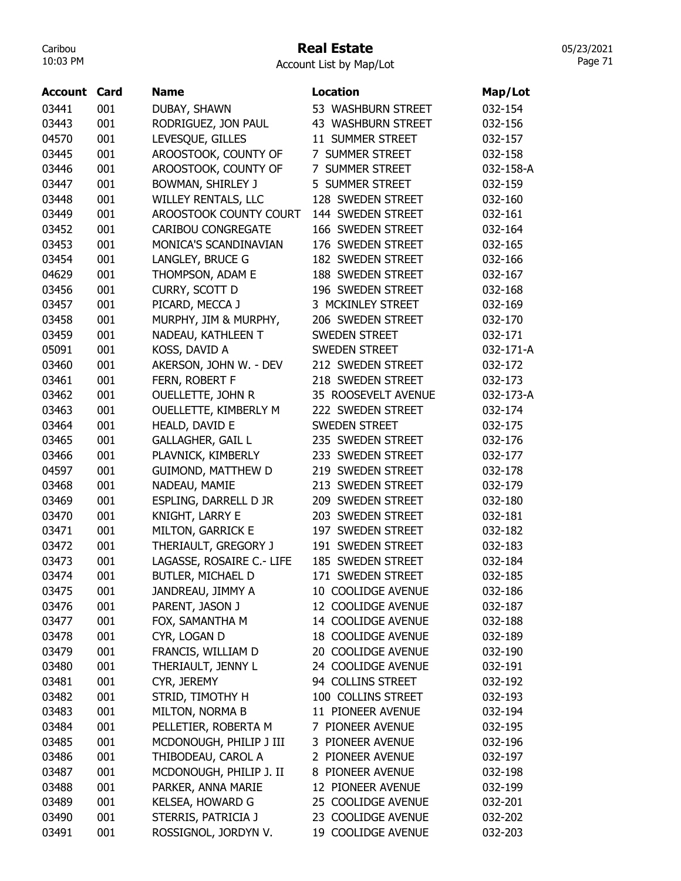### Real Estate

Account List by Map/Lot

| <b>Account Card</b> |     | <b>Name</b>                   | <b>Location</b>      | Map/Lot   |
|---------------------|-----|-------------------------------|----------------------|-----------|
| 03441               | 001 | DUBAY, SHAWN                  | 53 WASHBURN STREET   | 032-154   |
| 03443               | 001 | RODRIGUEZ, JON PAUL           | 43 WASHBURN STREET   | 032-156   |
| 04570               | 001 | LEVESQUE, GILLES              | 11 SUMMER STREET     | 032-157   |
| 03445               | 001 | AROOSTOOK, COUNTY OF          | 7 SUMMER STREET      | 032-158   |
| 03446               | 001 | AROOSTOOK, COUNTY OF          | 7 SUMMER STREET      | 032-158-A |
| 03447               | 001 | BOWMAN, SHIRLEY J             | 5 SUMMER STREET      | 032-159   |
| 03448               | 001 | WILLEY RENTALS, LLC           | 128 SWEDEN STREET    | 032-160   |
| 03449               | 001 | <b>AROOSTOOK COUNTY COURT</b> | 144 SWEDEN STREET    | 032-161   |
| 03452               | 001 | <b>CARIBOU CONGREGATE</b>     | 166 SWEDEN STREET    | 032-164   |
| 03453               | 001 | MONICA'S SCANDINAVIAN         | 176 SWEDEN STREET    | 032-165   |
| 03454               | 001 | LANGLEY, BRUCE G              | 182 SWEDEN STREET    | 032-166   |
| 04629               | 001 | THOMPSON, ADAM E              | 188 SWEDEN STREET    | 032-167   |
| 03456               | 001 | CURRY, SCOTT D                | 196 SWEDEN STREET    | 032-168   |
| 03457               | 001 | PICARD, MECCA J               | 3 MCKINLEY STREET    | 032-169   |
| 03458               | 001 | MURPHY, JIM & MURPHY,         | 206 SWEDEN STREET    | 032-170   |
| 03459               | 001 | NADEAU, KATHLEEN T            | <b>SWEDEN STREET</b> | 032-171   |
| 05091               | 001 | KOSS, DAVID A                 | <b>SWEDEN STREET</b> | 032-171-A |
| 03460               | 001 | AKERSON, JOHN W. - DEV        | 212 SWEDEN STREET    | 032-172   |
| 03461               | 001 | FERN, ROBERT F                | 218 SWEDEN STREET    | 032-173   |
| 03462               | 001 | <b>OUELLETTE, JOHN R</b>      | 35 ROOSEVELT AVENUE  | 032-173-A |
| 03463               | 001 | OUELLETTE, KIMBERLY M         | 222 SWEDEN STREET    | 032-174   |
| 03464               | 001 | HEALD, DAVID E                | <b>SWEDEN STREET</b> | 032-175   |
| 03465               | 001 | <b>GALLAGHER, GAIL L</b>      | 235 SWEDEN STREET    | 032-176   |
| 03466               | 001 | PLAVNICK, KIMBERLY            | 233 SWEDEN STREET    | 032-177   |
| 04597               | 001 | <b>GUIMOND, MATTHEW D</b>     | 219 SWEDEN STREET    | 032-178   |
| 03468               | 001 | NADEAU, MAMIE                 | 213 SWEDEN STREET    | 032-179   |
| 03469               | 001 | ESPLING, DARRELL D JR         | 209 SWEDEN STREET    | 032-180   |
| 03470               | 001 | KNIGHT, LARRY E               | 203 SWEDEN STREET    | 032-181   |
| 03471               | 001 | <b>MILTON, GARRICK E</b>      | 197 SWEDEN STREET    | 032-182   |
| 03472               | 001 | THERIAULT, GREGORY J          | 191 SWEDEN STREET    | 032-183   |
| 03473               | 001 | LAGASSE, ROSAIRE C.- LIFE     | 185 SWEDEN STREET    | 032-184   |
| 03474               | 001 | <b>BUTLER, MICHAEL D</b>      | 171 SWEDEN STREET    | 032-185   |
| 03475               | 001 | JANDREAU, JIMMY A             | 10 COOLIDGE AVENUE   | 032-186   |
| 03476               | 001 | PARENT, JASON J               | 12 COOLIDGE AVENUE   | 032-187   |
| 03477               | 001 | FOX, SAMANTHA M               | 14 COOLIDGE AVENUE   | 032-188   |
| 03478               | 001 | CYR, LOGAN D                  | 18 COOLIDGE AVENUE   | 032-189   |
| 03479               | 001 | FRANCIS, WILLIAM D            | 20 COOLIDGE AVENUE   | 032-190   |
| 03480               | 001 | THERIAULT, JENNY L            | 24 COOLIDGE AVENUE   | 032-191   |
| 03481               | 001 | CYR, JEREMY                   | 94 COLLINS STREET    | 032-192   |
| 03482               | 001 | STRID, TIMOTHY H              | 100 COLLINS STREET   | 032-193   |
| 03483               | 001 | MILTON, NORMA B               | 11 PIONEER AVENUE    | 032-194   |
| 03484               | 001 | PELLETIER, ROBERTA M          | 7 PIONEER AVENUE     | 032-195   |
| 03485               | 001 | MCDONOUGH, PHILIP J III       | 3 PIONEER AVENUE     | 032-196   |
| 03486               | 001 | THIBODEAU, CAROL A            | 2 PIONEER AVENUE     | 032-197   |
| 03487               | 001 | MCDONOUGH, PHILIP J. II       | 8 PIONEER AVENUE     | 032-198   |
| 03488               | 001 | PARKER, ANNA MARIE            | 12 PIONEER AVENUE    | 032-199   |
| 03489               | 001 | KELSEA, HOWARD G              | 25 COOLIDGE AVENUE   | 032-201   |
| 03490               | 001 | STERRIS, PATRICIA J           | 23 COOLIDGE AVENUE   | 032-202   |
| 03491               | 001 | ROSSIGNOL, JORDYN V.          | 19 COOLIDGE AVENUE   | 032-203   |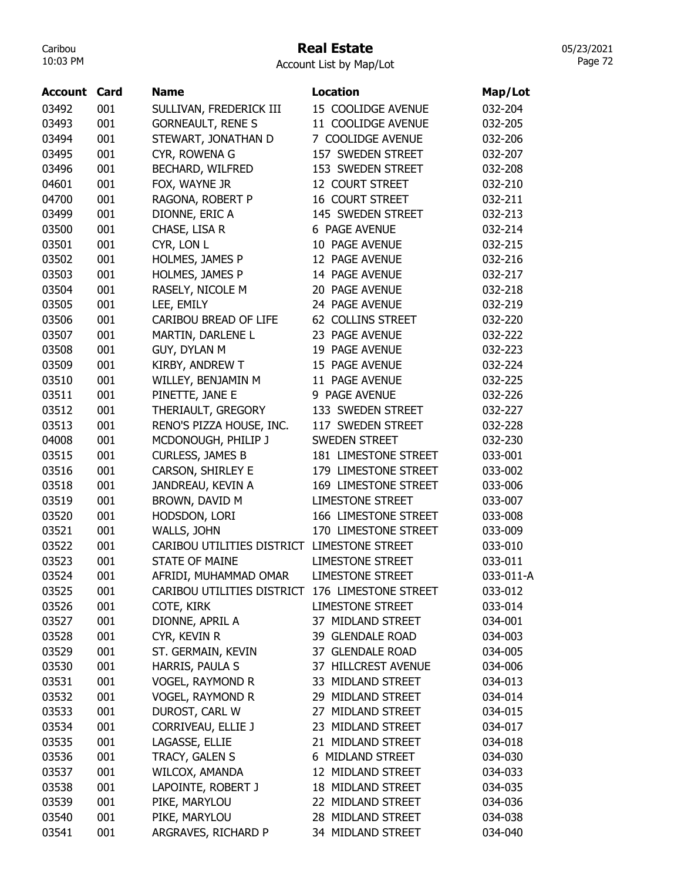## Real Estate

05/23/2021 Page 72

| <b>Account</b> | Card | <b>Name</b>                | <b>Location</b>         | Map/Lot   |
|----------------|------|----------------------------|-------------------------|-----------|
| 03492          | 001  | SULLIVAN, FREDERICK III    | 15 COOLIDGE AVENUE      | 032-204   |
| 03493          | 001  | <b>GORNEAULT, RENE S</b>   | 11 COOLIDGE AVENUE      | 032-205   |
| 03494          | 001  | STEWART, JONATHAN D        | 7 COOLIDGE AVENUE       | 032-206   |
| 03495          | 001  | CYR, ROWENA G              | 157 SWEDEN STREET       | 032-207   |
| 03496          | 001  | BECHARD, WILFRED           | 153 SWEDEN STREET       | 032-208   |
| 04601          | 001  | FOX, WAYNE JR              | 12 COURT STREET         | 032-210   |
| 04700          | 001  | RAGONA, ROBERT P           | <b>16 COURT STREET</b>  | 032-211   |
| 03499          | 001  | DIONNE, ERIC A             | 145 SWEDEN STREET       | 032-213   |
| 03500          | 001  | CHASE, LISA R              | 6 PAGE AVENUE           | 032-214   |
| 03501          | 001  | CYR, LON L                 | 10 PAGE AVENUE          | 032-215   |
| 03502          | 001  | HOLMES, JAMES P            | 12 PAGE AVENUE          | 032-216   |
| 03503          | 001  | HOLMES, JAMES P            | 14 PAGE AVENUE          | 032-217   |
| 03504          | 001  | RASELY, NICOLE M           | 20 PAGE AVENUE          | 032-218   |
| 03505          | 001  | LEE, EMILY                 | 24 PAGE AVENUE          | 032-219   |
| 03506          | 001  | CARIBOU BREAD OF LIFE      | 62 COLLINS STREET       | 032-220   |
| 03507          | 001  | MARTIN, DARLENE L          | 23 PAGE AVENUE          | 032-222   |
| 03508          | 001  | GUY, DYLAN M               | 19 PAGE AVENUE          | 032-223   |
| 03509          | 001  | KIRBY, ANDREW T            | 15 PAGE AVENUE          | 032-224   |
| 03510          | 001  | WILLEY, BENJAMIN M         | 11 PAGE AVENUE          | 032-225   |
| 03511          | 001  | PINETTE, JANE E            | 9 PAGE AVENUE           | 032-226   |
| 03512          | 001  | THERIAULT, GREGORY         | 133 SWEDEN STREET       | 032-227   |
| 03513          | 001  | RENO'S PIZZA HOUSE, INC.   | 117 SWEDEN STREET       | 032-228   |
| 04008          | 001  | MCDONOUGH, PHILIP J        | <b>SWEDEN STREET</b>    | 032-230   |
|                | 001  |                            | 181 LIMESTONE STREET    | 033-001   |
| 03515          | 001  | <b>CURLESS, JAMES B</b>    |                         |           |
| 03516          |      | CARSON, SHIRLEY E          | 179 LIMESTONE STREET    | 033-002   |
| 03518          | 001  | JANDREAU, KEVIN A          | 169 LIMESTONE STREET    | 033-006   |
| 03519          | 001  | BROWN, DAVID M             | <b>LIMESTONE STREET</b> | 033-007   |
| 03520          | 001  | HODSDON, LORI              | 166 LIMESTONE STREET    | 033-008   |
| 03521          | 001  | WALLS, JOHN                | 170 LIMESTONE STREET    | 033-009   |
| 03522          | 001  | CARIBOU UTILITIES DISTRICT | <b>LIMESTONE STREET</b> | 033-010   |
| 03523          | 001  | <b>STATE OF MAINE</b>      | <b>LIMESTONE STREET</b> | 033-011   |
| 03524          | 001  | AFRIDI, MUHAMMAD OMAR      | <b>LIMESTONE STREET</b> | 033-011-A |
| 03525          | 001  | CARIBOU UTILITIES DISTRICT | 176 LIMESTONE STREET    | 033-012   |
| 03526          | 001  | COTE, KIRK                 | <b>LIMESTONE STREET</b> | 033-014   |
| 03527          | 001  | DIONNE, APRIL A            | 37 MIDLAND STREET       | 034-001   |
| 03528          | 001  | CYR, KEVIN R               | 39 GLENDALE ROAD        | 034-003   |
| 03529          | 001  | ST. GERMAIN, KEVIN         | 37 GLENDALE ROAD        | 034-005   |
| 03530          | 001  | HARRIS, PAULA S            | 37 HILLCREST AVENUE     | 034-006   |
| 03531          | 001  | <b>VOGEL, RAYMOND R</b>    | 33 MIDLAND STREET       | 034-013   |
| 03532          | 001  | <b>VOGEL, RAYMOND R</b>    | 29 MIDLAND STREET       | 034-014   |
| 03533          | 001  | DUROST, CARL W             | 27 MIDLAND STREET       | 034-015   |
| 03534          | 001  | CORRIVEAU, ELLIE J         | 23 MIDLAND STREET       | 034-017   |
| 03535          | 001  | LAGASSE, ELLIE             | 21 MIDLAND STREET       | 034-018   |
| 03536          | 001  | TRACY, GALEN S             | 6 MIDLAND STREET        | 034-030   |
| 03537          | 001  | WILCOX, AMANDA             | 12 MIDLAND STREET       | 034-033   |
| 03538          | 001  | LAPOINTE, ROBERT J         | 18 MIDLAND STREET       | 034-035   |
| 03539          | 001  | PIKE, MARYLOU              | 22 MIDLAND STREET       | 034-036   |
| 03540          | 001  | PIKE, MARYLOU              | 28 MIDLAND STREET       | 034-038   |
| 03541          | 001  | ARGRAVES, RICHARD P        | 34 MIDLAND STREET       | 034-040   |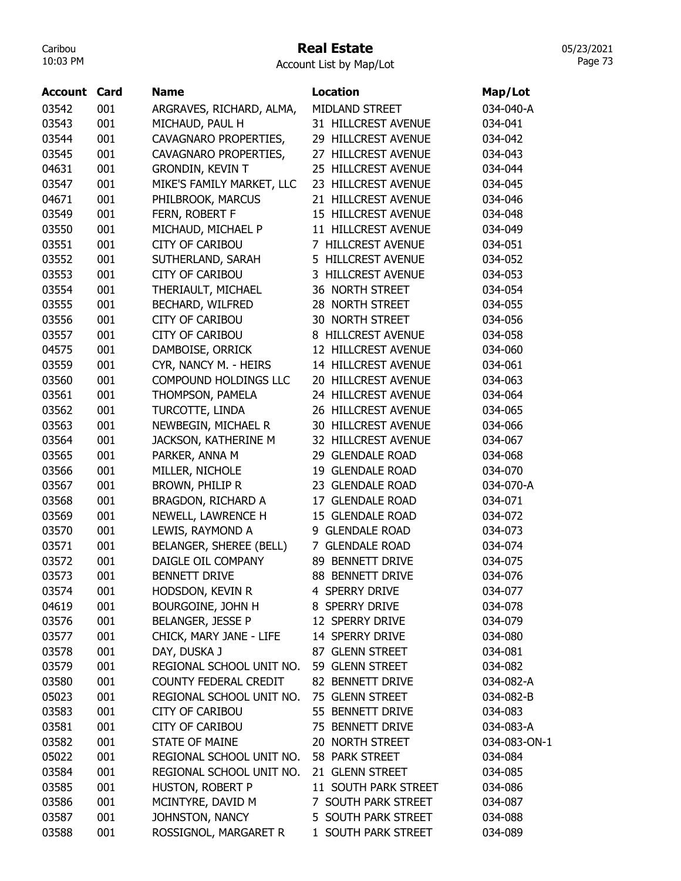#### Real Estate

Account List by Map/Lot

| <b>Account Card</b> |     | <b>Name</b>                  | <b>Location</b>      | Map/Lot      |
|---------------------|-----|------------------------------|----------------------|--------------|
| 03542               | 001 | ARGRAVES, RICHARD, ALMA,     | MIDLAND STREET       | 034-040-A    |
| 03543               | 001 | MICHAUD, PAUL H              | 31 HILLCREST AVENUE  | 034-041      |
| 03544               | 001 | CAVAGNARO PROPERTIES,        | 29 HILLCREST AVENUE  | 034-042      |
| 03545               | 001 | CAVAGNARO PROPERTIES,        | 27 HILLCREST AVENUE  | 034-043      |
| 04631               | 001 | <b>GRONDIN, KEVIN T</b>      | 25 HILLCREST AVENUE  | 034-044      |
| 03547               | 001 | MIKE'S FAMILY MARKET, LLC    | 23 HILLCREST AVENUE  | 034-045      |
| 04671               | 001 | PHILBROOK, MARCUS            | 21 HILLCREST AVENUE  | 034-046      |
| 03549               | 001 | FERN, ROBERT F               | 15 HILLCREST AVENUE  | 034-048      |
| 03550               | 001 | MICHAUD, MICHAEL P           | 11 HILLCREST AVENUE  | 034-049      |
| 03551               | 001 | <b>CITY OF CARIBOU</b>       | 7 HILLCREST AVENUE   | 034-051      |
| 03552               | 001 | SUTHERLAND, SARAH            | 5 HILLCREST AVENUE   | 034-052      |
| 03553               | 001 | <b>CITY OF CARIBOU</b>       | 3 HILLCREST AVENUE   | 034-053      |
| 03554               | 001 | THERIAULT, MICHAEL           | 36 NORTH STREET      | 034-054      |
| 03555               | 001 | BECHARD, WILFRED             | 28 NORTH STREET      | 034-055      |
| 03556               | 001 | <b>CITY OF CARIBOU</b>       | 30 NORTH STREET      | 034-056      |
| 03557               | 001 | <b>CITY OF CARIBOU</b>       | 8 HILLCREST AVENUE   | 034-058      |
| 04575               | 001 | DAMBOISE, ORRICK             | 12 HILLCREST AVENUE  | 034-060      |
| 03559               | 001 | CYR, NANCY M. - HEIRS        | 14 HILLCREST AVENUE  | 034-061      |
| 03560               | 001 | <b>COMPOUND HOLDINGS LLC</b> | 20 HILLCREST AVENUE  | 034-063      |
| 03561               | 001 | THOMPSON, PAMELA             | 24 HILLCREST AVENUE  | 034-064      |
| 03562               | 001 | TURCOTTE, LINDA              | 26 HILLCREST AVENUE  | 034-065      |
| 03563               | 001 | NEWBEGIN, MICHAEL R          | 30 HILLCREST AVENUE  | 034-066      |
|                     |     |                              |                      |              |
| 03564               | 001 | JACKSON, KATHERINE M         | 32 HILLCREST AVENUE  | 034-067      |
| 03565               | 001 | PARKER, ANNA M               | 29 GLENDALE ROAD     | 034-068      |
| 03566               | 001 | MILLER, NICHOLE              | 19 GLENDALE ROAD     | 034-070      |
| 03567               | 001 | BROWN, PHILIP R              | 23 GLENDALE ROAD     | 034-070-A    |
| 03568               | 001 | BRAGDON, RICHARD A           | 17 GLENDALE ROAD     | 034-071      |
| 03569               | 001 | NEWELL, LAWRENCE H           | 15 GLENDALE ROAD     | 034-072      |
| 03570               | 001 | LEWIS, RAYMOND A             | 9 GLENDALE ROAD      | 034-073      |
| 03571               | 001 | BELANGER, SHEREE (BELL)      | 7 GLENDALE ROAD      | 034-074      |
| 03572               | 001 | DAIGLE OIL COMPANY           | 89 BENNETT DRIVE     | 034-075      |
| 03573               | 001 | <b>BENNETT DRIVE</b>         | 88 BENNETT DRIVE     | 034-076      |
| 03574               | 001 | HODSDON, KEVIN R             | 4 SPERRY DRIVE       | 034-077      |
| 04619               | 001 | BOURGOINE, JOHN H            | 8 SPERRY DRIVE       | 034-078      |
| 03576               | 001 | BELANGER, JESSE P            | 12 SPERRY DRIVE      | 034-079      |
| 03577               | 001 | CHICK, MARY JANE - LIFE      | 14 SPERRY DRIVE      | 034-080      |
| 03578               | 001 | DAY, DUSKA J                 | 87 GLENN STREET      | 034-081      |
| 03579               | 001 | REGIONAL SCHOOL UNIT NO.     | 59 GLENN STREET      | 034-082      |
| 03580               | 001 | COUNTY FEDERAL CREDIT        | 82 BENNETT DRIVE     | 034-082-A    |
| 05023               | 001 | REGIONAL SCHOOL UNIT NO.     | 75 GLENN STREET      | 034-082-B    |
| 03583               | 001 | <b>CITY OF CARIBOU</b>       | 55 BENNETT DRIVE     | 034-083      |
| 03581               | 001 | CITY OF CARIBOU              | 75 BENNETT DRIVE     | 034-083-A    |
| 03582               | 001 | <b>STATE OF MAINE</b>        | 20 NORTH STREET      | 034-083-ON-1 |
| 05022               | 001 | REGIONAL SCHOOL UNIT NO.     | 58 PARK STREET       | 034-084      |
| 03584               | 001 | REGIONAL SCHOOL UNIT NO.     | 21 GLENN STREET      | 034-085      |
| 03585               | 001 | HUSTON, ROBERT P             | 11 SOUTH PARK STREET | 034-086      |
| 03586               | 001 | MCINTYRE, DAVID M            | 7 SOUTH PARK STREET  | 034-087      |
| 03587               | 001 | JOHNSTON, NANCY              | 5 SOUTH PARK STREET  | 034-088      |
| 03588               | 001 | ROSSIGNOL, MARGARET R        | 1 SOUTH PARK STREET  | 034-089      |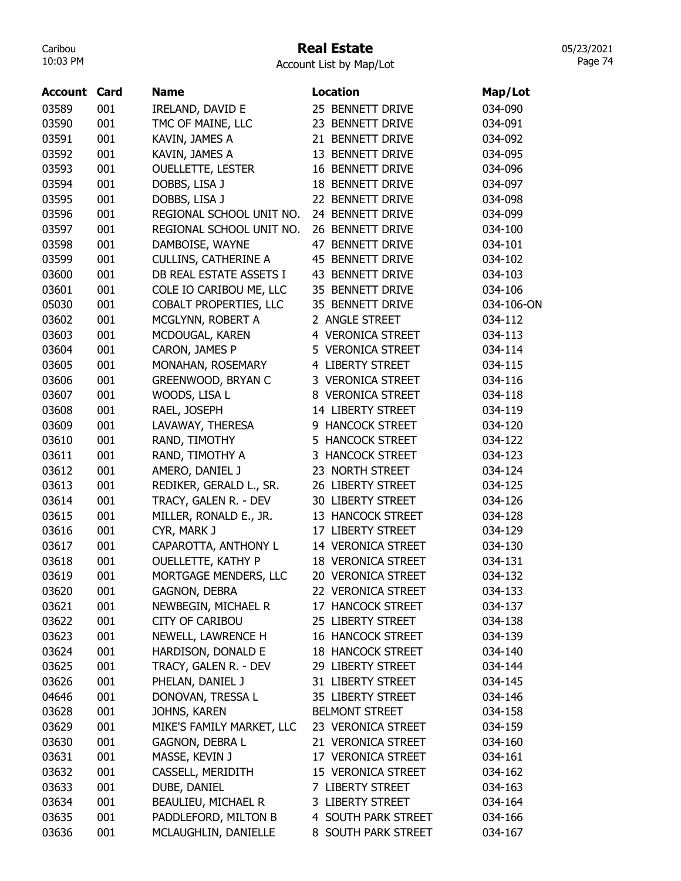# Real Estate

Account List by Map/Lot

| <b>Account Card</b> |            | <b>Name</b>                                 | <b>Location</b>                         | Map/Lot    |
|---------------------|------------|---------------------------------------------|-----------------------------------------|------------|
| 03589               | 001        | IRELAND, DAVID E                            | 25 BENNETT DRIVE                        | 034-090    |
| 03590               | 001        | TMC OF MAINE, LLC                           | 23 BENNETT DRIVE                        | 034-091    |
| 03591               | 001        | KAVIN, JAMES A                              | 21 BENNETT DRIVE                        | 034-092    |
| 03592               | 001        | KAVIN, JAMES A                              | 13 BENNETT DRIVE                        | 034-095    |
| 03593               | 001        | <b>OUELLETTE, LESTER</b>                    | 16 BENNETT DRIVE                        | 034-096    |
| 03594               | 001        | DOBBS, LISA J                               | <b>18 BENNETT DRIVE</b>                 | 034-097    |
| 03595               | 001        | DOBBS, LISA J                               | 22 BENNETT DRIVE                        | 034-098    |
| 03596               | 001        | REGIONAL SCHOOL UNIT NO.                    | 24 BENNETT DRIVE                        | 034-099    |
| 03597               | 001        | REGIONAL SCHOOL UNIT NO.                    | 26 BENNETT DRIVE                        | 034-100    |
| 03598               | 001        | DAMBOISE, WAYNE                             | 47 BENNETT DRIVE                        | 034-101    |
| 03599               | 001        | <b>CULLINS, CATHERINE A</b>                 | 45 BENNETT DRIVE                        | 034-102    |
| 03600               | 001        | DB REAL ESTATE ASSETS I                     | 43 BENNETT DRIVE                        | 034-103    |
| 03601               | 001        | COLE IO CARIBOU ME, LLC                     | 35 BENNETT DRIVE                        | 034-106    |
| 05030               | 001        | COBALT PROPERTIES, LLC                      | 35 BENNETT DRIVE                        | 034-106-ON |
| 03602               | 001        | MCGLYNN, ROBERT A                           | 2 ANGLE STREET                          | 034-112    |
| 03603               | 001        | MCDOUGAL, KAREN                             | 4 VERONICA STREET                       | 034-113    |
| 03604               | 001        | CARON, JAMES P                              | 5 VERONICA STREET                       | 034-114    |
| 03605               | 001        | MONAHAN, ROSEMARY                           | 4 LIBERTY STREET                        | 034-115    |
| 03606               | 001        | GREENWOOD, BRYAN C                          | 3 VERONICA STREET                       | 034-116    |
| 03607               | 001        | WOODS, LISA L                               | 8 VERONICA STREET                       | 034-118    |
| 03608               | 001        | RAEL, JOSEPH                                | 14 LIBERTY STREET                       | 034-119    |
| 03609               | 001        | LAVAWAY, THERESA                            | 9 HANCOCK STREET                        | 034-120    |
| 03610               | 001        | RAND, TIMOTHY                               | 5 HANCOCK STREET                        | 034-122    |
| 03611               | 001        | RAND, TIMOTHY A                             | 3 HANCOCK STREET                        | 034-123    |
| 03612               | 001        | AMERO, DANIEL J                             | 23 NORTH STREET                         | 034-124    |
| 03613               | 001        | REDIKER, GERALD L., SR.                     | 26 LIBERTY STREET                       | 034-125    |
| 03614               | 001        | TRACY, GALEN R. - DEV                       | 30 LIBERTY STREET                       | 034-126    |
| 03615               | 001        | MILLER, RONALD E., JR.                      | 13 HANCOCK STREET                       | 034-128    |
| 03616               | 001        | CYR, MARK J                                 | 17 LIBERTY STREET                       | 034-129    |
| 03617               | 001        | CAPAROTTA, ANTHONY L                        | 14 VERONICA STREET                      | 034-130    |
| 03618               | 001        | <b>OUELLETTE, KATHY P</b>                   | <b>18 VERONICA STREET</b>               | 034-131    |
| 03619               | 001        | MORTGAGE MENDERS, LLC                       | 20 VERONICA STREET                      | 034-132    |
| 03620               | 001        | <b>GAGNON, DEBRA</b>                        | 22 VERONICA STREET                      | 034-133    |
| 03621               | 001        | NEWBEGIN, MICHAEL R                         | 17 HANCOCK STREET                       | 034-137    |
| 03622               | 001        | <b>CITY OF CARIBOU</b>                      | 25 LIBERTY STREET                       | 034-138    |
| 03623               | 001        | NEWELL, LAWRENCE H                          | <b>16 HANCOCK STREET</b>                | 034-139    |
| 03624               | 001        | HARDISON, DONALD E                          | <b>18 HANCOCK STREET</b>                | 034-140    |
| 03625               | 001        | TRACY, GALEN R. - DEV                       | 29 LIBERTY STREET                       | 034-144    |
| 03626               | 001        | PHELAN, DANIEL J                            | 31 LIBERTY STREET                       | 034-145    |
| 04646               | 001        | DONOVAN, TRESSA L                           | 35 LIBERTY STREET                       | 034-146    |
| 03628               | 001        | JOHNS, KAREN                                | <b>BELMONT STREET</b>                   | 034-158    |
| 03629               | 001        | MIKE'S FAMILY MARKET, LLC                   | 23 VERONICA STREET                      | 034-159    |
| 03630               | 001        | GAGNON, DEBRA L                             | 21 VERONICA STREET                      | 034-160    |
| 03631               | 001        | MASSE, KEVIN J                              | 17 VERONICA STREET                      | 034-161    |
|                     |            |                                             |                                         |            |
| 03632               | 001<br>001 | CASSELL, MERIDITH                           | 15 VERONICA STREET<br>7 LIBERTY STREET  | 034-162    |
| 03633               |            | DUBE, DANIEL                                |                                         | 034-163    |
| 03634               | 001<br>001 | BEAULIEU, MICHAEL R<br>PADDLEFORD, MILTON B | 3 LIBERTY STREET<br>4 SOUTH PARK STREET | 034-164    |
| 03635               |            |                                             |                                         | 034-166    |
| 03636               | 001        | MCLAUGHLIN, DANIELLE                        | 8 SOUTH PARK STREET                     | 034-167    |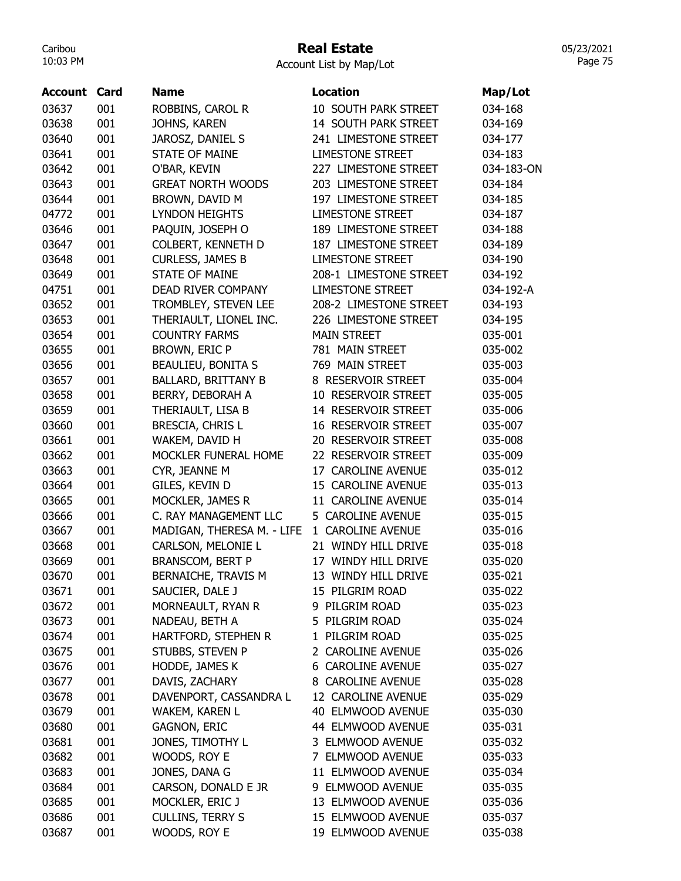# Real Estate

| <b>Account Card</b> |     | <b>Name</b>                | <b>Location</b>          | Map/Lot    |
|---------------------|-----|----------------------------|--------------------------|------------|
| 03637               | 001 | ROBBINS, CAROL R           | 10 SOUTH PARK STREET     | 034-168    |
| 03638               | 001 | JOHNS, KAREN               | 14 SOUTH PARK STREET     | 034-169    |
| 03640               | 001 | JAROSZ, DANIEL S           | 241 LIMESTONE STREET     | 034-177    |
| 03641               | 001 | <b>STATE OF MAINE</b>      | <b>LIMESTONE STREET</b>  | 034-183    |
| 03642               | 001 | O'BAR, KEVIN               | 227 LIMESTONE STREET     | 034-183-ON |
| 03643               | 001 | <b>GREAT NORTH WOODS</b>   | 203 LIMESTONE STREET     | 034-184    |
| 03644               | 001 | BROWN, DAVID M             | 197 LIMESTONE STREET     | 034-185    |
| 04772               | 001 | <b>LYNDON HEIGHTS</b>      | <b>LIMESTONE STREET</b>  | 034-187    |
| 03646               | 001 | PAQUIN, JOSEPH O           | 189 LIMESTONE STREET     | 034-188    |
| 03647               | 001 | COLBERT, KENNETH D         | 187 LIMESTONE STREET     | 034-189    |
| 03648               | 001 | <b>CURLESS, JAMES B</b>    | <b>LIMESTONE STREET</b>  | 034-190    |
| 03649               | 001 | <b>STATE OF MAINE</b>      | 208-1 LIMESTONE STREET   | 034-192    |
| 04751               | 001 | DEAD RIVER COMPANY         | <b>LIMESTONE STREET</b>  | 034-192-A  |
| 03652               | 001 | TROMBLEY, STEVEN LEE       | 208-2 LIMESTONE STREET   | 034-193    |
| 03653               | 001 | THERIAULT, LIONEL INC.     | 226 LIMESTONE STREET     | 034-195    |
| 03654               | 001 | <b>COUNTRY FARMS</b>       | <b>MAIN STREET</b>       | 035-001    |
| 03655               | 001 | <b>BROWN, ERIC P</b>       | 781 MAIN STREET          | 035-002    |
| 03656               | 001 | <b>BEAULIEU, BONITA S</b>  | 769 MAIN STREET          | 035-003    |
| 03657               | 001 | <b>BALLARD, BRITTANY B</b> | 8 RESERVOIR STREET       | 035-004    |
| 03658               | 001 | BERRY, DEBORAH A           | 10 RESERVOIR STREET      | 035-005    |
| 03659               | 001 | THERIAULT, LISA B          | 14 RESERVOIR STREET      | 035-006    |
| 03660               | 001 | BRESCIA, CHRIS L           | 16 RESERVOIR STREET      | 035-007    |
| 03661               | 001 | WAKEM, DAVID H             | 20 RESERVOIR STREET      | 035-008    |
| 03662               | 001 | MOCKLER FUNERAL HOME       | 22 RESERVOIR STREET      | 035-009    |
| 03663               | 001 | CYR, JEANNE M              | 17 CAROLINE AVENUE       | 035-012    |
| 03664               | 001 | GILES, KEVIN D             | 15 CAROLINE AVENUE       | 035-013    |
| 03665               | 001 | MOCKLER, JAMES R           | 11 CAROLINE AVENUE       | 035-014    |
| 03666               | 001 | C. RAY MANAGEMENT LLC      | 5 CAROLINE AVENUE        | 035-015    |
| 03667               | 001 | MADIGAN, THERESA M. - LIFE | 1 CAROLINE AVENUE        | 035-016    |
| 03668               | 001 | CARLSON, MELONIE L         | 21 WINDY HILL DRIVE      | 035-018    |
| 03669               | 001 | BRANSCOM, BERT P           | 17 WINDY HILL DRIVE      | 035-020    |
| 03670               | 001 | BERNAICHE, TRAVIS M        | 13 WINDY HILL DRIVE      | 035-021    |
| 03671               | 001 | SAUCIER, DALE J            | 15 PILGRIM ROAD          | 035-022    |
| 03672               | 001 | MORNEAULT, RYAN R          | 9 PILGRIM ROAD           | 035-023    |
| 03673               | 001 | NADEAU, BETH A             | 5 PILGRIM ROAD           | 035-024    |
| 03674               | 001 | HARTFORD, STEPHEN R        | 1 PILGRIM ROAD           | 035-025    |
| 03675               | 001 | STUBBS, STEVEN P           | 2 CAROLINE AVENUE        | 035-026    |
| 03676               | 001 | HODDE, JAMES K             | <b>6 CAROLINE AVENUE</b> | 035-027    |
| 03677               | 001 | DAVIS, ZACHARY             | 8 CAROLINE AVENUE        | 035-028    |
| 03678               | 001 | DAVENPORT, CASSANDRA L     | 12 CAROLINE AVENUE       | 035-029    |
| 03679               | 001 | WAKEM, KAREN L             | 40 ELMWOOD AVENUE        | 035-030    |
| 03680               | 001 | <b>GAGNON, ERIC</b>        | 44 ELMWOOD AVENUE        | 035-031    |
| 03681               | 001 | JONES, TIMOTHY L           | 3 ELMWOOD AVENUE         | 035-032    |
| 03682               | 001 | WOODS, ROY E               | 7 ELMWOOD AVENUE         | 035-033    |
| 03683               | 001 | JONES, DANA G              | 11 ELMWOOD AVENUE        | 035-034    |
| 03684               | 001 | CARSON, DONALD E JR        | 9 ELMWOOD AVENUE         | 035-035    |
| 03685               | 001 | MOCKLER, ERIC J            | 13 ELMWOOD AVENUE        | 035-036    |
| 03686               | 001 | <b>CULLINS, TERRY S</b>    | 15 ELMWOOD AVENUE        | 035-037    |
| 03687               | 001 | WOODS, ROY E               | 19 ELMWOOD AVENUE        | 035-038    |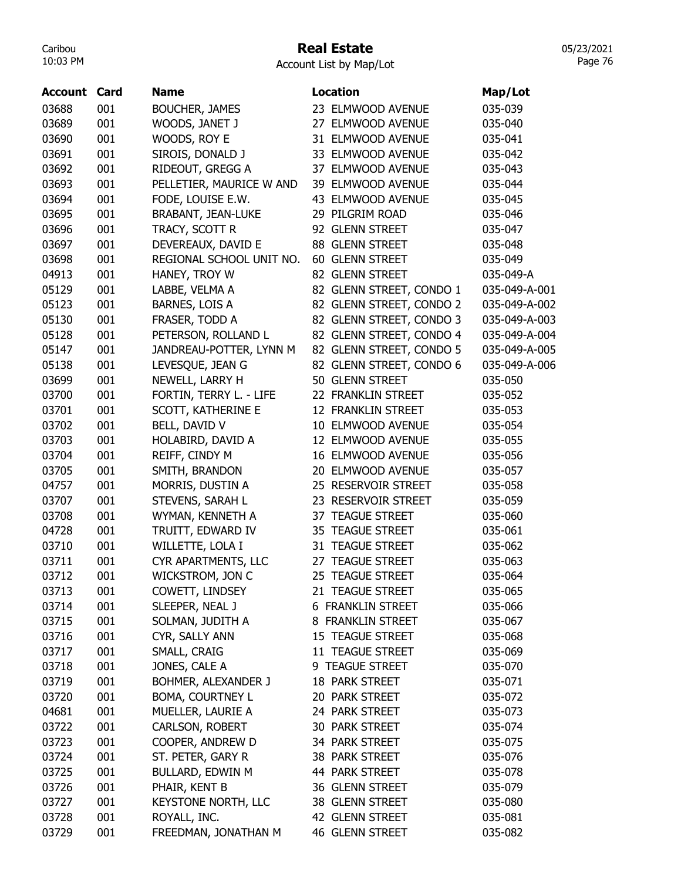# Real Estate

Account List by Map/Lot

| <b>Account Card</b> |     | <b>Name</b>                | <b>Location</b>          | Map/Lot       |
|---------------------|-----|----------------------------|--------------------------|---------------|
| 03688               | 001 | <b>BOUCHER, JAMES</b>      | 23 ELMWOOD AVENUE        | 035-039       |
| 03689               | 001 | WOODS, JANET J             | 27 ELMWOOD AVENUE        | 035-040       |
| 03690               | 001 | WOODS, ROY E               | 31 ELMWOOD AVENUE        | 035-041       |
| 03691               | 001 | SIROIS, DONALD J           | 33 ELMWOOD AVENUE        | 035-042       |
| 03692               | 001 | RIDEOUT, GREGG A           | 37 ELMWOOD AVENUE        | 035-043       |
| 03693               | 001 | PELLETIER, MAURICE W AND   | 39 ELMWOOD AVENUE        | 035-044       |
| 03694               | 001 | FODE, LOUISE E.W.          | 43 ELMWOOD AVENUE        | 035-045       |
| 03695               | 001 | <b>BRABANT, JEAN-LUKE</b>  | 29 PILGRIM ROAD          | 035-046       |
| 03696               | 001 | TRACY, SCOTT R             | 92 GLENN STREET          | 035-047       |
| 03697               | 001 | DEVEREAUX, DAVID E         | 88 GLENN STREET          | 035-048       |
| 03698               | 001 | REGIONAL SCHOOL UNIT NO.   | 60 GLENN STREET          | 035-049       |
| 04913               | 001 | HANEY, TROY W              | 82 GLENN STREET          | 035-049-A     |
| 05129               | 001 | LABBE, VELMA A             | 82 GLENN STREET, CONDO 1 | 035-049-A-001 |
| 05123               | 001 | BARNES, LOIS A             | 82 GLENN STREET, CONDO 2 | 035-049-A-002 |
| 05130               | 001 | FRASER, TODD A             | 82 GLENN STREET, CONDO 3 | 035-049-A-003 |
| 05128               | 001 | PETERSON, ROLLAND L        | 82 GLENN STREET, CONDO 4 | 035-049-A-004 |
| 05147               | 001 | JANDREAU-POTTER, LYNN M    | 82 GLENN STREET, CONDO 5 | 035-049-A-005 |
| 05138               | 001 | LEVESQUE, JEAN G           | 82 GLENN STREET, CONDO 6 | 035-049-A-006 |
| 03699               | 001 | NEWELL, LARRY H            | 50 GLENN STREET          | 035-050       |
|                     | 001 | FORTIN, TERRY L. - LIFE    | 22 FRANKLIN STREET       |               |
| 03700               |     |                            |                          | 035-052       |
| 03701               | 001 | SCOTT, KATHERINE E         | 12 FRANKLIN STREET       | 035-053       |
| 03702               | 001 | BELL, DAVID V              | 10 ELMWOOD AVENUE        | 035-054       |
| 03703               | 001 | HOLABIRD, DAVID A          | 12 ELMWOOD AVENUE        | 035-055       |
| 03704               | 001 | REIFF, CINDY M             | 16 ELMWOOD AVENUE        | 035-056       |
| 03705               | 001 | SMITH, BRANDON             | 20 ELMWOOD AVENUE        | 035-057       |
| 04757               | 001 | MORRIS, DUSTIN A           | 25 RESERVOIR STREET      | 035-058       |
| 03707               | 001 | STEVENS, SARAH L           | 23 RESERVOIR STREET      | 035-059       |
| 03708               | 001 | WYMAN, KENNETH A           | 37 TEAGUE STREET         | 035-060       |
| 04728               | 001 | TRUITT, EDWARD IV          | 35 TEAGUE STREET         | 035-061       |
| 03710               | 001 | WILLETTE, LOLA I           | 31 TEAGUE STREET         | 035-062       |
| 03711               | 001 | CYR APARTMENTS, LLC        | 27 TEAGUE STREET         | 035-063       |
| 03712               | 001 | WICKSTROM, JON C           | 25 TEAGUE STREET         | 035-064       |
| 03713               | 001 | COWETT, LINDSEY            | 21 TEAGUE STREET         | 035-065       |
| 03714               | 001 | SLEEPER, NEAL J            | <b>6 FRANKLIN STREET</b> | 035-066       |
| 03715               | 001 | SOLMAN, JUDITH A           | 8 FRANKLIN STREET        | 035-067       |
| 03716               | 001 | CYR, SALLY ANN             | 15 TEAGUE STREET         | 035-068       |
| 03717               | 001 | SMALL, CRAIG               | 11 TEAGUE STREET         | 035-069       |
| 03718               | 001 | JONES, CALE A              | 9 TEAGUE STREET          | 035-070       |
| 03719               | 001 | BOHMER, ALEXANDER J        | 18 PARK STREET           | 035-071       |
| 03720               | 001 | BOMA, COURTNEY L           | 20 PARK STREET           | 035-072       |
| 04681               | 001 | MUELLER, LAURIE A          | 24 PARK STREET           | 035-073       |
| 03722               | 001 | CARLSON, ROBERT            | 30 PARK STREET           | 035-074       |
| 03723               | 001 | COOPER, ANDREW D           | 34 PARK STREET           | 035-075       |
| 03724               | 001 | ST. PETER, GARY R          | 38 PARK STREET           | 035-076       |
| 03725               | 001 | BULLARD, EDWIN M           | 44 PARK STREET           | 035-078       |
| 03726               | 001 | PHAIR, KENT B              | 36 GLENN STREET          | 035-079       |
| 03727               | 001 | <b>KEYSTONE NORTH, LLC</b> | 38 GLENN STREET          | 035-080       |
| 03728               | 001 | ROYALL, INC.               | 42 GLENN STREET          | 035-081       |
| 03729               | 001 | FREEDMAN, JONATHAN M       | 46 GLENN STREET          | 035-082       |
|                     |     |                            |                          |               |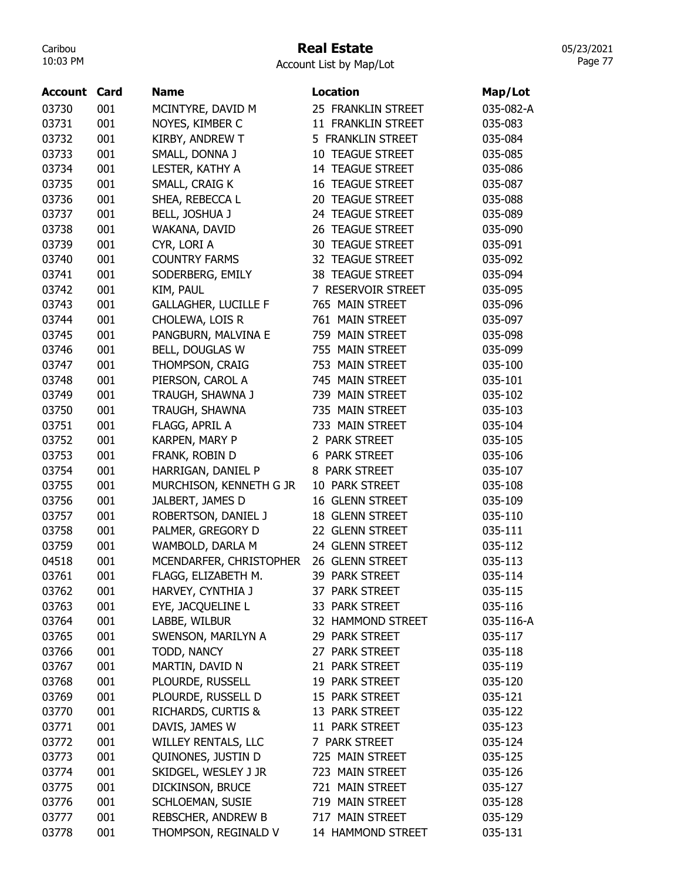# Real Estate

05/23/2021 Page 77

| <b>Account</b> | Card | <b>Name</b>                   | <b>Location</b>         | Map/Lot   |
|----------------|------|-------------------------------|-------------------------|-----------|
| 03730          | 001  | MCINTYRE, DAVID M             | 25 FRANKLIN STREET      | 035-082-A |
| 03731          | 001  | NOYES, KIMBER C               | 11 FRANKLIN STREET      | 035-083   |
| 03732          | 001  | KIRBY, ANDREW T               | 5 FRANKLIN STREET       | 035-084   |
| 03733          | 001  | SMALL, DONNA J                | 10 TEAGUE STREET        | 035-085   |
| 03734          | 001  | LESTER, KATHY A               | 14 TEAGUE STREET        | 035-086   |
| 03735          | 001  | SMALL, CRAIG K                | <b>16 TEAGUE STREET</b> | 035-087   |
| 03736          | 001  | SHEA, REBECCA L               | 20 TEAGUE STREET        | 035-088   |
| 03737          | 001  | BELL, JOSHUA J                | 24 TEAGUE STREET        | 035-089   |
| 03738          | 001  | WAKANA, DAVID                 | 26 TEAGUE STREET        | 035-090   |
| 03739          | 001  | CYR, LORI A                   | <b>30 TEAGUE STREET</b> | 035-091   |
| 03740          | 001  | <b>COUNTRY FARMS</b>          | 32 TEAGUE STREET        | 035-092   |
| 03741          | 001  | SODERBERG, EMILY              | 38 TEAGUE STREET        | 035-094   |
| 03742          | 001  | KIM, PAUL                     | 7 RESERVOIR STREET      | 035-095   |
| 03743          | 001  | <b>GALLAGHER, LUCILLE F</b>   | 765 MAIN STREET         | 035-096   |
| 03744          | 001  | CHOLEWA, LOIS R               | 761 MAIN STREET         | 035-097   |
| 03745          | 001  | PANGBURN, MALVINA E           | 759 MAIN STREET         | 035-098   |
| 03746          | 001  | BELL, DOUGLAS W               | 755 MAIN STREET         | 035-099   |
| 03747          | 001  | THOMPSON, CRAIG               | 753 MAIN STREET         | 035-100   |
| 03748          | 001  | PIERSON, CAROL A              | 745 MAIN STREET         | 035-101   |
| 03749          | 001  | TRAUGH, SHAWNA J              | 739 MAIN STREET         | 035-102   |
| 03750          | 001  | TRAUGH, SHAWNA                | 735 MAIN STREET         | 035-103   |
| 03751          | 001  | FLAGG, APRIL A                | 733 MAIN STREET         | 035-104   |
| 03752          | 001  | KARPEN, MARY P                | 2 PARK STREET           | 035-105   |
| 03753          | 001  | FRANK, ROBIN D                | 6 PARK STREET           | 035-106   |
| 03754          | 001  | HARRIGAN, DANIEL P            | 8 PARK STREET           | 035-107   |
| 03755          | 001  | MURCHISON, KENNETH G JR       | 10 PARK STREET          | 035-108   |
| 03756          | 001  | JALBERT, JAMES D              | 16 GLENN STREET         | 035-109   |
| 03757          | 001  | ROBERTSON, DANIEL J           | 18 GLENN STREET         | 035-110   |
| 03758          | 001  | PALMER, GREGORY D             | 22 GLENN STREET         | 035-111   |
| 03759          | 001  | WAMBOLD, DARLA M              | 24 GLENN STREET         | 035-112   |
| 04518          | 001  | MCENDARFER, CHRISTOPHER       | 26 GLENN STREET         | 035-113   |
| 03761          | 001  | FLAGG, ELIZABETH M.           | 39 PARK STREET          | 035-114   |
| 03762          | 001  | HARVEY, CYNTHIA J             | 37 PARK STREET          | 035-115   |
| 03763          | 001  | EYE, JACQUELINE L             | 33 PARK STREET          | 035-116   |
| 03764          | 001  | LABBE, WILBUR                 | 32 HAMMOND STREET       | 035-116-A |
| 03765          | 001  | SWENSON, MARILYN A            | 29 PARK STREET          | 035-117   |
| 03766          | 001  | TODD, NANCY                   | 27 PARK STREET          | 035-118   |
| 03767          | 001  | MARTIN, DAVID N               | 21 PARK STREET          | 035-119   |
| 03768          | 001  | PLOURDE, RUSSELL              | 19 PARK STREET          | 035-120   |
| 03769          | 001  | PLOURDE, RUSSELL D            | 15 PARK STREET          | 035-121   |
| 03770          | 001  | <b>RICHARDS, CURTIS &amp;</b> | 13 PARK STREET          | 035-122   |
| 03771          | 001  | DAVIS, JAMES W                | 11 PARK STREET          | 035-123   |
| 03772          | 001  | <b>WILLEY RENTALS, LLC</b>    | 7 PARK STREET           | 035-124   |
| 03773          | 001  | QUINONES, JUSTIN D            | 725 MAIN STREET         | 035-125   |
| 03774          | 001  | SKIDGEL, WESLEY J JR          | 723 MAIN STREET         | 035-126   |
| 03775          | 001  | DICKINSON, BRUCE              | 721 MAIN STREET         | 035-127   |
| 03776          | 001  | SCHLOEMAN, SUSIE              | 719 MAIN STREET         | 035-128   |
| 03777          | 001  | REBSCHER, ANDREW B            | 717 MAIN STREET         | 035-129   |
| 03778          | 001  | THOMPSON, REGINALD V          | 14 HAMMOND STREET       | 035-131   |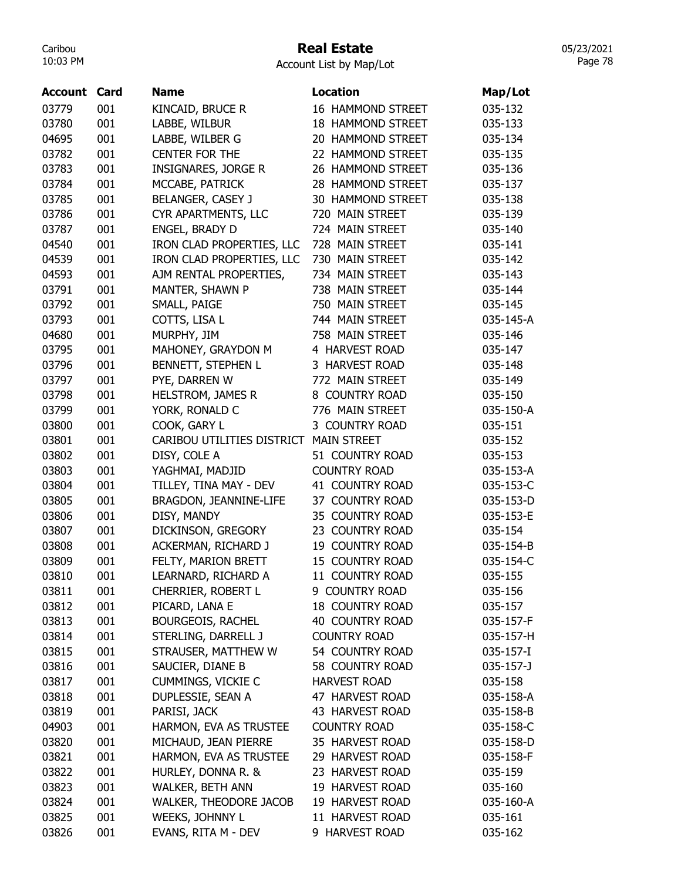# Real Estate

Account List by Map/Lot

| <b>Account Card</b> |     | <b>Name</b>                | <b>Location</b>        | Map/Lot   |
|---------------------|-----|----------------------------|------------------------|-----------|
| 03779               | 001 | KINCAID, BRUCE R           | 16 HAMMOND STREET      | 035-132   |
| 03780               | 001 | LABBE, WILBUR              | 18 HAMMOND STREET      | 035-133   |
| 04695               | 001 | LABBE, WILBER G            | 20 HAMMOND STREET      | 035-134   |
| 03782               | 001 | <b>CENTER FOR THE</b>      | 22 HAMMOND STREET      | 035-135   |
| 03783               | 001 | <b>INSIGNARES, JORGE R</b> | 26 HAMMOND STREET      | 035-136   |
| 03784               | 001 | MCCABE, PATRICK            | 28 HAMMOND STREET      | 035-137   |
| 03785               | 001 | BELANGER, CASEY J          | 30 HAMMOND STREET      | 035-138   |
| 03786               | 001 | CYR APARTMENTS, LLC        | 720 MAIN STREET        | 035-139   |
| 03787               | 001 | ENGEL, BRADY D             | 724 MAIN STREET        | 035-140   |
| 04540               | 001 | IRON CLAD PROPERTIES, LLC  | 728 MAIN STREET        | 035-141   |
| 04539               | 001 | IRON CLAD PROPERTIES, LLC  | 730 MAIN STREET        | 035-142   |
| 04593               | 001 | AJM RENTAL PROPERTIES,     | 734 MAIN STREET        | 035-143   |
| 03791               | 001 | MANTER, SHAWN P            | 738 MAIN STREET        | 035-144   |
| 03792               | 001 | SMALL, PAIGE               | 750 MAIN STREET        | 035-145   |
| 03793               | 001 | COTTS, LISA L              | 744 MAIN STREET        | 035-145-A |
| 04680               | 001 | MURPHY, JIM                | 758 MAIN STREET        | 035-146   |
| 03795               | 001 | MAHONEY, GRAYDON M         | 4 HARVEST ROAD         | 035-147   |
| 03796               | 001 | BENNETT, STEPHEN L         | 3 HARVEST ROAD         | 035-148   |
| 03797               | 001 | PYE, DARREN W              | 772 MAIN STREET        | 035-149   |
| 03798               | 001 | <b>HELSTROM, JAMES R</b>   | 8 COUNTRY ROAD         | 035-150   |
| 03799               | 001 | YORK, RONALD C             | 776 MAIN STREET        | 035-150-A |
| 03800               | 001 | COOK, GARY L               | 3 COUNTRY ROAD         | 035-151   |
| 03801               | 001 | CARIBOU UTILITIES DISTRICT | <b>MAIN STREET</b>     | 035-152   |
| 03802               | 001 | DISY, COLE A               | 51 COUNTRY ROAD        | 035-153   |
| 03803               | 001 | YAGHMAI, MADJID            | <b>COUNTRY ROAD</b>    | 035-153-A |
| 03804               | 001 | TILLEY, TINA MAY - DEV     | 41 COUNTRY ROAD        | 035-153-C |
| 03805               | 001 | BRAGDON, JEANNINE-LIFE     | 37 COUNTRY ROAD        | 035-153-D |
| 03806               | 001 | DISY, MANDY                | 35 COUNTRY ROAD        | 035-153-E |
| 03807               | 001 | DICKINSON, GREGORY         | 23 COUNTRY ROAD        | 035-154   |
| 03808               | 001 | ACKERMAN, RICHARD J        | <b>19 COUNTRY ROAD</b> | 035-154-B |
| 03809               | 001 | FELTY, MARION BRETT        | 15 COUNTRY ROAD        | 035-154-C |
| 03810               | 001 | LEARNARD, RICHARD A        | 11 COUNTRY ROAD        | 035-155   |
| 03811               | 001 | CHERRIER, ROBERT L         | 9 COUNTRY ROAD         | 035-156   |
| 03812               | 001 | PICARD, LANA E             | 18 COUNTRY ROAD        | 035-157   |
| 03813               | 001 | <b>BOURGEOIS, RACHEL</b>   | 40 COUNTRY ROAD        | 035-157-F |
| 03814               | 001 | STERLING, DARRELL J        | <b>COUNTRY ROAD</b>    | 035-157-H |
| 03815               | 001 | STRAUSER, MATTHEW W        | 54 COUNTRY ROAD        | 035-157-I |
| 03816               | 001 | SAUCIER, DIANE B           | 58 COUNTRY ROAD        | 035-157-J |
| 03817               | 001 | <b>CUMMINGS, VICKIE C</b>  | <b>HARVEST ROAD</b>    | 035-158   |
| 03818               | 001 | DUPLESSIE, SEAN A          | 47 HARVEST ROAD        | 035-158-A |
| 03819               | 001 | PARISI, JACK               | 43 HARVEST ROAD        | 035-158-B |
| 04903               | 001 | HARMON, EVA AS TRUSTEE     | <b>COUNTRY ROAD</b>    | 035-158-C |
| 03820               | 001 | MICHAUD, JEAN PIERRE       | 35 HARVEST ROAD        | 035-158-D |
| 03821               | 001 | HARMON, EVA AS TRUSTEE     | 29 HARVEST ROAD        | 035-158-F |
| 03822               | 001 | HURLEY, DONNA R. &         | 23 HARVEST ROAD        | 035-159   |
| 03823               | 001 | WALKER, BETH ANN           | 19 HARVEST ROAD        | 035-160   |
| 03824               | 001 | WALKER, THEODORE JACOB     | 19 HARVEST ROAD        | 035-160-A |
| 03825               | 001 | WEEKS, JOHNNY L            | 11 HARVEST ROAD        | 035-161   |
| 03826               | 001 | EVANS, RITA M - DEV        | 9 HARVEST ROAD         | 035-162   |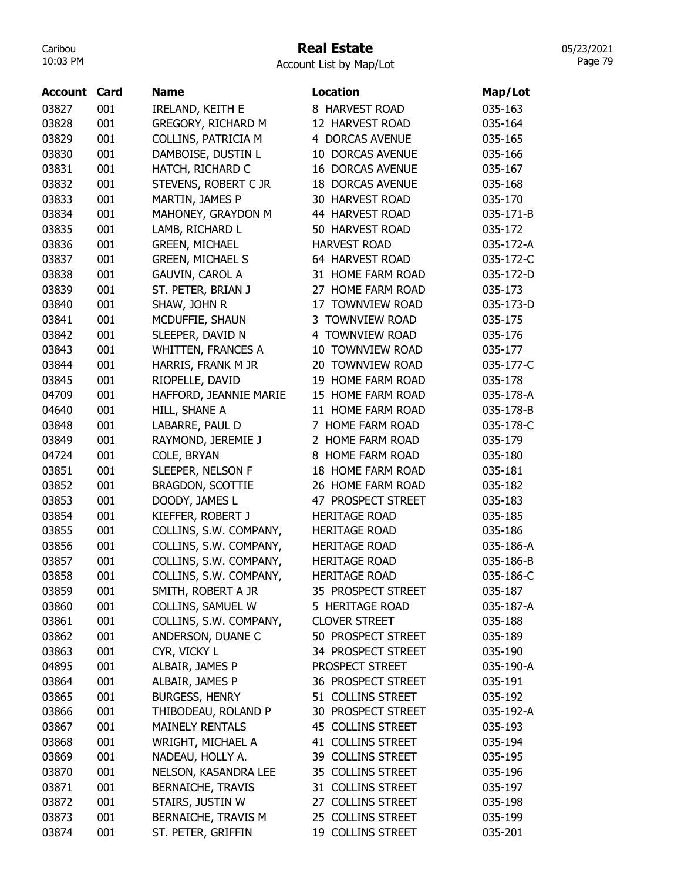# Real Estate

Account List by Map/Lot

| <b>Account Card</b> |     | <b>Name</b>               | <b>Location</b>         | Map/Lot   |
|---------------------|-----|---------------------------|-------------------------|-----------|
| 03827               | 001 | IRELAND, KEITH E          | 8 HARVEST ROAD          | 035-163   |
| 03828               | 001 | <b>GREGORY, RICHARD M</b> | 12 HARVEST ROAD         | 035-164   |
| 03829               | 001 | COLLINS, PATRICIA M       | 4 DORCAS AVENUE         | 035-165   |
| 03830               | 001 | DAMBOISE, DUSTIN L        | 10 DORCAS AVENUE        | 035-166   |
| 03831               | 001 | HATCH, RICHARD C          | <b>16 DORCAS AVENUE</b> | 035-167   |
| 03832               | 001 | STEVENS, ROBERT C JR      | <b>18 DORCAS AVENUE</b> | 035-168   |
| 03833               | 001 | MARTIN, JAMES P           | 30 HARVEST ROAD         | 035-170   |
| 03834               | 001 | MAHONEY, GRAYDON M        | 44 HARVEST ROAD         | 035-171-B |
| 03835               | 001 | LAMB, RICHARD L           | 50 HARVEST ROAD         | 035-172   |
| 03836               | 001 | <b>GREEN, MICHAEL</b>     | <b>HARVEST ROAD</b>     | 035-172-A |
| 03837               | 001 | <b>GREEN, MICHAEL S</b>   | 64 HARVEST ROAD         | 035-172-C |
| 03838               | 001 | <b>GAUVIN, CAROL A</b>    | 31 HOME FARM ROAD       | 035-172-D |
| 03839               | 001 | ST. PETER, BRIAN J        | 27 HOME FARM ROAD       | 035-173   |
| 03840               | 001 | SHAW, JOHN R              | 17 TOWNVIEW ROAD        | 035-173-D |
| 03841               | 001 | MCDUFFIE, SHAUN           | 3 TOWNVIEW ROAD         | 035-175   |
| 03842               | 001 | SLEEPER, DAVID N          | 4 TOWNVIEW ROAD         | 035-176   |
| 03843               | 001 | <b>WHITTEN, FRANCES A</b> | 10 TOWNVIEW ROAD        | 035-177   |
| 03844               | 001 | HARRIS, FRANK M JR        | 20 TOWNVIEW ROAD        | 035-177-C |
| 03845               | 001 | RIOPELLE, DAVID           | 19 HOME FARM ROAD       | 035-178   |
| 04709               | 001 | HAFFORD, JEANNIE MARIE    | 15 HOME FARM ROAD       | 035-178-A |
| 04640               | 001 | HILL, SHANE A             | 11 HOME FARM ROAD       | 035-178-B |
| 03848               | 001 | LABARRE, PAUL D           | 7 HOME FARM ROAD        | 035-178-C |
| 03849               | 001 | RAYMOND, JEREMIE J        | 2 HOME FARM ROAD        | 035-179   |
| 04724               | 001 | COLE, BRYAN               | 8 HOME FARM ROAD        | 035-180   |
| 03851               | 001 | SLEEPER, NELSON F         | 18 HOME FARM ROAD       | 035-181   |
| 03852               | 001 | <b>BRAGDON, SCOTTIE</b>   | 26 HOME FARM ROAD       | 035-182   |
| 03853               | 001 | DOODY, JAMES L            | 47 PROSPECT STREET      | 035-183   |
| 03854               | 001 | KIEFFER, ROBERT J         | <b>HERITAGE ROAD</b>    | 035-185   |
| 03855               | 001 | COLLINS, S.W. COMPANY,    | <b>HERITAGE ROAD</b>    | 035-186   |
| 03856               | 001 | COLLINS, S.W. COMPANY,    | <b>HERITAGE ROAD</b>    | 035-186-A |
| 03857               | 001 | COLLINS, S.W. COMPANY,    | <b>HERITAGE ROAD</b>    | 035-186-B |
| 03858               | 001 | COLLINS, S.W. COMPANY,    | <b>HERITAGE ROAD</b>    | 035-186-C |
| 03859               | 001 | SMITH, ROBERT A JR        | 35 PROSPECT STREET      | 035-187   |
| 03860               | 001 | COLLINS, SAMUEL W         | 5 HERITAGE ROAD         | 035-187-A |
| 03861               | 001 | COLLINS, S.W. COMPANY,    | <b>CLOVER STREET</b>    | 035-188   |
| 03862               | 001 | ANDERSON, DUANE C         | 50 PROSPECT STREET      | 035-189   |
| 03863               | 001 | CYR, VICKY L              | 34 PROSPECT STREET      | 035-190   |
| 04895               | 001 | ALBAIR, JAMES P           | PROSPECT STREET         | 035-190-A |
| 03864               | 001 | ALBAIR, JAMES P           | 36 PROSPECT STREET      | 035-191   |
| 03865               | 001 | <b>BURGESS, HENRY</b>     | 51 COLLINS STREET       | 035-192   |
| 03866               | 001 | THIBODEAU, ROLAND P       | 30 PROSPECT STREET      | 035-192-A |
| 03867               | 001 | <b>MAINELY RENTALS</b>    | 45 COLLINS STREET       | 035-193   |
| 03868               | 001 | WRIGHT, MICHAEL A         | 41 COLLINS STREET       | 035-194   |
| 03869               | 001 | NADEAU, HOLLY A.          | 39 COLLINS STREET       | 035-195   |
| 03870               | 001 | NELSON, KASANDRA LEE      | 35 COLLINS STREET       | 035-196   |
| 03871               | 001 | <b>BERNAICHE, TRAVIS</b>  | 31 COLLINS STREET       | 035-197   |
| 03872               | 001 | STAIRS, JUSTIN W          | 27 COLLINS STREET       | 035-198   |
| 03873               | 001 | BERNAICHE, TRAVIS M       | 25 COLLINS STREET       | 035-199   |
| 03874               | 001 | ST. PETER, GRIFFIN        | 19 COLLINS STREET       | 035-201   |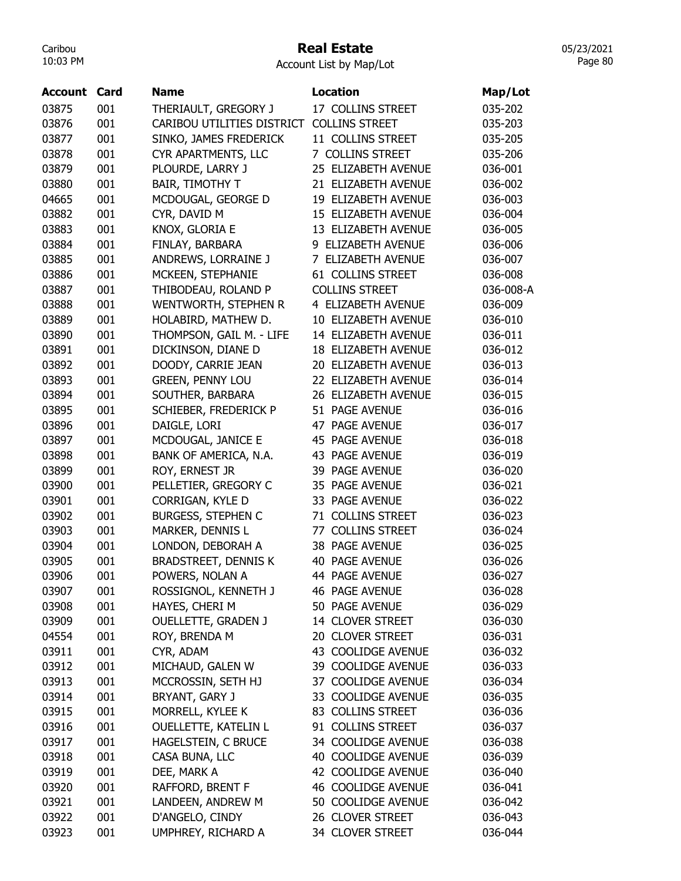# Real Estate

05/23/2021 Page 80

| Account | Card | Name                        | <b>Location</b>          | Map/Lot   |
|---------|------|-----------------------------|--------------------------|-----------|
| 03875   | 001  | THERIAULT, GREGORY J        | 17 COLLINS STREET        | 035-202   |
| 03876   | 001  | CARIBOU UTILITIES DISTRICT  | <b>COLLINS STREET</b>    | 035-203   |
| 03877   | 001  | SINKO, JAMES FREDERICK      | 11 COLLINS STREET        | 035-205   |
| 03878   | 001  | CYR APARTMENTS, LLC         | 7 COLLINS STREET         | 035-206   |
| 03879   | 001  | PLOURDE, LARRY J            | 25 ELIZABETH AVENUE      | 036-001   |
| 03880   | 001  | <b>BAIR, TIMOTHY T</b>      | 21 ELIZABETH AVENUE      | 036-002   |
| 04665   | 001  | MCDOUGAL, GEORGE D          | 19 ELIZABETH AVENUE      | 036-003   |
| 03882   | 001  | CYR, DAVID M                | 15 ELIZABETH AVENUE      | 036-004   |
| 03883   | 001  | KNOX, GLORIA E              | 13 ELIZABETH AVENUE      | 036-005   |
| 03884   | 001  | FINLAY, BARBARA             | 9 ELIZABETH AVENUE       | 036-006   |
| 03885   | 001  | ANDREWS, LORRAINE J         | 7 ELIZABETH AVENUE       | 036-007   |
| 03886   | 001  | MCKEEN, STEPHANIE           | 61 COLLINS STREET        | 036-008   |
| 03887   | 001  | THIBODEAU, ROLAND P         | <b>COLLINS STREET</b>    | 036-008-A |
| 03888   | 001  | WENTWORTH, STEPHEN R        | 4 ELIZABETH AVENUE       | 036-009   |
| 03889   | 001  | HOLABIRD, MATHEW D.         | 10 ELIZABETH AVENUE      | 036-010   |
| 03890   | 001  | THOMPSON, GAIL M. - LIFE    | 14 ELIZABETH AVENUE      | 036-011   |
| 03891   | 001  | DICKINSON, DIANE D          | 18 ELIZABETH AVENUE      | 036-012   |
| 03892   | 001  | DOODY, CARRIE JEAN          | 20 ELIZABETH AVENUE      | 036-013   |
| 03893   | 001  | <b>GREEN, PENNY LOU</b>     | 22 ELIZABETH AVENUE      | 036-014   |
| 03894   | 001  | SOUTHER, BARBARA            | 26 ELIZABETH AVENUE      | 036-015   |
| 03895   | 001  | SCHIEBER, FREDERICK P       | 51 PAGE AVENUE           | 036-016   |
| 03896   | 001  | DAIGLE, LORI                | 47 PAGE AVENUE           | 036-017   |
| 03897   | 001  | MCDOUGAL, JANICE E          | 45 PAGE AVENUE           | 036-018   |
| 03898   | 001  | BANK OF AMERICA, N.A.       | 43 PAGE AVENUE           | 036-019   |
| 03899   | 001  | ROY, ERNEST JR              | 39 PAGE AVENUE           | 036-020   |
| 03900   | 001  | PELLETIER, GREGORY C        | <b>PAGE AVENUE</b><br>35 | 036-021   |
| 03901   | 001  | CORRIGAN, KYLE D            | <b>PAGE AVENUE</b><br>33 | 036-022   |
| 03902   | 001  | <b>BURGESS, STEPHEN C</b>   | 71 COLLINS STREET        | 036-023   |
| 03903   | 001  | MARKER, DENNIS L            | 77 COLLINS STREET        | 036-024   |
| 03904   | 001  | LONDON, DEBORAH A           | 38 PAGE AVENUE           | 036-025   |
| 03905   | 001  | <b>BRADSTREET, DENNIS K</b> | <b>PAGE AVENUE</b><br>40 | 036-026   |
| 03906   | 001  | POWERS, NOLAN A             | <b>44 PAGE AVENUE</b>    | 036-027   |
| 03907   | 001  | ROSSIGNOL, KENNETH J        | <b>46 PAGE AVENUE</b>    | 036-028   |
| 03908   | 001  | HAYES, CHERI M              | 50 PAGE AVENUE           | 036-029   |
| 03909   | 001  | <b>OUELLETTE, GRADEN J</b>  | 14 CLOVER STREET         | 036-030   |
| 04554   | 001  | ROY, BRENDA M               | 20 CLOVER STREET         | 036-031   |
| 03911   | 001  | CYR, ADAM                   | 43 COOLIDGE AVENUE       | 036-032   |
| 03912   | 001  | MICHAUD, GALEN W            | 39 COOLIDGE AVENUE       | 036-033   |
| 03913   | 001  | MCCROSSIN, SETH HJ          | 37 COOLIDGE AVENUE       | 036-034   |
| 03914   | 001  | BRYANT, GARY J              | 33 COOLIDGE AVENUE       | 036-035   |
| 03915   | 001  | MORRELL, KYLEE K            | 83 COLLINS STREET        | 036-036   |
| 03916   | 001  | OUELLETTE, KATELIN L        | 91 COLLINS STREET        | 036-037   |
| 03917   | 001  | HAGELSTEIN, C BRUCE         | 34 COOLIDGE AVENUE       | 036-038   |
| 03918   | 001  | CASA BUNA, LLC              | 40 COOLIDGE AVENUE       | 036-039   |
| 03919   | 001  | DEE, MARK A                 | 42 COOLIDGE AVENUE       | 036-040   |
| 03920   | 001  | RAFFORD, BRENT F            | 46 COOLIDGE AVENUE       | 036-041   |
| 03921   | 001  | LANDEEN, ANDREW M           | 50 COOLIDGE AVENUE       | 036-042   |
| 03922   | 001  | D'ANGELO, CINDY             | 26 CLOVER STREET         | 036-043   |
| 03923   | 001  | UMPHREY, RICHARD A          | 34 CLOVER STREET         | 036-044   |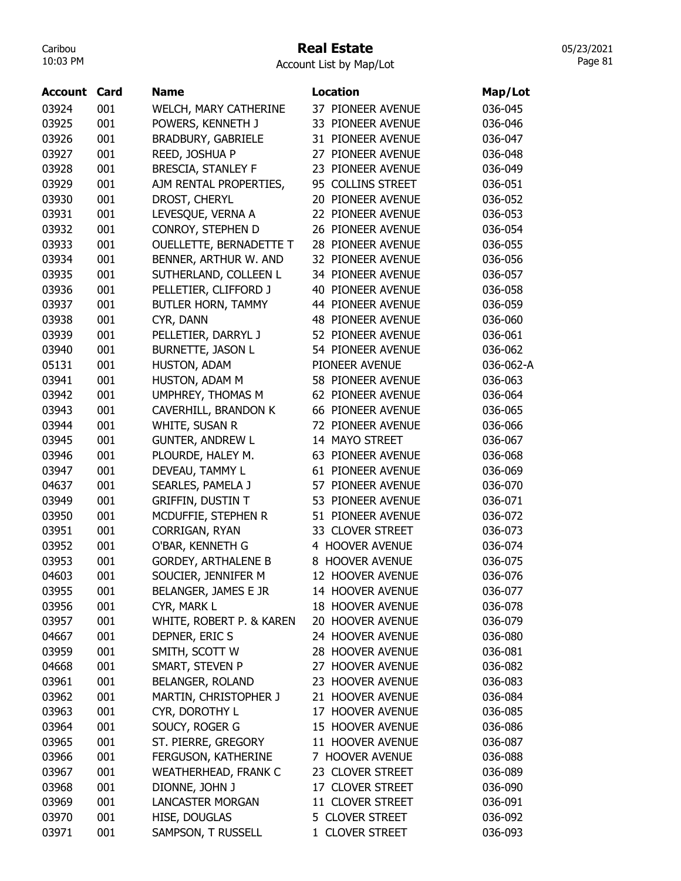# Real Estate

Account List by Map/Lot

| Account | Card | Name                        | <b>Location</b>          | Map/Lot   |
|---------|------|-----------------------------|--------------------------|-----------|
| 03924   | 001  | WELCH, MARY CATHERINE       | 37 PIONEER AVENUE        | 036-045   |
| 03925   | 001  | POWERS, KENNETH J           | 33 PIONEER AVENUE        | 036-046   |
| 03926   | 001  | BRADBURY, GABRIELE          | 31 PIONEER AVENUE        | 036-047   |
| 03927   | 001  | REED, JOSHUA P              | 27 PIONEER AVENUE        | 036-048   |
| 03928   | 001  | <b>BRESCIA, STANLEY F</b>   | 23 PIONEER AVENUE        | 036-049   |
| 03929   | 001  | AJM RENTAL PROPERTIES,      | 95 COLLINS STREET        | 036-051   |
| 03930   | 001  | DROST, CHERYL               | 20 PIONEER AVENUE        | 036-052   |
| 03931   | 001  | LEVESQUE, VERNA A           | 22 PIONEER AVENUE        | 036-053   |
| 03932   | 001  | CONROY, STEPHEN D           | 26 PIONEER AVENUE        | 036-054   |
| 03933   | 001  | OUELLETTE, BERNADETTE T     | 28 PIONEER AVENUE        | 036-055   |
| 03934   | 001  | BENNER, ARTHUR W. AND       | 32 PIONEER AVENUE        | 036-056   |
| 03935   | 001  | SUTHERLAND, COLLEEN L       | 34 PIONEER AVENUE        | 036-057   |
| 03936   | 001  | PELLETIER, CLIFFORD J       | 40 PIONEER AVENUE        | 036-058   |
| 03937   | 001  | BUTLER HORN, TAMMY          | 44 PIONEER AVENUE        | 036-059   |
| 03938   | 001  | CYR, DANN                   | <b>48 PIONEER AVENUE</b> | 036-060   |
| 03939   | 001  | PELLETIER, DARRYL J         | 52 PIONEER AVENUE        | 036-061   |
| 03940   | 001  | <b>BURNETTE, JASON L</b>    | 54 PIONEER AVENUE        | 036-062   |
| 05131   | 001  | HUSTON, ADAM                | PIONEER AVENUE           | 036-062-A |
| 03941   | 001  | HUSTON, ADAM M              | 58 PIONEER AVENUE        | 036-063   |
| 03942   | 001  | UMPHREY, THOMAS M           | 62 PIONEER AVENUE        | 036-064   |
| 03943   | 001  | CAVERHILL, BRANDON K        | 66 PIONEER AVENUE        | 036-065   |
| 03944   | 001  | WHITE, SUSAN R              | 72 PIONEER AVENUE        | 036-066   |
| 03945   | 001  | <b>GUNTER, ANDREW L</b>     | 14 MAYO STREET           | 036-067   |
| 03946   | 001  | PLOURDE, HALEY M.           | 63 PIONEER AVENUE        | 036-068   |
| 03947   | 001  | DEVEAU, TAMMY L             | 61 PIONEER AVENUE        | 036-069   |
| 04637   | 001  | SEARLES, PAMELA J           | 57 PIONEER AVENUE        | 036-070   |
| 03949   | 001  | <b>GRIFFIN, DUSTIN T</b>    | 53 PIONEER AVENUE        | 036-071   |
| 03950   | 001  | MCDUFFIE, STEPHEN R         | 51 PIONEER AVENUE        | 036-072   |
| 03951   | 001  | CORRIGAN, RYAN              | 33 CLOVER STREET         | 036-073   |
| 03952   | 001  | O'BAR, KENNETH G            | 4 HOOVER AVENUE          | 036-074   |
| 03953   | 001  | <b>GORDEY, ARTHALENE B</b>  | 8 HOOVER AVENUE          | 036-075   |
| 04603   | 001  | SOUCIER, JENNIFER M         | 12 HOOVER AVENUE         | 036-076   |
| 03955   | 001  | BELANGER, JAMES E JR        | 14 HOOVER AVENUE         | 036-077   |
| 03956   | 001  | CYR, MARK L                 | 18 HOOVER AVENUE         | 036-078   |
| 03957   | 001  | WHITE, ROBERT P. & KAREN    | 20 HOOVER AVENUE         | 036-079   |
| 04667   | 001  | DEPNER, ERIC S              | 24 HOOVER AVENUE         | 036-080   |
| 03959   | 001  | SMITH, SCOTT W              | 28 HOOVER AVENUE         | 036-081   |
| 04668   | 001  | SMART, STEVEN P             | 27 HOOVER AVENUE         | 036-082   |
| 03961   | 001  | <b>BELANGER, ROLAND</b>     | 23 HOOVER AVENUE         | 036-083   |
|         |      | MARTIN, CHRISTOPHER J       | 21 HOOVER AVENUE         |           |
| 03962   | 001  |                             |                          | 036-084   |
| 03963   | 001  | CYR, DOROTHY L              | 17 HOOVER AVENUE         | 036-085   |
| 03964   | 001  | SOUCY, ROGER G              | 15 HOOVER AVENUE         | 036-086   |
| 03965   | 001  | ST. PIERRE, GREGORY         | 11 HOOVER AVENUE         | 036-087   |
| 03966   | 001  | FERGUSON, KATHERINE         | 7 HOOVER AVENUE          | 036-088   |
| 03967   | 001  | <b>WEATHERHEAD, FRANK C</b> | 23 CLOVER STREET         | 036-089   |
| 03968   | 001  | DIONNE, JOHN J              | 17 CLOVER STREET         | 036-090   |
| 03969   | 001  | <b>LANCASTER MORGAN</b>     | 11 CLOVER STREET         | 036-091   |
| 03970   | 001  | HISE, DOUGLAS               | 5 CLOVER STREET          | 036-092   |
| 03971   | 001  | SAMPSON, T RUSSELL          | 1 CLOVER STREET          | 036-093   |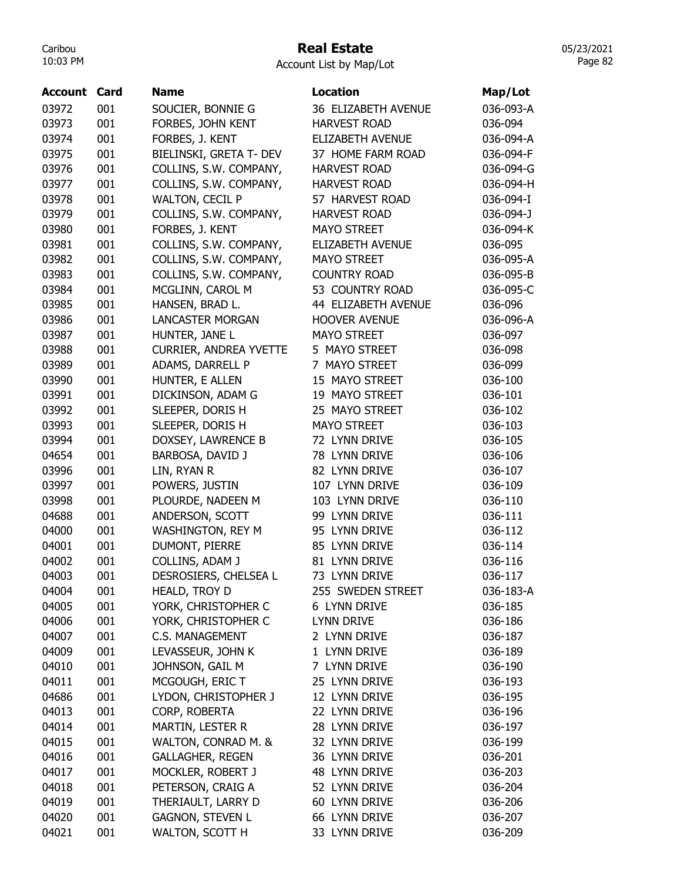# Real Estate

Account List by Map/Lot

| Account Card |     | <b>Name</b>                   | <b>Location</b>         | Map/Lot   |
|--------------|-----|-------------------------------|-------------------------|-----------|
| 03972        | 001 | SOUCIER, BONNIE G             | 36 ELIZABETH AVENUE     | 036-093-A |
| 03973        | 001 | FORBES, JOHN KENT             | <b>HARVEST ROAD</b>     | 036-094   |
| 03974        | 001 | FORBES, J. KENT               | <b>ELIZABETH AVENUE</b> | 036-094-A |
| 03975        | 001 | BIELINSKI, GRETA T- DEV       | 37 HOME FARM ROAD       | 036-094-F |
| 03976        | 001 | COLLINS, S.W. COMPANY,        | <b>HARVEST ROAD</b>     | 036-094-G |
| 03977        | 001 | COLLINS, S.W. COMPANY,        | <b>HARVEST ROAD</b>     | 036-094-H |
| 03978        | 001 | WALTON, CECIL P               | 57 HARVEST ROAD         | 036-094-I |
| 03979        | 001 | COLLINS, S.W. COMPANY,        | <b>HARVEST ROAD</b>     | 036-094-J |
| 03980        | 001 | FORBES, J. KENT               | MAYO STREET             | 036-094-K |
| 03981        | 001 | COLLINS, S.W. COMPANY,        | ELIZABETH AVENUE        | 036-095   |
| 03982        | 001 | COLLINS, S.W. COMPANY,        | <b>MAYO STREET</b>      | 036-095-A |
| 03983        | 001 | COLLINS, S.W. COMPANY,        | <b>COUNTRY ROAD</b>     | 036-095-B |
| 03984        | 001 | MCGLINN, CAROL M              | 53 COUNTRY ROAD         | 036-095-C |
| 03985        | 001 | HANSEN, BRAD L.               | 44 ELIZABETH AVENUE     | 036-096   |
| 03986        | 001 | <b>LANCASTER MORGAN</b>       | <b>HOOVER AVENUE</b>    | 036-096-A |
| 03987        | 001 | HUNTER, JANE L                | <b>MAYO STREET</b>      | 036-097   |
| 03988        | 001 | <b>CURRIER, ANDREA YVETTE</b> | 5 MAYO STREET           | 036-098   |
| 03989        | 001 | ADAMS, DARRELL P              | 7 MAYO STREET           | 036-099   |
| 03990        | 001 | HUNTER, E ALLEN               | 15 MAYO STREET          | 036-100   |
| 03991        | 001 | DICKINSON, ADAM G             | 19 MAYO STREET          | 036-101   |
| 03992        | 001 | SLEEPER, DORIS H              | 25 MAYO STREET          | 036-102   |
| 03993        | 001 | SLEEPER, DORIS H              | <b>MAYO STREET</b>      | 036-103   |
| 03994        | 001 | DOXSEY, LAWRENCE B            | 72 LYNN DRIVE           | 036-105   |
| 04654        | 001 | BARBOSA, DAVID J              | 78 LYNN DRIVE           | 036-106   |
| 03996        | 001 | LIN, RYAN R                   | 82 LYNN DRIVE           | 036-107   |
| 03997        | 001 | POWERS, JUSTIN                | 107 LYNN DRIVE          | 036-109   |
| 03998        | 001 | PLOURDE, NADEEN M             | 103 LYNN DRIVE          | 036-110   |
| 04688        | 001 | ANDERSON, SCOTT               | 99 LYNN DRIVE           | 036-111   |
| 04000        | 001 | <b>WASHINGTON, REY M</b>      | 95 LYNN DRIVE           | 036-112   |
| 04001        | 001 | DUMONT, PIERRE                | 85 LYNN DRIVE           | 036-114   |
| 04002        | 001 | COLLINS, ADAM J               | 81 LYNN DRIVE           | 036-116   |
| 04003        | 001 | DESROSIERS, CHELSEA L         | 73 LYNN DRIVE           | 036-117   |
| 04004        | 001 | HEALD, TROY D                 | 255 SWEDEN STREET       | 036-183-A |
| 04005        | 001 | YORK, CHRISTOPHER C           | <b>6 LYNN DRIVE</b>     | 036-185   |
| 04006        | 001 | YORK, CHRISTOPHER C           | <b>LYNN DRIVE</b>       | 036-186   |
| 04007        | 001 | C.S. MANAGEMENT               | 2 LYNN DRIVE            | 036-187   |
| 04009        | 001 | LEVASSEUR, JOHN K             | 1 LYNN DRIVE            | 036-189   |
| 04010        | 001 | JOHNSON, GAIL M               | 7 LYNN DRIVE            | 036-190   |
| 04011        | 001 | MCGOUGH, ERIC T               | 25 LYNN DRIVE           | 036-193   |
| 04686        | 001 | LYDON, CHRISTOPHER J          | 12 LYNN DRIVE           | 036-195   |
| 04013        | 001 | CORP, ROBERTA                 | 22 LYNN DRIVE           | 036-196   |
| 04014        | 001 | <b>MARTIN, LESTER R</b>       | 28 LYNN DRIVE           | 036-197   |
| 04015        | 001 | WALTON, CONRAD M. &           | 32 LYNN DRIVE           | 036-199   |
| 04016        | 001 | GALLAGHER, REGEN              | 36 LYNN DRIVE           | 036-201   |
| 04017        | 001 | MOCKLER, ROBERT J             | 48 LYNN DRIVE           | 036-203   |
| 04018        | 001 | PETERSON, CRAIG A             | 52 LYNN DRIVE           | 036-204   |
| 04019        | 001 | THERIAULT, LARRY D            | 60 LYNN DRIVE           | 036-206   |
| 04020        | 001 | <b>GAGNON, STEVEN L</b>       | 66 LYNN DRIVE           | 036-207   |
| 04021        | 001 | WALTON, SCOTT H               | 33 LYNN DRIVE           | 036-209   |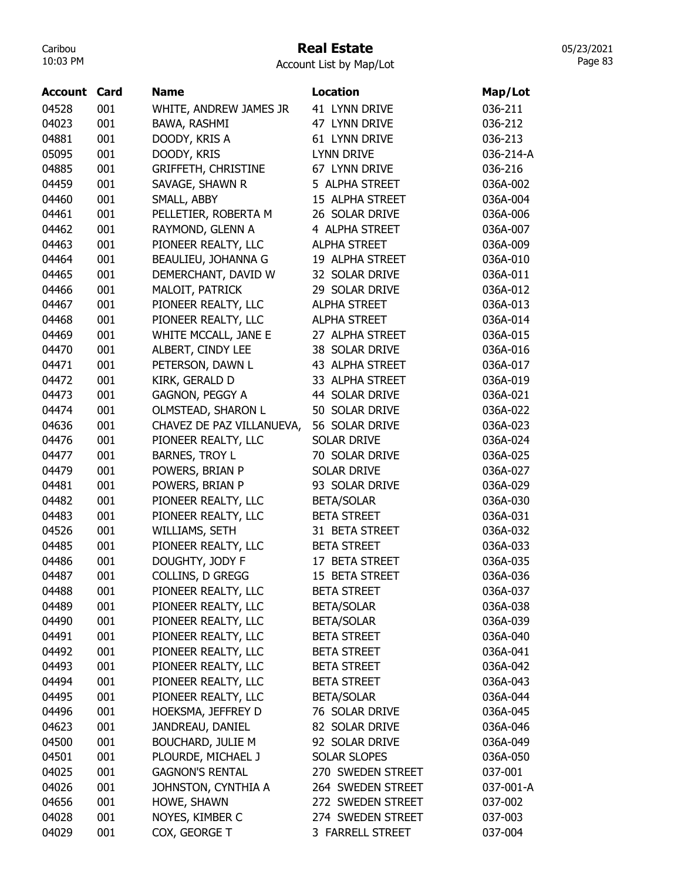# Real Estate

Account List by Map/Lot

| <b>Account</b> | Card | <b>Name</b>                | <b>Location</b>     | Map/Lot   |
|----------------|------|----------------------------|---------------------|-----------|
| 04528          | 001  | WHITE, ANDREW JAMES JR     | 41 LYNN DRIVE       | 036-211   |
| 04023          | 001  | BAWA, RASHMI               | 47 LYNN DRIVE       | 036-212   |
| 04881          | 001  | DOODY, KRIS A              | 61 LYNN DRIVE       | 036-213   |
| 05095          | 001  | DOODY, KRIS                | <b>LYNN DRIVE</b>   | 036-214-A |
| 04885          | 001  | <b>GRIFFETH, CHRISTINE</b> | 67 LYNN DRIVE       | 036-216   |
| 04459          | 001  | SAVAGE, SHAWN R            | 5 ALPHA STREET      | 036A-002  |
| 04460          | 001  | SMALL, ABBY                | 15 ALPHA STREET     | 036A-004  |
| 04461          | 001  | PELLETIER, ROBERTA M       | 26 SOLAR DRIVE      | 036A-006  |
| 04462          | 001  | RAYMOND, GLENN A           | 4 ALPHA STREET      | 036A-007  |
| 04463          | 001  | PIONEER REALTY, LLC        | <b>ALPHA STREET</b> | 036A-009  |
| 04464          | 001  | BEAULIEU, JOHANNA G        | 19 ALPHA STREET     | 036A-010  |
| 04465          | 001  | DEMERCHANT, DAVID W        | 32 SOLAR DRIVE      | 036A-011  |
| 04466          | 001  | MALOIT, PATRICK            | 29 SOLAR DRIVE      | 036A-012  |
| 04467          | 001  | PIONEER REALTY, LLC        | <b>ALPHA STREET</b> | 036A-013  |
| 04468          | 001  | PIONEER REALTY, LLC        | <b>ALPHA STREET</b> | 036A-014  |
| 04469          | 001  | WHITE MCCALL, JANE E       | 27 ALPHA STREET     | 036A-015  |
| 04470          | 001  | ALBERT, CINDY LEE          | 38 SOLAR DRIVE      | 036A-016  |
| 04471          | 001  | PETERSON, DAWN L           | 43 ALPHA STREET     | 036A-017  |
| 04472          | 001  | KIRK, GERALD D             | 33 ALPHA STREET     | 036A-019  |
| 04473          | 001  | GAGNON, PEGGY A            | 44 SOLAR DRIVE      | 036A-021  |
| 04474          | 001  | OLMSTEAD, SHARON L         | 50 SOLAR DRIVE      | 036A-022  |
| 04636          | 001  | CHAVEZ DE PAZ VILLANUEVA,  | 56 SOLAR DRIVE      | 036A-023  |
| 04476          | 001  | PIONEER REALTY, LLC        | <b>SOLAR DRIVE</b>  | 036A-024  |
| 04477          | 001  | BARNES, TROY L             | 70 SOLAR DRIVE      | 036A-025  |
| 04479          | 001  | POWERS, BRIAN P            | <b>SOLAR DRIVE</b>  | 036A-027  |
| 04481          | 001  | POWERS, BRIAN P            | 93 SOLAR DRIVE      | 036A-029  |
| 04482          | 001  | PIONEER REALTY, LLC        | <b>BETA/SOLAR</b>   | 036A-030  |
| 04483          | 001  | PIONEER REALTY, LLC        | <b>BETA STREET</b>  | 036A-031  |
| 04526          | 001  | WILLIAMS, SETH             | 31 BETA STREET      | 036A-032  |
| 04485          | 001  | PIONEER REALTY, LLC        | <b>BETA STREET</b>  | 036A-033  |
| 04486          | 001  | DOUGHTY, JODY F            | 17 BETA STREET      | 036A-035  |
| 04487          | 001  | COLLINS, D GREGG           | 15 BETA STREET      | 036A-036  |
| 04488          | 001  | PIONEER REALTY, LLC        | <b>BETA STREET</b>  | 036A-037  |
| 04489          | 001  | PIONEER REALTY, LLC        | <b>BETA/SOLAR</b>   | 036A-038  |
| 04490          | 001  | PIONEER REALTY, LLC        | <b>BETA/SOLAR</b>   | 036A-039  |
| 04491          | 001  | PIONEER REALTY, LLC        | <b>BETA STREET</b>  | 036A-040  |
| 04492          | 001  | PIONEER REALTY, LLC        | <b>BETA STREET</b>  | 036A-041  |
| 04493          | 001  | PIONEER REALTY, LLC        | <b>BETA STREET</b>  | 036A-042  |
| 04494          | 001  | PIONEER REALTY, LLC        | <b>BETA STREET</b>  | 036A-043  |
| 04495          | 001  | PIONEER REALTY, LLC        | <b>BETA/SOLAR</b>   | 036A-044  |
| 04496          | 001  | HOEKSMA, JEFFREY D         | 76 SOLAR DRIVE      | 036A-045  |
| 04623          | 001  | JANDREAU, DANIEL           | 82 SOLAR DRIVE      | 036A-046  |
| 04500          | 001  | <b>BOUCHARD, JULIE M</b>   | 92 SOLAR DRIVE      | 036A-049  |
| 04501          | 001  | PLOURDE, MICHAEL J         | <b>SOLAR SLOPES</b> | 036A-050  |
| 04025          | 001  | <b>GAGNON'S RENTAL</b>     | 270 SWEDEN STREET   | 037-001   |
| 04026          | 001  | JOHNSTON, CYNTHIA A        | 264 SWEDEN STREET   | 037-001-A |
| 04656          | 001  | HOWE, SHAWN                | 272 SWEDEN STREET   | 037-002   |
| 04028          | 001  | NOYES, KIMBER C            | 274 SWEDEN STREET   | 037-003   |
| 04029          | 001  | COX, GEORGE T              | 3 FARRELL STREET    | 037-004   |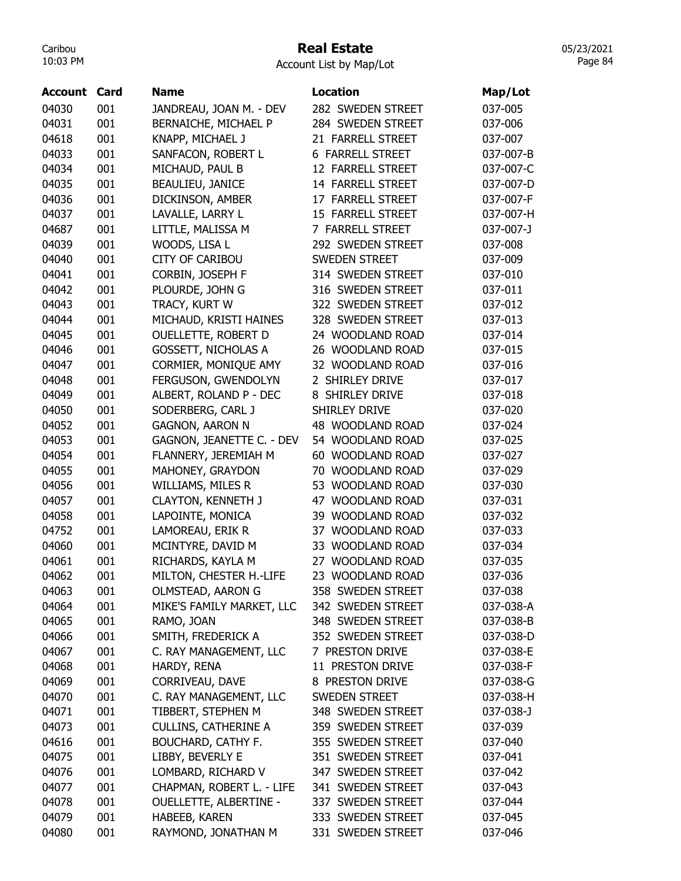# Real Estate

Account List by Map/Lot

| <b>Account Card</b> |     | <b>Name</b>                   | <b>Location</b>            | Map/Lot   |
|---------------------|-----|-------------------------------|----------------------------|-----------|
| 04030               | 001 | JANDREAU, JOAN M. - DEV       | 282 SWEDEN STREET          | 037-005   |
| 04031               | 001 | BERNAICHE, MICHAEL P          | 284 SWEDEN STREET          | 037-006   |
| 04618               | 001 | KNAPP, MICHAEL J              | 21 FARRELL STREET          | 037-007   |
| 04033               | 001 | SANFACON, ROBERT L            | <b>6 FARRELL STREET</b>    | 037-007-B |
| 04034               | 001 | MICHAUD, PAUL B               | 12 FARRELL STREET          | 037-007-C |
| 04035               | 001 | BEAULIEU, JANICE              | 14 FARRELL STREET          | 037-007-D |
| 04036               | 001 | DICKINSON, AMBER              | 17 FARRELL STREET          | 037-007-F |
| 04037               | 001 | LAVALLE, LARRY L              | 15 FARRELL STREET          | 037-007-H |
| 04687               | 001 | LITTLE, MALISSA M             | 7 FARRELL STREET           | 037-007-J |
| 04039               | 001 | WOODS, LISA L                 | 292 SWEDEN STREET          | 037-008   |
| 04040               | 001 | <b>CITY OF CARIBOU</b>        | <b>SWEDEN STREET</b>       | 037-009   |
| 04041               | 001 | CORBIN, JOSEPH F              | 314 SWEDEN STREET          | 037-010   |
| 04042               | 001 | PLOURDE, JOHN G               | 316 SWEDEN STREET          | 037-011   |
| 04043               | 001 | TRACY, KURT W                 | 322 SWEDEN STREET          | 037-012   |
| 04044               | 001 | MICHAUD, KRISTI HAINES        | 328 SWEDEN STREET          | 037-013   |
| 04045               | 001 | OUELLETTE, ROBERT D           | 24 WOODLAND ROAD           | 037-014   |
| 04046               | 001 | <b>GOSSETT, NICHOLAS A</b>    | 26 WOODLAND ROAD           | 037-015   |
| 04047               | 001 | CORMIER, MONIQUE AMY          | 32 WOODLAND ROAD           | 037-016   |
| 04048               | 001 | FERGUSON, GWENDOLYN           | 2 SHIRLEY DRIVE            | 037-017   |
| 04049               | 001 | ALBERT, ROLAND P - DEC        | 8 SHIRLEY DRIVE            | 037-018   |
| 04050               | 001 | SODERBERG, CARL J             | <b>SHIRLEY DRIVE</b>       | 037-020   |
| 04052               | 001 | <b>GAGNON, AARON N</b>        | 48 WOODLAND ROAD           | 037-024   |
| 04053               | 001 | GAGNON, JEANETTE C. - DEV     | 54 WOODLAND ROAD           | 037-025   |
| 04054               | 001 | FLANNERY, JEREMIAH M          | 60 WOODLAND ROAD           | 037-027   |
| 04055               | 001 | MAHONEY, GRAYDON              | 70 WOODLAND ROAD           | 037-029   |
| 04056               | 001 | WILLIAMS, MILES R             | 53 WOODLAND ROAD           | 037-030   |
| 04057               | 001 | <b>CLAYTON, KENNETH J</b>     | 47 WOODLAND ROAD           | 037-031   |
| 04058               | 001 | LAPOINTE, MONICA              | 39 WOODLAND ROAD           | 037-032   |
| 04752               | 001 | LAMOREAU, ERIK R              | 37 WOODLAND ROAD           | 037-033   |
| 04060               | 001 | MCINTYRE, DAVID M             | 33 WOODLAND ROAD           | 037-034   |
| 04061               | 001 | RICHARDS, KAYLA M             | 27 WOODLAND ROAD           | 037-035   |
| 04062               | 001 | MILTON, CHESTER H.-LIFE       | <b>WOODLAND ROAD</b><br>23 | 037-036   |
| 04063               | 001 | OLMSTEAD, AARON G             | 358 SWEDEN STREET          | 037-038   |
| 04064               | 001 | MIKE'S FAMILY MARKET, LLC     | 342 SWEDEN STREET          | 037-038-A |
| 04065               | 001 | RAMO, JOAN                    | 348 SWEDEN STREET          | 037-038-B |
| 04066               | 001 | SMITH, FREDERICK A            | 352 SWEDEN STREET          | 037-038-D |
| 04067               | 001 | C. RAY MANAGEMENT, LLC        | 7 PRESTON DRIVE            | 037-038-E |
| 04068               | 001 | HARDY, RENA                   | 11 PRESTON DRIVE           | 037-038-F |
| 04069               | 001 | CORRIVEAU, DAVE               | 8 PRESTON DRIVE            | 037-038-G |
| 04070               | 001 | C. RAY MANAGEMENT, LLC        | <b>SWEDEN STREET</b>       | 037-038-H |
|                     |     |                               |                            |           |
| 04071               | 001 | TIBBERT, STEPHEN M            | 348 SWEDEN STREET          | 037-038-J |
| 04073               | 001 | <b>CULLINS, CATHERINE A</b>   | 359 SWEDEN STREET          | 037-039   |
| 04616               | 001 | BOUCHARD, CATHY F.            | 355 SWEDEN STREET          | 037-040   |
| 04075               | 001 | LIBBY, BEVERLY E              | 351 SWEDEN STREET          | 037-041   |
| 04076               | 001 | LOMBARD, RICHARD V            | 347 SWEDEN STREET          | 037-042   |
| 04077               | 001 | CHAPMAN, ROBERT L. - LIFE     | 341 SWEDEN STREET          | 037-043   |
| 04078               | 001 | <b>OUELLETTE, ALBERTINE -</b> | 337 SWEDEN STREET          | 037-044   |
| 04079               | 001 | HABEEB, KAREN                 | 333 SWEDEN STREET          | 037-045   |
| 04080               | 001 | RAYMOND, JONATHAN M           | 331 SWEDEN STREET          | 037-046   |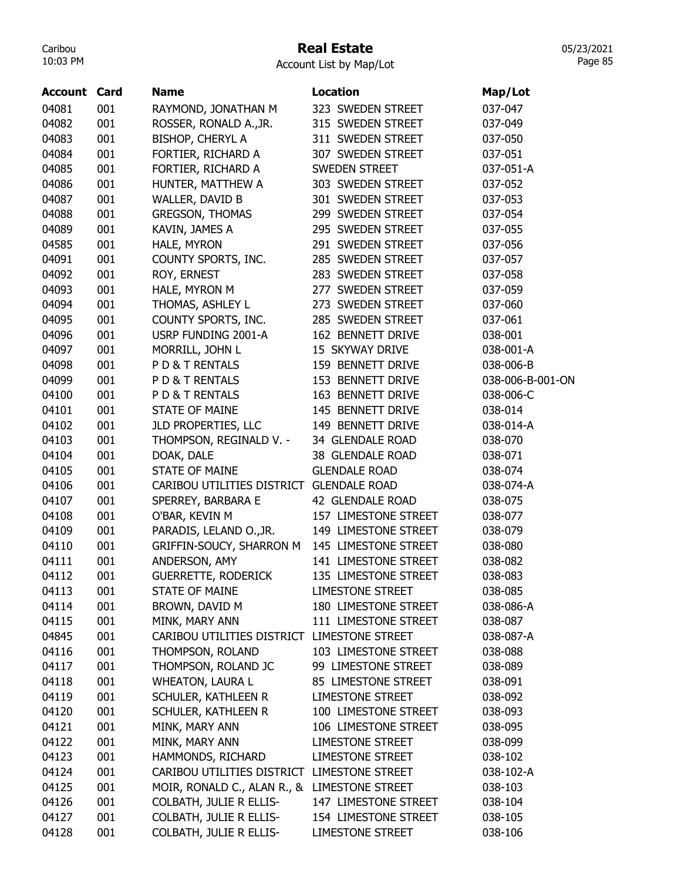#### Real Estate

05/23/2021 Page 85

| <b>Account Card</b> |     | <b>Name</b>                                  | Location                | Map/Lot          |
|---------------------|-----|----------------------------------------------|-------------------------|------------------|
| 04081               | 001 | RAYMOND, JONATHAN M                          | 323 SWEDEN STREET       | 037-047          |
| 04082               | 001 | ROSSER, RONALD A., JR.                       | 315 SWEDEN STREET       | 037-049          |
| 04083               | 001 | BISHOP, CHERYL A                             | 311 SWEDEN STREET       | 037-050          |
| 04084               | 001 | FORTIER, RICHARD A                           | 307 SWEDEN STREET       | 037-051          |
| 04085               | 001 | FORTIER, RICHARD A                           | <b>SWEDEN STREET</b>    | 037-051-A        |
| 04086               | 001 | HUNTER, MATTHEW A                            | 303 SWEDEN STREET       | 037-052          |
| 04087               | 001 | WALLER, DAVID B                              | 301 SWEDEN STREET       | 037-053          |
| 04088               | 001 | <b>GREGSON, THOMAS</b>                       | 299 SWEDEN STREET       | 037-054          |
| 04089               | 001 | KAVIN, JAMES A                               | 295 SWEDEN STREET       | 037-055          |
| 04585               | 001 | HALE, MYRON                                  | 291 SWEDEN STREET       | 037-056          |
| 04091               | 001 | COUNTY SPORTS, INC.                          | 285 SWEDEN STREET       | 037-057          |
| 04092               | 001 | ROY, ERNEST                                  | 283 SWEDEN STREET       | 037-058          |
| 04093               | 001 | HALE, MYRON M                                | 277 SWEDEN STREET       | 037-059          |
| 04094               | 001 | THOMAS, ASHLEY L                             | 273 SWEDEN STREET       | 037-060          |
| 04095               | 001 | COUNTY SPORTS, INC.                          | 285 SWEDEN STREET       | 037-061          |
| 04096               | 001 | USRP FUNDING 2001-A                          | 162 BENNETT DRIVE       | 038-001          |
| 04097               | 001 | MORRILL, JOHN L                              | 15 SKYWAY DRIVE         | 038-001-A        |
| 04098               | 001 | PD& T RENTALS                                | 159 BENNETT DRIVE       | 038-006-B        |
| 04099               | 001 | PD& T RENTALS                                | 153 BENNETT DRIVE       | 038-006-B-001-ON |
| 04100               | 001 | PD& T RENTALS                                | 163 BENNETT DRIVE       | 038-006-C        |
| 04101               | 001 | <b>STATE OF MAINE</b>                        | 145 BENNETT DRIVE       | 038-014          |
| 04102               | 001 | JLD PROPERTIES, LLC                          | 149 BENNETT DRIVE       | 038-014-A        |
| 04103               | 001 | THOMPSON, REGINALD V. -                      | 34 GLENDALE ROAD        | 038-070          |
| 04104               | 001 | DOAK, DALE                                   | 38 GLENDALE ROAD        | 038-071          |
| 04105               | 001 | <b>STATE OF MAINE</b>                        | <b>GLENDALE ROAD</b>    | 038-074          |
| 04106               | 001 | CARIBOU UTILITIES DISTRICT GLENDALE ROAD     |                         | 038-074-A        |
| 04107               | 001 | SPERREY, BARBARA E                           | 42 GLENDALE ROAD        | 038-075          |
| 04108               | 001 | O'BAR, KEVIN M                               | 157 LIMESTONE STREET    | 038-077          |
| 04109               | 001 | PARADIS, LELAND O., JR.                      | 149 LIMESTONE STREET    | 038-079          |
| 04110               | 001 | GRIFFIN-SOUCY, SHARRON M                     | 145 LIMESTONE STREET    | 038-080          |
| 04111               | 001 | ANDERSON, AMY                                | 141 LIMESTONE STREET    | 038-082          |
| 04112               | 001 | <b>GUERRETTE, RODERICK</b>                   | 135 LIMESTONE STREET    | 038-083          |
| 04113               | 001 | <b>STATE OF MAINE</b>                        | <b>LIMESTONE STREET</b> | 038-085          |
| 04114               | 001 | BROWN, DAVID M                               | 180 LIMESTONE STREET    | 038-086-A        |
| 04115               | 001 | MINK, MARY ANN                               | 111 LIMESTONE STREET    | 038-087          |
| 04845               | 001 | CARIBOU UTILITIES DISTRICT LIMESTONE STREET  |                         | 038-087-A        |
| 04116               | 001 | THOMPSON, ROLAND                             | 103 LIMESTONE STREET    | 038-088          |
| 04117               | 001 | THOMPSON, ROLAND JC                          | 99 LIMESTONE STREET     | 038-089          |
| 04118               | 001 | <b>WHEATON, LAURA L</b>                      | 85 LIMESTONE STREET     | 038-091          |
| 04119               | 001 | SCHULER, KATHLEEN R                          | <b>LIMESTONE STREET</b> | 038-092          |
| 04120               | 001 | SCHULER, KATHLEEN R                          | 100 LIMESTONE STREET    | 038-093          |
| 04121               | 001 | MINK, MARY ANN                               | 106 LIMESTONE STREET    | 038-095          |
| 04122               | 001 | MINK, MARY ANN                               | <b>LIMESTONE STREET</b> | 038-099          |
|                     |     |                                              |                         |                  |
| 04123               | 001 | HAMMONDS, RICHARD                            | LIMESTONE STREET        | 038-102          |
| 04124               | 001 | CARIBOU UTILITIES DISTRICT LIMESTONE STREET  |                         | 038-102-A        |
| 04125               | 001 | MOIR, RONALD C., ALAN R., & LIMESTONE STREET |                         | 038-103          |
| 04126               | 001 | <b>COLBATH, JULIE R ELLIS-</b>               | 147 LIMESTONE STREET    | 038-104          |
| 04127               | 001 | COLBATH, JULIE R ELLIS-                      | 154 LIMESTONE STREET    | 038-105          |
| 04128               | 001 | COLBATH, JULIE R ELLIS-                      | <b>LIMESTONE STREET</b> | 038-106          |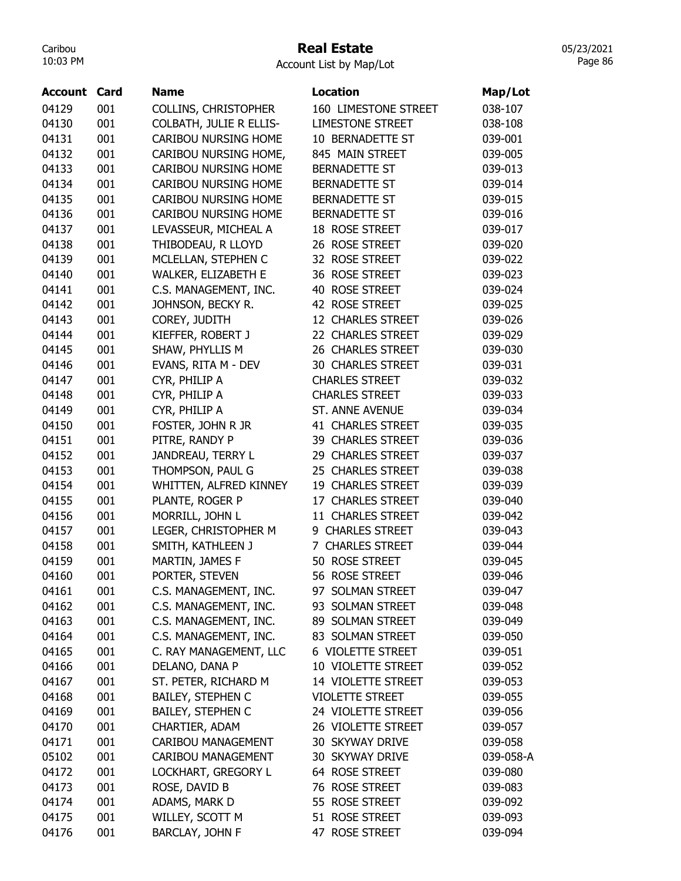#### Real Estate

05/23/2021 Page 86

| <b>Account Card</b> |     | <b>Name</b>                 | Location                 | Map/Lot   |
|---------------------|-----|-----------------------------|--------------------------|-----------|
| 04129               | 001 | COLLINS, CHRISTOPHER        | 160 LIMESTONE STREET     | 038-107   |
| 04130               | 001 | COLBATH, JULIE R ELLIS-     | <b>LIMESTONE STREET</b>  | 038-108   |
| 04131               | 001 | <b>CARIBOU NURSING HOME</b> | 10 BERNADETTE ST         | 039-001   |
| 04132               | 001 | CARIBOU NURSING HOME,       | 845 MAIN STREET          | 039-005   |
| 04133               | 001 | <b>CARIBOU NURSING HOME</b> | <b>BERNADETTE ST</b>     | 039-013   |
| 04134               | 001 | <b>CARIBOU NURSING HOME</b> | <b>BERNADETTE ST</b>     | 039-014   |
| 04135               | 001 | <b>CARIBOU NURSING HOME</b> | <b>BERNADETTE ST</b>     | 039-015   |
| 04136               | 001 | CARIBOU NURSING HOME        | <b>BERNADETTE ST</b>     | 039-016   |
| 04137               | 001 | LEVASSEUR, MICHEAL A        | 18 ROSE STREET           | 039-017   |
| 04138               | 001 | THIBODEAU, R LLOYD          | 26 ROSE STREET           | 039-020   |
| 04139               | 001 | MCLELLAN, STEPHEN C         | 32 ROSE STREET           | 039-022   |
| 04140               | 001 | WALKER, ELIZABETH E         | 36 ROSE STREET           | 039-023   |
| 04141               | 001 | C.S. MANAGEMENT, INC.       | 40 ROSE STREET           | 039-024   |
| 04142               | 001 | JOHNSON, BECKY R.           | 42 ROSE STREET           | 039-025   |
| 04143               | 001 | COREY, JUDITH               | 12 CHARLES STREET        | 039-026   |
| 04144               | 001 | KIEFFER, ROBERT J           | 22 CHARLES STREET        | 039-029   |
| 04145               | 001 | SHAW, PHYLLIS M             | 26 CHARLES STREET        | 039-030   |
| 04146               | 001 | EVANS, RITA M - DEV         | <b>30 CHARLES STREET</b> | 039-031   |
| 04147               | 001 | CYR, PHILIP A               | <b>CHARLES STREET</b>    | 039-032   |
| 04148               | 001 | CYR, PHILIP A               | <b>CHARLES STREET</b>    | 039-033   |
| 04149               | 001 | CYR, PHILIP A               | <b>ST. ANNE AVENUE</b>   | 039-034   |
| 04150               | 001 | FOSTER, JOHN R JR           | 41 CHARLES STREET        | 039-035   |
| 04151               | 001 | PITRE, RANDY P              | 39 CHARLES STREET        | 039-036   |
| 04152               | 001 | JANDREAU, TERRY L           | 29 CHARLES STREET        | 039-037   |
| 04153               | 001 | THOMPSON, PAUL G            | 25 CHARLES STREET        | 039-038   |
| 04154               | 001 | WHITTEN, ALFRED KINNEY      | 19 CHARLES STREET        | 039-039   |
| 04155               | 001 | PLANTE, ROGER P             | 17 CHARLES STREET        | 039-040   |
| 04156               | 001 | MORRILL, JOHN L             | 11 CHARLES STREET        | 039-042   |
| 04157               | 001 | LEGER, CHRISTOPHER M        | 9 CHARLES STREET         | 039-043   |
| 04158               | 001 | SMITH, KATHLEEN J           | 7 CHARLES STREET         | 039-044   |
| 04159               | 001 | MARTIN, JAMES F             | 50 ROSE STREET           | 039-045   |
| 04160               | 001 | PORTER, STEVEN              | 56 ROSE STREET           | 039-046   |
| 04161               | 001 | C.S. MANAGEMENT, INC.       | 97 SOLMAN STREET         | 039-047   |
| 04162               | 001 | C.S. MANAGEMENT, INC.       | 93 SOLMAN STREET         | 039-048   |
| 04163               | 001 | C.S. MANAGEMENT, INC.       | 89 SOLMAN STREET         | 039-049   |
| 04164               | 001 | C.S. MANAGEMENT, INC.       | 83 SOLMAN STREET         | 039-050   |
| 04165               | 001 | C. RAY MANAGEMENT, LLC      | 6 VIOLETTE STREET        | 039-051   |
| 04166               | 001 | DELANO, DANA P              | 10 VIOLETTE STREET       | 039-052   |
| 04167               | 001 | ST. PETER, RICHARD M        | 14 VIOLETTE STREET       | 039-053   |
| 04168               | 001 | <b>BAILEY, STEPHEN C</b>    | <b>VIOLETTE STREET</b>   | 039-055   |
| 04169               | 001 | <b>BAILEY, STEPHEN C</b>    | 24 VIOLETTE STREET       | 039-056   |
| 04170               | 001 | CHARTIER, ADAM              | 26 VIOLETTE STREET       | 039-057   |
| 04171               | 001 | CARIBOU MANAGEMENT          | 30 SKYWAY DRIVE          | 039-058   |
| 05102               | 001 | CARIBOU MANAGEMENT          | 30 SKYWAY DRIVE          | 039-058-A |
| 04172               | 001 | LOCKHART, GREGORY L         | 64 ROSE STREET           | 039-080   |
| 04173               | 001 | ROSE, DAVID B               | 76 ROSE STREET           | 039-083   |
| 04174               | 001 | ADAMS, MARK D               | 55 ROSE STREET           | 039-092   |
| 04175               | 001 | WILLEY, SCOTT M             | 51 ROSE STREET           | 039-093   |
| 04176               | 001 | BARCLAY, JOHN F             | 47 ROSE STREET           | 039-094   |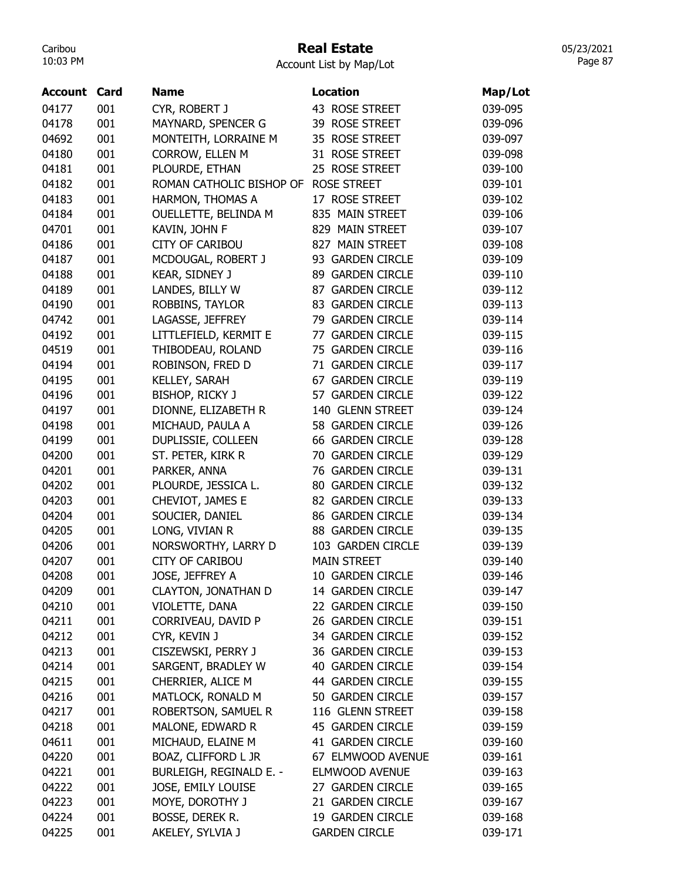# Real Estate

05/23/2021 Page 87

| <b>Account</b> | Card | <b>Name</b>                | <b>Location</b>            | Map/Lot |
|----------------|------|----------------------------|----------------------------|---------|
| 04177          | 001  | CYR, ROBERT J              | 43 ROSE STREET             | 039-095 |
| 04178          | 001  | MAYNARD, SPENCER G         | 39 ROSE STREET             | 039-096 |
| 04692          | 001  | MONTEITH, LORRAINE M       | 35 ROSE STREET             | 039-097 |
| 04180          | 001  | CORROW, ELLEN M            | 31 ROSE STREET             | 039-098 |
| 04181          | 001  | PLOURDE, ETHAN             | 25 ROSE STREET             | 039-100 |
| 04182          | 001  | ROMAN CATHOLIC BISHOP OF   | <b>ROSE STREET</b>         | 039-101 |
| 04183          | 001  | HARMON, THOMAS A           | 17 ROSE STREET             | 039-102 |
| 04184          | 001  | OUELLETTE, BELINDA M       | 835 MAIN STREET            | 039-106 |
| 04701          | 001  | KAVIN, JOHN F              | 829 MAIN STREET            | 039-107 |
| 04186          | 001  | <b>CITY OF CARIBOU</b>     | 827 MAIN STREET            | 039-108 |
| 04187          | 001  | MCDOUGAL, ROBERT J         | 93 GARDEN CIRCLE           | 039-109 |
| 04188          | 001  | KEAR, SIDNEY J             | 89 GARDEN CIRCLE           | 039-110 |
| 04189          | 001  | LANDES, BILLY W            | 87 GARDEN CIRCLE           | 039-112 |
| 04190          | 001  | ROBBINS, TAYLOR            | 83 GARDEN CIRCLE           | 039-113 |
| 04742          | 001  | LAGASSE, JEFFREY           | 79 GARDEN CIRCLE           | 039-114 |
| 04192          | 001  | LITTLEFIELD, KERMIT E      | 77 GARDEN CIRCLE           | 039-115 |
| 04519          | 001  | THIBODEAU, ROLAND          | 75 GARDEN CIRCLE           | 039-116 |
| 04194          | 001  | ROBINSON, FRED D           | 71 GARDEN CIRCLE           | 039-117 |
| 04195          | 001  | KELLEY, SARAH              | <b>GARDEN CIRCLE</b><br>67 | 039-119 |
| 04196          | 001  | BISHOP, RICKY J            | 57 GARDEN CIRCLE           | 039-122 |
| 04197          | 001  | DIONNE, ELIZABETH R        | 140 GLENN STREET           | 039-124 |
| 04198          | 001  | MICHAUD, PAULA A           | 58 GARDEN CIRCLE           | 039-126 |
| 04199          | 001  | DUPLISSIE, COLLEEN         | 66 GARDEN CIRCLE           | 039-128 |
| 04200          | 001  | ST. PETER, KIRK R          | 70 GARDEN CIRCLE           | 039-129 |
| 04201          | 001  | PARKER, ANNA               | 76 GARDEN CIRCLE           | 039-131 |
| 04202          | 001  | PLOURDE, JESSICA L.        | 80 GARDEN CIRCLE           | 039-132 |
| 04203          | 001  | CHEVIOT, JAMES E           | 82 GARDEN CIRCLE           | 039-133 |
| 04204          | 001  | SOUCIER, DANIEL            | 86 GARDEN CIRCLE           | 039-134 |
| 04205          | 001  | LONG, VIVIAN R             | <b>88 GARDEN CIRCLE</b>    | 039-135 |
| 04206          | 001  | NORSWORTHY, LARRY D        | 103 GARDEN CIRCLE          | 039-139 |
| 04207          | 001  | <b>CITY OF CARIBOU</b>     | <b>MAIN STREET</b>         | 039-140 |
| 04208          | 001  | JOSE, JEFFREY A            | 10 GARDEN CIRCLE           | 039-146 |
| 04209          | 001  | <b>CLAYTON, JONATHAN D</b> | 14 GARDEN CIRCLE           | 039-147 |
| 04210          | 001  | VIOLETTE, DANA             | 22 GARDEN CIRCLE           | 039-150 |
| 04211          | 001  | CORRIVEAU, DAVID P         | 26 GARDEN CIRCLE           | 039-151 |
| 04212          | 001  | CYR, KEVIN J               | 34 GARDEN CIRCLE           | 039-152 |
| 04213          | 001  | CISZEWSKI, PERRY J         | 36 GARDEN CIRCLE           | 039-153 |
| 04214          | 001  | SARGENT, BRADLEY W         | <b>40 GARDEN CIRCLE</b>    | 039-154 |
| 04215          | 001  | CHERRIER, ALICE M          | 44 GARDEN CIRCLE           | 039-155 |
| 04216          | 001  | MATLOCK, RONALD M          | 50 GARDEN CIRCLE           | 039-157 |
| 04217          | 001  | ROBERTSON, SAMUEL R        | 116 GLENN STREET           | 039-158 |
| 04218          | 001  | MALONE, EDWARD R           | <b>45 GARDEN CIRCLE</b>    | 039-159 |
| 04611          | 001  | MICHAUD, ELAINE M          | 41 GARDEN CIRCLE           | 039-160 |
| 04220          | 001  | BOAZ, CLIFFORD L JR        | 67 ELMWOOD AVENUE          | 039-161 |
| 04221          | 001  | BURLEIGH, REGINALD E. -    | ELMWOOD AVENUE             | 039-163 |
| 04222          | 001  | JOSE, EMILY LOUISE         | 27 GARDEN CIRCLE           | 039-165 |
| 04223          | 001  | MOYE, DOROTHY J            | 21 GARDEN CIRCLE           | 039-167 |
| 04224          | 001  | BOSSE, DEREK R.            | 19 GARDEN CIRCLE           | 039-168 |
| 04225          | 001  | AKELEY, SYLVIA J           | <b>GARDEN CIRCLE</b>       | 039-171 |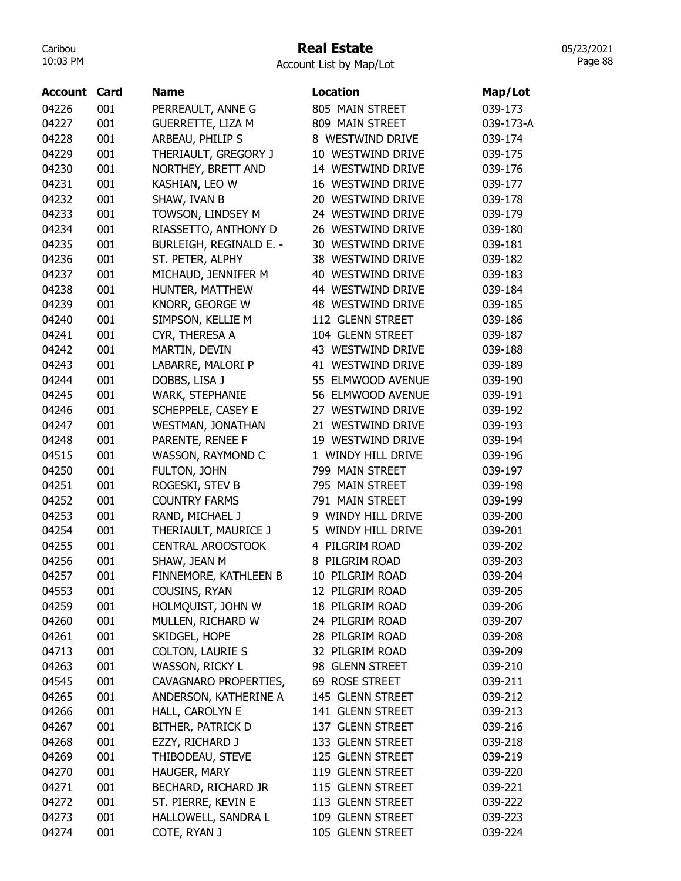# Real Estate

05/23/2021 Page 88

| <b>Account</b> | Card | <b>Name</b>              | <b>Location</b>    | Map/Lot   |
|----------------|------|--------------------------|--------------------|-----------|
| 04226          | 001  | PERREAULT, ANNE G        | 805 MAIN STREET    | 039-173   |
| 04227          | 001  | <b>GUERRETTE, LIZA M</b> | 809 MAIN STREET    | 039-173-A |
| 04228          | 001  | ARBEAU, PHILIP S         | 8 WESTWIND DRIVE   | 039-174   |
| 04229          | 001  | THERIAULT, GREGORY J     | 10 WESTWIND DRIVE  | 039-175   |
| 04230          | 001  | NORTHEY, BRETT AND       | 14 WESTWIND DRIVE  | 039-176   |
| 04231          | 001  | KASHIAN, LEO W           | 16 WESTWIND DRIVE  | 039-177   |
| 04232          | 001  | SHAW, IVAN B             | 20 WESTWIND DRIVE  | 039-178   |
| 04233          | 001  | TOWSON, LINDSEY M        | 24 WESTWIND DRIVE  | 039-179   |
| 04234          | 001  | RIASSETTO, ANTHONY D     | 26 WESTWIND DRIVE  | 039-180   |
| 04235          | 001  | BURLEIGH, REGINALD E. -  | 30 WESTWIND DRIVE  | 039-181   |
| 04236          | 001  | ST. PETER, ALPHY         | 38 WESTWIND DRIVE  | 039-182   |
| 04237          | 001  | MICHAUD, JENNIFER M      | 40 WESTWIND DRIVE  | 039-183   |
| 04238          | 001  | HUNTER, MATTHEW          | 44 WESTWIND DRIVE  | 039-184   |
| 04239          | 001  | KNORR, GEORGE W          | 48 WESTWIND DRIVE  | 039-185   |
| 04240          | 001  | SIMPSON, KELLIE M        | 112 GLENN STREET   | 039-186   |
| 04241          | 001  | CYR, THERESA A           | 104 GLENN STREET   | 039-187   |
| 04242          | 001  | MARTIN, DEVIN            | 43 WESTWIND DRIVE  | 039-188   |
| 04243          | 001  | LABARRE, MALORI P        | 41 WESTWIND DRIVE  | 039-189   |
| 04244          | 001  | DOBBS, LISA J            | 55 ELMWOOD AVENUE  | 039-190   |
| 04245          | 001  | WARK, STEPHANIE          | 56 ELMWOOD AVENUE  | 039-191   |
| 04246          | 001  | SCHEPPELE, CASEY E       | 27 WESTWIND DRIVE  | 039-192   |
| 04247          | 001  | WESTMAN, JONATHAN        | 21 WESTWIND DRIVE  | 039-193   |
| 04248          | 001  | PARENTE, RENEE F         | 19 WESTWIND DRIVE  | 039-194   |
| 04515          | 001  | WASSON, RAYMOND C        | 1 WINDY HILL DRIVE | 039-196   |
| 04250          | 001  | FULTON, JOHN             | 799 MAIN STREET    | 039-197   |
| 04251          | 001  | ROGESKI, STEV B          | 795 MAIN STREET    | 039-198   |
| 04252          | 001  | <b>COUNTRY FARMS</b>     | 791 MAIN STREET    | 039-199   |
| 04253          | 001  | RAND, MICHAEL J          | 9 WINDY HILL DRIVE | 039-200   |
| 04254          | 001  | THERIAULT, MAURICE J     | 5 WINDY HILL DRIVE | 039-201   |
| 04255          | 001  | <b>CENTRAL AROOSTOOK</b> | 4 PILGRIM ROAD     | 039-202   |
| 04256          | 001  | SHAW, JEAN M             | 8 PILGRIM ROAD     | 039-203   |
| 04257          | 001  | FINNEMORE, KATHLEEN B    | 10 PILGRIM ROAD    | 039-204   |
| 04553          | 001  | COUSINS, RYAN            | 12 PILGRIM ROAD    | 039-205   |
| 04259          | 001  | HOLMQUIST, JOHN W        | 18 PILGRIM ROAD    | 039-206   |
| 04260          | 001  | MULLEN, RICHARD W        | 24 PILGRIM ROAD    | 039-207   |
| 04261          | 001  | SKIDGEL, HOPE            | 28 PILGRIM ROAD    | 039-208   |
| 04713          | 001  | <b>COLTON, LAURIE S</b>  | 32 PILGRIM ROAD    | 039-209   |
| 04263          | 001  | WASSON, RICKY L          | 98 GLENN STREET    | 039-210   |
| 04545          | 001  | CAVAGNARO PROPERTIES,    | 69 ROSE STREET     | 039-211   |
| 04265          | 001  | ANDERSON, KATHERINE A    | 145 GLENN STREET   | 039-212   |
| 04266          | 001  | HALL, CAROLYN E          | 141 GLENN STREET   | 039-213   |
| 04267          | 001  | <b>BITHER, PATRICK D</b> | 137 GLENN STREET   | 039-216   |
| 04268          | 001  | EZZY, RICHARD J          | 133 GLENN STREET   | 039-218   |
| 04269          | 001  | THIBODEAU, STEVE         | 125 GLENN STREET   | 039-219   |
| 04270          | 001  | HAUGER, MARY             | 119 GLENN STREET   | 039-220   |
| 04271          | 001  | BECHARD, RICHARD JR      | 115 GLENN STREET   | 039-221   |
| 04272          | 001  | ST. PIERRE, KEVIN E      | 113 GLENN STREET   | 039-222   |
| 04273          | 001  | HALLOWELL, SANDRA L      | 109 GLENN STREET   | 039-223   |
| 04274          | 001  | COTE, RYAN J             | 105 GLENN STREET   | 039-224   |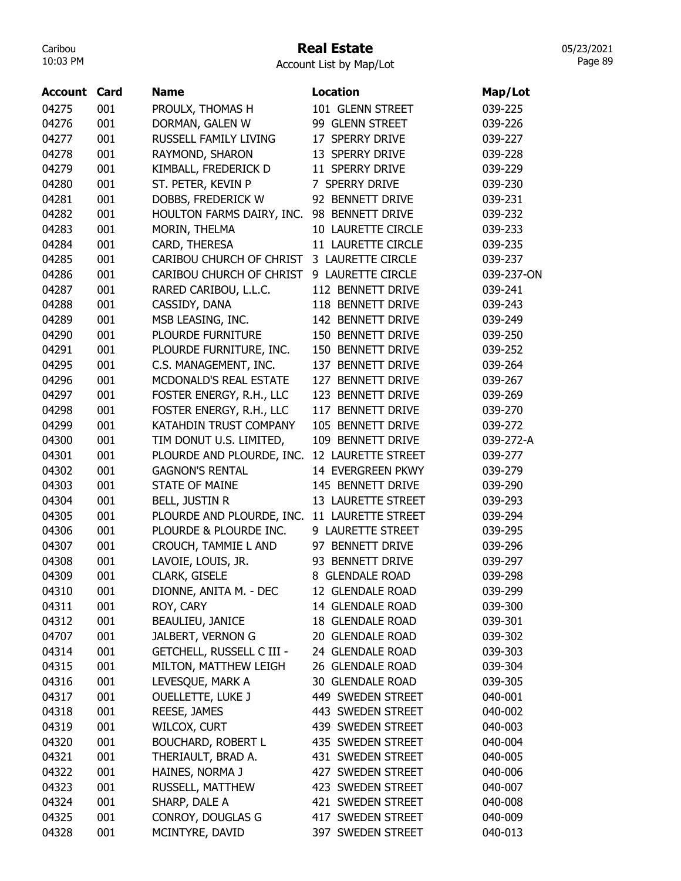# Real Estate

Account List by Map/Lot

| <b>Account Card</b> |     | <b>Name</b>                                  | Location           | Map/Lot    |
|---------------------|-----|----------------------------------------------|--------------------|------------|
| 04275               | 001 | PROULX, THOMAS H                             | 101 GLENN STREET   | 039-225    |
| 04276               | 001 | DORMAN, GALEN W                              | 99 GLENN STREET    | 039-226    |
| 04277               | 001 | RUSSELL FAMILY LIVING                        | 17 SPERRY DRIVE    | 039-227    |
| 04278               | 001 | RAYMOND, SHARON                              | 13 SPERRY DRIVE    | 039-228    |
| 04279               | 001 | KIMBALL, FREDERICK D                         | 11 SPERRY DRIVE    | 039-229    |
| 04280               | 001 | ST. PETER, KEVIN P                           | 7 SPERRY DRIVE     | 039-230    |
| 04281               | 001 | DOBBS, FREDERICK W                           | 92 BENNETT DRIVE   | 039-231    |
| 04282               | 001 | HOULTON FARMS DAIRY, INC.                    | 98 BENNETT DRIVE   | 039-232    |
| 04283               | 001 | MORIN, THELMA                                | 10 LAURETTE CIRCLE | 039-233    |
| 04284               | 001 | CARD, THERESA                                | 11 LAURETTE CIRCLE | 039-235    |
| 04285               | 001 | CARIBOU CHURCH OF CHRIST 3 LAURETTE CIRCLE   |                    | 039-237    |
| 04286               | 001 | CARIBOU CHURCH OF CHRIST                     | 9 LAURETTE CIRCLE  | 039-237-ON |
| 04287               | 001 | RARED CARIBOU, L.L.C.                        | 112 BENNETT DRIVE  | 039-241    |
| 04288               | 001 | CASSIDY, DANA                                | 118 BENNETT DRIVE  | 039-243    |
| 04289               | 001 | MSB LEASING, INC.                            | 142 BENNETT DRIVE  | 039-249    |
| 04290               | 001 | PLOURDE FURNITURE                            | 150 BENNETT DRIVE  | 039-250    |
| 04291               | 001 | PLOURDE FURNITURE, INC.                      | 150 BENNETT DRIVE  | 039-252    |
| 04295               | 001 | C.S. MANAGEMENT, INC.                        | 137 BENNETT DRIVE  | 039-264    |
| 04296               | 001 | MCDONALD'S REAL ESTATE                       | 127 BENNETT DRIVE  | 039-267    |
| 04297               | 001 | FOSTER ENERGY, R.H., LLC                     | 123 BENNETT DRIVE  | 039-269    |
| 04298               | 001 | FOSTER ENERGY, R.H., LLC                     | 117 BENNETT DRIVE  | 039-270    |
| 04299               | 001 | KATAHDIN TRUST COMPANY                       | 105 BENNETT DRIVE  | 039-272    |
| 04300               | 001 | TIM DONUT U.S. LIMITED,                      | 109 BENNETT DRIVE  | 039-272-A  |
| 04301               | 001 | PLOURDE AND PLOURDE, INC.                    | 12 LAURETTE STREET | 039-277    |
| 04302               | 001 | <b>GAGNON'S RENTAL</b>                       | 14 EVERGREEN PKWY  | 039-279    |
| 04303               | 001 | <b>STATE OF MAINE</b>                        | 145 BENNETT DRIVE  | 039-290    |
| 04304               | 001 | <b>BELL, JUSTIN R</b>                        | 13 LAURETTE STREET | 039-293    |
| 04305               | 001 | PLOURDE AND PLOURDE, INC. 11 LAURETTE STREET |                    | 039-294    |
| 04306               | 001 | PLOURDE & PLOURDE INC.                       | 9 LAURETTE STREET  | 039-295    |
| 04307               | 001 | CROUCH, TAMMIE L AND                         | 97 BENNETT DRIVE   | 039-296    |
| 04308               | 001 | LAVOIE, LOUIS, JR.                           | 93 BENNETT DRIVE   | 039-297    |
| 04309               | 001 | <b>CLARK, GISELE</b>                         | 8 GLENDALE ROAD    | 039-298    |
| 04310               | 001 | DIONNE, ANITA M. - DEC                       | 12 GLENDALE ROAD   | 039-299    |
| 04311               | 001 | ROY, CARY                                    | 14 GLENDALE ROAD   | 039-300    |
| 04312               | 001 | BEAULIEU, JANICE                             | 18 GLENDALE ROAD   | 039-301    |
| 04707               | 001 | JALBERT, VERNON G                            | 20 GLENDALE ROAD   | 039-302    |
| 04314               | 001 | <b>GETCHELL, RUSSELL C III -</b>             | 24 GLENDALE ROAD   | 039-303    |
| 04315               | 001 | MILTON, MATTHEW LEIGH                        | 26 GLENDALE ROAD   | 039-304    |
| 04316               | 001 | LEVESQUE, MARK A                             | 30 GLENDALE ROAD   | 039-305    |
| 04317               | 001 | <b>OUELLETTE, LUKE J</b>                     | 449 SWEDEN STREET  | 040-001    |
| 04318               | 001 | REESE, JAMES                                 | 443 SWEDEN STREET  | 040-002    |
| 04319               | 001 | WILCOX, CURT                                 |                    |            |
|                     | 001 |                                              | 439 SWEDEN STREET  | 040-003    |
| 04320               |     | BOUCHARD, ROBERT L                           | 435 SWEDEN STREET  | 040-004    |
| 04321               | 001 | THERIAULT, BRAD A.                           | 431 SWEDEN STREET  | 040-005    |
| 04322               | 001 | HAINES, NORMA J                              | 427 SWEDEN STREET  | 040-006    |
| 04323               | 001 | RUSSELL, MATTHEW                             | 423 SWEDEN STREET  | 040-007    |
| 04324               | 001 | SHARP, DALE A                                | 421 SWEDEN STREET  | 040-008    |
| 04325               | 001 | CONROY, DOUGLAS G                            | 417 SWEDEN STREET  | 040-009    |
| 04328               | 001 | MCINTYRE, DAVID                              | 397 SWEDEN STREET  | 040-013    |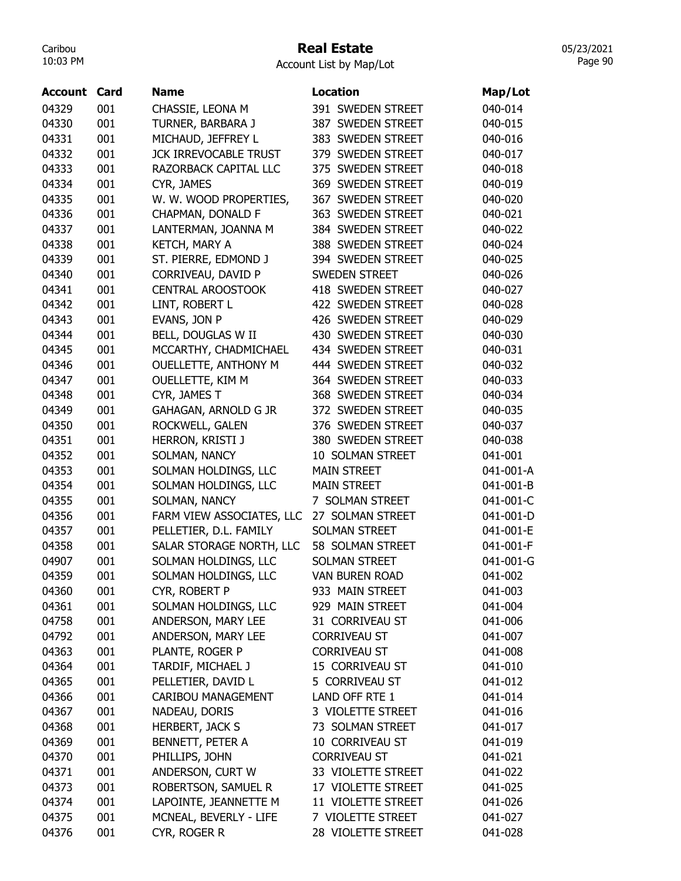# Real Estate

Account List by Map/Lot

| 04329<br>001<br>391 SWEDEN STREET<br>040-014<br>CHASSIE, LEONA M<br>04330<br>001<br>TURNER, BARBARA J<br>387 SWEDEN STREET<br>040-015<br>04331<br>001<br>MICHAUD, JEFFREY L<br>383 SWEDEN STREET<br>040-016<br>001<br>379 SWEDEN STREET<br>04332<br><b>JCK IRREVOCABLE TRUST</b><br>040-017<br>001<br>375 SWEDEN STREET<br>04333<br>RAZORBACK CAPITAL LLC<br>040-018<br>001<br>369 SWEDEN STREET<br>04334<br>CYR, JAMES<br>040-019<br>04335<br>001<br>W. W. WOOD PROPERTIES,<br>367 SWEDEN STREET<br>040-020<br>001<br>CHAPMAN, DONALD F<br>363 SWEDEN STREET<br>040-021<br>04336<br>04337<br>001<br>LANTERMAN, JOANNA M<br>384 SWEDEN STREET<br>040-022<br>04338<br>001<br>KETCH, MARY A<br>388 SWEDEN STREET<br>040-024<br>ST. PIERRE, EDMOND J<br>04339<br>001<br>394 SWEDEN STREET<br>040-025<br>001<br>CORRIVEAU, DAVID P<br><b>SWEDEN STREET</b><br>04340<br>040-026<br>001<br>418 SWEDEN STREET<br>04341<br><b>CENTRAL AROOSTOOK</b><br>040-027<br>04342<br>001<br>422 SWEDEN STREET<br>LINT, ROBERT L<br>040-028<br>04343<br>001<br>EVANS, JON P<br>426 SWEDEN STREET<br>040-029<br>BELL, DOUGLAS W II<br>04344<br>001<br>430 SWEDEN STREET<br>040-030<br>04345<br>001<br>MCCARTHY, CHADMICHAEL<br>434 SWEDEN STREET<br>040-031<br>04346<br>001<br>OUELLETTE, ANTHONY M<br>444 SWEDEN STREET<br>040-032<br>001<br>364 SWEDEN STREET<br>04347<br><b>OUELLETTE, KIM M</b><br>040-033<br>001<br>368 SWEDEN STREET<br>04348<br>CYR, JAMES T<br>040-034<br>001<br>04349<br>GAHAGAN, ARNOLD G JR<br>372 SWEDEN STREET<br>040-035<br>04350<br>001<br>376 SWEDEN STREET<br>ROCKWELL, GALEN<br>040-037<br>04351<br>001<br>HERRON, KRISTI J<br>380 SWEDEN STREET<br>040-038<br>04352<br>001<br>SOLMAN, NANCY<br>10 SOLMAN STREET<br>041-001<br>04353<br>001<br>SOLMAN HOLDINGS, LLC<br><b>MAIN STREET</b><br>041-001-A<br>04354<br>001<br>SOLMAN HOLDINGS, LLC<br><b>MAIN STREET</b><br>041-001-B<br>001<br>041-001-C<br>04355<br>SOLMAN, NANCY<br>7 SOLMAN STREET<br>001<br>FARM VIEW ASSOCIATES, LLC<br>041-001-D<br>04356<br>27 SOLMAN STREET<br>001<br><b>SOLMAN STREET</b><br>04357<br>PELLETIER, D.L. FAMILY<br>041-001-E<br>04358<br>001<br>SALAR STORAGE NORTH, LLC<br>041-001-F<br>58 SOLMAN STREET<br>041-001-G<br>04907<br>001<br>SOLMAN HOLDINGS, LLC<br><b>SOLMAN STREET</b><br>041-002<br>04359<br><b>VAN BUREN ROAD</b><br>001<br>SOLMAN HOLDINGS, LLC<br>933 MAIN STREET<br>001<br>CYR, ROBERT P<br>041-003<br>04360<br>04361<br>001<br>SOLMAN HOLDINGS, LLC<br>929 MAIN STREET<br>041-004<br>001<br>ANDERSON, MARY LEE<br>04758<br>31 CORRIVEAU ST<br>041-006<br>001<br><b>CORRIVEAU ST</b><br>04792<br>ANDERSON, MARY LEE<br>041-007<br>001<br>PLANTE, ROGER P<br><b>CORRIVEAU ST</b><br>04363<br>041-008<br>04364<br>001<br>TARDIF, MICHAEL J<br>15 CORRIVEAU ST<br>041-010<br>001<br>PELLETIER, DAVID L<br>5 CORRIVEAU ST<br>04365<br>041-012<br>001<br>LAND OFF RTE 1<br>04366<br>CARIBOU MANAGEMENT<br>041-014<br>001<br>04367<br>NADEAU, DORIS<br>3 VIOLETTE STREET<br>041-016<br>04368<br>001<br><b>HERBERT, JACK S</b><br>73 SOLMAN STREET<br>041-017<br>001<br>BENNETT, PETER A<br>04369<br>10 CORRIVEAU ST<br>041-019<br>001<br>PHILLIPS, JOHN<br>04370<br><b>CORRIVEAU ST</b><br>041-021<br>04371<br>001<br>ANDERSON, CURT W<br>041-022<br>33 VIOLETTE STREET<br>001<br>ROBERTSON, SAMUEL R<br>04373<br>17 VIOLETTE STREET<br>041-025<br>LAPOINTE, JEANNETTE M<br>04374<br>001<br>11 VIOLETTE STREET<br>041-026<br>04375<br>001<br>MCNEAL, BEVERLY - LIFE<br>7 VIOLETTE STREET<br>041-027<br>04376<br>001<br>CYR, ROGER R<br>28 VIOLETTE STREET<br>041-028 | <b>Account Card</b> | <b>Name</b> | <b>Location</b> | Map/Lot |
|--------------------------------------------------------------------------------------------------------------------------------------------------------------------------------------------------------------------------------------------------------------------------------------------------------------------------------------------------------------------------------------------------------------------------------------------------------------------------------------------------------------------------------------------------------------------------------------------------------------------------------------------------------------------------------------------------------------------------------------------------------------------------------------------------------------------------------------------------------------------------------------------------------------------------------------------------------------------------------------------------------------------------------------------------------------------------------------------------------------------------------------------------------------------------------------------------------------------------------------------------------------------------------------------------------------------------------------------------------------------------------------------------------------------------------------------------------------------------------------------------------------------------------------------------------------------------------------------------------------------------------------------------------------------------------------------------------------------------------------------------------------------------------------------------------------------------------------------------------------------------------------------------------------------------------------------------------------------------------------------------------------------------------------------------------------------------------------------------------------------------------------------------------------------------------------------------------------------------------------------------------------------------------------------------------------------------------------------------------------------------------------------------------------------------------------------------------------------------------------------------------------------------------------------------------------------------------------------------------------------------------------------------------------------------------------------------------------------------------------------------------------------------------------------------------------------------------------------------------------------------------------------------------------------------------------------------------------------------------------------------------------------------------------------------------------------------------------------------------------------------------------------------------------------------------------------------------------------------------------------------------------------------------------------------------------------------------------------------------------------------------------------------------------------------------------------------------------------------------------------------------------------------------------------------------------------------------------|---------------------|-------------|-----------------|---------|
|                                                                                                                                                                                                                                                                                                                                                                                                                                                                                                                                                                                                                                                                                                                                                                                                                                                                                                                                                                                                                                                                                                                                                                                                                                                                                                                                                                                                                                                                                                                                                                                                                                                                                                                                                                                                                                                                                                                                                                                                                                                                                                                                                                                                                                                                                                                                                                                                                                                                                                                                                                                                                                                                                                                                                                                                                                                                                                                                                                                                                                                                                                                                                                                                                                                                                                                                                                                                                                                                                                                                                                                      |                     |             |                 |         |
|                                                                                                                                                                                                                                                                                                                                                                                                                                                                                                                                                                                                                                                                                                                                                                                                                                                                                                                                                                                                                                                                                                                                                                                                                                                                                                                                                                                                                                                                                                                                                                                                                                                                                                                                                                                                                                                                                                                                                                                                                                                                                                                                                                                                                                                                                                                                                                                                                                                                                                                                                                                                                                                                                                                                                                                                                                                                                                                                                                                                                                                                                                                                                                                                                                                                                                                                                                                                                                                                                                                                                                                      |                     |             |                 |         |
|                                                                                                                                                                                                                                                                                                                                                                                                                                                                                                                                                                                                                                                                                                                                                                                                                                                                                                                                                                                                                                                                                                                                                                                                                                                                                                                                                                                                                                                                                                                                                                                                                                                                                                                                                                                                                                                                                                                                                                                                                                                                                                                                                                                                                                                                                                                                                                                                                                                                                                                                                                                                                                                                                                                                                                                                                                                                                                                                                                                                                                                                                                                                                                                                                                                                                                                                                                                                                                                                                                                                                                                      |                     |             |                 |         |
|                                                                                                                                                                                                                                                                                                                                                                                                                                                                                                                                                                                                                                                                                                                                                                                                                                                                                                                                                                                                                                                                                                                                                                                                                                                                                                                                                                                                                                                                                                                                                                                                                                                                                                                                                                                                                                                                                                                                                                                                                                                                                                                                                                                                                                                                                                                                                                                                                                                                                                                                                                                                                                                                                                                                                                                                                                                                                                                                                                                                                                                                                                                                                                                                                                                                                                                                                                                                                                                                                                                                                                                      |                     |             |                 |         |
|                                                                                                                                                                                                                                                                                                                                                                                                                                                                                                                                                                                                                                                                                                                                                                                                                                                                                                                                                                                                                                                                                                                                                                                                                                                                                                                                                                                                                                                                                                                                                                                                                                                                                                                                                                                                                                                                                                                                                                                                                                                                                                                                                                                                                                                                                                                                                                                                                                                                                                                                                                                                                                                                                                                                                                                                                                                                                                                                                                                                                                                                                                                                                                                                                                                                                                                                                                                                                                                                                                                                                                                      |                     |             |                 |         |
|                                                                                                                                                                                                                                                                                                                                                                                                                                                                                                                                                                                                                                                                                                                                                                                                                                                                                                                                                                                                                                                                                                                                                                                                                                                                                                                                                                                                                                                                                                                                                                                                                                                                                                                                                                                                                                                                                                                                                                                                                                                                                                                                                                                                                                                                                                                                                                                                                                                                                                                                                                                                                                                                                                                                                                                                                                                                                                                                                                                                                                                                                                                                                                                                                                                                                                                                                                                                                                                                                                                                                                                      |                     |             |                 |         |
|                                                                                                                                                                                                                                                                                                                                                                                                                                                                                                                                                                                                                                                                                                                                                                                                                                                                                                                                                                                                                                                                                                                                                                                                                                                                                                                                                                                                                                                                                                                                                                                                                                                                                                                                                                                                                                                                                                                                                                                                                                                                                                                                                                                                                                                                                                                                                                                                                                                                                                                                                                                                                                                                                                                                                                                                                                                                                                                                                                                                                                                                                                                                                                                                                                                                                                                                                                                                                                                                                                                                                                                      |                     |             |                 |         |
|                                                                                                                                                                                                                                                                                                                                                                                                                                                                                                                                                                                                                                                                                                                                                                                                                                                                                                                                                                                                                                                                                                                                                                                                                                                                                                                                                                                                                                                                                                                                                                                                                                                                                                                                                                                                                                                                                                                                                                                                                                                                                                                                                                                                                                                                                                                                                                                                                                                                                                                                                                                                                                                                                                                                                                                                                                                                                                                                                                                                                                                                                                                                                                                                                                                                                                                                                                                                                                                                                                                                                                                      |                     |             |                 |         |
|                                                                                                                                                                                                                                                                                                                                                                                                                                                                                                                                                                                                                                                                                                                                                                                                                                                                                                                                                                                                                                                                                                                                                                                                                                                                                                                                                                                                                                                                                                                                                                                                                                                                                                                                                                                                                                                                                                                                                                                                                                                                                                                                                                                                                                                                                                                                                                                                                                                                                                                                                                                                                                                                                                                                                                                                                                                                                                                                                                                                                                                                                                                                                                                                                                                                                                                                                                                                                                                                                                                                                                                      |                     |             |                 |         |
|                                                                                                                                                                                                                                                                                                                                                                                                                                                                                                                                                                                                                                                                                                                                                                                                                                                                                                                                                                                                                                                                                                                                                                                                                                                                                                                                                                                                                                                                                                                                                                                                                                                                                                                                                                                                                                                                                                                                                                                                                                                                                                                                                                                                                                                                                                                                                                                                                                                                                                                                                                                                                                                                                                                                                                                                                                                                                                                                                                                                                                                                                                                                                                                                                                                                                                                                                                                                                                                                                                                                                                                      |                     |             |                 |         |
|                                                                                                                                                                                                                                                                                                                                                                                                                                                                                                                                                                                                                                                                                                                                                                                                                                                                                                                                                                                                                                                                                                                                                                                                                                                                                                                                                                                                                                                                                                                                                                                                                                                                                                                                                                                                                                                                                                                                                                                                                                                                                                                                                                                                                                                                                                                                                                                                                                                                                                                                                                                                                                                                                                                                                                                                                                                                                                                                                                                                                                                                                                                                                                                                                                                                                                                                                                                                                                                                                                                                                                                      |                     |             |                 |         |
|                                                                                                                                                                                                                                                                                                                                                                                                                                                                                                                                                                                                                                                                                                                                                                                                                                                                                                                                                                                                                                                                                                                                                                                                                                                                                                                                                                                                                                                                                                                                                                                                                                                                                                                                                                                                                                                                                                                                                                                                                                                                                                                                                                                                                                                                                                                                                                                                                                                                                                                                                                                                                                                                                                                                                                                                                                                                                                                                                                                                                                                                                                                                                                                                                                                                                                                                                                                                                                                                                                                                                                                      |                     |             |                 |         |
|                                                                                                                                                                                                                                                                                                                                                                                                                                                                                                                                                                                                                                                                                                                                                                                                                                                                                                                                                                                                                                                                                                                                                                                                                                                                                                                                                                                                                                                                                                                                                                                                                                                                                                                                                                                                                                                                                                                                                                                                                                                                                                                                                                                                                                                                                                                                                                                                                                                                                                                                                                                                                                                                                                                                                                                                                                                                                                                                                                                                                                                                                                                                                                                                                                                                                                                                                                                                                                                                                                                                                                                      |                     |             |                 |         |
|                                                                                                                                                                                                                                                                                                                                                                                                                                                                                                                                                                                                                                                                                                                                                                                                                                                                                                                                                                                                                                                                                                                                                                                                                                                                                                                                                                                                                                                                                                                                                                                                                                                                                                                                                                                                                                                                                                                                                                                                                                                                                                                                                                                                                                                                                                                                                                                                                                                                                                                                                                                                                                                                                                                                                                                                                                                                                                                                                                                                                                                                                                                                                                                                                                                                                                                                                                                                                                                                                                                                                                                      |                     |             |                 |         |
|                                                                                                                                                                                                                                                                                                                                                                                                                                                                                                                                                                                                                                                                                                                                                                                                                                                                                                                                                                                                                                                                                                                                                                                                                                                                                                                                                                                                                                                                                                                                                                                                                                                                                                                                                                                                                                                                                                                                                                                                                                                                                                                                                                                                                                                                                                                                                                                                                                                                                                                                                                                                                                                                                                                                                                                                                                                                                                                                                                                                                                                                                                                                                                                                                                                                                                                                                                                                                                                                                                                                                                                      |                     |             |                 |         |
|                                                                                                                                                                                                                                                                                                                                                                                                                                                                                                                                                                                                                                                                                                                                                                                                                                                                                                                                                                                                                                                                                                                                                                                                                                                                                                                                                                                                                                                                                                                                                                                                                                                                                                                                                                                                                                                                                                                                                                                                                                                                                                                                                                                                                                                                                                                                                                                                                                                                                                                                                                                                                                                                                                                                                                                                                                                                                                                                                                                                                                                                                                                                                                                                                                                                                                                                                                                                                                                                                                                                                                                      |                     |             |                 |         |
|                                                                                                                                                                                                                                                                                                                                                                                                                                                                                                                                                                                                                                                                                                                                                                                                                                                                                                                                                                                                                                                                                                                                                                                                                                                                                                                                                                                                                                                                                                                                                                                                                                                                                                                                                                                                                                                                                                                                                                                                                                                                                                                                                                                                                                                                                                                                                                                                                                                                                                                                                                                                                                                                                                                                                                                                                                                                                                                                                                                                                                                                                                                                                                                                                                                                                                                                                                                                                                                                                                                                                                                      |                     |             |                 |         |
|                                                                                                                                                                                                                                                                                                                                                                                                                                                                                                                                                                                                                                                                                                                                                                                                                                                                                                                                                                                                                                                                                                                                                                                                                                                                                                                                                                                                                                                                                                                                                                                                                                                                                                                                                                                                                                                                                                                                                                                                                                                                                                                                                                                                                                                                                                                                                                                                                                                                                                                                                                                                                                                                                                                                                                                                                                                                                                                                                                                                                                                                                                                                                                                                                                                                                                                                                                                                                                                                                                                                                                                      |                     |             |                 |         |
|                                                                                                                                                                                                                                                                                                                                                                                                                                                                                                                                                                                                                                                                                                                                                                                                                                                                                                                                                                                                                                                                                                                                                                                                                                                                                                                                                                                                                                                                                                                                                                                                                                                                                                                                                                                                                                                                                                                                                                                                                                                                                                                                                                                                                                                                                                                                                                                                                                                                                                                                                                                                                                                                                                                                                                                                                                                                                                                                                                                                                                                                                                                                                                                                                                                                                                                                                                                                                                                                                                                                                                                      |                     |             |                 |         |
|                                                                                                                                                                                                                                                                                                                                                                                                                                                                                                                                                                                                                                                                                                                                                                                                                                                                                                                                                                                                                                                                                                                                                                                                                                                                                                                                                                                                                                                                                                                                                                                                                                                                                                                                                                                                                                                                                                                                                                                                                                                                                                                                                                                                                                                                                                                                                                                                                                                                                                                                                                                                                                                                                                                                                                                                                                                                                                                                                                                                                                                                                                                                                                                                                                                                                                                                                                                                                                                                                                                                                                                      |                     |             |                 |         |
|                                                                                                                                                                                                                                                                                                                                                                                                                                                                                                                                                                                                                                                                                                                                                                                                                                                                                                                                                                                                                                                                                                                                                                                                                                                                                                                                                                                                                                                                                                                                                                                                                                                                                                                                                                                                                                                                                                                                                                                                                                                                                                                                                                                                                                                                                                                                                                                                                                                                                                                                                                                                                                                                                                                                                                                                                                                                                                                                                                                                                                                                                                                                                                                                                                                                                                                                                                                                                                                                                                                                                                                      |                     |             |                 |         |
|                                                                                                                                                                                                                                                                                                                                                                                                                                                                                                                                                                                                                                                                                                                                                                                                                                                                                                                                                                                                                                                                                                                                                                                                                                                                                                                                                                                                                                                                                                                                                                                                                                                                                                                                                                                                                                                                                                                                                                                                                                                                                                                                                                                                                                                                                                                                                                                                                                                                                                                                                                                                                                                                                                                                                                                                                                                                                                                                                                                                                                                                                                                                                                                                                                                                                                                                                                                                                                                                                                                                                                                      |                     |             |                 |         |
|                                                                                                                                                                                                                                                                                                                                                                                                                                                                                                                                                                                                                                                                                                                                                                                                                                                                                                                                                                                                                                                                                                                                                                                                                                                                                                                                                                                                                                                                                                                                                                                                                                                                                                                                                                                                                                                                                                                                                                                                                                                                                                                                                                                                                                                                                                                                                                                                                                                                                                                                                                                                                                                                                                                                                                                                                                                                                                                                                                                                                                                                                                                                                                                                                                                                                                                                                                                                                                                                                                                                                                                      |                     |             |                 |         |
|                                                                                                                                                                                                                                                                                                                                                                                                                                                                                                                                                                                                                                                                                                                                                                                                                                                                                                                                                                                                                                                                                                                                                                                                                                                                                                                                                                                                                                                                                                                                                                                                                                                                                                                                                                                                                                                                                                                                                                                                                                                                                                                                                                                                                                                                                                                                                                                                                                                                                                                                                                                                                                                                                                                                                                                                                                                                                                                                                                                                                                                                                                                                                                                                                                                                                                                                                                                                                                                                                                                                                                                      |                     |             |                 |         |
|                                                                                                                                                                                                                                                                                                                                                                                                                                                                                                                                                                                                                                                                                                                                                                                                                                                                                                                                                                                                                                                                                                                                                                                                                                                                                                                                                                                                                                                                                                                                                                                                                                                                                                                                                                                                                                                                                                                                                                                                                                                                                                                                                                                                                                                                                                                                                                                                                                                                                                                                                                                                                                                                                                                                                                                                                                                                                                                                                                                                                                                                                                                                                                                                                                                                                                                                                                                                                                                                                                                                                                                      |                     |             |                 |         |
|                                                                                                                                                                                                                                                                                                                                                                                                                                                                                                                                                                                                                                                                                                                                                                                                                                                                                                                                                                                                                                                                                                                                                                                                                                                                                                                                                                                                                                                                                                                                                                                                                                                                                                                                                                                                                                                                                                                                                                                                                                                                                                                                                                                                                                                                                                                                                                                                                                                                                                                                                                                                                                                                                                                                                                                                                                                                                                                                                                                                                                                                                                                                                                                                                                                                                                                                                                                                                                                                                                                                                                                      |                     |             |                 |         |
|                                                                                                                                                                                                                                                                                                                                                                                                                                                                                                                                                                                                                                                                                                                                                                                                                                                                                                                                                                                                                                                                                                                                                                                                                                                                                                                                                                                                                                                                                                                                                                                                                                                                                                                                                                                                                                                                                                                                                                                                                                                                                                                                                                                                                                                                                                                                                                                                                                                                                                                                                                                                                                                                                                                                                                                                                                                                                                                                                                                                                                                                                                                                                                                                                                                                                                                                                                                                                                                                                                                                                                                      |                     |             |                 |         |
|                                                                                                                                                                                                                                                                                                                                                                                                                                                                                                                                                                                                                                                                                                                                                                                                                                                                                                                                                                                                                                                                                                                                                                                                                                                                                                                                                                                                                                                                                                                                                                                                                                                                                                                                                                                                                                                                                                                                                                                                                                                                                                                                                                                                                                                                                                                                                                                                                                                                                                                                                                                                                                                                                                                                                                                                                                                                                                                                                                                                                                                                                                                                                                                                                                                                                                                                                                                                                                                                                                                                                                                      |                     |             |                 |         |
|                                                                                                                                                                                                                                                                                                                                                                                                                                                                                                                                                                                                                                                                                                                                                                                                                                                                                                                                                                                                                                                                                                                                                                                                                                                                                                                                                                                                                                                                                                                                                                                                                                                                                                                                                                                                                                                                                                                                                                                                                                                                                                                                                                                                                                                                                                                                                                                                                                                                                                                                                                                                                                                                                                                                                                                                                                                                                                                                                                                                                                                                                                                                                                                                                                                                                                                                                                                                                                                                                                                                                                                      |                     |             |                 |         |
|                                                                                                                                                                                                                                                                                                                                                                                                                                                                                                                                                                                                                                                                                                                                                                                                                                                                                                                                                                                                                                                                                                                                                                                                                                                                                                                                                                                                                                                                                                                                                                                                                                                                                                                                                                                                                                                                                                                                                                                                                                                                                                                                                                                                                                                                                                                                                                                                                                                                                                                                                                                                                                                                                                                                                                                                                                                                                                                                                                                                                                                                                                                                                                                                                                                                                                                                                                                                                                                                                                                                                                                      |                     |             |                 |         |
|                                                                                                                                                                                                                                                                                                                                                                                                                                                                                                                                                                                                                                                                                                                                                                                                                                                                                                                                                                                                                                                                                                                                                                                                                                                                                                                                                                                                                                                                                                                                                                                                                                                                                                                                                                                                                                                                                                                                                                                                                                                                                                                                                                                                                                                                                                                                                                                                                                                                                                                                                                                                                                                                                                                                                                                                                                                                                                                                                                                                                                                                                                                                                                                                                                                                                                                                                                                                                                                                                                                                                                                      |                     |             |                 |         |
|                                                                                                                                                                                                                                                                                                                                                                                                                                                                                                                                                                                                                                                                                                                                                                                                                                                                                                                                                                                                                                                                                                                                                                                                                                                                                                                                                                                                                                                                                                                                                                                                                                                                                                                                                                                                                                                                                                                                                                                                                                                                                                                                                                                                                                                                                                                                                                                                                                                                                                                                                                                                                                                                                                                                                                                                                                                                                                                                                                                                                                                                                                                                                                                                                                                                                                                                                                                                                                                                                                                                                                                      |                     |             |                 |         |
|                                                                                                                                                                                                                                                                                                                                                                                                                                                                                                                                                                                                                                                                                                                                                                                                                                                                                                                                                                                                                                                                                                                                                                                                                                                                                                                                                                                                                                                                                                                                                                                                                                                                                                                                                                                                                                                                                                                                                                                                                                                                                                                                                                                                                                                                                                                                                                                                                                                                                                                                                                                                                                                                                                                                                                                                                                                                                                                                                                                                                                                                                                                                                                                                                                                                                                                                                                                                                                                                                                                                                                                      |                     |             |                 |         |
|                                                                                                                                                                                                                                                                                                                                                                                                                                                                                                                                                                                                                                                                                                                                                                                                                                                                                                                                                                                                                                                                                                                                                                                                                                                                                                                                                                                                                                                                                                                                                                                                                                                                                                                                                                                                                                                                                                                                                                                                                                                                                                                                                                                                                                                                                                                                                                                                                                                                                                                                                                                                                                                                                                                                                                                                                                                                                                                                                                                                                                                                                                                                                                                                                                                                                                                                                                                                                                                                                                                                                                                      |                     |             |                 |         |
|                                                                                                                                                                                                                                                                                                                                                                                                                                                                                                                                                                                                                                                                                                                                                                                                                                                                                                                                                                                                                                                                                                                                                                                                                                                                                                                                                                                                                                                                                                                                                                                                                                                                                                                                                                                                                                                                                                                                                                                                                                                                                                                                                                                                                                                                                                                                                                                                                                                                                                                                                                                                                                                                                                                                                                                                                                                                                                                                                                                                                                                                                                                                                                                                                                                                                                                                                                                                                                                                                                                                                                                      |                     |             |                 |         |
|                                                                                                                                                                                                                                                                                                                                                                                                                                                                                                                                                                                                                                                                                                                                                                                                                                                                                                                                                                                                                                                                                                                                                                                                                                                                                                                                                                                                                                                                                                                                                                                                                                                                                                                                                                                                                                                                                                                                                                                                                                                                                                                                                                                                                                                                                                                                                                                                                                                                                                                                                                                                                                                                                                                                                                                                                                                                                                                                                                                                                                                                                                                                                                                                                                                                                                                                                                                                                                                                                                                                                                                      |                     |             |                 |         |
|                                                                                                                                                                                                                                                                                                                                                                                                                                                                                                                                                                                                                                                                                                                                                                                                                                                                                                                                                                                                                                                                                                                                                                                                                                                                                                                                                                                                                                                                                                                                                                                                                                                                                                                                                                                                                                                                                                                                                                                                                                                                                                                                                                                                                                                                                                                                                                                                                                                                                                                                                                                                                                                                                                                                                                                                                                                                                                                                                                                                                                                                                                                                                                                                                                                                                                                                                                                                                                                                                                                                                                                      |                     |             |                 |         |
|                                                                                                                                                                                                                                                                                                                                                                                                                                                                                                                                                                                                                                                                                                                                                                                                                                                                                                                                                                                                                                                                                                                                                                                                                                                                                                                                                                                                                                                                                                                                                                                                                                                                                                                                                                                                                                                                                                                                                                                                                                                                                                                                                                                                                                                                                                                                                                                                                                                                                                                                                                                                                                                                                                                                                                                                                                                                                                                                                                                                                                                                                                                                                                                                                                                                                                                                                                                                                                                                                                                                                                                      |                     |             |                 |         |
|                                                                                                                                                                                                                                                                                                                                                                                                                                                                                                                                                                                                                                                                                                                                                                                                                                                                                                                                                                                                                                                                                                                                                                                                                                                                                                                                                                                                                                                                                                                                                                                                                                                                                                                                                                                                                                                                                                                                                                                                                                                                                                                                                                                                                                                                                                                                                                                                                                                                                                                                                                                                                                                                                                                                                                                                                                                                                                                                                                                                                                                                                                                                                                                                                                                                                                                                                                                                                                                                                                                                                                                      |                     |             |                 |         |
|                                                                                                                                                                                                                                                                                                                                                                                                                                                                                                                                                                                                                                                                                                                                                                                                                                                                                                                                                                                                                                                                                                                                                                                                                                                                                                                                                                                                                                                                                                                                                                                                                                                                                                                                                                                                                                                                                                                                                                                                                                                                                                                                                                                                                                                                                                                                                                                                                                                                                                                                                                                                                                                                                                                                                                                                                                                                                                                                                                                                                                                                                                                                                                                                                                                                                                                                                                                                                                                                                                                                                                                      |                     |             |                 |         |
|                                                                                                                                                                                                                                                                                                                                                                                                                                                                                                                                                                                                                                                                                                                                                                                                                                                                                                                                                                                                                                                                                                                                                                                                                                                                                                                                                                                                                                                                                                                                                                                                                                                                                                                                                                                                                                                                                                                                                                                                                                                                                                                                                                                                                                                                                                                                                                                                                                                                                                                                                                                                                                                                                                                                                                                                                                                                                                                                                                                                                                                                                                                                                                                                                                                                                                                                                                                                                                                                                                                                                                                      |                     |             |                 |         |
|                                                                                                                                                                                                                                                                                                                                                                                                                                                                                                                                                                                                                                                                                                                                                                                                                                                                                                                                                                                                                                                                                                                                                                                                                                                                                                                                                                                                                                                                                                                                                                                                                                                                                                                                                                                                                                                                                                                                                                                                                                                                                                                                                                                                                                                                                                                                                                                                                                                                                                                                                                                                                                                                                                                                                                                                                                                                                                                                                                                                                                                                                                                                                                                                                                                                                                                                                                                                                                                                                                                                                                                      |                     |             |                 |         |
|                                                                                                                                                                                                                                                                                                                                                                                                                                                                                                                                                                                                                                                                                                                                                                                                                                                                                                                                                                                                                                                                                                                                                                                                                                                                                                                                                                                                                                                                                                                                                                                                                                                                                                                                                                                                                                                                                                                                                                                                                                                                                                                                                                                                                                                                                                                                                                                                                                                                                                                                                                                                                                                                                                                                                                                                                                                                                                                                                                                                                                                                                                                                                                                                                                                                                                                                                                                                                                                                                                                                                                                      |                     |             |                 |         |
|                                                                                                                                                                                                                                                                                                                                                                                                                                                                                                                                                                                                                                                                                                                                                                                                                                                                                                                                                                                                                                                                                                                                                                                                                                                                                                                                                                                                                                                                                                                                                                                                                                                                                                                                                                                                                                                                                                                                                                                                                                                                                                                                                                                                                                                                                                                                                                                                                                                                                                                                                                                                                                                                                                                                                                                                                                                                                                                                                                                                                                                                                                                                                                                                                                                                                                                                                                                                                                                                                                                                                                                      |                     |             |                 |         |
|                                                                                                                                                                                                                                                                                                                                                                                                                                                                                                                                                                                                                                                                                                                                                                                                                                                                                                                                                                                                                                                                                                                                                                                                                                                                                                                                                                                                                                                                                                                                                                                                                                                                                                                                                                                                                                                                                                                                                                                                                                                                                                                                                                                                                                                                                                                                                                                                                                                                                                                                                                                                                                                                                                                                                                                                                                                                                                                                                                                                                                                                                                                                                                                                                                                                                                                                                                                                                                                                                                                                                                                      |                     |             |                 |         |
|                                                                                                                                                                                                                                                                                                                                                                                                                                                                                                                                                                                                                                                                                                                                                                                                                                                                                                                                                                                                                                                                                                                                                                                                                                                                                                                                                                                                                                                                                                                                                                                                                                                                                                                                                                                                                                                                                                                                                                                                                                                                                                                                                                                                                                                                                                                                                                                                                                                                                                                                                                                                                                                                                                                                                                                                                                                                                                                                                                                                                                                                                                                                                                                                                                                                                                                                                                                                                                                                                                                                                                                      |                     |             |                 |         |
|                                                                                                                                                                                                                                                                                                                                                                                                                                                                                                                                                                                                                                                                                                                                                                                                                                                                                                                                                                                                                                                                                                                                                                                                                                                                                                                                                                                                                                                                                                                                                                                                                                                                                                                                                                                                                                                                                                                                                                                                                                                                                                                                                                                                                                                                                                                                                                                                                                                                                                                                                                                                                                                                                                                                                                                                                                                                                                                                                                                                                                                                                                                                                                                                                                                                                                                                                                                                                                                                                                                                                                                      |                     |             |                 |         |
|                                                                                                                                                                                                                                                                                                                                                                                                                                                                                                                                                                                                                                                                                                                                                                                                                                                                                                                                                                                                                                                                                                                                                                                                                                                                                                                                                                                                                                                                                                                                                                                                                                                                                                                                                                                                                                                                                                                                                                                                                                                                                                                                                                                                                                                                                                                                                                                                                                                                                                                                                                                                                                                                                                                                                                                                                                                                                                                                                                                                                                                                                                                                                                                                                                                                                                                                                                                                                                                                                                                                                                                      |                     |             |                 |         |
|                                                                                                                                                                                                                                                                                                                                                                                                                                                                                                                                                                                                                                                                                                                                                                                                                                                                                                                                                                                                                                                                                                                                                                                                                                                                                                                                                                                                                                                                                                                                                                                                                                                                                                                                                                                                                                                                                                                                                                                                                                                                                                                                                                                                                                                                                                                                                                                                                                                                                                                                                                                                                                                                                                                                                                                                                                                                                                                                                                                                                                                                                                                                                                                                                                                                                                                                                                                                                                                                                                                                                                                      |                     |             |                 |         |